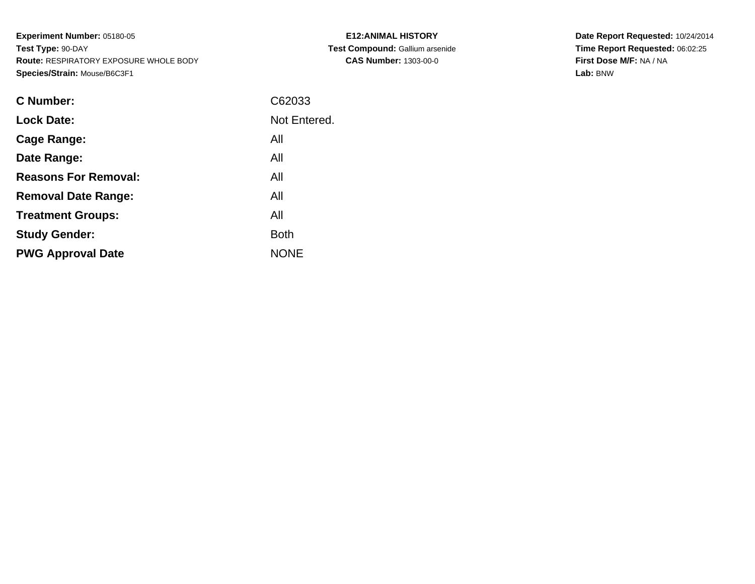**Experiment Number:** 05180-05**Test Type:** 90-DAY **Route:** RESPIRATORY EXPOSURE WHOLE BODY**Species/Strain:** Mouse/B6C3F1

| C Number:                   | C62033       |
|-----------------------------|--------------|
| <b>Lock Date:</b>           | Not Entered. |
| Cage Range:                 | All          |
| Date Range:                 | All          |
| <b>Reasons For Removal:</b> | All          |
| <b>Removal Date Range:</b>  | All          |
| <b>Treatment Groups:</b>    | All          |
| <b>Study Gender:</b>        | <b>Both</b>  |
| <b>PWG Approval Date</b>    | <b>NONE</b>  |
|                             |              |

**E12:ANIMAL HISTORY Test Compound:** Gallium arsenide**CAS Number:** 1303-00-0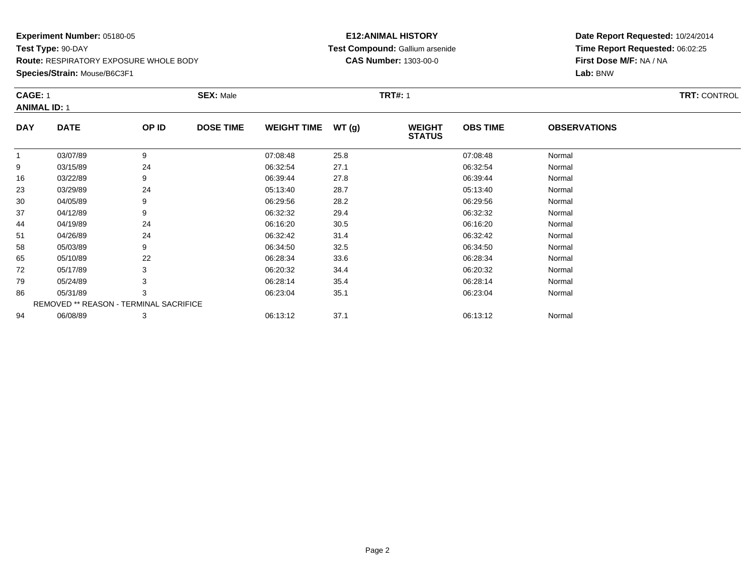**Species/Strain:** Mouse/B6C3F1

#### **E12:ANIMAL HISTORY Test Compound:** Gallium arsenide**CAS Number:** 1303-00-0

|              | <b>CAGE: 1</b><br><b>ANIMAL ID: 1</b>  |       | <b>SEX: Male</b> |                    |       | <b>TRT#: 1</b>                 |                 |                     |  |  |
|--------------|----------------------------------------|-------|------------------|--------------------|-------|--------------------------------|-----------------|---------------------|--|--|
| <b>DAY</b>   | <b>DATE</b>                            | OP ID | <b>DOSE TIME</b> | <b>WEIGHT TIME</b> | WT(g) | <b>WEIGHT</b><br><b>STATUS</b> | <b>OBS TIME</b> | <b>OBSERVATIONS</b> |  |  |
| $\mathbf{1}$ | 03/07/89                               | 9     |                  | 07:08:48           | 25.8  |                                | 07:08:48        | Normal              |  |  |
| 9            | 03/15/89                               | 24    |                  | 06:32:54           | 27.1  |                                | 06:32:54        | Normal              |  |  |
| 16           | 03/22/89                               | 9     |                  | 06:39:44           | 27.8  |                                | 06:39:44        | Normal              |  |  |
| 23           | 03/29/89                               | 24    |                  | 05:13:40           | 28.7  |                                | 05:13:40        | Normal              |  |  |
| 30           | 04/05/89                               | 9     |                  | 06:29:56           | 28.2  |                                | 06:29:56        | Normal              |  |  |
| 37           | 04/12/89                               | 9     |                  | 06:32:32           | 29.4  |                                | 06:32:32        | Normal              |  |  |
| 44           | 04/19/89                               | 24    |                  | 06:16:20           | 30.5  |                                | 06:16:20        | Normal              |  |  |
| 51           | 04/26/89                               | 24    |                  | 06:32:42           | 31.4  |                                | 06:32:42        | Normal              |  |  |
| 58           | 05/03/89                               | 9     |                  | 06:34:50           | 32.5  |                                | 06:34:50        | Normal              |  |  |
| 65           | 05/10/89                               | 22    |                  | 06:28:34           | 33.6  |                                | 06:28:34        | Normal              |  |  |
| 72           | 05/17/89                               | 3     |                  | 06:20:32           | 34.4  |                                | 06:20:32        | Normal              |  |  |
| 79           | 05/24/89                               | 3     |                  | 06:28:14           | 35.4  |                                | 06:28:14        | Normal              |  |  |
| 86           | 05/31/89                               | 3     |                  | 06:23:04           | 35.1  |                                | 06:23:04        | Normal              |  |  |
|              | REMOVED ** REASON - TERMINAL SACRIFICE |       |                  |                    |       |                                |                 |                     |  |  |
| 94           | 06/08/89                               | 3     |                  | 06:13:12           | 37.1  |                                | 06:13:12        | Normal              |  |  |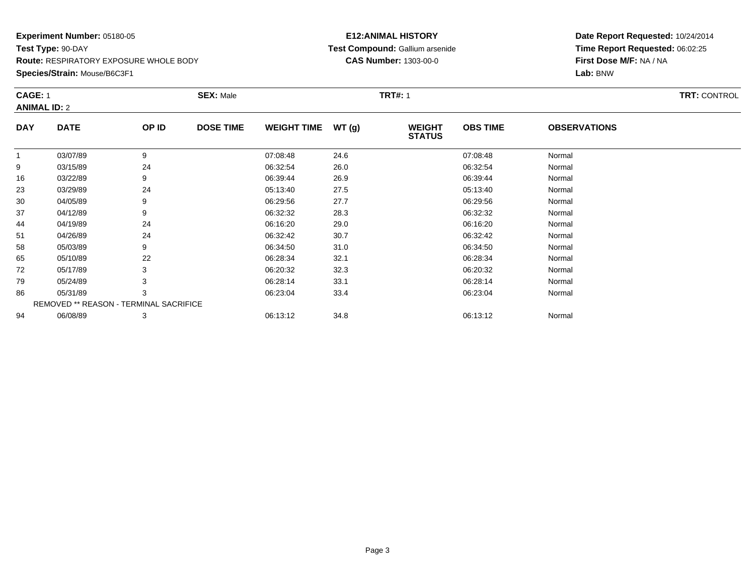**Species/Strain:** Mouse/B6C3F1

#### **E12:ANIMAL HISTORY Test Compound:** Gallium arsenide**CAS Number:** 1303-00-0

|              | <b>CAGE: 1</b><br><b>ANIMAL ID: 2</b>  |       | <b>SEX: Male</b> |                    | <b>TRT#: 1</b> | <b>TRT: CONTROL</b>            |                 |                     |  |
|--------------|----------------------------------------|-------|------------------|--------------------|----------------|--------------------------------|-----------------|---------------------|--|
| <b>DAY</b>   | <b>DATE</b>                            | OP ID | <b>DOSE TIME</b> | <b>WEIGHT TIME</b> | WT(g)          | <b>WEIGHT</b><br><b>STATUS</b> | <b>OBS TIME</b> | <b>OBSERVATIONS</b> |  |
| $\mathbf{1}$ | 03/07/89                               | 9     |                  | 07:08:48           | 24.6           |                                | 07:08:48        | Normal              |  |
| 9            | 03/15/89                               | 24    |                  | 06:32:54           | 26.0           |                                | 06:32:54        | Normal              |  |
| 16           | 03/22/89                               | 9     |                  | 06:39:44           | 26.9           |                                | 06:39:44        | Normal              |  |
| 23           | 03/29/89                               | 24    |                  | 05:13:40           | 27.5           |                                | 05:13:40        | Normal              |  |
| 30           | 04/05/89                               | 9     |                  | 06:29:56           | 27.7           |                                | 06:29:56        | Normal              |  |
| 37           | 04/12/89                               | 9     |                  | 06:32:32           | 28.3           |                                | 06:32:32        | Normal              |  |
| 44           | 04/19/89                               | 24    |                  | 06:16:20           | 29.0           |                                | 06:16:20        | Normal              |  |
| 51           | 04/26/89                               | 24    |                  | 06:32:42           | 30.7           |                                | 06:32:42        | Normal              |  |
| 58           | 05/03/89                               | 9     |                  | 06:34:50           | 31.0           |                                | 06:34:50        | Normal              |  |
| 65           | 05/10/89                               | 22    |                  | 06:28:34           | 32.1           |                                | 06:28:34        | Normal              |  |
| 72           | 05/17/89                               | 3     |                  | 06:20:32           | 32.3           |                                | 06:20:32        | Normal              |  |
| 79           | 05/24/89                               | 3     |                  | 06:28:14           | 33.1           |                                | 06:28:14        | Normal              |  |
| 86           | 05/31/89                               | 3     |                  | 06:23:04           | 33.4           |                                | 06:23:04        | Normal              |  |
|              | REMOVED ** REASON - TERMINAL SACRIFICE |       |                  |                    |                |                                |                 |                     |  |
| 94           | 06/08/89                               | 3     |                  | 06:13:12           | 34.8           |                                | 06:13:12        | Normal              |  |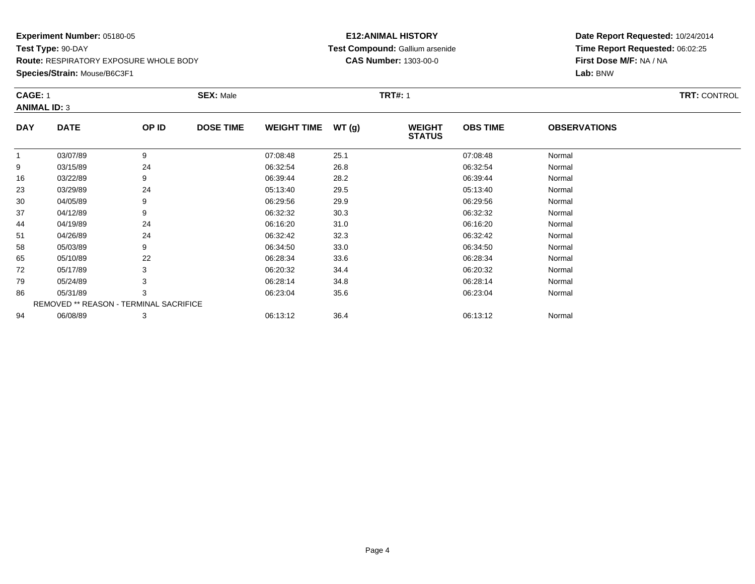**Species/Strain:** Mouse/B6C3F1

#### **E12:ANIMAL HISTORY Test Compound:** Gallium arsenide**CAS Number:** 1303-00-0

**Date Report Requested:** 10/24/2014**Time Report Requested:** 06:02:25**First Dose M/F:** NA / NA**Lab:** BNW

|            | <b>CAGE: 1</b><br><b>ANIMAL ID: 3</b>  |       | <b>SEX: Male</b> |                    |       | <b>TRT#: 1</b>                 |                 | <b>TRT: CONTROL</b> |  |
|------------|----------------------------------------|-------|------------------|--------------------|-------|--------------------------------|-----------------|---------------------|--|
| <b>DAY</b> | <b>DATE</b>                            | OP ID | <b>DOSE TIME</b> | <b>WEIGHT TIME</b> | WT(g) | <b>WEIGHT</b><br><b>STATUS</b> | <b>OBS TIME</b> | <b>OBSERVATIONS</b> |  |
| 1          | 03/07/89                               | 9     |                  | 07:08:48           | 25.1  |                                | 07:08:48        | Normal              |  |
| 9          | 03/15/89                               | 24    |                  | 06:32:54           | 26.8  |                                | 06:32:54        | Normal              |  |
| 16         | 03/22/89                               | 9     |                  | 06:39:44           | 28.2  |                                | 06:39:44        | Normal              |  |
| 23         | 03/29/89                               | 24    |                  | 05:13:40           | 29.5  |                                | 05:13:40        | Normal              |  |
| 30         | 04/05/89                               | 9     |                  | 06:29:56           | 29.9  |                                | 06:29:56        | Normal              |  |
| 37         | 04/12/89                               | 9     |                  | 06:32:32           | 30.3  |                                | 06:32:32        | Normal              |  |
| 44         | 04/19/89                               | 24    |                  | 06:16:20           | 31.0  |                                | 06:16:20        | Normal              |  |
| 51         | 04/26/89                               | 24    |                  | 06:32:42           | 32.3  |                                | 06:32:42        | Normal              |  |
| 58         | 05/03/89                               | 9     |                  | 06:34:50           | 33.0  |                                | 06:34:50        | Normal              |  |
| 65         | 05/10/89                               | 22    |                  | 06:28:34           | 33.6  |                                | 06:28:34        | Normal              |  |
| 72         | 05/17/89                               | 3     |                  | 06:20:32           | 34.4  |                                | 06:20:32        | Normal              |  |
| 79         | 05/24/89                               | 3     |                  | 06:28:14           | 34.8  |                                | 06:28:14        | Normal              |  |
| 86         | 05/31/89                               | 3     |                  | 06:23:04           | 35.6  |                                | 06:23:04        | Normal              |  |
|            | REMOVED ** REASON - TERMINAL SACRIFICE |       |                  |                    |       |                                |                 |                     |  |
| 94         | 06/08/89                               | 3     |                  | 06:13:12           | 36.4  |                                | 06:13:12        | Normal              |  |

06/08/89 <sup>3</sup> 06:13:12 36.4 06:13:12 Normal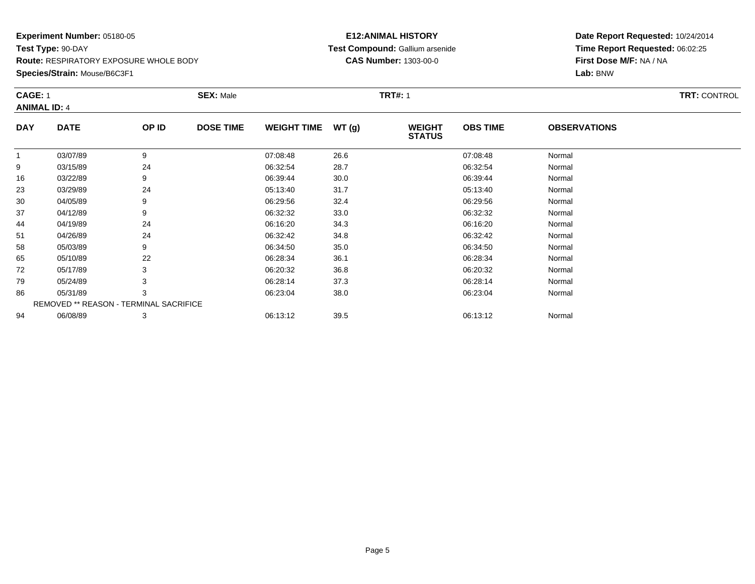**Species/Strain:** Mouse/B6C3F1

#### **E12:ANIMAL HISTORY Test Compound:** Gallium arsenide**CAS Number:** 1303-00-0

| <b>CAGE: 1</b><br><b>ANIMAL ID: 4</b> |                                        | <b>SEX: Male</b> |                  |                    | <b>TRT#: 1</b> | <b>TRT: CONTROL</b>            |                 |                     |  |
|---------------------------------------|----------------------------------------|------------------|------------------|--------------------|----------------|--------------------------------|-----------------|---------------------|--|
| <b>DAY</b>                            | <b>DATE</b>                            | OP ID            | <b>DOSE TIME</b> | <b>WEIGHT TIME</b> | WT(g)          | <b>WEIGHT</b><br><b>STATUS</b> | <b>OBS TIME</b> | <b>OBSERVATIONS</b> |  |
| 1                                     | 03/07/89                               | 9                |                  | 07:08:48           | 26.6           |                                | 07:08:48        | Normal              |  |
| 9                                     | 03/15/89                               | 24               |                  | 06:32:54           | 28.7           |                                | 06:32:54        | Normal              |  |
| 16                                    | 03/22/89                               | 9                |                  | 06:39:44           | 30.0           |                                | 06:39:44        | Normal              |  |
| 23                                    | 03/29/89                               | 24               |                  | 05:13:40           | 31.7           |                                | 05:13:40        | Normal              |  |
| 30                                    | 04/05/89                               | 9                |                  | 06:29:56           | 32.4           |                                | 06:29:56        | Normal              |  |
| 37                                    | 04/12/89                               | 9                |                  | 06:32:32           | 33.0           |                                | 06:32:32        | Normal              |  |
| 44                                    | 04/19/89                               | 24               |                  | 06:16:20           | 34.3           |                                | 06:16:20        | Normal              |  |
| 51                                    | 04/26/89                               | 24               |                  | 06:32:42           | 34.8           |                                | 06:32:42        | Normal              |  |
| 58                                    | 05/03/89                               | 9                |                  | 06:34:50           | 35.0           |                                | 06:34:50        | Normal              |  |
| 65                                    | 05/10/89                               | 22               |                  | 06:28:34           | 36.1           |                                | 06:28:34        | Normal              |  |
| 72                                    | 05/17/89                               | 3                |                  | 06:20:32           | 36.8           |                                | 06:20:32        | Normal              |  |
| 79                                    | 05/24/89                               | 3                |                  | 06:28:14           | 37.3           |                                | 06:28:14        | Normal              |  |
| 86                                    | 05/31/89                               | 3                |                  | 06:23:04           | 38.0           |                                | 06:23:04        | Normal              |  |
|                                       | REMOVED ** REASON - TERMINAL SACRIFICE |                  |                  |                    |                |                                |                 |                     |  |
| 94                                    | 06/08/89                               | 3                |                  | 06:13:12           | 39.5           |                                | 06:13:12        | Normal              |  |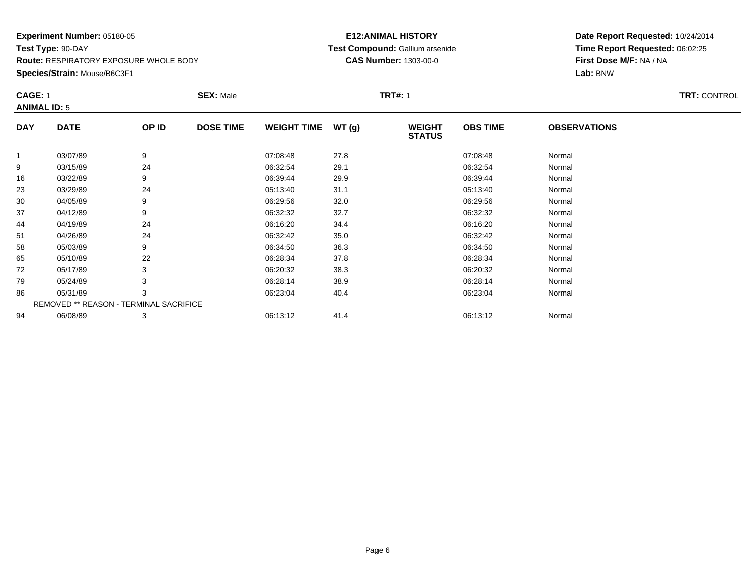**Species/Strain:** Mouse/B6C3F1

#### **E12:ANIMAL HISTORY Test Compound:** Gallium arsenide**CAS Number:** 1303-00-0

|            | CAGE: 1<br><b>ANIMAL ID: 5</b>         |       | <b>SEX: Male</b> |                    |       | <b>TRT#: 1</b>                 |                 |                     | <b>TRT: CONTROL</b> |
|------------|----------------------------------------|-------|------------------|--------------------|-------|--------------------------------|-----------------|---------------------|---------------------|
| <b>DAY</b> | <b>DATE</b>                            | OP ID | <b>DOSE TIME</b> | <b>WEIGHT TIME</b> | WT(g) | <b>WEIGHT</b><br><b>STATUS</b> | <b>OBS TIME</b> | <b>OBSERVATIONS</b> |                     |
| 1          | 03/07/89                               | 9     |                  | 07:08:48           | 27.8  |                                | 07:08:48        | Normal              |                     |
| 9          | 03/15/89                               | 24    |                  | 06:32:54           | 29.1  |                                | 06:32:54        | Normal              |                     |
| 16         | 03/22/89                               | 9     |                  | 06:39:44           | 29.9  |                                | 06:39:44        | Normal              |                     |
| 23         | 03/29/89                               | 24    |                  | 05:13:40           | 31.1  |                                | 05:13:40        | Normal              |                     |
| 30         | 04/05/89                               | 9     |                  | 06:29:56           | 32.0  |                                | 06:29:56        | Normal              |                     |
| 37         | 04/12/89                               | 9     |                  | 06:32:32           | 32.7  |                                | 06:32:32        | Normal              |                     |
| 44         | 04/19/89                               | 24    |                  | 06:16:20           | 34.4  |                                | 06:16:20        | Normal              |                     |
| 51         | 04/26/89                               | 24    |                  | 06:32:42           | 35.0  |                                | 06:32:42        | Normal              |                     |
| 58         | 05/03/89                               | 9     |                  | 06:34:50           | 36.3  |                                | 06:34:50        | Normal              |                     |
| 65         | 05/10/89                               | 22    |                  | 06:28:34           | 37.8  |                                | 06:28:34        | Normal              |                     |
| 72         | 05/17/89                               | 3     |                  | 06:20:32           | 38.3  |                                | 06:20:32        | Normal              |                     |
| 79         | 05/24/89                               |       |                  | 06:28:14           | 38.9  |                                | 06:28:14        | Normal              |                     |
| 86         | 05/31/89                               | 3     |                  | 06:23:04           | 40.4  |                                | 06:23:04        | Normal              |                     |
|            | REMOVED ** REASON - TERMINAL SACRIFICE |       |                  |                    |       |                                |                 |                     |                     |
| 94         | 06/08/89                               | 3     |                  | 06:13:12           | 41.4  |                                | 06:13:12        | Normal              |                     |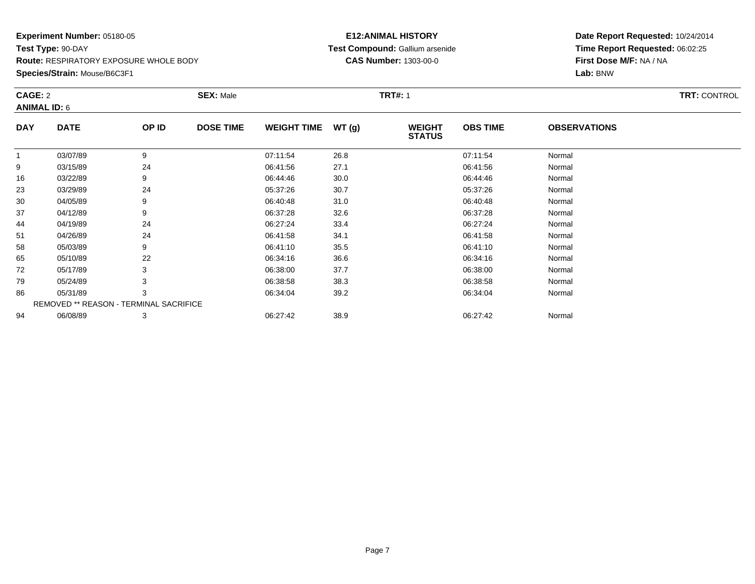**Species/Strain:** Mouse/B6C3F1

#### **E12:ANIMAL HISTORY Test Compound:** Gallium arsenide**CAS Number:** 1303-00-0

| CAGE: 2<br><b>ANIMAL ID: 6</b> |                                        | <b>SEX: Male</b> |                  |                    | <b>TRT#: 1</b> | <b>TRT: CONTROL</b>            |                 |                     |  |
|--------------------------------|----------------------------------------|------------------|------------------|--------------------|----------------|--------------------------------|-----------------|---------------------|--|
| <b>DAY</b>                     | <b>DATE</b>                            | OP ID            | <b>DOSE TIME</b> | <b>WEIGHT TIME</b> | WT(g)          | <b>WEIGHT</b><br><b>STATUS</b> | <b>OBS TIME</b> | <b>OBSERVATIONS</b> |  |
| 1                              | 03/07/89                               | 9                |                  | 07:11:54           | 26.8           |                                | 07:11:54        | Normal              |  |
| 9                              | 03/15/89                               | 24               |                  | 06:41:56           | 27.1           |                                | 06:41:56        | Normal              |  |
| 16                             | 03/22/89                               | 9                |                  | 06:44:46           | 30.0           |                                | 06:44:46        | Normal              |  |
| 23                             | 03/29/89                               | 24               |                  | 05:37:26           | 30.7           |                                | 05:37:26        | Normal              |  |
| 30                             | 04/05/89                               | 9                |                  | 06:40:48           | 31.0           |                                | 06:40:48        | Normal              |  |
| 37                             | 04/12/89                               | 9                |                  | 06:37:28           | 32.6           |                                | 06:37:28        | Normal              |  |
| 44                             | 04/19/89                               | 24               |                  | 06:27:24           | 33.4           |                                | 06:27:24        | Normal              |  |
| 51                             | 04/26/89                               | 24               |                  | 06:41:58           | 34.1           |                                | 06:41:58        | Normal              |  |
| 58                             | 05/03/89                               | 9                |                  | 06:41:10           | 35.5           |                                | 06:41:10        | Normal              |  |
| 65                             | 05/10/89                               | 22               |                  | 06:34:16           | 36.6           |                                | 06:34:16        | Normal              |  |
| 72                             | 05/17/89                               | 3                |                  | 06:38:00           | 37.7           |                                | 06:38:00        | Normal              |  |
| 79                             | 05/24/89                               | 3                |                  | 06:38:58           | 38.3           |                                | 06:38:58        | Normal              |  |
| 86                             | 05/31/89                               | 3                |                  | 06:34:04           | 39.2           |                                | 06:34:04        | Normal              |  |
|                                | REMOVED ** REASON - TERMINAL SACRIFICE |                  |                  |                    |                |                                |                 |                     |  |
| 94                             | 06/08/89                               | 3                |                  | 06:27:42           | 38.9           |                                | 06:27:42        | Normal              |  |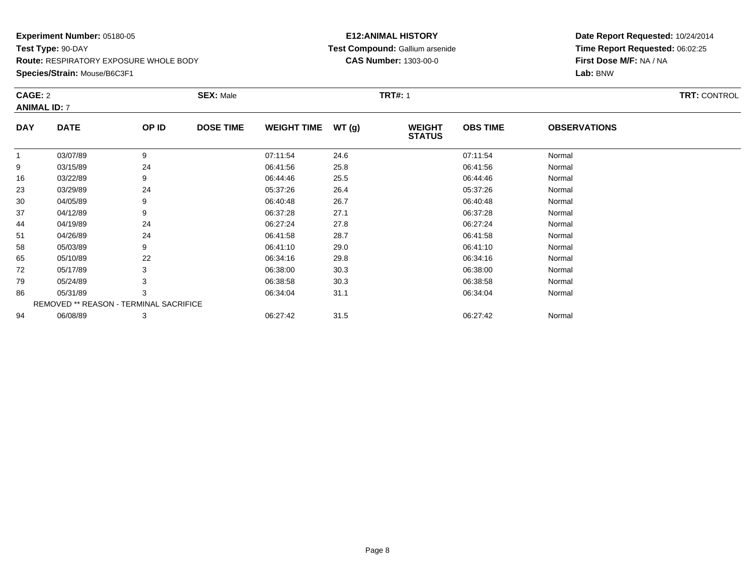**Species/Strain:** Mouse/B6C3F1

#### **E12:ANIMAL HISTORY Test Compound:** Gallium arsenide**CAS Number:** 1303-00-0

| CAGE: 2<br><b>ANIMAL ID: 7</b> |                                        | <b>SEX: Male</b> |                  |                    | <b>TRT#: 1</b> | <b>TRT: CONTROL</b>            |                 |                     |  |
|--------------------------------|----------------------------------------|------------------|------------------|--------------------|----------------|--------------------------------|-----------------|---------------------|--|
|                                |                                        |                  |                  |                    |                |                                |                 |                     |  |
| <b>DAY</b>                     | <b>DATE</b>                            | OP ID            | <b>DOSE TIME</b> | <b>WEIGHT TIME</b> | WT(g)          | <b>WEIGHT</b><br><b>STATUS</b> | <b>OBS TIME</b> | <b>OBSERVATIONS</b> |  |
| $\mathbf 1$                    | 03/07/89                               | 9                |                  | 07:11:54           | 24.6           |                                | 07:11:54        | Normal              |  |
| 9                              | 03/15/89                               | 24               |                  | 06:41:56           | 25.8           |                                | 06:41:56        | Normal              |  |
| 16                             | 03/22/89                               | 9                |                  | 06:44:46           | 25.5           |                                | 06:44:46        | Normal              |  |
| 23                             | 03/29/89                               | 24               |                  | 05:37:26           | 26.4           |                                | 05:37:26        | Normal              |  |
| 30                             | 04/05/89                               | 9                |                  | 06:40:48           | 26.7           |                                | 06:40:48        | Normal              |  |
| 37                             | 04/12/89                               | 9                |                  | 06:37:28           | 27.1           |                                | 06:37:28        | Normal              |  |
| 44                             | 04/19/89                               | 24               |                  | 06:27:24           | 27.8           |                                | 06:27:24        | Normal              |  |
| 51                             | 04/26/89                               | 24               |                  | 06:41:58           | 28.7           |                                | 06:41:58        | Normal              |  |
| 58                             | 05/03/89                               | 9                |                  | 06:41:10           | 29.0           |                                | 06:41:10        | Normal              |  |
| 65                             | 05/10/89                               | 22               |                  | 06:34:16           | 29.8           |                                | 06:34:16        | Normal              |  |
| 72                             | 05/17/89                               | 3                |                  | 06:38:00           | 30.3           |                                | 06:38:00        | Normal              |  |
| 79                             | 05/24/89                               |                  |                  | 06:38:58           | 30.3           |                                | 06:38:58        | Normal              |  |
| 86                             | 05/31/89                               | 3                |                  | 06:34:04           | 31.1           |                                | 06:34:04        | Normal              |  |
|                                | REMOVED ** REASON - TERMINAL SACRIFICE |                  |                  |                    |                |                                |                 |                     |  |
| 94                             | 06/08/89                               | 3                |                  | 06:27:42           | 31.5           |                                | 06:27:42        | Normal              |  |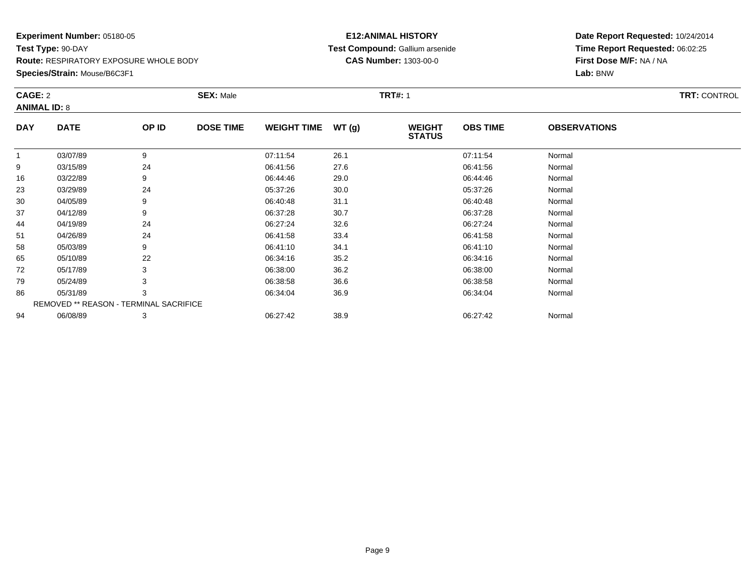**Species/Strain:** Mouse/B6C3F1

#### **E12:ANIMAL HISTORY Test Compound:** Gallium arsenide**CAS Number:** 1303-00-0

| CAGE: 2<br><b>ANIMAL ID: 8</b> |                                        | <b>SEX: Male</b> |                  |                    | <b>TRT#: 1</b> | <b>TRT: CONTROL</b>            |                 |                     |  |
|--------------------------------|----------------------------------------|------------------|------------------|--------------------|----------------|--------------------------------|-----------------|---------------------|--|
| <b>DAY</b>                     | <b>DATE</b>                            | OP ID            | <b>DOSE TIME</b> | <b>WEIGHT TIME</b> | WT(g)          | <b>WEIGHT</b><br><b>STATUS</b> | <b>OBS TIME</b> | <b>OBSERVATIONS</b> |  |
| 1                              | 03/07/89                               | 9                |                  | 07:11:54           | 26.1           |                                | 07:11:54        | Normal              |  |
| 9                              | 03/15/89                               | 24               |                  | 06:41:56           | 27.6           |                                | 06:41:56        | Normal              |  |
| 16                             | 03/22/89                               | 9                |                  | 06:44:46           | 29.0           |                                | 06:44:46        | Normal              |  |
| 23                             | 03/29/89                               | 24               |                  | 05:37:26           | 30.0           |                                | 05:37:26        | Normal              |  |
| 30                             | 04/05/89                               | 9                |                  | 06:40:48           | 31.1           |                                | 06:40:48        | Normal              |  |
| 37                             | 04/12/89                               | 9                |                  | 06:37:28           | 30.7           |                                | 06:37:28        | Normal              |  |
| 44                             | 04/19/89                               | 24               |                  | 06:27:24           | 32.6           |                                | 06:27:24        | Normal              |  |
| 51                             | 04/26/89                               | 24               |                  | 06:41:58           | 33.4           |                                | 06:41:58        | Normal              |  |
| 58                             | 05/03/89                               | 9                |                  | 06:41:10           | 34.1           |                                | 06:41:10        | Normal              |  |
| 65                             | 05/10/89                               | 22               |                  | 06:34:16           | 35.2           |                                | 06:34:16        | Normal              |  |
| 72                             | 05/17/89                               | 3                |                  | 06:38:00           | 36.2           |                                | 06:38:00        | Normal              |  |
| 79                             | 05/24/89                               | 3                |                  | 06:38:58           | 36.6           |                                | 06:38:58        | Normal              |  |
| 86                             | 05/31/89                               | 3                |                  | 06:34:04           | 36.9           |                                | 06:34:04        | Normal              |  |
|                                | REMOVED ** REASON - TERMINAL SACRIFICE |                  |                  |                    |                |                                |                 |                     |  |
| 94                             | 06/08/89                               | 3                |                  | 06:27:42           | 38.9           |                                | 06:27:42        | Normal              |  |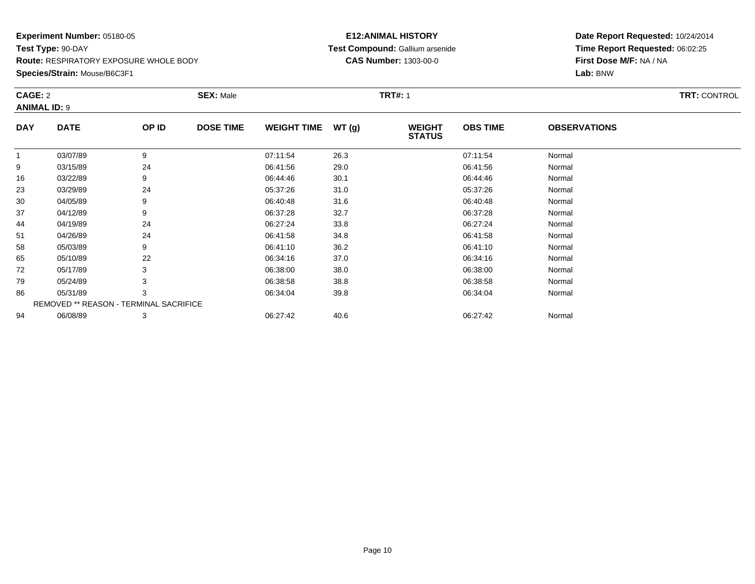**Species/Strain:** Mouse/B6C3F1

#### **E12:ANIMAL HISTORY Test Compound:** Gallium arsenide**CAS Number:** 1303-00-0

| CAGE: 2<br><b>ANIMAL ID: 9</b> |                                               |       | <b>SEX: Male</b> |                    |       | <b>TRT#: 1</b>                 |                 | <b>TRT: CONTROL</b> |  |
|--------------------------------|-----------------------------------------------|-------|------------------|--------------------|-------|--------------------------------|-----------------|---------------------|--|
| <b>DAY</b>                     | <b>DATE</b>                                   | OP ID | <b>DOSE TIME</b> | <b>WEIGHT TIME</b> | WT(g) | <b>WEIGHT</b><br><b>STATUS</b> | <b>OBS TIME</b> | <b>OBSERVATIONS</b> |  |
|                                | 03/07/89                                      | 9     |                  | 07:11:54           | 26.3  |                                | 07:11:54        | Normal              |  |
| 9                              | 03/15/89                                      | 24    |                  | 06:41:56           | 29.0  |                                | 06:41:56        | Normal              |  |
| 16                             | 03/22/89                                      | 9     |                  | 06:44:46           | 30.1  |                                | 06:44:46        | Normal              |  |
| 23                             | 03/29/89                                      | 24    |                  | 05:37:26           | 31.0  |                                | 05:37:26        | Normal              |  |
| 30                             | 04/05/89                                      | 9     |                  | 06:40:48           | 31.6  |                                | 06:40:48        | Normal              |  |
| 37                             | 04/12/89                                      | 9     |                  | 06:37:28           | 32.7  |                                | 06:37:28        | Normal              |  |
| 44                             | 04/19/89                                      | 24    |                  | 06:27:24           | 33.8  |                                | 06:27:24        | Normal              |  |
| 51                             | 04/26/89                                      | 24    |                  | 06:41:58           | 34.8  |                                | 06:41:58        | Normal              |  |
| 58                             | 05/03/89                                      | 9     |                  | 06:41:10           | 36.2  |                                | 06:41:10        | Normal              |  |
| 65                             | 05/10/89                                      | 22    |                  | 06:34:16           | 37.0  |                                | 06:34:16        | Normal              |  |
| 72                             | 05/17/89                                      | 3     |                  | 06:38:00           | 38.0  |                                | 06:38:00        | Normal              |  |
| 79                             | 05/24/89                                      | 3     |                  | 06:38:58           | 38.8  |                                | 06:38:58        | Normal              |  |
| 86                             | 05/31/89                                      | 3     |                  | 06:34:04           | 39.8  |                                | 06:34:04        | Normal              |  |
|                                | <b>REMOVED ** REASON - TERMINAL SACRIFICE</b> |       |                  |                    |       |                                |                 |                     |  |
| 94                             | 06/08/89                                      | 3     |                  | 06:27:42           | 40.6  |                                | 06:27:42        | Normal              |  |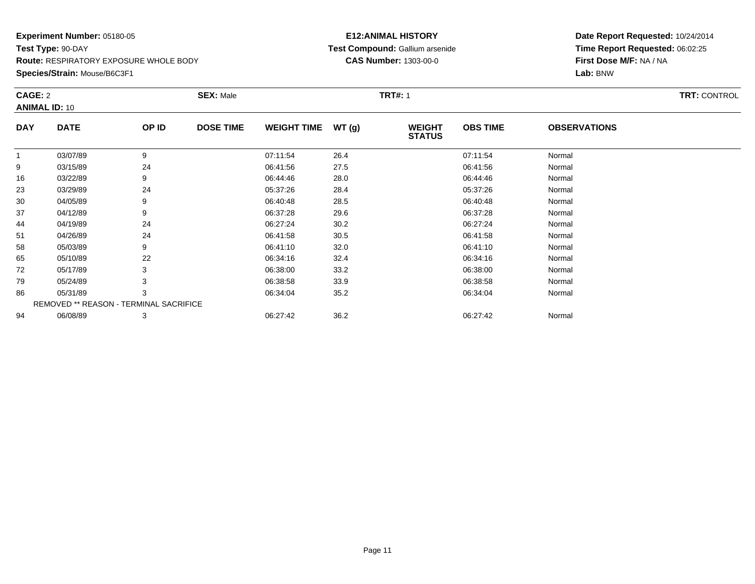**Species/Strain:** Mouse/B6C3F1

#### **E12:ANIMAL HISTORY Test Compound:** Gallium arsenide**CAS Number:** 1303-00-0

| CAGE: 2<br><b>ANIMAL ID: 10</b> |                                               |       | <b>SEX: Male</b> |                    | <b>TRT#: 1</b> |                                |                 |                     | <b>TRT: CONTROL</b> |
|---------------------------------|-----------------------------------------------|-------|------------------|--------------------|----------------|--------------------------------|-----------------|---------------------|---------------------|
| <b>DAY</b>                      | <b>DATE</b>                                   | OP ID | <b>DOSE TIME</b> | <b>WEIGHT TIME</b> | WT(g)          | <b>WEIGHT</b><br><b>STATUS</b> | <b>OBS TIME</b> | <b>OBSERVATIONS</b> |                     |
|                                 | 03/07/89                                      | 9     |                  | 07:11:54           | 26.4           |                                | 07:11:54        | Normal              |                     |
| 9                               | 03/15/89                                      | 24    |                  | 06:41:56           | 27.5           |                                | 06:41:56        | Normal              |                     |
| 16                              | 03/22/89                                      | 9     |                  | 06:44:46           | 28.0           |                                | 06:44:46        | Normal              |                     |
| 23                              | 03/29/89                                      | 24    |                  | 05:37:26           | 28.4           |                                | 05:37:26        | Normal              |                     |
| 30                              | 04/05/89                                      | 9     |                  | 06:40:48           | 28.5           |                                | 06:40:48        | Normal              |                     |
| 37                              | 04/12/89                                      | 9     |                  | 06:37:28           | 29.6           |                                | 06:37:28        | Normal              |                     |
| 44                              | 04/19/89                                      | 24    |                  | 06:27:24           | 30.2           |                                | 06:27:24        | Normal              |                     |
| 51                              | 04/26/89                                      | 24    |                  | 06:41:58           | 30.5           |                                | 06:41:58        | Normal              |                     |
| 58                              | 05/03/89                                      | 9     |                  | 06:41:10           | 32.0           |                                | 06:41:10        | Normal              |                     |
| 65                              | 05/10/89                                      | 22    |                  | 06:34:16           | 32.4           |                                | 06:34:16        | Normal              |                     |
| 72                              | 05/17/89                                      | 3     |                  | 06:38:00           | 33.2           |                                | 06:38:00        | Normal              |                     |
| 79                              | 05/24/89                                      | 3     |                  | 06:38:58           | 33.9           |                                | 06:38:58        | Normal              |                     |
| 86                              | 05/31/89                                      | 3     |                  | 06:34:04           | 35.2           |                                | 06:34:04        | Normal              |                     |
|                                 | <b>REMOVED ** REASON - TERMINAL SACRIFICE</b> |       |                  |                    |                |                                |                 |                     |                     |
| 94                              | 06/08/89                                      | 3     |                  | 06:27:42           | 36.2           |                                | 06:27:42        | Normal              |                     |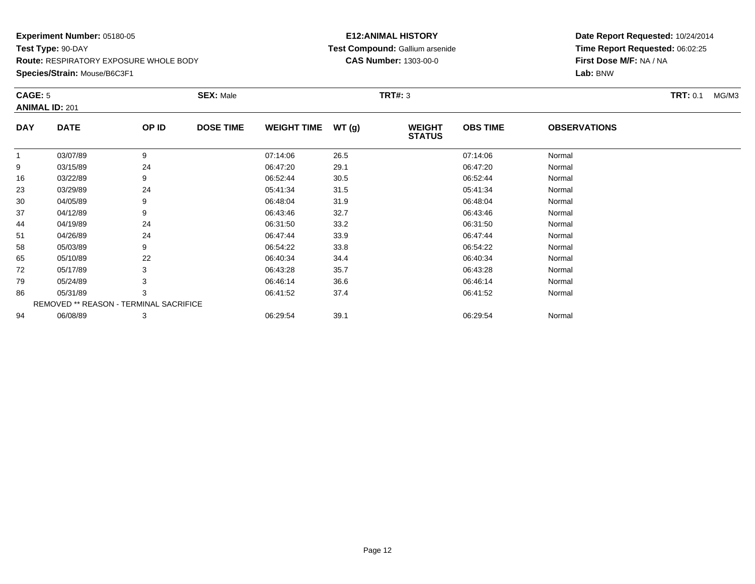## **Species/Strain:** Mouse/B6C3F1

#### **E12:ANIMAL HISTORY Test Compound:** Gallium arsenide**CAS Number:** 1303-00-0

|             | CAGE: 5<br><b>ANIMAL ID: 201</b>       |       | <b>SEX: Male</b> |                    |       | <b>TRT#: 3</b>                 |                 | <b>TRT: 0.1</b><br>MG/M3 |  |
|-------------|----------------------------------------|-------|------------------|--------------------|-------|--------------------------------|-----------------|--------------------------|--|
| <b>DAY</b>  | <b>DATE</b>                            | OP ID | <b>DOSE TIME</b> | <b>WEIGHT TIME</b> | WT(g) | <b>WEIGHT</b><br><b>STATUS</b> | <b>OBS TIME</b> | <b>OBSERVATIONS</b>      |  |
| $\mathbf 1$ | 03/07/89                               | 9     |                  | 07:14:06           | 26.5  |                                | 07:14:06        | Normal                   |  |
| 9           | 03/15/89                               | 24    |                  | 06:47:20           | 29.1  |                                | 06:47:20        | Normal                   |  |
| 16          | 03/22/89                               | 9     |                  | 06:52:44           | 30.5  |                                | 06:52:44        | Normal                   |  |
| 23          | 03/29/89                               | 24    |                  | 05:41:34           | 31.5  |                                | 05:41:34        | Normal                   |  |
| 30          | 04/05/89                               | 9     |                  | 06:48:04           | 31.9  |                                | 06:48:04        | Normal                   |  |
| 37          | 04/12/89                               | 9     |                  | 06:43:46           | 32.7  |                                | 06:43:46        | Normal                   |  |
| 44          | 04/19/89                               | 24    |                  | 06:31:50           | 33.2  |                                | 06:31:50        | Normal                   |  |
| 51          | 04/26/89                               | 24    |                  | 06:47:44           | 33.9  |                                | 06:47:44        | Normal                   |  |
| 58          | 05/03/89                               | 9     |                  | 06:54:22           | 33.8  |                                | 06:54:22        | Normal                   |  |
| 65          | 05/10/89                               | 22    |                  | 06:40:34           | 34.4  |                                | 06:40:34        | Normal                   |  |
| 72          | 05/17/89                               | 3     |                  | 06:43:28           | 35.7  |                                | 06:43:28        | Normal                   |  |
| 79          | 05/24/89                               | 3     |                  | 06:46:14           | 36.6  |                                | 06:46:14        | Normal                   |  |
| 86          | 05/31/89                               | 3     |                  | 06:41:52           | 37.4  |                                | 06:41:52        | Normal                   |  |
|             | REMOVED ** REASON - TERMINAL SACRIFICE |       |                  |                    |       |                                |                 |                          |  |
| 94          | 06/08/89                               | 3     |                  | 06:29:54           | 39.1  |                                | 06:29:54        | Normal                   |  |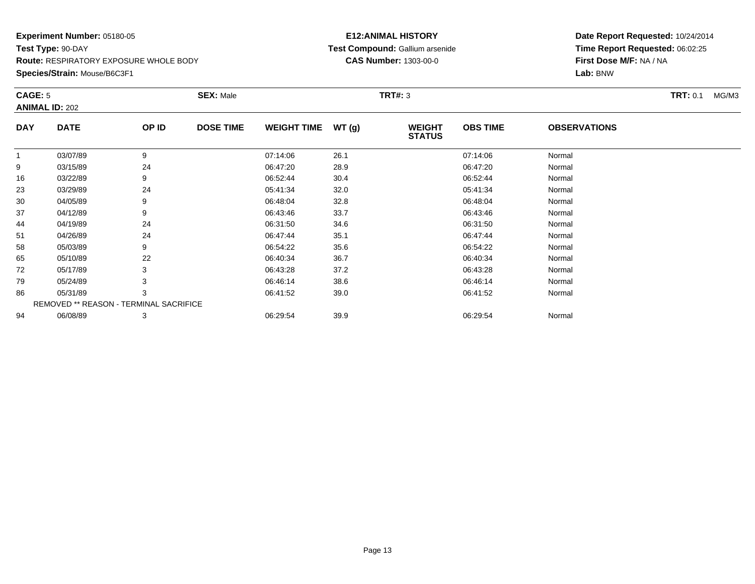#### **Species/Strain:** Mouse/B6C3F1

#### **E12:ANIMAL HISTORY Test Compound:** Gallium arsenide**CAS Number:** 1303-00-0

| CAGE: 5        | <b>ANIMAL ID: 202</b>                  |       | <b>SEX: Male</b> |                    |       | <b>TRT#: 3</b>                 |                 |                     | <b>TRT:</b> 0.1<br>MG/M3 |
|----------------|----------------------------------------|-------|------------------|--------------------|-------|--------------------------------|-----------------|---------------------|--------------------------|
| <b>DAY</b>     | <b>DATE</b>                            | OP ID | <b>DOSE TIME</b> | <b>WEIGHT TIME</b> | WT(g) | <b>WEIGHT</b><br><b>STATUS</b> | <b>OBS TIME</b> | <b>OBSERVATIONS</b> |                          |
| $\overline{1}$ | 03/07/89                               | 9     |                  | 07:14:06           | 26.1  |                                | 07:14:06        | Normal              |                          |
| 9              | 03/15/89                               | 24    |                  | 06:47:20           | 28.9  |                                | 06:47:20        | Normal              |                          |
| 16             | 03/22/89                               | 9     |                  | 06:52:44           | 30.4  |                                | 06:52:44        | Normal              |                          |
| 23             | 03/29/89                               | 24    |                  | 05:41:34           | 32.0  |                                | 05:41:34        | Normal              |                          |
| 30             | 04/05/89                               | 9     |                  | 06:48:04           | 32.8  |                                | 06:48:04        | Normal              |                          |
| 37             | 04/12/89                               | 9     |                  | 06:43:46           | 33.7  |                                | 06:43:46        | Normal              |                          |
| 44             | 04/19/89                               | 24    |                  | 06:31:50           | 34.6  |                                | 06:31:50        | Normal              |                          |
| 51             | 04/26/89                               | 24    |                  | 06:47:44           | 35.1  |                                | 06:47:44        | Normal              |                          |
| 58             | 05/03/89                               | 9     |                  | 06:54:22           | 35.6  |                                | 06:54:22        | Normal              |                          |
| 65             | 05/10/89                               | 22    |                  | 06:40:34           | 36.7  |                                | 06:40:34        | Normal              |                          |
| 72             | 05/17/89                               | 3     |                  | 06:43:28           | 37.2  |                                | 06:43:28        | Normal              |                          |
| 79             | 05/24/89                               | 3     |                  | 06:46:14           | 38.6  |                                | 06:46:14        | Normal              |                          |
| 86             | 05/31/89                               | 3     |                  | 06:41:52           | 39.0  |                                | 06:41:52        | Normal              |                          |
|                | REMOVED ** REASON - TERMINAL SACRIFICE |       |                  |                    |       |                                |                 |                     |                          |
| 94             | 06/08/89                               | 3     |                  | 06:29:54           | 39.9  |                                | 06:29:54        | Normal              |                          |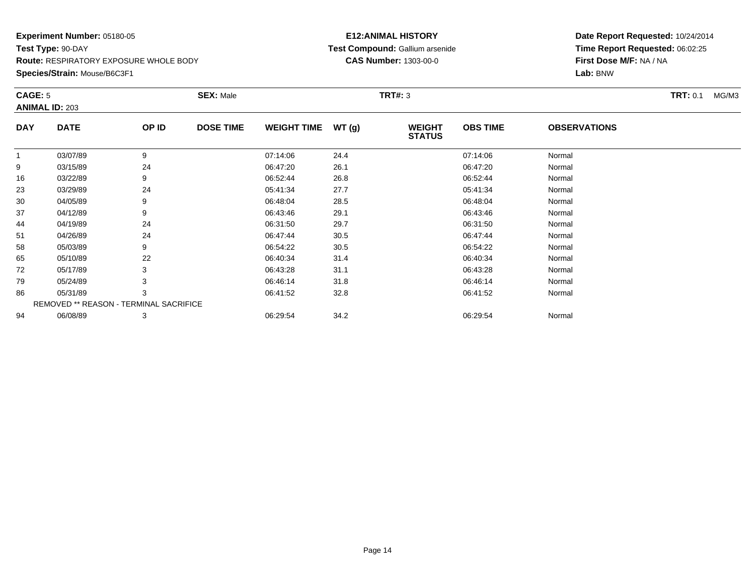## **Species/Strain:** Mouse/B6C3F1

#### **E12:ANIMAL HISTORY Test Compound:** Gallium arsenide**CAS Number:** 1303-00-0

| CAGE: 5        | <b>ANIMAL ID: 203</b>                  |       | <b>SEX: Male</b> |                    |       | <b>TRT#: 3</b>                 |                 |                     | <b>TRT:</b> 0.1<br>MG/M3 |
|----------------|----------------------------------------|-------|------------------|--------------------|-------|--------------------------------|-----------------|---------------------|--------------------------|
| <b>DAY</b>     | <b>DATE</b>                            | OP ID | <b>DOSE TIME</b> | <b>WEIGHT TIME</b> | WT(g) | <b>WEIGHT</b><br><b>STATUS</b> | <b>OBS TIME</b> | <b>OBSERVATIONS</b> |                          |
| $\overline{1}$ | 03/07/89                               | 9     |                  | 07:14:06           | 24.4  |                                | 07:14:06        | Normal              |                          |
| 9              | 03/15/89                               | 24    |                  | 06:47:20           | 26.1  |                                | 06:47:20        | Normal              |                          |
| 16             | 03/22/89                               | 9     |                  | 06:52:44           | 26.8  |                                | 06:52:44        | Normal              |                          |
| 23             | 03/29/89                               | 24    |                  | 05:41:34           | 27.7  |                                | 05:41:34        | Normal              |                          |
| 30             | 04/05/89                               | 9     |                  | 06:48:04           | 28.5  |                                | 06:48:04        | Normal              |                          |
| 37             | 04/12/89                               | 9     |                  | 06:43:46           | 29.1  |                                | 06:43:46        | Normal              |                          |
| 44             | 04/19/89                               | 24    |                  | 06:31:50           | 29.7  |                                | 06:31:50        | Normal              |                          |
| 51             | 04/26/89                               | 24    |                  | 06:47:44           | 30.5  |                                | 06:47:44        | Normal              |                          |
| 58             | 05/03/89                               | 9     |                  | 06:54:22           | 30.5  |                                | 06:54:22        | Normal              |                          |
| 65             | 05/10/89                               | 22    |                  | 06:40:34           | 31.4  |                                | 06:40:34        | Normal              |                          |
| 72             | 05/17/89                               | 3     |                  | 06:43:28           | 31.1  |                                | 06:43:28        | Normal              |                          |
| 79             | 05/24/89                               | 3     |                  | 06:46:14           | 31.8  |                                | 06:46:14        | Normal              |                          |
| 86             | 05/31/89                               | 3     |                  | 06:41:52           | 32.8  |                                | 06:41:52        | Normal              |                          |
|                | REMOVED ** REASON - TERMINAL SACRIFICE |       |                  |                    |       |                                |                 |                     |                          |
| 94             | 06/08/89                               | 3     |                  | 06:29:54           | 34.2  |                                | 06:29:54        | Normal              |                          |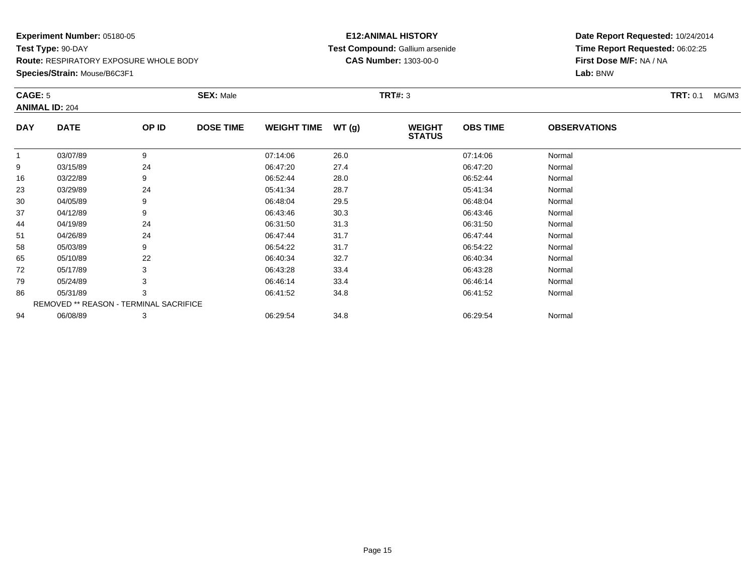#### **Species/Strain:** Mouse/B6C3F1

#### **E12:ANIMAL HISTORY Test Compound:** Gallium arsenide**CAS Number:** 1303-00-0

| CAGE: 5        | <b>ANIMAL ID: 204</b>                  |       | <b>SEX: Male</b> |                    |       | <b>TRT#: 3</b>                 |                 |                     | <b>TRT: 0.1</b><br>MG/M3 |
|----------------|----------------------------------------|-------|------------------|--------------------|-------|--------------------------------|-----------------|---------------------|--------------------------|
| <b>DAY</b>     | <b>DATE</b>                            | OP ID | <b>DOSE TIME</b> | <b>WEIGHT TIME</b> | WT(g) | <b>WEIGHT</b><br><b>STATUS</b> | <b>OBS TIME</b> | <b>OBSERVATIONS</b> |                          |
| $\overline{1}$ | 03/07/89                               | 9     |                  | 07:14:06           | 26.0  |                                | 07:14:06        | Normal              |                          |
| 9              | 03/15/89                               | 24    |                  | 06:47:20           | 27.4  |                                | 06:47:20        | Normal              |                          |
| 16             | 03/22/89                               | 9     |                  | 06:52:44           | 28.0  |                                | 06:52:44        | Normal              |                          |
| 23             | 03/29/89                               | 24    |                  | 05:41:34           | 28.7  |                                | 05:41:34        | Normal              |                          |
| 30             | 04/05/89                               | 9     |                  | 06:48:04           | 29.5  |                                | 06:48:04        | Normal              |                          |
| 37             | 04/12/89                               | 9     |                  | 06:43:46           | 30.3  |                                | 06:43:46        | Normal              |                          |
| 44             | 04/19/89                               | 24    |                  | 06:31:50           | 31.3  |                                | 06:31:50        | Normal              |                          |
| 51             | 04/26/89                               | 24    |                  | 06:47:44           | 31.7  |                                | 06:47:44        | Normal              |                          |
| 58             | 05/03/89                               | 9     |                  | 06:54:22           | 31.7  |                                | 06:54:22        | Normal              |                          |
| 65             | 05/10/89                               | 22    |                  | 06:40:34           | 32.7  |                                | 06:40:34        | Normal              |                          |
| 72             | 05/17/89                               | 3     |                  | 06:43:28           | 33.4  |                                | 06:43:28        | Normal              |                          |
| 79             | 05/24/89                               | 3     |                  | 06:46:14           | 33.4  |                                | 06:46:14        | Normal              |                          |
| 86             | 05/31/89                               | 3     |                  | 06:41:52           | 34.8  |                                | 06:41:52        | Normal              |                          |
|                | REMOVED ** REASON - TERMINAL SACRIFICE |       |                  |                    |       |                                |                 |                     |                          |
| 94             | 06/08/89                               | 3     |                  | 06:29:54           | 34.8  |                                | 06:29:54        | Normal              |                          |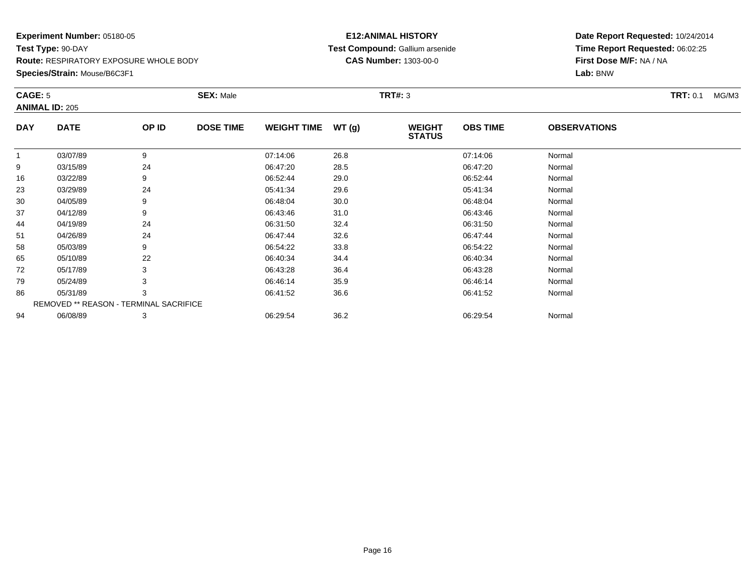### **Species/Strain:** Mouse/B6C3F1

#### **E12:ANIMAL HISTORY Test Compound:** Gallium arsenide**CAS Number:** 1303-00-0

| CAGE: 5        | <b>ANIMAL ID: 205</b>                  |       | <b>SEX: Male</b> |                    |       | <b>TRT#: 3</b>                 |                 |                     | <b>TRT:</b> 0.1<br>MG/M3 |
|----------------|----------------------------------------|-------|------------------|--------------------|-------|--------------------------------|-----------------|---------------------|--------------------------|
| <b>DAY</b>     | <b>DATE</b>                            | OP ID | <b>DOSE TIME</b> | <b>WEIGHT TIME</b> | WT(g) | <b>WEIGHT</b><br><b>STATUS</b> | <b>OBS TIME</b> | <b>OBSERVATIONS</b> |                          |
| $\overline{1}$ | 03/07/89                               | 9     |                  | 07:14:06           | 26.8  |                                | 07:14:06        | Normal              |                          |
| 9              | 03/15/89                               | 24    |                  | 06:47:20           | 28.5  |                                | 06:47:20        | Normal              |                          |
| 16             | 03/22/89                               | 9     |                  | 06:52:44           | 29.0  |                                | 06:52:44        | Normal              |                          |
| 23             | 03/29/89                               | 24    |                  | 05:41:34           | 29.6  |                                | 05:41:34        | Normal              |                          |
| 30             | 04/05/89                               | 9     |                  | 06:48:04           | 30.0  |                                | 06:48:04        | Normal              |                          |
| 37             | 04/12/89                               | 9     |                  | 06:43:46           | 31.0  |                                | 06:43:46        | Normal              |                          |
| 44             | 04/19/89                               | 24    |                  | 06:31:50           | 32.4  |                                | 06:31:50        | Normal              |                          |
| 51             | 04/26/89                               | 24    |                  | 06:47:44           | 32.6  |                                | 06:47:44        | Normal              |                          |
| 58             | 05/03/89                               | 9     |                  | 06:54:22           | 33.8  |                                | 06:54:22        | Normal              |                          |
| 65             | 05/10/89                               | 22    |                  | 06:40:34           | 34.4  |                                | 06:40:34        | Normal              |                          |
| 72             | 05/17/89                               | 3     |                  | 06:43:28           | 36.4  |                                | 06:43:28        | Normal              |                          |
| 79             | 05/24/89                               | 3     |                  | 06:46:14           | 35.9  |                                | 06:46:14        | Normal              |                          |
| 86             | 05/31/89                               | 3     |                  | 06:41:52           | 36.6  |                                | 06:41:52        | Normal              |                          |
|                | REMOVED ** REASON - TERMINAL SACRIFICE |       |                  |                    |       |                                |                 |                     |                          |
| 94             | 06/08/89                               | 3     |                  | 06:29:54           | 36.2  |                                | 06:29:54        | Normal              |                          |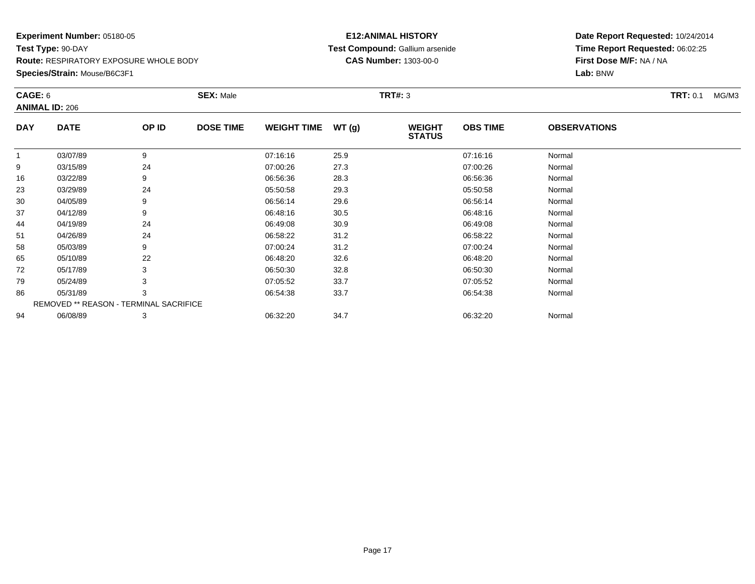#### **Species/Strain:** Mouse/B6C3F1

#### **E12:ANIMAL HISTORY Test Compound:** Gallium arsenide**CAS Number:** 1303-00-0

| CAGE: 6        | <b>ANIMAL ID: 206</b>                  |       | <b>SEX: Male</b> |                    |       | <b>TRT#: 3</b>                 |                 |                     | <b>TRT: 0.1</b><br>MG/M3 |
|----------------|----------------------------------------|-------|------------------|--------------------|-------|--------------------------------|-----------------|---------------------|--------------------------|
| <b>DAY</b>     | <b>DATE</b>                            | OP ID | <b>DOSE TIME</b> | <b>WEIGHT TIME</b> | WT(g) | <b>WEIGHT</b><br><b>STATUS</b> | <b>OBS TIME</b> | <b>OBSERVATIONS</b> |                          |
| $\overline{1}$ | 03/07/89                               | 9     |                  | 07:16:16           | 25.9  |                                | 07:16:16        | Normal              |                          |
| 9              | 03/15/89                               | 24    |                  | 07:00:26           | 27.3  |                                | 07:00:26        | Normal              |                          |
| 16             | 03/22/89                               | 9     |                  | 06:56:36           | 28.3  |                                | 06:56:36        | Normal              |                          |
| 23             | 03/29/89                               | 24    |                  | 05:50:58           | 29.3  |                                | 05:50:58        | Normal              |                          |
| 30             | 04/05/89                               | 9     |                  | 06:56:14           | 29.6  |                                | 06:56:14        | Normal              |                          |
| 37             | 04/12/89                               | 9     |                  | 06:48:16           | 30.5  |                                | 06:48:16        | Normal              |                          |
| 44             | 04/19/89                               | 24    |                  | 06:49:08           | 30.9  |                                | 06:49:08        | Normal              |                          |
| 51             | 04/26/89                               | 24    |                  | 06:58:22           | 31.2  |                                | 06:58:22        | Normal              |                          |
| 58             | 05/03/89                               | 9     |                  | 07:00:24           | 31.2  |                                | 07:00:24        | Normal              |                          |
| 65             | 05/10/89                               | 22    |                  | 06:48:20           | 32.6  |                                | 06:48:20        | Normal              |                          |
| 72             | 05/17/89                               | 3     |                  | 06:50:30           | 32.8  |                                | 06:50:30        | Normal              |                          |
| 79             | 05/24/89                               | 3     |                  | 07:05:52           | 33.7  |                                | 07:05:52        | Normal              |                          |
| 86             | 05/31/89                               | 3     |                  | 06:54:38           | 33.7  |                                | 06:54:38        | Normal              |                          |
|                | REMOVED ** REASON - TERMINAL SACRIFICE |       |                  |                    |       |                                |                 |                     |                          |
| 94             | 06/08/89                               | 3     |                  | 06:32:20           | 34.7  |                                | 06:32:20        | Normal              |                          |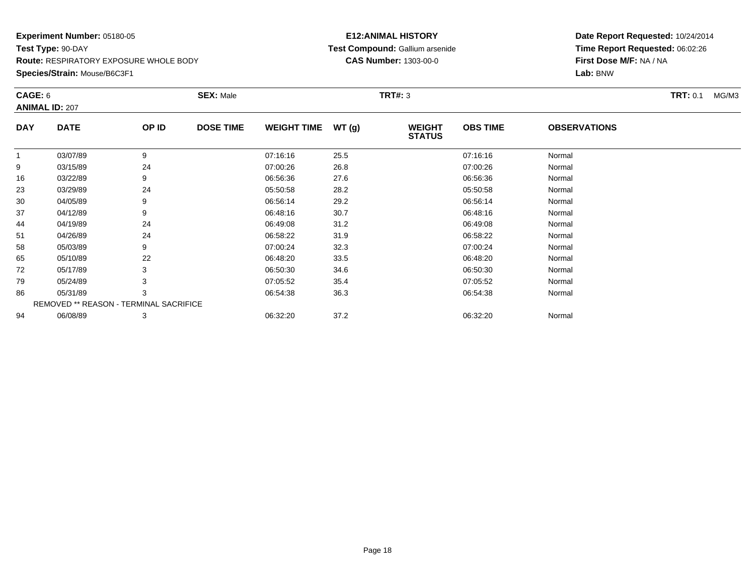### **Species/Strain:** Mouse/B6C3F1

#### **E12:ANIMAL HISTORY Test Compound:** Gallium arsenide**CAS Number:** 1303-00-0

| CAGE: 6    | <b>ANIMAL ID: 207</b>                  |       | <b>SEX: Male</b> |                    |       | <b>TRT#: 3</b>                 |                 |                     | <b>TRT:</b> 0.1<br>MG/M3 |
|------------|----------------------------------------|-------|------------------|--------------------|-------|--------------------------------|-----------------|---------------------|--------------------------|
| <b>DAY</b> | <b>DATE</b>                            | OP ID | <b>DOSE TIME</b> | <b>WEIGHT TIME</b> | WT(g) | <b>WEIGHT</b><br><b>STATUS</b> | <b>OBS TIME</b> | <b>OBSERVATIONS</b> |                          |
|            | 03/07/89                               | 9     |                  | 07:16:16           | 25.5  |                                | 07:16:16        | Normal              |                          |
| 9          | 03/15/89                               | 24    |                  | 07:00:26           | 26.8  |                                | 07:00:26        | Normal              |                          |
| 16         | 03/22/89                               | 9     |                  | 06:56:36           | 27.6  |                                | 06:56:36        | Normal              |                          |
| 23         | 03/29/89                               | 24    |                  | 05:50:58           | 28.2  |                                | 05:50:58        | Normal              |                          |
| 30         | 04/05/89                               | 9     |                  | 06:56:14           | 29.2  |                                | 06:56:14        | Normal              |                          |
| 37         | 04/12/89                               | 9     |                  | 06:48:16           | 30.7  |                                | 06:48:16        | Normal              |                          |
| 44         | 04/19/89                               | 24    |                  | 06:49:08           | 31.2  |                                | 06:49:08        | Normal              |                          |
| 51         | 04/26/89                               | 24    |                  | 06:58:22           | 31.9  |                                | 06:58:22        | Normal              |                          |
| 58         | 05/03/89                               | 9     |                  | 07:00:24           | 32.3  |                                | 07:00:24        | Normal              |                          |
| 65         | 05/10/89                               | 22    |                  | 06:48:20           | 33.5  |                                | 06:48:20        | Normal              |                          |
| 72         | 05/17/89                               | 3     |                  | 06:50:30           | 34.6  |                                | 06:50:30        | Normal              |                          |
| 79         | 05/24/89                               | 3     |                  | 07:05:52           | 35.4  |                                | 07:05:52        | Normal              |                          |
| 86         | 05/31/89                               | 3     |                  | 06:54:38           | 36.3  |                                | 06:54:38        | Normal              |                          |
|            | REMOVED ** REASON - TERMINAL SACRIFICE |       |                  |                    |       |                                |                 |                     |                          |
| 94         | 06/08/89                               | 3     |                  | 06:32:20           | 37.2  |                                | 06:32:20        | Normal              |                          |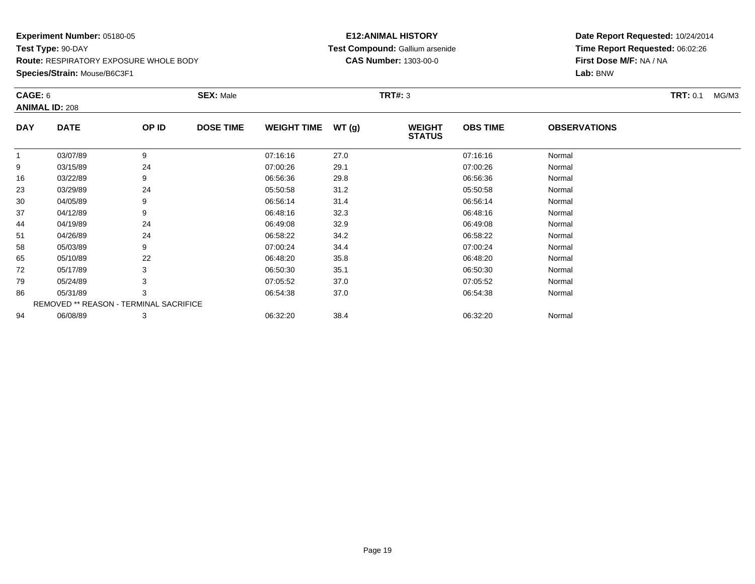#### **Species/Strain:** Mouse/B6C3F1

#### **E12:ANIMAL HISTORY Test Compound:** Gallium arsenide**CAS Number:** 1303-00-0

| CAGE: 6    | <b>ANIMAL ID: 208</b>                  |       | <b>SEX: Male</b> |                    |       | <b>TRT#: 3</b>                 |                 |                     | <b>TRT:</b> 0.1<br>MG/M3 |
|------------|----------------------------------------|-------|------------------|--------------------|-------|--------------------------------|-----------------|---------------------|--------------------------|
| <b>DAY</b> | <b>DATE</b>                            | OP ID | <b>DOSE TIME</b> | <b>WEIGHT TIME</b> | WT(g) | <b>WEIGHT</b><br><b>STATUS</b> | <b>OBS TIME</b> | <b>OBSERVATIONS</b> |                          |
|            | 03/07/89                               | 9     |                  | 07:16:16           | 27.0  |                                | 07:16:16        | Normal              |                          |
| 9          | 03/15/89                               | 24    |                  | 07:00:26           | 29.1  |                                | 07:00:26        | Normal              |                          |
| 16         | 03/22/89                               | 9     |                  | 06:56:36           | 29.8  |                                | 06:56:36        | Normal              |                          |
| 23         | 03/29/89                               | 24    |                  | 05:50:58           | 31.2  |                                | 05:50:58        | Normal              |                          |
| 30         | 04/05/89                               | 9     |                  | 06:56:14           | 31.4  |                                | 06:56:14        | Normal              |                          |
| 37         | 04/12/89                               | 9     |                  | 06:48:16           | 32.3  |                                | 06:48:16        | Normal              |                          |
| 44         | 04/19/89                               | 24    |                  | 06:49:08           | 32.9  |                                | 06:49:08        | Normal              |                          |
| 51         | 04/26/89                               | 24    |                  | 06:58:22           | 34.2  |                                | 06:58:22        | Normal              |                          |
| 58         | 05/03/89                               | 9     |                  | 07:00:24           | 34.4  |                                | 07:00:24        | Normal              |                          |
| 65         | 05/10/89                               | 22    |                  | 06:48:20           | 35.8  |                                | 06:48:20        | Normal              |                          |
| 72         | 05/17/89                               | 3     |                  | 06:50:30           | 35.1  |                                | 06:50:30        | Normal              |                          |
| 79         | 05/24/89                               | 3     |                  | 07:05:52           | 37.0  |                                | 07:05:52        | Normal              |                          |
| 86         | 05/31/89                               | 3     |                  | 06:54:38           | 37.0  |                                | 06:54:38        | Normal              |                          |
|            | REMOVED ** REASON - TERMINAL SACRIFICE |       |                  |                    |       |                                |                 |                     |                          |
| 94         | 06/08/89                               | 3     |                  | 06:32:20           | 38.4  |                                | 06:32:20        | Normal              |                          |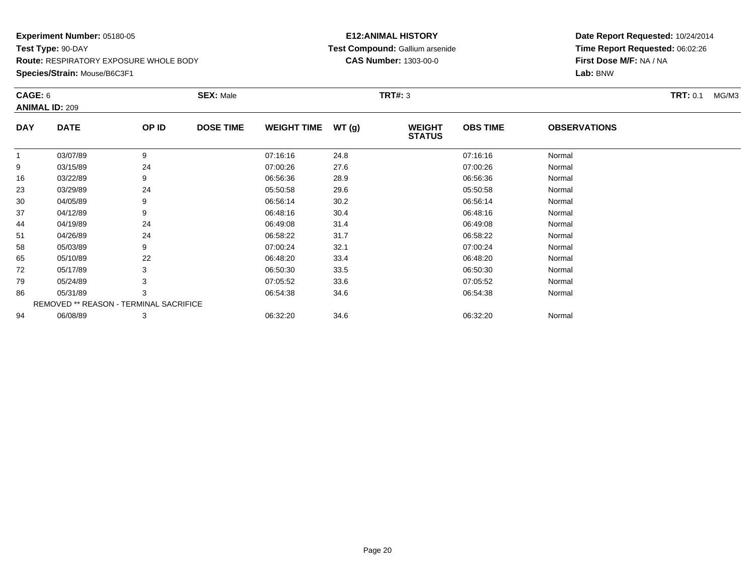#### **Species/Strain:** Mouse/B6C3F1

#### **E12:ANIMAL HISTORY Test Compound:** Gallium arsenide**CAS Number:** 1303-00-0

| CAGE: 6    | <b>ANIMAL ID: 209</b>                  |       | <b>SEX: Male</b> |                    |       | <b>TRT#: 3</b>                 |                 |                     | <b>TRT:</b> 0.1<br>MG/M3 |
|------------|----------------------------------------|-------|------------------|--------------------|-------|--------------------------------|-----------------|---------------------|--------------------------|
| <b>DAY</b> | <b>DATE</b>                            | OP ID | <b>DOSE TIME</b> | <b>WEIGHT TIME</b> | WT(g) | <b>WEIGHT</b><br><b>STATUS</b> | <b>OBS TIME</b> | <b>OBSERVATIONS</b> |                          |
| -1         | 03/07/89                               | 9     |                  | 07:16:16           | 24.8  |                                | 07:16:16        | Normal              |                          |
| 9          | 03/15/89                               | 24    |                  | 07:00:26           | 27.6  |                                | 07:00:26        | Normal              |                          |
| 16         | 03/22/89                               | 9     |                  | 06:56:36           | 28.9  |                                | 06:56:36        | Normal              |                          |
| 23         | 03/29/89                               | 24    |                  | 05:50:58           | 29.6  |                                | 05:50:58        | Normal              |                          |
| 30         | 04/05/89                               | 9     |                  | 06:56:14           | 30.2  |                                | 06:56:14        | Normal              |                          |
| 37         | 04/12/89                               | 9     |                  | 06:48:16           | 30.4  |                                | 06:48:16        | Normal              |                          |
| 44         | 04/19/89                               | 24    |                  | 06:49:08           | 31.4  |                                | 06:49:08        | Normal              |                          |
| 51         | 04/26/89                               | 24    |                  | 06:58:22           | 31.7  |                                | 06:58:22        | Normal              |                          |
| 58         | 05/03/89                               | 9     |                  | 07:00:24           | 32.1  |                                | 07:00:24        | Normal              |                          |
| 65         | 05/10/89                               | 22    |                  | 06:48:20           | 33.4  |                                | 06:48:20        | Normal              |                          |
| 72         | 05/17/89                               | 3     |                  | 06:50:30           | 33.5  |                                | 06:50:30        | Normal              |                          |
| 79         | 05/24/89                               | 3     |                  | 07:05:52           | 33.6  |                                | 07:05:52        | Normal              |                          |
| 86         | 05/31/89                               | 3     |                  | 06:54:38           | 34.6  |                                | 06:54:38        | Normal              |                          |
|            | REMOVED ** REASON - TERMINAL SACRIFICE |       |                  |                    |       |                                |                 |                     |                          |
| 94         | 06/08/89                               | 3     |                  | 06:32:20           | 34.6  |                                | 06:32:20        | Normal              |                          |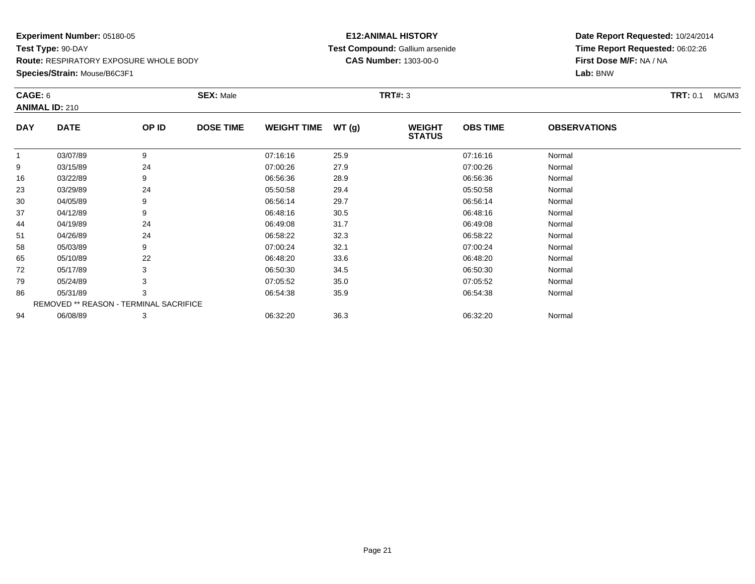### **Species/Strain:** Mouse/B6C3F1

#### **E12:ANIMAL HISTORY Test Compound:** Gallium arsenide**CAS Number:** 1303-00-0

| CAGE: 6        | <b>ANIMAL ID: 210</b>                  |       | <b>SEX: Male</b> |                    |       | <b>TRT#: 3</b>                 |                 |                     | <b>TRT: 0.1</b><br>MG/M3 |
|----------------|----------------------------------------|-------|------------------|--------------------|-------|--------------------------------|-----------------|---------------------|--------------------------|
| <b>DAY</b>     | <b>DATE</b>                            | OP ID | <b>DOSE TIME</b> | <b>WEIGHT TIME</b> | WT(g) | <b>WEIGHT</b><br><b>STATUS</b> | <b>OBS TIME</b> | <b>OBSERVATIONS</b> |                          |
| $\overline{1}$ | 03/07/89                               | 9     |                  | 07:16:16           | 25.9  |                                | 07:16:16        | Normal              |                          |
| 9              | 03/15/89                               | 24    |                  | 07:00:26           | 27.9  |                                | 07:00:26        | Normal              |                          |
| 16             | 03/22/89                               | 9     |                  | 06:56:36           | 28.9  |                                | 06:56:36        | Normal              |                          |
| 23             | 03/29/89                               | 24    |                  | 05:50:58           | 29.4  |                                | 05:50:58        | Normal              |                          |
| 30             | 04/05/89                               | 9     |                  | 06:56:14           | 29.7  |                                | 06:56:14        | Normal              |                          |
| 37             | 04/12/89                               | 9     |                  | 06:48:16           | 30.5  |                                | 06:48:16        | Normal              |                          |
| 44             | 04/19/89                               | 24    |                  | 06:49:08           | 31.7  |                                | 06:49:08        | Normal              |                          |
| 51             | 04/26/89                               | 24    |                  | 06:58:22           | 32.3  |                                | 06:58:22        | Normal              |                          |
| 58             | 05/03/89                               | 9     |                  | 07:00:24           | 32.1  |                                | 07:00:24        | Normal              |                          |
| 65             | 05/10/89                               | 22    |                  | 06:48:20           | 33.6  |                                | 06:48:20        | Normal              |                          |
| 72             | 05/17/89                               | 3     |                  | 06:50:30           | 34.5  |                                | 06:50:30        | Normal              |                          |
| 79             | 05/24/89                               | 3     |                  | 07:05:52           | 35.0  |                                | 07:05:52        | Normal              |                          |
| 86             | 05/31/89                               | 3     |                  | 06:54:38           | 35.9  |                                | 06:54:38        | Normal              |                          |
|                | REMOVED ** REASON - TERMINAL SACRIFICE |       |                  |                    |       |                                |                 |                     |                          |
| 94             | 06/08/89                               | 3     |                  | 06:32:20           | 36.3  |                                | 06:32:20        | Normal              |                          |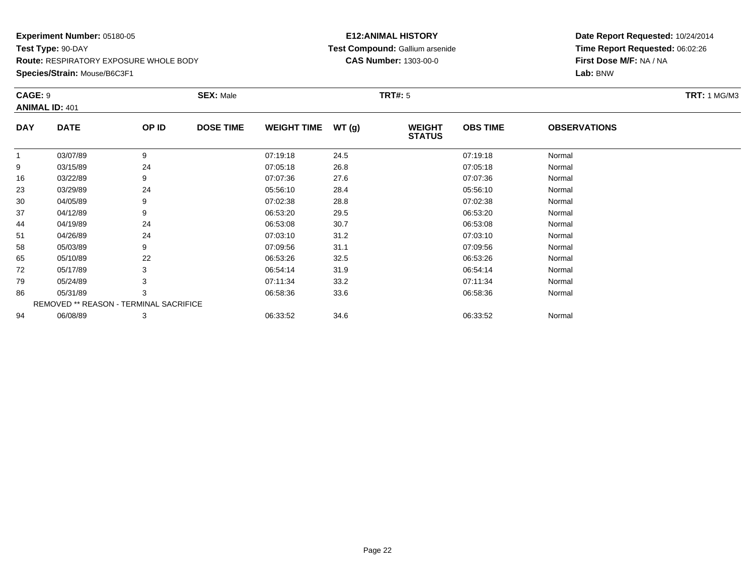#### **Species/Strain:** Mouse/B6C3F1

#### **E12:ANIMAL HISTORY Test Compound:** Gallium arsenide**CAS Number:** 1303-00-0

| <b>CAGE: 9</b> | <b>ANIMAL ID: 401</b>                  |       | <b>SEX: Male</b> |                    |       | <b>TRT#: 5</b>                 |                 |                     | <b>TRT: 1 MG/M3</b> |
|----------------|----------------------------------------|-------|------------------|--------------------|-------|--------------------------------|-----------------|---------------------|---------------------|
| <b>DAY</b>     | <b>DATE</b>                            | OP ID | <b>DOSE TIME</b> | <b>WEIGHT TIME</b> | WT(g) | <b>WEIGHT</b><br><b>STATUS</b> | <b>OBS TIME</b> | <b>OBSERVATIONS</b> |                     |
| $\mathbf{1}$   | 03/07/89                               | 9     |                  | 07:19:18           | 24.5  |                                | 07:19:18        | Normal              |                     |
| 9              | 03/15/89                               | 24    |                  | 07:05:18           | 26.8  |                                | 07:05:18        | Normal              |                     |
| 16             | 03/22/89                               | 9     |                  | 07:07:36           | 27.6  |                                | 07:07:36        | Normal              |                     |
| 23             | 03/29/89                               | 24    |                  | 05:56:10           | 28.4  |                                | 05:56:10        | Normal              |                     |
| 30             | 04/05/89                               | 9     |                  | 07:02:38           | 28.8  |                                | 07:02:38        | Normal              |                     |
| 37             | 04/12/89                               | 9     |                  | 06:53:20           | 29.5  |                                | 06:53:20        | Normal              |                     |
| 44             | 04/19/89                               | 24    |                  | 06:53:08           | 30.7  |                                | 06:53:08        | Normal              |                     |
| 51             | 04/26/89                               | 24    |                  | 07:03:10           | 31.2  |                                | 07:03:10        | Normal              |                     |
| 58             | 05/03/89                               | 9     |                  | 07:09:56           | 31.1  |                                | 07:09:56        | Normal              |                     |
| 65             | 05/10/89                               | 22    |                  | 06:53:26           | 32.5  |                                | 06:53:26        | Normal              |                     |
| 72             | 05/17/89                               | 3     |                  | 06:54:14           | 31.9  |                                | 06:54:14        | Normal              |                     |
| 79             | 05/24/89                               | 3     |                  | 07:11:34           | 33.2  |                                | 07:11:34        | Normal              |                     |
| 86             | 05/31/89                               | 3     |                  | 06:58:36           | 33.6  |                                | 06:58:36        | Normal              |                     |
|                | REMOVED ** REASON - TERMINAL SACRIFICE |       |                  |                    |       |                                |                 |                     |                     |
| 94             | 06/08/89                               | 3     |                  | 06:33:52           | 34.6  |                                | 06:33:52        | Normal              |                     |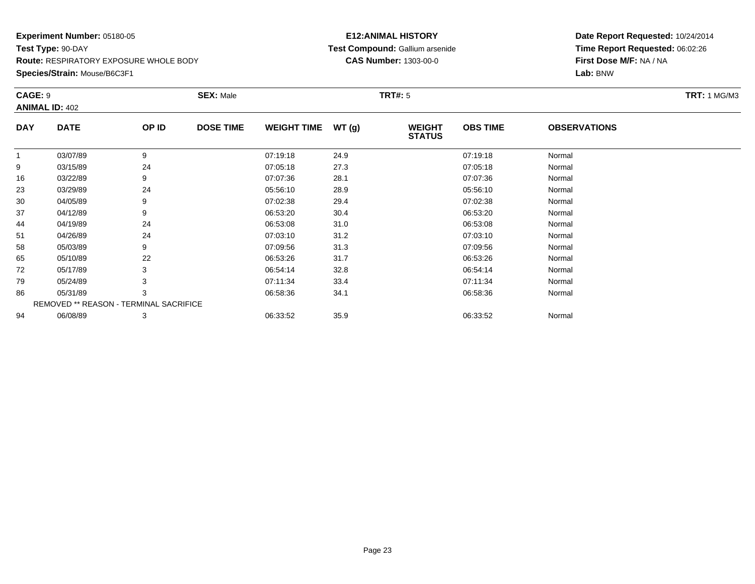#### **Species/Strain:** Mouse/B6C3F1

#### **E12:ANIMAL HISTORY Test Compound:** Gallium arsenide**CAS Number:** 1303-00-0

| CAGE: 9      | <b>ANIMAL ID: 402</b>                  |       | <b>SEX: Male</b> |                    |       | <b>TRT#:</b> 5                 |                 |                     | <b>TRT: 1 MG/M3</b> |
|--------------|----------------------------------------|-------|------------------|--------------------|-------|--------------------------------|-----------------|---------------------|---------------------|
| <b>DAY</b>   | <b>DATE</b>                            | OP ID | <b>DOSE TIME</b> | <b>WEIGHT TIME</b> | WT(g) | <b>WEIGHT</b><br><b>STATUS</b> | <b>OBS TIME</b> | <b>OBSERVATIONS</b> |                     |
| $\mathbf{1}$ | 03/07/89                               | 9     |                  | 07:19:18           | 24.9  |                                | 07:19:18        | Normal              |                     |
| 9            | 03/15/89                               | 24    |                  | 07:05:18           | 27.3  |                                | 07:05:18        | Normal              |                     |
| 16           | 03/22/89                               | 9     |                  | 07:07:36           | 28.1  |                                | 07:07:36        | Normal              |                     |
| 23           | 03/29/89                               | 24    |                  | 05:56:10           | 28.9  |                                | 05:56:10        | Normal              |                     |
| 30           | 04/05/89                               | 9     |                  | 07:02:38           | 29.4  |                                | 07:02:38        | Normal              |                     |
| 37           | 04/12/89                               | 9     |                  | 06:53:20           | 30.4  |                                | 06:53:20        | Normal              |                     |
| 44           | 04/19/89                               | 24    |                  | 06:53:08           | 31.0  |                                | 06:53:08        | Normal              |                     |
| 51           | 04/26/89                               | 24    |                  | 07:03:10           | 31.2  |                                | 07:03:10        | Normal              |                     |
| 58           | 05/03/89                               | 9     |                  | 07:09:56           | 31.3  |                                | 07:09:56        | Normal              |                     |
| 65           | 05/10/89                               | 22    |                  | 06:53:26           | 31.7  |                                | 06:53:26        | Normal              |                     |
| 72           | 05/17/89                               | 3     |                  | 06:54:14           | 32.8  |                                | 06:54:14        | Normal              |                     |
| 79           | 05/24/89                               | 3     |                  | 07:11:34           | 33.4  |                                | 07:11:34        | Normal              |                     |
| 86           | 05/31/89                               | 3     |                  | 06:58:36           | 34.1  |                                | 06:58:36        | Normal              |                     |
|              | REMOVED ** REASON - TERMINAL SACRIFICE |       |                  |                    |       |                                |                 |                     |                     |
| 94           | 06/08/89                               | 3     |                  | 06:33:52           | 35.9  |                                | 06:33:52        | Normal              |                     |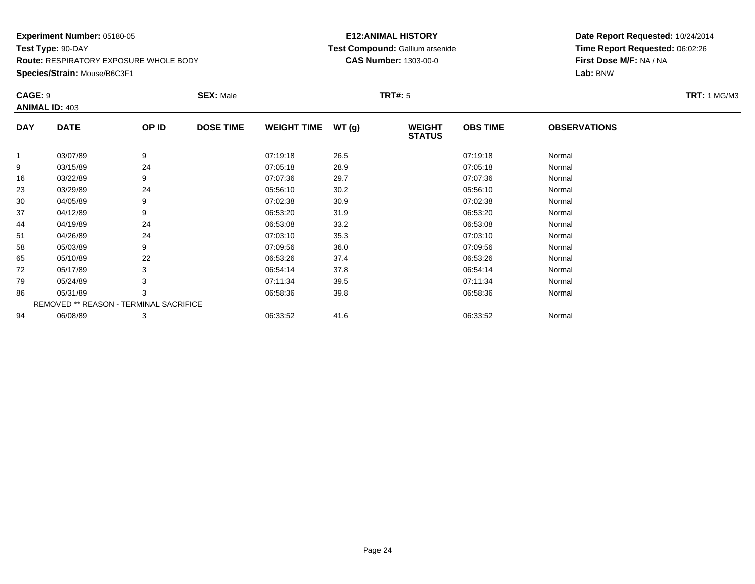### **Species/Strain:** Mouse/B6C3F1

#### **E12:ANIMAL HISTORY Test Compound:** Gallium arsenide**CAS Number:** 1303-00-0

| CAGE: 9      | <b>ANIMAL ID: 403</b>                  |       | <b>SEX: Male</b> |                    |       | <b>TRT#:</b> 5                 |                 |                     | <b>TRT: 1 MG/M3</b> |
|--------------|----------------------------------------|-------|------------------|--------------------|-------|--------------------------------|-----------------|---------------------|---------------------|
| <b>DAY</b>   | <b>DATE</b>                            | OP ID | <b>DOSE TIME</b> | <b>WEIGHT TIME</b> | WT(g) | <b>WEIGHT</b><br><b>STATUS</b> | <b>OBS TIME</b> | <b>OBSERVATIONS</b> |                     |
| $\mathbf{1}$ | 03/07/89                               | 9     |                  | 07:19:18           | 26.5  |                                | 07:19:18        | Normal              |                     |
| 9            | 03/15/89                               | 24    |                  | 07:05:18           | 28.9  |                                | 07:05:18        | Normal              |                     |
| 16           | 03/22/89                               | 9     |                  | 07:07:36           | 29.7  |                                | 07:07:36        | Normal              |                     |
| 23           | 03/29/89                               | 24    |                  | 05:56:10           | 30.2  |                                | 05:56:10        | Normal              |                     |
| 30           | 04/05/89                               | 9     |                  | 07:02:38           | 30.9  |                                | 07:02:38        | Normal              |                     |
| 37           | 04/12/89                               | 9     |                  | 06:53:20           | 31.9  |                                | 06:53:20        | Normal              |                     |
| 44           | 04/19/89                               | 24    |                  | 06:53:08           | 33.2  |                                | 06:53:08        | Normal              |                     |
| 51           | 04/26/89                               | 24    |                  | 07:03:10           | 35.3  |                                | 07:03:10        | Normal              |                     |
| 58           | 05/03/89                               | 9     |                  | 07:09:56           | 36.0  |                                | 07:09:56        | Normal              |                     |
| 65           | 05/10/89                               | 22    |                  | 06:53:26           | 37.4  |                                | 06:53:26        | Normal              |                     |
| 72           | 05/17/89                               | 3     |                  | 06:54:14           | 37.8  |                                | 06:54:14        | Normal              |                     |
| 79           | 05/24/89                               | 3     |                  | 07:11:34           | 39.5  |                                | 07:11:34        | Normal              |                     |
| 86           | 05/31/89                               | 3     |                  | 06:58:36           | 39.8  |                                | 06:58:36        | Normal              |                     |
|              | REMOVED ** REASON - TERMINAL SACRIFICE |       |                  |                    |       |                                |                 |                     |                     |
| 94           | 06/08/89                               | 3     |                  | 06:33:52           | 41.6  |                                | 06:33:52        | Normal              |                     |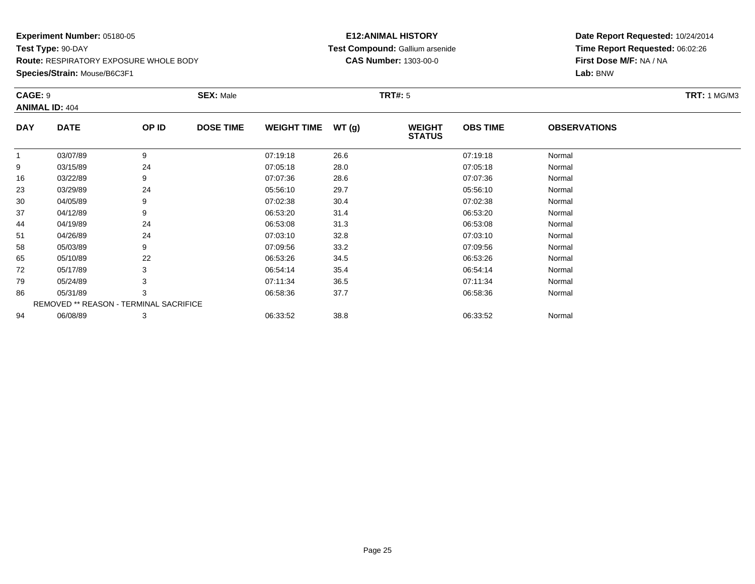#### **Species/Strain:** Mouse/B6C3F1

#### **E12:ANIMAL HISTORY Test Compound:** Gallium arsenide**CAS Number:** 1303-00-0

|              | CAGE: 9<br><b>ANIMAL ID: 404</b>       |       | <b>SEX: Male</b> |                    |       |                                | <b>TRT#:</b> 5  |                     |  |  |  |
|--------------|----------------------------------------|-------|------------------|--------------------|-------|--------------------------------|-----------------|---------------------|--|--|--|
| <b>DAY</b>   | <b>DATE</b>                            | OP ID | <b>DOSE TIME</b> | <b>WEIGHT TIME</b> | WT(g) | <b>WEIGHT</b><br><b>STATUS</b> | <b>OBS TIME</b> | <b>OBSERVATIONS</b> |  |  |  |
| $\mathbf{1}$ | 03/07/89                               | 9     |                  | 07:19:18           | 26.6  |                                | 07:19:18        | Normal              |  |  |  |
| 9            | 03/15/89                               | 24    |                  | 07:05:18           | 28.0  |                                | 07:05:18        | Normal              |  |  |  |
| 16           | 03/22/89                               | 9     |                  | 07:07:36           | 28.6  |                                | 07:07:36        | Normal              |  |  |  |
| 23           | 03/29/89                               | 24    |                  | 05:56:10           | 29.7  |                                | 05:56:10        | Normal              |  |  |  |
| 30           | 04/05/89                               | 9     |                  | 07:02:38           | 30.4  |                                | 07:02:38        | Normal              |  |  |  |
| 37           | 04/12/89                               | 9     |                  | 06:53:20           | 31.4  |                                | 06:53:20        | Normal              |  |  |  |
| 44           | 04/19/89                               | 24    |                  | 06:53:08           | 31.3  |                                | 06:53:08        | Normal              |  |  |  |
| 51           | 04/26/89                               | 24    |                  | 07:03:10           | 32.8  |                                | 07:03:10        | Normal              |  |  |  |
| 58           | 05/03/89                               | 9     |                  | 07:09:56           | 33.2  |                                | 07:09:56        | Normal              |  |  |  |
| 65           | 05/10/89                               | 22    |                  | 06:53:26           | 34.5  |                                | 06:53:26        | Normal              |  |  |  |
| 72           | 05/17/89                               | 3     |                  | 06:54:14           | 35.4  |                                | 06:54:14        | Normal              |  |  |  |
| 79           | 05/24/89                               | 3     |                  | 07:11:34           | 36.5  |                                | 07:11:34        | Normal              |  |  |  |
| 86           | 05/31/89                               | 3     |                  | 06:58:36           | 37.7  |                                | 06:58:36        | Normal              |  |  |  |
|              | REMOVED ** REASON - TERMINAL SACRIFICE |       |                  |                    |       |                                |                 |                     |  |  |  |
| 94           | 06/08/89                               | 3     |                  | 06:33:52           | 38.8  |                                | 06:33:52        | Normal              |  |  |  |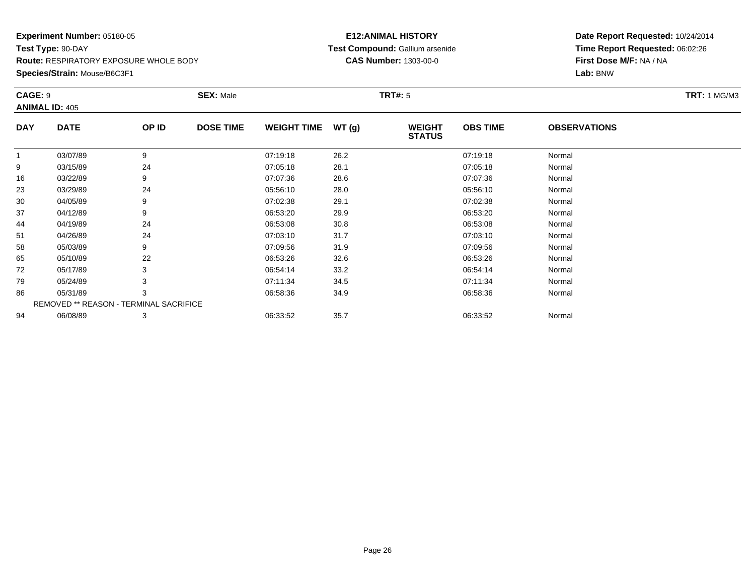#### **Species/Strain:** Mouse/B6C3F1

#### **E12:ANIMAL HISTORY Test Compound:** Gallium arsenide**CAS Number:** 1303-00-0

|              | CAGE: 9<br><b>ANIMAL ID: 405</b>       |       | <b>SEX: Male</b> |                    |       | <b>TRT#:</b> 5                 |                 |                     | <b>TRT: 1 MG/M3</b> |
|--------------|----------------------------------------|-------|------------------|--------------------|-------|--------------------------------|-----------------|---------------------|---------------------|
| <b>DAY</b>   | <b>DATE</b>                            | OP ID | <b>DOSE TIME</b> | <b>WEIGHT TIME</b> | WT(g) | <b>WEIGHT</b><br><b>STATUS</b> | <b>OBS TIME</b> | <b>OBSERVATIONS</b> |                     |
| $\mathbf{1}$ | 03/07/89                               | 9     |                  | 07:19:18           | 26.2  |                                | 07:19:18        | Normal              |                     |
| 9            | 03/15/89                               | 24    |                  | 07:05:18           | 28.1  |                                | 07:05:18        | Normal              |                     |
| 16           | 03/22/89                               | 9     |                  | 07:07:36           | 28.6  |                                | 07:07:36        | Normal              |                     |
| 23           | 03/29/89                               | 24    |                  | 05:56:10           | 28.0  |                                | 05:56:10        | Normal              |                     |
| 30           | 04/05/89                               | 9     |                  | 07:02:38           | 29.1  |                                | 07:02:38        | Normal              |                     |
| 37           | 04/12/89                               | 9     |                  | 06:53:20           | 29.9  |                                | 06:53:20        | Normal              |                     |
| 44           | 04/19/89                               | 24    |                  | 06:53:08           | 30.8  |                                | 06:53:08        | Normal              |                     |
| 51           | 04/26/89                               | 24    |                  | 07:03:10           | 31.7  |                                | 07:03:10        | Normal              |                     |
| 58           | 05/03/89                               | 9     |                  | 07:09:56           | 31.9  |                                | 07:09:56        | Normal              |                     |
| 65           | 05/10/89                               | 22    |                  | 06:53:26           | 32.6  |                                | 06:53:26        | Normal              |                     |
| 72           | 05/17/89                               | 3     |                  | 06:54:14           | 33.2  |                                | 06:54:14        | Normal              |                     |
| 79           | 05/24/89                               | 3     |                  | 07:11:34           | 34.5  |                                | 07:11:34        | Normal              |                     |
| 86           | 05/31/89                               | 3     |                  | 06:58:36           | 34.9  |                                | 06:58:36        | Normal              |                     |
|              | REMOVED ** REASON - TERMINAL SACRIFICE |       |                  |                    |       |                                |                 |                     |                     |
| 94           | 06/08/89                               | 3     |                  | 06:33:52           | 35.7  |                                | 06:33:52        | Normal              |                     |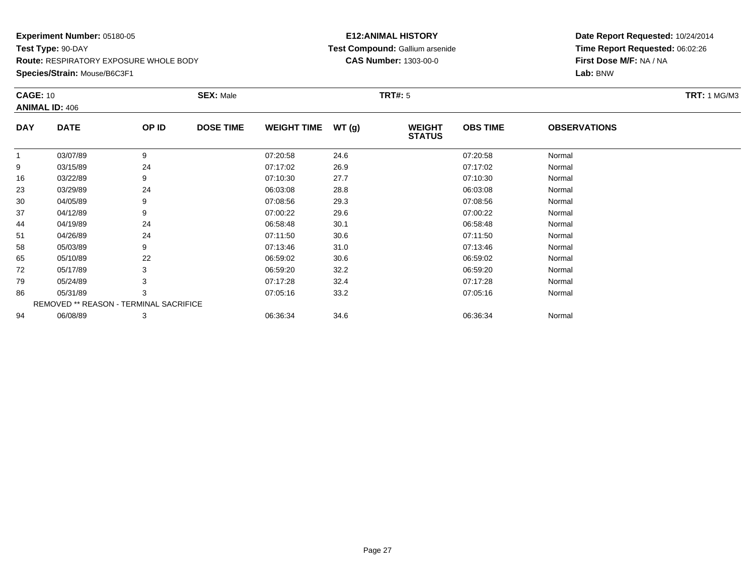**Species/Strain:** Mouse/B6C3F1

#### **E12:ANIMAL HISTORY Test Compound:** Gallium arsenide**CAS Number:** 1303-00-0

|            | <b>CAGE: 10</b>                        |       | <b>SEX: Male</b> |                    |       | <b>TRT#: 5</b>                 |                 |                     | <b>TRT:</b> 1 MG/M3 |
|------------|----------------------------------------|-------|------------------|--------------------|-------|--------------------------------|-----------------|---------------------|---------------------|
|            | <b>ANIMAL ID: 406</b>                  |       |                  |                    |       |                                |                 |                     |                     |
| <b>DAY</b> | <b>DATE</b>                            | OP ID | <b>DOSE TIME</b> | <b>WEIGHT TIME</b> | WT(g) | <b>WEIGHT</b><br><b>STATUS</b> | <b>OBS TIME</b> | <b>OBSERVATIONS</b> |                     |
|            | 03/07/89                               | 9     |                  | 07:20:58           | 24.6  |                                | 07:20:58        | Normal              |                     |
| 9          | 03/15/89                               | 24    |                  | 07:17:02           | 26.9  |                                | 07:17:02        | Normal              |                     |
| 16         | 03/22/89                               | 9     |                  | 07:10:30           | 27.7  |                                | 07:10:30        | Normal              |                     |
| 23         | 03/29/89                               | 24    |                  | 06:03:08           | 28.8  |                                | 06:03:08        | Normal              |                     |
| 30         | 04/05/89                               | 9     |                  | 07:08:56           | 29.3  |                                | 07:08:56        | Normal              |                     |
| 37         | 04/12/89                               | 9     |                  | 07:00:22           | 29.6  |                                | 07:00:22        | Normal              |                     |
| 44         | 04/19/89                               | 24    |                  | 06:58:48           | 30.1  |                                | 06:58:48        | Normal              |                     |
| 51         | 04/26/89                               | 24    |                  | 07:11:50           | 30.6  |                                | 07:11:50        | Normal              |                     |
| 58         | 05/03/89                               | 9     |                  | 07:13:46           | 31.0  |                                | 07:13:46        | Normal              |                     |
| 65         | 05/10/89                               | 22    |                  | 06:59:02           | 30.6  |                                | 06:59:02        | Normal              |                     |
| 72         | 05/17/89                               | 3     |                  | 06:59:20           | 32.2  |                                | 06:59:20        | Normal              |                     |
| 79         | 05/24/89                               | 3     |                  | 07:17:28           | 32.4  |                                | 07:17:28        | Normal              |                     |
| 86         | 05/31/89                               | 3     |                  | 07:05:16           | 33.2  |                                | 07:05:16        | Normal              |                     |
|            | REMOVED ** REASON - TERMINAL SACRIFICE |       |                  |                    |       |                                |                 |                     |                     |
| 94         | 06/08/89                               | 3     |                  | 06:36:34           | 34.6  |                                | 06:36:34        | Normal              |                     |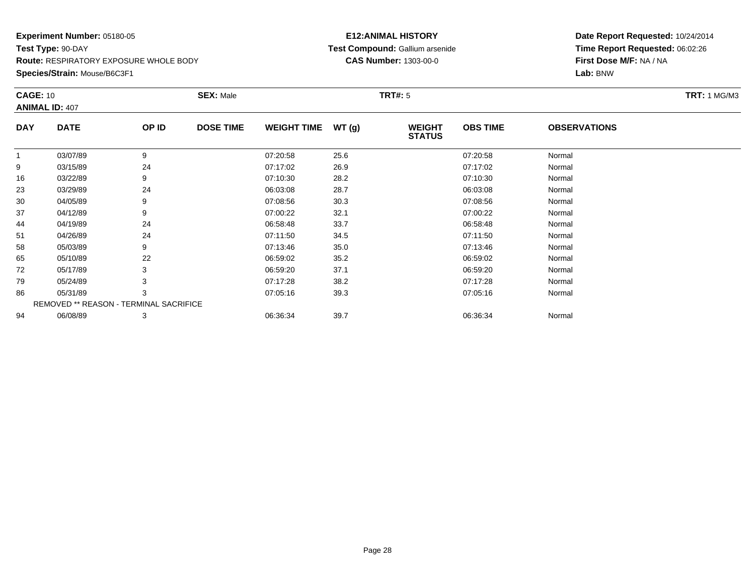**Species/Strain:** Mouse/B6C3F1

#### **E12:ANIMAL HISTORY Test Compound:** Gallium arsenide**CAS Number:** 1303-00-0

|            | <b>CAGE: 10</b>                        |       | <b>SEX: Male</b> |                    |       | <b>TRT#: 5</b>                 |                 |                     | <b>TRT:</b> 1 MG/M3 |
|------------|----------------------------------------|-------|------------------|--------------------|-------|--------------------------------|-----------------|---------------------|---------------------|
|            | <b>ANIMAL ID: 407</b>                  |       |                  |                    |       |                                |                 |                     |                     |
| <b>DAY</b> | <b>DATE</b>                            | OP ID | <b>DOSE TIME</b> | <b>WEIGHT TIME</b> | WT(g) | <b>WEIGHT</b><br><b>STATUS</b> | <b>OBS TIME</b> | <b>OBSERVATIONS</b> |                     |
|            | 03/07/89                               | 9     |                  | 07:20:58           | 25.6  |                                | 07:20:58        | Normal              |                     |
| 9          | 03/15/89                               | 24    |                  | 07:17:02           | 26.9  |                                | 07:17:02        | Normal              |                     |
| 16         | 03/22/89                               | 9     |                  | 07:10:30           | 28.2  |                                | 07:10:30        | Normal              |                     |
| 23         | 03/29/89                               | 24    |                  | 06:03:08           | 28.7  |                                | 06:03:08        | Normal              |                     |
| 30         | 04/05/89                               | 9     |                  | 07:08:56           | 30.3  |                                | 07:08:56        | Normal              |                     |
| 37         | 04/12/89                               | 9     |                  | 07:00:22           | 32.1  |                                | 07:00:22        | Normal              |                     |
| 44         | 04/19/89                               | 24    |                  | 06:58:48           | 33.7  |                                | 06:58:48        | Normal              |                     |
| 51         | 04/26/89                               | 24    |                  | 07:11:50           | 34.5  |                                | 07:11:50        | Normal              |                     |
| 58         | 05/03/89                               | 9     |                  | 07:13:46           | 35.0  |                                | 07:13:46        | Normal              |                     |
| 65         | 05/10/89                               | 22    |                  | 06:59:02           | 35.2  |                                | 06:59:02        | Normal              |                     |
| 72         | 05/17/89                               | 3     |                  | 06:59:20           | 37.1  |                                | 06:59:20        | Normal              |                     |
| 79         | 05/24/89                               |       |                  | 07:17:28           | 38.2  |                                | 07:17:28        | Normal              |                     |
| 86         | 05/31/89                               | 3     |                  | 07:05:16           | 39.3  |                                | 07:05:16        | Normal              |                     |
|            | REMOVED ** REASON - TERMINAL SACRIFICE |       |                  |                    |       |                                |                 |                     |                     |
| 94         | 06/08/89                               | 3     |                  | 06:36:34           | 39.7  |                                | 06:36:34        | Normal              |                     |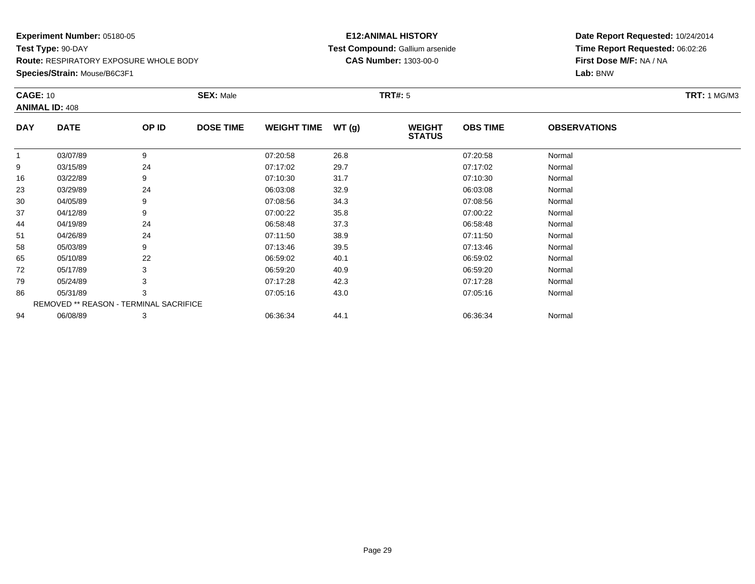**Species/Strain:** Mouse/B6C3F1

#### **E12:ANIMAL HISTORY Test Compound:** Gallium arsenide**CAS Number:** 1303-00-0

|            | <b>CAGE: 10</b>                        |       | <b>SEX: Male</b> |                    |       | <b>TRT#: 5</b>                 |                 |                     | <b>TRT: 1 MG/M3</b> |
|------------|----------------------------------------|-------|------------------|--------------------|-------|--------------------------------|-----------------|---------------------|---------------------|
|            | <b>ANIMAL ID: 408</b>                  |       |                  |                    |       |                                |                 |                     |                     |
| <b>DAY</b> | <b>DATE</b>                            | OP ID | <b>DOSE TIME</b> | <b>WEIGHT TIME</b> | WT(g) | <b>WEIGHT</b><br><b>STATUS</b> | <b>OBS TIME</b> | <b>OBSERVATIONS</b> |                     |
| 1          | 03/07/89                               | 9     |                  | 07:20:58           | 26.8  |                                | 07:20:58        | Normal              |                     |
| 9          | 03/15/89                               | 24    |                  | 07:17:02           | 29.7  |                                | 07:17:02        | Normal              |                     |
| 16         | 03/22/89                               | 9     |                  | 07:10:30           | 31.7  |                                | 07:10:30        | Normal              |                     |
| 23         | 03/29/89                               | 24    |                  | 06:03:08           | 32.9  |                                | 06:03:08        | Normal              |                     |
| 30         | 04/05/89                               | 9     |                  | 07:08:56           | 34.3  |                                | 07:08:56        | Normal              |                     |
| 37         | 04/12/89                               | 9     |                  | 07:00:22           | 35.8  |                                | 07:00:22        | Normal              |                     |
| 44         | 04/19/89                               | 24    |                  | 06:58:48           | 37.3  |                                | 06:58:48        | Normal              |                     |
| 51         | 04/26/89                               | 24    |                  | 07:11:50           | 38.9  |                                | 07:11:50        | Normal              |                     |
| 58         | 05/03/89                               | 9     |                  | 07:13:46           | 39.5  |                                | 07:13:46        | Normal              |                     |
| 65         | 05/10/89                               | 22    |                  | 06:59:02           | 40.1  |                                | 06:59:02        | Normal              |                     |
| 72         | 05/17/89                               | 3     |                  | 06:59:20           | 40.9  |                                | 06:59:20        | Normal              |                     |
| 79         | 05/24/89                               |       |                  | 07:17:28           | 42.3  |                                | 07:17:28        | Normal              |                     |
| 86         | 05/31/89                               | 3     |                  | 07:05:16           | 43.0  |                                | 07:05:16        | Normal              |                     |
|            | REMOVED ** REASON - TERMINAL SACRIFICE |       |                  |                    |       |                                |                 |                     |                     |
| 94         | 06/08/89                               | 3     |                  | 06:36:34           | 44.1  |                                | 06:36:34        | Normal              |                     |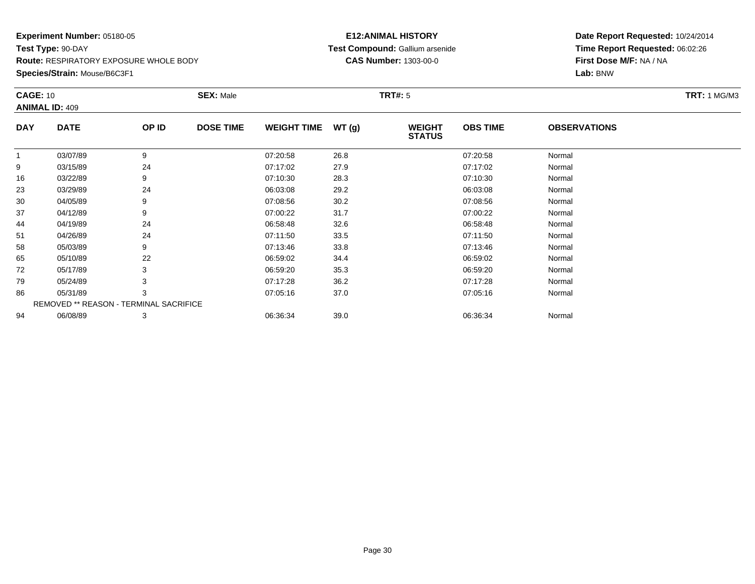**Species/Strain:** Mouse/B6C3F1

#### **E12:ANIMAL HISTORY Test Compound:** Gallium arsenide**CAS Number:** 1303-00-0

|            | <b>CAGE: 10</b>                        |       | <b>SEX: Male</b> |                    |       | <b>TRT#: 5</b>                 |                 |                     | <b>TRT: 1 MG/M3</b> |
|------------|----------------------------------------|-------|------------------|--------------------|-------|--------------------------------|-----------------|---------------------|---------------------|
|            | <b>ANIMAL ID: 409</b>                  |       |                  |                    |       |                                |                 |                     |                     |
| <b>DAY</b> | <b>DATE</b>                            | OP ID | <b>DOSE TIME</b> | <b>WEIGHT TIME</b> | WT(g) | <b>WEIGHT</b><br><b>STATUS</b> | <b>OBS TIME</b> | <b>OBSERVATIONS</b> |                     |
| 1          | 03/07/89                               | 9     |                  | 07:20:58           | 26.8  |                                | 07:20:58        | Normal              |                     |
| 9          | 03/15/89                               | 24    |                  | 07:17:02           | 27.9  |                                | 07:17:02        | Normal              |                     |
| 16         | 03/22/89                               | 9     |                  | 07:10:30           | 28.3  |                                | 07:10:30        | Normal              |                     |
| 23         | 03/29/89                               | 24    |                  | 06:03:08           | 29.2  |                                | 06:03:08        | Normal              |                     |
| 30         | 04/05/89                               | 9     |                  | 07:08:56           | 30.2  |                                | 07:08:56        | Normal              |                     |
| 37         | 04/12/89                               | 9     |                  | 07:00:22           | 31.7  |                                | 07:00:22        | Normal              |                     |
| 44         | 04/19/89                               | 24    |                  | 06:58:48           | 32.6  |                                | 06:58:48        | Normal              |                     |
| 51         | 04/26/89                               | 24    |                  | 07:11:50           | 33.5  |                                | 07:11:50        | Normal              |                     |
| 58         | 05/03/89                               | 9     |                  | 07:13:46           | 33.8  |                                | 07:13:46        | Normal              |                     |
| 65         | 05/10/89                               | 22    |                  | 06:59:02           | 34.4  |                                | 06:59:02        | Normal              |                     |
| 72         | 05/17/89                               | 3     |                  | 06:59:20           | 35.3  |                                | 06:59:20        | Normal              |                     |
| 79         | 05/24/89                               |       |                  | 07:17:28           | 36.2  |                                | 07:17:28        | Normal              |                     |
| 86         | 05/31/89                               | 3     |                  | 07:05:16           | 37.0  |                                | 07:05:16        | Normal              |                     |
|            | REMOVED ** REASON - TERMINAL SACRIFICE |       |                  |                    |       |                                |                 |                     |                     |
| 94         | 06/08/89                               | 3     |                  | 06:36:34           | 39.0  |                                | 06:36:34        | Normal              |                     |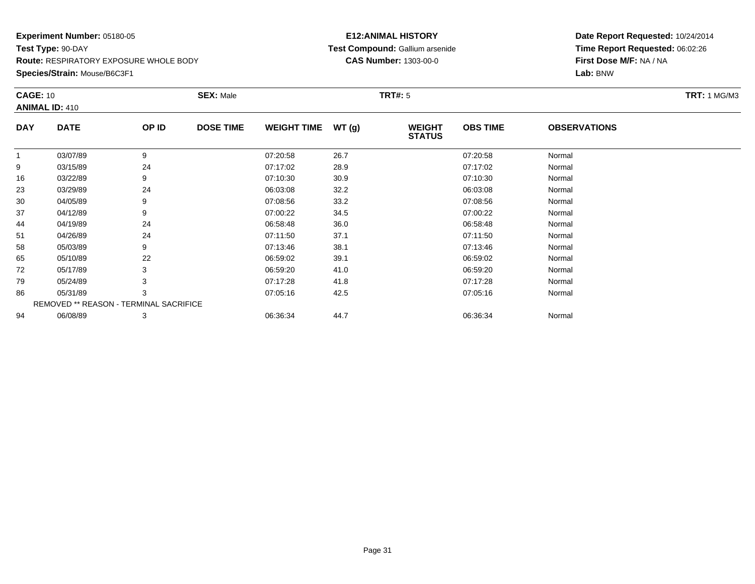**Species/Strain:** Mouse/B6C3F1

#### **E12:ANIMAL HISTORY Test Compound:** Gallium arsenide**CAS Number:** 1303-00-0

|            | <b>CAGE: 10</b>                        |       | <b>SEX: Male</b> |                    |       | <b>TRT#: 5</b>                 |                 |                     | <b>TRT:</b> 1 MG/M3 |
|------------|----------------------------------------|-------|------------------|--------------------|-------|--------------------------------|-----------------|---------------------|---------------------|
|            | <b>ANIMAL ID: 410</b>                  |       |                  |                    |       |                                |                 |                     |                     |
| <b>DAY</b> | <b>DATE</b>                            | OP ID | <b>DOSE TIME</b> | <b>WEIGHT TIME</b> | WT(g) | <b>WEIGHT</b><br><b>STATUS</b> | <b>OBS TIME</b> | <b>OBSERVATIONS</b> |                     |
|            | 03/07/89                               | 9     |                  | 07:20:58           | 26.7  |                                | 07:20:58        | Normal              |                     |
| 9          | 03/15/89                               | 24    |                  | 07:17:02           | 28.9  |                                | 07:17:02        | Normal              |                     |
| 16         | 03/22/89                               | 9     |                  | 07:10:30           | 30.9  |                                | 07:10:30        | Normal              |                     |
| 23         | 03/29/89                               | 24    |                  | 06:03:08           | 32.2  |                                | 06:03:08        | Normal              |                     |
| 30         | 04/05/89                               | 9     |                  | 07:08:56           | 33.2  |                                | 07:08:56        | Normal              |                     |
| 37         | 04/12/89                               | 9     |                  | 07:00:22           | 34.5  |                                | 07:00:22        | Normal              |                     |
| 44         | 04/19/89                               | 24    |                  | 06:58:48           | 36.0  |                                | 06:58:48        | Normal              |                     |
| 51         | 04/26/89                               | 24    |                  | 07:11:50           | 37.1  |                                | 07:11:50        | Normal              |                     |
| 58         | 05/03/89                               | 9     |                  | 07:13:46           | 38.1  |                                | 07:13:46        | Normal              |                     |
| 65         | 05/10/89                               | 22    |                  | 06:59:02           | 39.1  |                                | 06:59:02        | Normal              |                     |
| 72         | 05/17/89                               | 3     |                  | 06:59:20           | 41.0  |                                | 06:59:20        | Normal              |                     |
| 79         | 05/24/89                               |       |                  | 07:17:28           | 41.8  |                                | 07:17:28        | Normal              |                     |
| 86         | 05/31/89                               | 3     |                  | 07:05:16           | 42.5  |                                | 07:05:16        | Normal              |                     |
|            | REMOVED ** REASON - TERMINAL SACRIFICE |       |                  |                    |       |                                |                 |                     |                     |
| 94         | 06/08/89                               | 3     |                  | 06:36:34           | 44.7  |                                | 06:36:34        | Normal              |                     |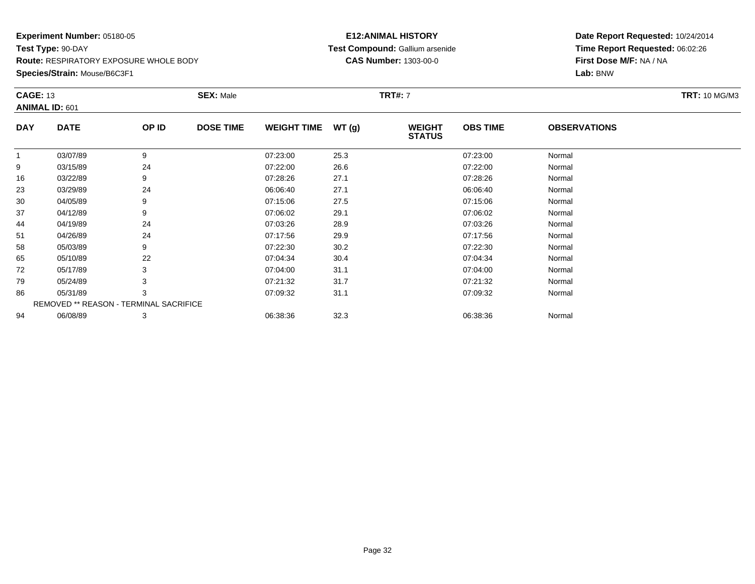**Species/Strain:** Mouse/B6C3F1

#### **E12:ANIMAL HISTORY Test Compound:** Gallium arsenide**CAS Number:** 1303-00-0

| <b>CAGE: 13</b> |                       | <b>SEX: Male</b> |                                        | <b>TRT: 10 MG/M3</b> |                                |                 |                     |  |
|-----------------|-----------------------|------------------|----------------------------------------|----------------------|--------------------------------|-----------------|---------------------|--|
|                 |                       |                  |                                        |                      |                                |                 |                     |  |
| <b>DATE</b>     | OP ID                 | <b>DOSE TIME</b> | <b>WEIGHT TIME</b>                     | WT(g)                | <b>WEIGHT</b><br><b>STATUS</b> | <b>OBS TIME</b> | <b>OBSERVATIONS</b> |  |
| 03/07/89        | 9                     |                  | 07:23:00                               | 25.3                 |                                | 07:23:00        | Normal              |  |
| 03/15/89        | 24                    |                  | 07:22:00                               | 26.6                 |                                | 07:22:00        | Normal              |  |
| 03/22/89        | 9                     |                  | 07:28:26                               | 27.1                 |                                | 07:28:26        | Normal              |  |
| 03/29/89        | 24                    |                  | 06:06:40                               | 27.1                 |                                | 06:06:40        | Normal              |  |
| 04/05/89        | 9                     |                  | 07:15:06                               | 27.5                 |                                | 07:15:06        | Normal              |  |
| 04/12/89        | 9                     |                  | 07:06:02                               | 29.1                 |                                | 07:06:02        | Normal              |  |
| 04/19/89        | 24                    |                  | 07:03:26                               | 28.9                 |                                | 07:03:26        | Normal              |  |
| 04/26/89        | 24                    |                  | 07:17:56                               | 29.9                 |                                | 07:17:56        | Normal              |  |
| 05/03/89        | 9                     |                  | 07:22:30                               | 30.2                 |                                | 07:22:30        | Normal              |  |
| 05/10/89        | 22                    |                  | 07:04:34                               | 30.4                 |                                | 07:04:34        | Normal              |  |
| 05/17/89        | 3                     |                  | 07:04:00                               | 31.1                 |                                | 07:04:00        | Normal              |  |
| 05/24/89        |                       |                  | 07:21:32                               | 31.7                 |                                | 07:21:32        | Normal              |  |
| 05/31/89        | 3                     |                  | 07:09:32                               | 31.1                 |                                | 07:09:32        | Normal              |  |
|                 |                       |                  |                                        |                      |                                |                 |                     |  |
| 06/08/89        | 3                     |                  | 06:38:36                               | 32.3                 |                                | 06:38:36        | Normal              |  |
|                 | <b>ANIMAL ID: 601</b> |                  | REMOVED ** REASON - TERMINAL SACRIFICE |                      |                                | <b>TRT#: 7</b>  |                     |  |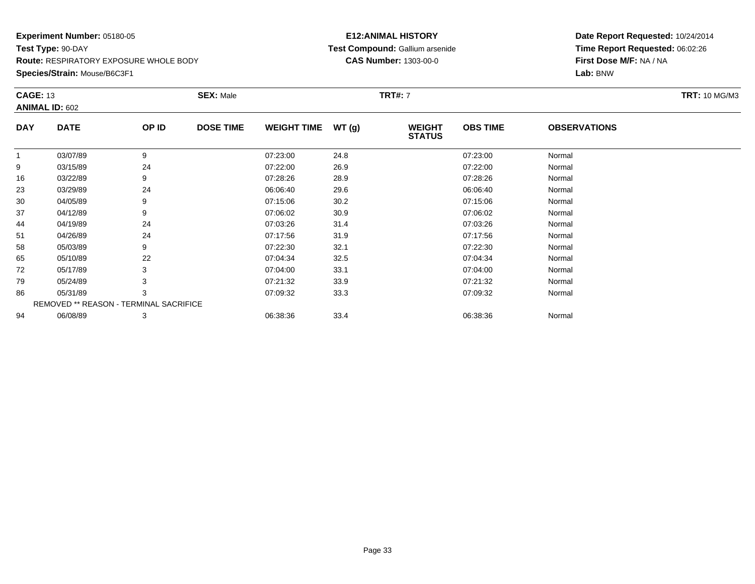**Species/Strain:** Mouse/B6C3F1

#### **E12:ANIMAL HISTORY Test Compound:** Gallium arsenide**CAS Number:** 1303-00-0

| <b>CAGE: 13</b> |                       | <b>SEX: Male</b> |                                        |       |                                |                 |                     |  |  |
|-----------------|-----------------------|------------------|----------------------------------------|-------|--------------------------------|-----------------|---------------------|--|--|
|                 |                       |                  |                                        |       |                                |                 |                     |  |  |
| <b>DATE</b>     | OP ID                 | <b>DOSE TIME</b> | <b>WEIGHT TIME</b>                     | WT(g) | <b>WEIGHT</b><br><b>STATUS</b> | <b>OBS TIME</b> | <b>OBSERVATIONS</b> |  |  |
| 03/07/89        | 9                     |                  | 07:23:00                               | 24.8  |                                | 07:23:00        | Normal              |  |  |
| 03/15/89        | 24                    |                  | 07:22:00                               | 26.9  |                                | 07:22:00        | Normal              |  |  |
| 03/22/89        | 9                     |                  | 07:28:26                               | 28.9  |                                | 07:28:26        | Normal              |  |  |
| 03/29/89        | 24                    |                  | 06:06:40                               | 29.6  |                                | 06:06:40        | Normal              |  |  |
| 04/05/89        | 9                     |                  | 07:15:06                               | 30.2  |                                | 07:15:06        | Normal              |  |  |
| 04/12/89        | 9                     |                  | 07:06:02                               | 30.9  |                                | 07:06:02        | Normal              |  |  |
| 04/19/89        | 24                    |                  | 07:03:26                               | 31.4  |                                | 07:03:26        | Normal              |  |  |
| 04/26/89        | 24                    |                  | 07:17:56                               | 31.9  |                                | 07:17:56        | Normal              |  |  |
| 05/03/89        | 9                     |                  | 07:22:30                               | 32.1  |                                | 07:22:30        | Normal              |  |  |
| 05/10/89        | 22                    |                  | 07:04:34                               | 32.5  |                                | 07:04:34        | Normal              |  |  |
| 05/17/89        | 3                     |                  | 07:04:00                               | 33.1  |                                | 07:04:00        | Normal              |  |  |
| 05/24/89        |                       |                  | 07:21:32                               | 33.9  |                                | 07:21:32        | Normal              |  |  |
| 05/31/89        | 3                     |                  | 07:09:32                               | 33.3  |                                | 07:09:32        | Normal              |  |  |
|                 |                       |                  |                                        |       |                                |                 |                     |  |  |
| 06/08/89        | 3                     |                  | 06:38:36                               | 33.4  |                                | 06:38:36        | Normal              |  |  |
|                 | <b>ANIMAL ID: 602</b> |                  | REMOVED ** REASON - TERMINAL SACRIFICE |       |                                | <b>TRT#: 7</b>  |                     |  |  |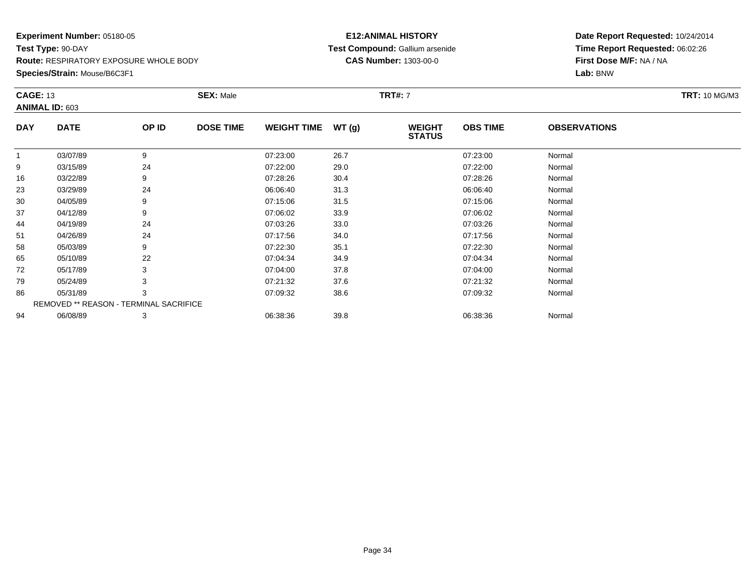**Species/Strain:** Mouse/B6C3F1

#### **E12:ANIMAL HISTORY Test Compound:** Gallium arsenide**CAS Number:** 1303-00-0

| <b>WEIGHT</b><br><b>OBS TIME</b><br><b>OBSERVATIONS</b><br><b>STATUS</b> |
|--------------------------------------------------------------------------|
| 07:23:00<br>Normal                                                       |
| 07:22:00<br>Normal                                                       |
| 07:28:26<br>Normal                                                       |
| 06:06:40<br>Normal                                                       |
| 07:15:06<br>Normal                                                       |
| 07:06:02<br>Normal                                                       |
| 07:03:26<br>Normal                                                       |
| 07:17:56<br>Normal                                                       |
| 07:22:30<br>Normal                                                       |
| 07:04:34<br>Normal                                                       |
| 07:04:00<br>Normal                                                       |
| 07:21:32<br>Normal                                                       |
| 07:09:32<br>Normal                                                       |
|                                                                          |
|                                                                          |
|                                                                          |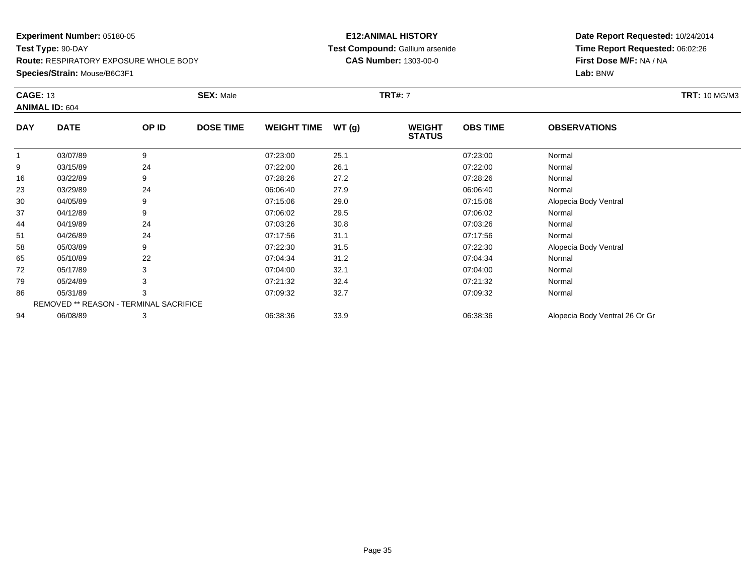**Species/Strain:** Mouse/B6C3F1

#### **E12:ANIMAL HISTORY Test Compound:** Gallium arsenide**CAS Number:** 1303-00-0

| <b>CAGE: 13</b><br><b>ANIMAL ID: 604</b> |                                               | <b>SEX: Male</b> |                  |                    | TRT#: 7 |                                | <b>TRT: 10 MG/M3</b> |                                |  |
|------------------------------------------|-----------------------------------------------|------------------|------------------|--------------------|---------|--------------------------------|----------------------|--------------------------------|--|
| <b>DAY</b>                               | <b>DATE</b>                                   | OP ID            | <b>DOSE TIME</b> | <b>WEIGHT TIME</b> | WT(g)   | <b>WEIGHT</b><br><b>STATUS</b> | <b>OBS TIME</b>      | <b>OBSERVATIONS</b>            |  |
| $\mathbf{1}$                             | 03/07/89                                      | 9                |                  | 07:23:00           | 25.1    |                                | 07:23:00             | Normal                         |  |
| 9                                        | 03/15/89                                      | 24               |                  | 07:22:00           | 26.1    |                                | 07:22:00             | Normal                         |  |
| 16                                       | 03/22/89                                      |                  |                  | 07:28:26           | 27.2    |                                | 07:28:26             | Normal                         |  |
| 23                                       | 03/29/89                                      | 24               |                  | 06:06:40           | 27.9    |                                | 06:06:40             | Normal                         |  |
| 30                                       | 04/05/89                                      |                  |                  | 07:15:06           | 29.0    |                                | 07:15:06             | Alopecia Body Ventral          |  |
| 37                                       | 04/12/89                                      |                  |                  | 07:06:02           | 29.5    |                                | 07:06:02             | Normal                         |  |
| 44                                       | 04/19/89                                      | 24               |                  | 07:03:26           | 30.8    |                                | 07:03:26             | Normal                         |  |
| 51                                       | 04/26/89                                      | 24               |                  | 07:17:56           | 31.1    |                                | 07:17:56             | Normal                         |  |
| 58                                       | 05/03/89                                      | 9                |                  | 07:22:30           | 31.5    |                                | 07:22:30             | Alopecia Body Ventral          |  |
| 65                                       | 05/10/89                                      | 22               |                  | 07:04:34           | 31.2    |                                | 07:04:34             | Normal                         |  |
| 72                                       | 05/17/89                                      |                  |                  | 07:04:00           | 32.1    |                                | 07:04:00             | Normal                         |  |
| 79                                       | 05/24/89                                      |                  |                  | 07:21:32           | 32.4    |                                | 07:21:32             | Normal                         |  |
| 86                                       | 05/31/89                                      |                  |                  | 07:09:32           | 32.7    |                                | 07:09:32             | Normal                         |  |
|                                          | <b>REMOVED ** REASON - TERMINAL SACRIFICE</b> |                  |                  |                    |         |                                |                      |                                |  |
| 94                                       | 06/08/89                                      | 3                |                  | 06:38:36           | 33.9    |                                | 06:38:36             | Alopecia Body Ventral 26 Or Gr |  |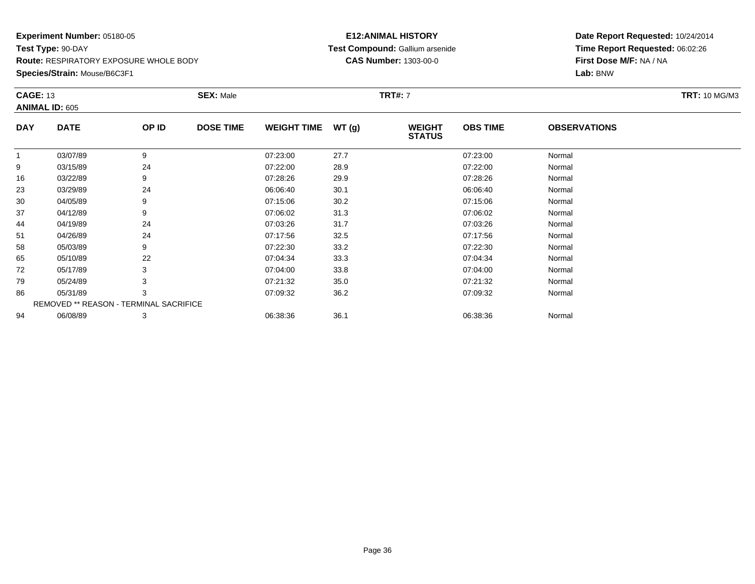**Species/Strain:** Mouse/B6C3F1

#### **E12:ANIMAL HISTORY Test Compound:** Gallium arsenide**CAS Number:** 1303-00-0

| <b>CAGE: 13</b><br><b>ANIMAL ID: 605</b> |                                        | <b>SEX: Male</b> |                  |                    |               | <b>TRT#:</b> 7                 |                 |                     |  |  |
|------------------------------------------|----------------------------------------|------------------|------------------|--------------------|---------------|--------------------------------|-----------------|---------------------|--|--|
| <b>DAY</b>                               | <b>DATE</b>                            | OP ID            | <b>DOSE TIME</b> | <b>WEIGHT TIME</b> | <b>WT (g)</b> | <b>WEIGHT</b><br><b>STATUS</b> | <b>OBS TIME</b> | <b>OBSERVATIONS</b> |  |  |
| 1                                        | 03/07/89                               | 9                |                  | 07:23:00           | 27.7          |                                | 07:23:00        | Normal              |  |  |
| 9                                        | 03/15/89                               | 24               |                  | 07:22:00           | 28.9          |                                | 07:22:00        | Normal              |  |  |
| 16                                       | 03/22/89                               | 9                |                  | 07:28:26           | 29.9          |                                | 07:28:26        | Normal              |  |  |
| 23                                       | 03/29/89                               | 24               |                  | 06:06:40           | 30.1          |                                | 06:06:40        | Normal              |  |  |
| 30                                       | 04/05/89                               | 9                |                  | 07:15:06           | 30.2          |                                | 07:15:06        | Normal              |  |  |
| 37                                       | 04/12/89                               | 9                |                  | 07:06:02           | 31.3          |                                | 07:06:02        | Normal              |  |  |
| 44                                       | 04/19/89                               | 24               |                  | 07:03:26           | 31.7          |                                | 07:03:26        | Normal              |  |  |
| 51                                       | 04/26/89                               | 24               |                  | 07:17:56           | 32.5          |                                | 07:17:56        | Normal              |  |  |
| 58                                       | 05/03/89                               | 9                |                  | 07:22:30           | 33.2          |                                | 07:22:30        | Normal              |  |  |
| 65                                       | 05/10/89                               | 22               |                  | 07:04:34           | 33.3          |                                | 07:04:34        | Normal              |  |  |
| 72                                       | 05/17/89                               | 3                |                  | 07:04:00           | 33.8          |                                | 07:04:00        | Normal              |  |  |
| 79                                       | 05/24/89                               | 3                |                  | 07:21:32           | 35.0          |                                | 07:21:32        | Normal              |  |  |
| 86                                       | 05/31/89                               | 3                |                  | 07:09:32           | 36.2          |                                | 07:09:32        | Normal              |  |  |
|                                          | REMOVED ** REASON - TERMINAL SACRIFICE |                  |                  |                    |               |                                |                 |                     |  |  |
| 94                                       | 06/08/89                               | 3                |                  | 06:38:36           | 36.1          |                                | 06:38:36        | Normal              |  |  |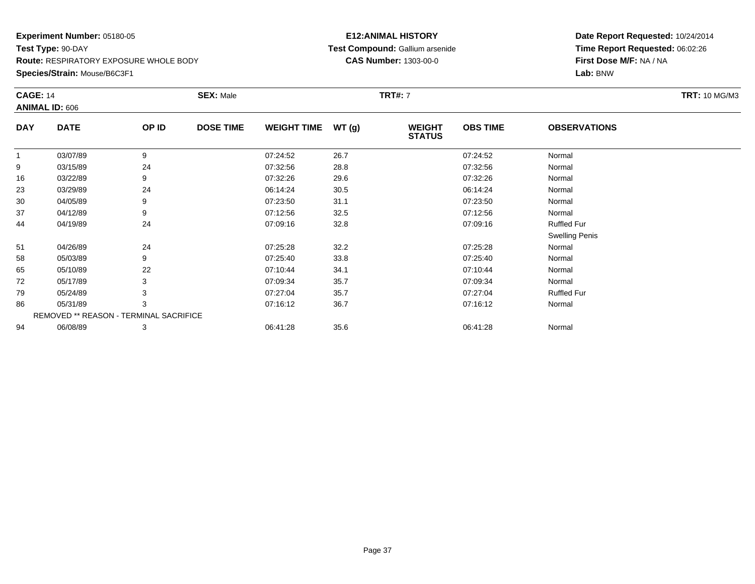**Species/Strain:** Mouse/B6C3F1

### **E12:ANIMAL HISTORY Test Compound:** Gallium arsenide**CAS Number:** 1303-00-0

| <b>CAGE: 14</b> | <b>ANIMAL ID: 606</b>                  |       | <b>SEX: Male</b> |                    |       | <b>TRT#: 7</b>                 |                 |                       | <b>TRT: 10 MG/M3</b> |
|-----------------|----------------------------------------|-------|------------------|--------------------|-------|--------------------------------|-----------------|-----------------------|----------------------|
| <b>DAY</b>      | <b>DATE</b>                            | OP ID | <b>DOSE TIME</b> | <b>WEIGHT TIME</b> | WT(g) | <b>WEIGHT</b><br><b>STATUS</b> | <b>OBS TIME</b> | <b>OBSERVATIONS</b>   |                      |
|                 | 03/07/89                               | 9     |                  | 07:24:52           | 26.7  |                                | 07:24:52        | Normal                |                      |
| 9               | 03/15/89                               | 24    |                  | 07:32:56           | 28.8  |                                | 07:32:56        | Normal                |                      |
| 16              | 03/22/89                               | 9     |                  | 07:32:26           | 29.6  |                                | 07:32:26        | Normal                |                      |
| 23              | 03/29/89                               | 24    |                  | 06:14:24           | 30.5  |                                | 06:14:24        | Normal                |                      |
| 30              | 04/05/89                               | 9     |                  | 07:23:50           | 31.1  |                                | 07:23:50        | Normal                |                      |
| 37              | 04/12/89                               | 9     |                  | 07:12:56           | 32.5  |                                | 07:12:56        | Normal                |                      |
| 44              | 04/19/89                               | 24    |                  | 07:09:16           | 32.8  |                                | 07:09:16        | <b>Ruffled Fur</b>    |                      |
|                 |                                        |       |                  |                    |       |                                |                 | <b>Swelling Penis</b> |                      |
| 51              | 04/26/89                               | 24    |                  | 07:25:28           | 32.2  |                                | 07:25:28        | Normal                |                      |
| 58              | 05/03/89                               | 9     |                  | 07:25:40           | 33.8  |                                | 07:25:40        | Normal                |                      |
| 65              | 05/10/89                               | 22    |                  | 07:10:44           | 34.1  |                                | 07:10:44        | Normal                |                      |
| 72              | 05/17/89                               |       |                  | 07:09:34           | 35.7  |                                | 07:09:34        | Normal                |                      |
| 79              | 05/24/89                               | 3     |                  | 07:27:04           | 35.7  |                                | 07:27:04        | <b>Ruffled Fur</b>    |                      |
| 86              | 05/31/89                               | 3     |                  | 07:16:12           | 36.7  |                                | 07:16:12        | Normal                |                      |
|                 | REMOVED ** REASON - TERMINAL SACRIFICE |       |                  |                    |       |                                |                 |                       |                      |
| 94              | 06/08/89                               | 3     |                  | 06:41:28           | 35.6  |                                | 06:41:28        | Normal                |                      |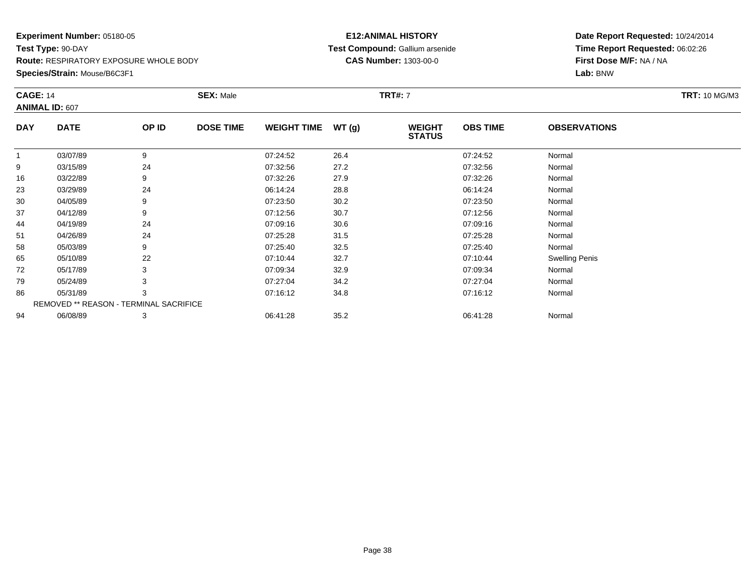**Species/Strain:** Mouse/B6C3F1

### **E12:ANIMAL HISTORY Test Compound:** Gallium arsenide**CAS Number:** 1303-00-0

| <b>CAGE: 14</b> | <b>ANIMAL ID: 607</b>                  |       | <b>SEX: Male</b> |                    |       | <b>TRT#:</b> 7                 |                 |                       | <b>TRT: 10 MG/M3</b> |
|-----------------|----------------------------------------|-------|------------------|--------------------|-------|--------------------------------|-----------------|-----------------------|----------------------|
| <b>DAY</b>      | <b>DATE</b>                            | OP ID | <b>DOSE TIME</b> | <b>WEIGHT TIME</b> | WT(g) | <b>WEIGHT</b><br><b>STATUS</b> | <b>OBS TIME</b> | <b>OBSERVATIONS</b>   |                      |
| 1               | 03/07/89                               | 9     |                  | 07:24:52           | 26.4  |                                | 07:24:52        | Normal                |                      |
| 9               | 03/15/89                               | 24    |                  | 07:32:56           | 27.2  |                                | 07:32:56        | Normal                |                      |
| 16              | 03/22/89                               | 9     |                  | 07:32:26           | 27.9  |                                | 07:32:26        | Normal                |                      |
| 23              | 03/29/89                               | 24    |                  | 06:14:24           | 28.8  |                                | 06:14:24        | Normal                |                      |
| 30              | 04/05/89                               | 9     |                  | 07:23:50           | 30.2  |                                | 07:23:50        | Normal                |                      |
| 37              | 04/12/89                               | 9     |                  | 07:12:56           | 30.7  |                                | 07:12:56        | Normal                |                      |
| 44              | 04/19/89                               | 24    |                  | 07:09:16           | 30.6  |                                | 07:09:16        | Normal                |                      |
| 51              | 04/26/89                               | 24    |                  | 07:25:28           | 31.5  |                                | 07:25:28        | Normal                |                      |
| 58              | 05/03/89                               | 9     |                  | 07:25:40           | 32.5  |                                | 07:25:40        | Normal                |                      |
| 65              | 05/10/89                               | 22    |                  | 07:10:44           | 32.7  |                                | 07:10:44        | <b>Swelling Penis</b> |                      |
| 72              | 05/17/89                               | 3     |                  | 07:09:34           | 32.9  |                                | 07:09:34        | Normal                |                      |
| 79              | 05/24/89                               | 3     |                  | 07:27:04           | 34.2  |                                | 07:27:04        | Normal                |                      |
| 86              | 05/31/89                               | 3     |                  | 07:16:12           | 34.8  |                                | 07:16:12        | Normal                |                      |
|                 | REMOVED ** REASON - TERMINAL SACRIFICE |       |                  |                    |       |                                |                 |                       |                      |
| 94              | 06/08/89                               | 3     |                  | 06:41:28           | 35.2  |                                | 06:41:28        | Normal                |                      |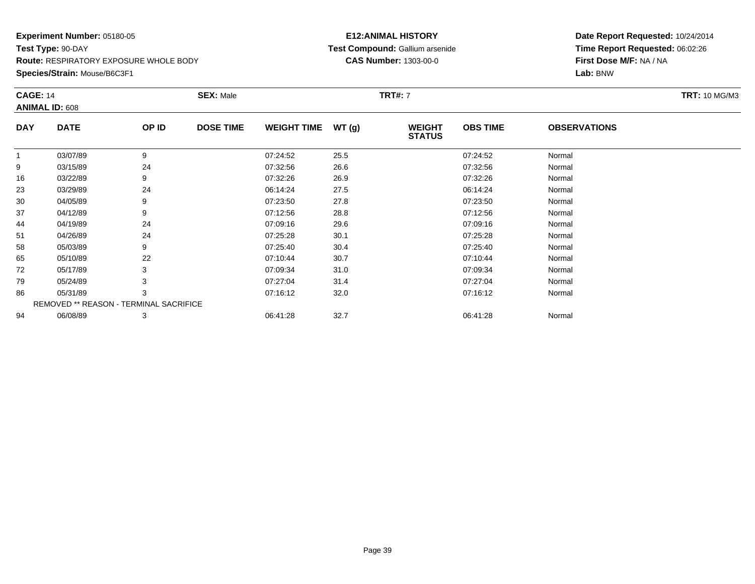**Species/Strain:** Mouse/B6C3F1

### **E12:ANIMAL HISTORY Test Compound:** Gallium arsenide**CAS Number:** 1303-00-0

| <b>CAGE: 14</b> |                                        |       | <b>SEX: Male</b> |                    |       | <b>TRT#: 7</b>                 |                 |                     | <b>TRT: 10 MG/M3</b> |
|-----------------|----------------------------------------|-------|------------------|--------------------|-------|--------------------------------|-----------------|---------------------|----------------------|
|                 | <b>ANIMAL ID: 608</b>                  |       |                  |                    |       |                                |                 |                     |                      |
| <b>DAY</b>      | <b>DATE</b>                            | OP ID | <b>DOSE TIME</b> | <b>WEIGHT TIME</b> | WT(g) | <b>WEIGHT</b><br><b>STATUS</b> | <b>OBS TIME</b> | <b>OBSERVATIONS</b> |                      |
| 1               | 03/07/89                               | 9     |                  | 07:24:52           | 25.5  |                                | 07:24:52        | Normal              |                      |
| 9               | 03/15/89                               | 24    |                  | 07:32:56           | 26.6  |                                | 07:32:56        | Normal              |                      |
| 16              | 03/22/89                               | 9     |                  | 07:32:26           | 26.9  |                                | 07:32:26        | Normal              |                      |
| 23              | 03/29/89                               | 24    |                  | 06:14:24           | 27.5  |                                | 06:14:24        | Normal              |                      |
| 30              | 04/05/89                               | 9     |                  | 07:23:50           | 27.8  |                                | 07:23:50        | Normal              |                      |
| 37              | 04/12/89                               | 9     |                  | 07:12:56           | 28.8  |                                | 07:12:56        | Normal              |                      |
| 44              | 04/19/89                               | 24    |                  | 07:09:16           | 29.6  |                                | 07:09:16        | Normal              |                      |
| 51              | 04/26/89                               | 24    |                  | 07:25:28           | 30.1  |                                | 07:25:28        | Normal              |                      |
| 58              | 05/03/89                               | 9     |                  | 07:25:40           | 30.4  |                                | 07:25:40        | Normal              |                      |
| 65              | 05/10/89                               | 22    |                  | 07:10:44           | 30.7  |                                | 07:10:44        | Normal              |                      |
| 72              | 05/17/89                               | 3     |                  | 07:09:34           | 31.0  |                                | 07:09:34        | Normal              |                      |
| 79              | 05/24/89                               |       |                  | 07:27:04           | 31.4  |                                | 07:27:04        | Normal              |                      |
| 86              | 05/31/89                               | 3     |                  | 07:16:12           | 32.0  |                                | 07:16:12        | Normal              |                      |
|                 | REMOVED ** REASON - TERMINAL SACRIFICE |       |                  |                    |       |                                |                 |                     |                      |
| 94              | 06/08/89                               | 3     |                  | 06:41:28           | 32.7  |                                | 06:41:28        | Normal              |                      |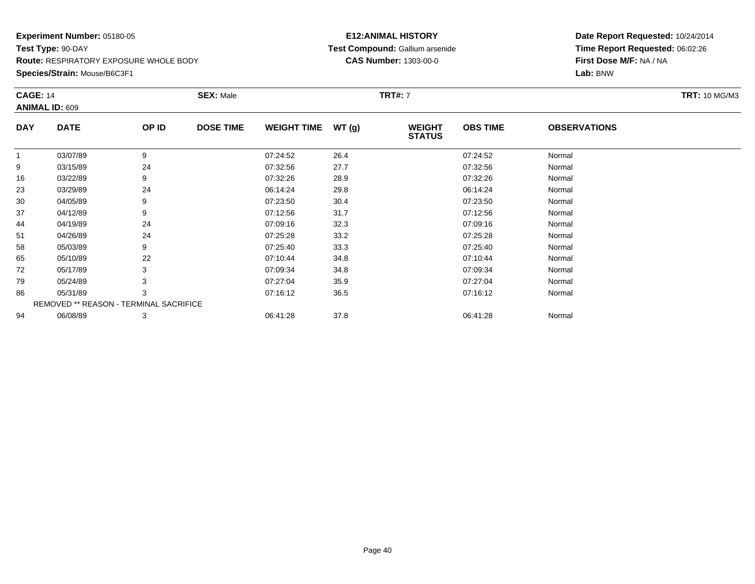**Species/Strain:** Mouse/B6C3F1

### **E12:ANIMAL HISTORY Test Compound:** Gallium arsenide**CAS Number:** 1303-00-0

| <b>CAGE: 14</b> |                                        |       | <b>SEX: Male</b> |                    |       | <b>TRT#: 7</b>                 |                 |                     | <b>TRT: 10 MG/M3</b> |
|-----------------|----------------------------------------|-------|------------------|--------------------|-------|--------------------------------|-----------------|---------------------|----------------------|
|                 | <b>ANIMAL ID: 609</b>                  |       |                  |                    |       |                                |                 |                     |                      |
| <b>DAY</b>      | <b>DATE</b>                            | OP ID | <b>DOSE TIME</b> | <b>WEIGHT TIME</b> | WT(g) | <b>WEIGHT</b><br><b>STATUS</b> | <b>OBS TIME</b> | <b>OBSERVATIONS</b> |                      |
| 1               | 03/07/89                               | 9     |                  | 07:24:52           | 26.4  |                                | 07:24:52        | Normal              |                      |
| 9               | 03/15/89                               | 24    |                  | 07:32:56           | 27.7  |                                | 07:32:56        | Normal              |                      |
| 16              | 03/22/89                               | 9     |                  | 07:32:26           | 28.9  |                                | 07:32:26        | Normal              |                      |
| 23              | 03/29/89                               | 24    |                  | 06:14:24           | 29.8  |                                | 06:14:24        | Normal              |                      |
| 30              | 04/05/89                               | 9     |                  | 07:23:50           | 30.4  |                                | 07:23:50        | Normal              |                      |
| 37              | 04/12/89                               | 9     |                  | 07:12:56           | 31.7  |                                | 07:12:56        | Normal              |                      |
| 44              | 04/19/89                               | 24    |                  | 07:09:16           | 32.3  |                                | 07:09:16        | Normal              |                      |
| 51              | 04/26/89                               | 24    |                  | 07:25:28           | 33.2  |                                | 07:25:28        | Normal              |                      |
| 58              | 05/03/89                               | 9     |                  | 07:25:40           | 33.3  |                                | 07:25:40        | Normal              |                      |
| 65              | 05/10/89                               | 22    |                  | 07:10:44           | 34.8  |                                | 07:10:44        | Normal              |                      |
| 72              | 05/17/89                               | 3     |                  | 07:09:34           | 34.8  |                                | 07:09:34        | Normal              |                      |
| 79              | 05/24/89                               |       |                  | 07:27:04           | 35.9  |                                | 07:27:04        | Normal              |                      |
| 86              | 05/31/89                               | 3     |                  | 07:16:12           | 36.5  |                                | 07:16:12        | Normal              |                      |
|                 | REMOVED ** REASON - TERMINAL SACRIFICE |       |                  |                    |       |                                |                 |                     |                      |
| 94              | 06/08/89                               | 3     |                  | 06:41:28           | 37.8  |                                | 06:41:28        | Normal              |                      |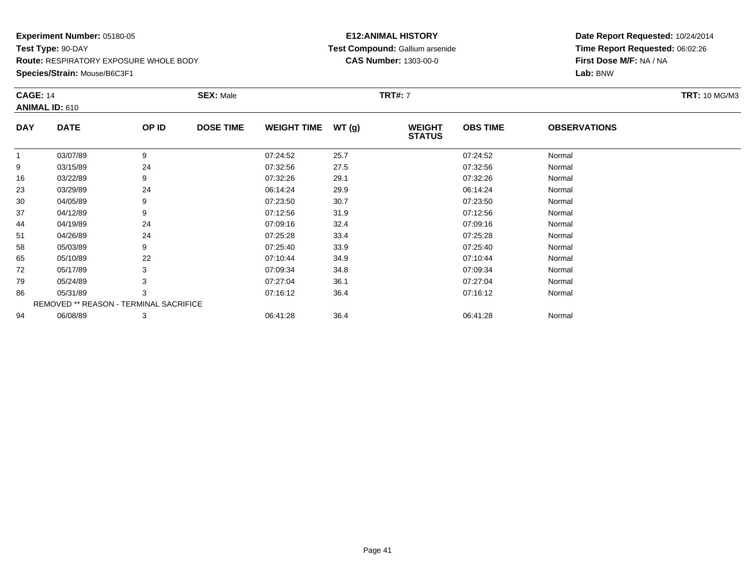**Species/Strain:** Mouse/B6C3F1

### **E12:ANIMAL HISTORY Test Compound:** Gallium arsenide**CAS Number:** 1303-00-0

| <b>CAGE: 14</b> |                                        |       | <b>SEX: Male</b> |                    |       | <b>TRT#: 7</b>                 |                 |                     | <b>TRT: 10 MG/M3</b> |
|-----------------|----------------------------------------|-------|------------------|--------------------|-------|--------------------------------|-----------------|---------------------|----------------------|
|                 | <b>ANIMAL ID: 610</b>                  |       |                  |                    |       |                                |                 |                     |                      |
| <b>DAY</b>      | <b>DATE</b>                            | OP ID | <b>DOSE TIME</b> | <b>WEIGHT TIME</b> | WT(g) | <b>WEIGHT</b><br><b>STATUS</b> | <b>OBS TIME</b> | <b>OBSERVATIONS</b> |                      |
|                 | 03/07/89                               | 9     |                  | 07:24:52           | 25.7  |                                | 07:24:52        | Normal              |                      |
| 9               | 03/15/89                               | 24    |                  | 07:32:56           | 27.5  |                                | 07:32:56        | Normal              |                      |
| 16              | 03/22/89                               | 9     |                  | 07:32:26           | 29.1  |                                | 07:32:26        | Normal              |                      |
| 23              | 03/29/89                               | 24    |                  | 06:14:24           | 29.9  |                                | 06:14:24        | Normal              |                      |
| 30              | 04/05/89                               | 9     |                  | 07:23:50           | 30.7  |                                | 07:23:50        | Normal              |                      |
| 37              | 04/12/89                               | 9     |                  | 07:12:56           | 31.9  |                                | 07:12:56        | Normal              |                      |
| 44              | 04/19/89                               | 24    |                  | 07:09:16           | 32.4  |                                | 07:09:16        | Normal              |                      |
| 51              | 04/26/89                               | 24    |                  | 07:25:28           | 33.4  |                                | 07:25:28        | Normal              |                      |
| 58              | 05/03/89                               | 9     |                  | 07:25:40           | 33.9  |                                | 07:25:40        | Normal              |                      |
| 65              | 05/10/89                               | 22    |                  | 07:10:44           | 34.9  |                                | 07:10:44        | Normal              |                      |
| 72              | 05/17/89                               | 3     |                  | 07:09:34           | 34.8  |                                | 07:09:34        | Normal              |                      |
| 79              | 05/24/89                               |       |                  | 07:27:04           | 36.1  |                                | 07:27:04        | Normal              |                      |
| 86              | 05/31/89                               | 3     |                  | 07:16:12           | 36.4  |                                | 07:16:12        | Normal              |                      |
|                 | REMOVED ** REASON - TERMINAL SACRIFICE |       |                  |                    |       |                                |                 |                     |                      |
| 94              | 06/08/89                               | 3     |                  | 06:41:28           | 36.4  |                                | 06:41:28        | Normal              |                      |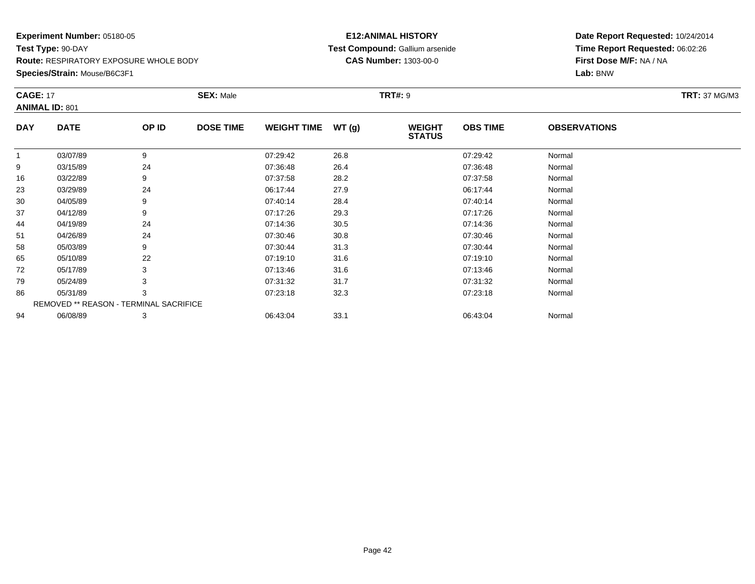**Species/Strain:** Mouse/B6C3F1

### **E12:ANIMAL HISTORY Test Compound:** Gallium arsenide**CAS Number:** 1303-00-0

| <b>CAGE: 17</b> |                                        |       | <b>SEX: Male</b> |                    |       | <b>TRT#: 9</b>                 |                 |                     | <b>TRT: 37 MG/M3</b> |
|-----------------|----------------------------------------|-------|------------------|--------------------|-------|--------------------------------|-----------------|---------------------|----------------------|
|                 | <b>ANIMAL ID: 801</b>                  |       |                  |                    |       |                                |                 |                     |                      |
| <b>DAY</b>      | <b>DATE</b>                            | OP ID | <b>DOSE TIME</b> | <b>WEIGHT TIME</b> | WT(g) | <b>WEIGHT</b><br><b>STATUS</b> | <b>OBS TIME</b> | <b>OBSERVATIONS</b> |                      |
|                 | 03/07/89                               | 9     |                  | 07:29:42           | 26.8  |                                | 07:29:42        | Normal              |                      |
| 9               | 03/15/89                               | 24    |                  | 07:36:48           | 26.4  |                                | 07:36:48        | Normal              |                      |
| 16              | 03/22/89                               | 9     |                  | 07:37:58           | 28.2  |                                | 07:37:58        | Normal              |                      |
| 23              | 03/29/89                               | 24    |                  | 06:17:44           | 27.9  |                                | 06:17:44        | Normal              |                      |
| 30              | 04/05/89                               | 9     |                  | 07:40:14           | 28.4  |                                | 07:40:14        | Normal              |                      |
| 37              | 04/12/89                               | 9     |                  | 07:17:26           | 29.3  |                                | 07:17:26        | Normal              |                      |
| 44              | 04/19/89                               | 24    |                  | 07:14:36           | 30.5  |                                | 07:14:36        | Normal              |                      |
| 51              | 04/26/89                               | 24    |                  | 07:30:46           | 30.8  |                                | 07:30:46        | Normal              |                      |
| 58              | 05/03/89                               | 9     |                  | 07:30:44           | 31.3  |                                | 07:30:44        | Normal              |                      |
| 65              | 05/10/89                               | 22    |                  | 07:19:10           | 31.6  |                                | 07:19:10        | Normal              |                      |
| 72              | 05/17/89                               |       |                  | 07:13:46           | 31.6  |                                | 07:13:46        | Normal              |                      |
| 79              | 05/24/89                               |       |                  | 07:31:32           | 31.7  |                                | 07:31:32        | Normal              |                      |
| 86              | 05/31/89                               | 3     |                  | 07:23:18           | 32.3  |                                | 07:23:18        | Normal              |                      |
|                 | REMOVED ** REASON - TERMINAL SACRIFICE |       |                  |                    |       |                                |                 |                     |                      |
| 94              | 06/08/89                               | 3     |                  | 06:43:04           | 33.1  |                                | 06:43:04        | Normal              |                      |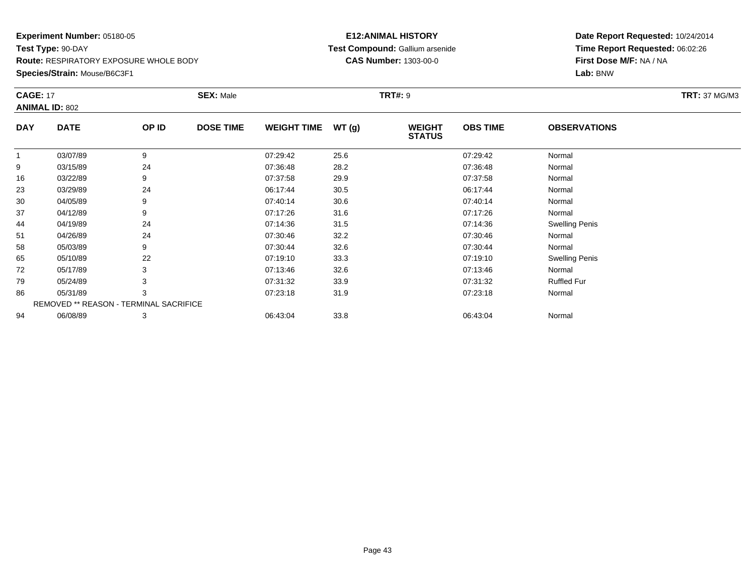**Species/Strain:** Mouse/B6C3F1

### **E12:ANIMAL HISTORY Test Compound:** Gallium arsenide**CAS Number:** 1303-00-0

| <b>CAGE: 17</b> | <b>ANIMAL ID: 802</b>                         |       | <b>SEX: Male</b> |                    |       | <b>TRT#: 9</b>                 |                 |                       | <b>TRT: 37 MG/M3</b> |
|-----------------|-----------------------------------------------|-------|------------------|--------------------|-------|--------------------------------|-----------------|-----------------------|----------------------|
| <b>DAY</b>      | <b>DATE</b>                                   | OP ID | <b>DOSE TIME</b> | <b>WEIGHT TIME</b> | WT(g) | <b>WEIGHT</b><br><b>STATUS</b> | <b>OBS TIME</b> | <b>OBSERVATIONS</b>   |                      |
| 1               | 03/07/89                                      | 9     |                  | 07:29:42           | 25.6  |                                | 07:29:42        | Normal                |                      |
| 9               | 03/15/89                                      | 24    |                  | 07:36:48           | 28.2  |                                | 07:36:48        | Normal                |                      |
| 16              | 03/22/89                                      | 9     |                  | 07:37:58           | 29.9  |                                | 07:37:58        | Normal                |                      |
| 23              | 03/29/89                                      | 24    |                  | 06:17:44           | 30.5  |                                | 06:17:44        | Normal                |                      |
| 30              | 04/05/89                                      | 9     |                  | 07:40:14           | 30.6  |                                | 07:40:14        | Normal                |                      |
| 37              | 04/12/89                                      | 9     |                  | 07:17:26           | 31.6  |                                | 07:17:26        | Normal                |                      |
| 44              | 04/19/89                                      | 24    |                  | 07:14:36           | 31.5  |                                | 07:14:36        | <b>Swelling Penis</b> |                      |
| 51              | 04/26/89                                      | 24    |                  | 07:30:46           | 32.2  |                                | 07:30:46        | Normal                |                      |
| 58              | 05/03/89                                      | 9     |                  | 07:30:44           | 32.6  |                                | 07:30:44        | Normal                |                      |
| 65              | 05/10/89                                      | 22    |                  | 07:19:10           | 33.3  |                                | 07:19:10        | <b>Swelling Penis</b> |                      |
| 72              | 05/17/89                                      | 3     |                  | 07:13:46           | 32.6  |                                | 07:13:46        | Normal                |                      |
| 79              | 05/24/89                                      | 3     |                  | 07:31:32           | 33.9  |                                | 07:31:32        | <b>Ruffled Fur</b>    |                      |
| 86              | 05/31/89                                      | 3     |                  | 07:23:18           | 31.9  |                                | 07:23:18        | Normal                |                      |
|                 | <b>REMOVED ** REASON - TERMINAL SACRIFICE</b> |       |                  |                    |       |                                |                 |                       |                      |
| 94              | 06/08/89                                      | 3     |                  | 06:43:04           | 33.8  |                                | 06:43:04        | Normal                |                      |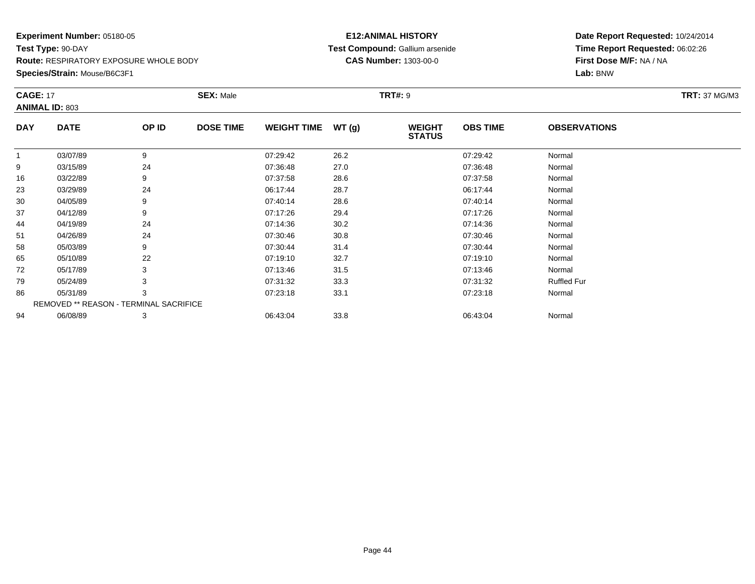**Species/Strain:** Mouse/B6C3F1

### **E12:ANIMAL HISTORY Test Compound:** Gallium arsenide**CAS Number:** 1303-00-0

| <b>CAGE: 17</b> | <b>ANIMAL ID: 803</b>                         |       | <b>SEX: Male</b> |                    |       | <b>TRT#: 9</b>                 |                 |                     | <b>TRT: 37 MG/M3</b> |
|-----------------|-----------------------------------------------|-------|------------------|--------------------|-------|--------------------------------|-----------------|---------------------|----------------------|
| <b>DAY</b>      | <b>DATE</b>                                   | OP ID | <b>DOSE TIME</b> | <b>WEIGHT TIME</b> | WT(g) | <b>WEIGHT</b><br><b>STATUS</b> | <b>OBS TIME</b> | <b>OBSERVATIONS</b> |                      |
| 1               | 03/07/89                                      | 9     |                  | 07:29:42           | 26.2  |                                | 07:29:42        | Normal              |                      |
| 9               | 03/15/89                                      | 24    |                  | 07:36:48           | 27.0  |                                | 07:36:48        | Normal              |                      |
| 16              | 03/22/89                                      | 9     |                  | 07:37:58           | 28.6  |                                | 07:37:58        | Normal              |                      |
| 23              | 03/29/89                                      | 24    |                  | 06:17:44           | 28.7  |                                | 06:17:44        | Normal              |                      |
| 30              | 04/05/89                                      | 9     |                  | 07:40:14           | 28.6  |                                | 07:40:14        | Normal              |                      |
| 37              | 04/12/89                                      | 9     |                  | 07:17:26           | 29.4  |                                | 07:17:26        | Normal              |                      |
| 44              | 04/19/89                                      | 24    |                  | 07:14:36           | 30.2  |                                | 07:14:36        | Normal              |                      |
| 51              | 04/26/89                                      | 24    |                  | 07:30:46           | 30.8  |                                | 07:30:46        | Normal              |                      |
| 58              | 05/03/89                                      | 9     |                  | 07:30:44           | 31.4  |                                | 07:30:44        | Normal              |                      |
| 65              | 05/10/89                                      | 22    |                  | 07:19:10           | 32.7  |                                | 07:19:10        | Normal              |                      |
| 72              | 05/17/89                                      | 3     |                  | 07:13:46           | 31.5  |                                | 07:13:46        | Normal              |                      |
| 79              | 05/24/89                                      | 3     |                  | 07:31:32           | 33.3  |                                | 07:31:32        | <b>Ruffled Fur</b>  |                      |
| 86              | 05/31/89                                      | 3     |                  | 07:23:18           | 33.1  |                                | 07:23:18        | Normal              |                      |
|                 | <b>REMOVED ** REASON - TERMINAL SACRIFICE</b> |       |                  |                    |       |                                |                 |                     |                      |
| 94              | 06/08/89                                      | 3     |                  | 06:43:04           | 33.8  |                                | 06:43:04        | Normal              |                      |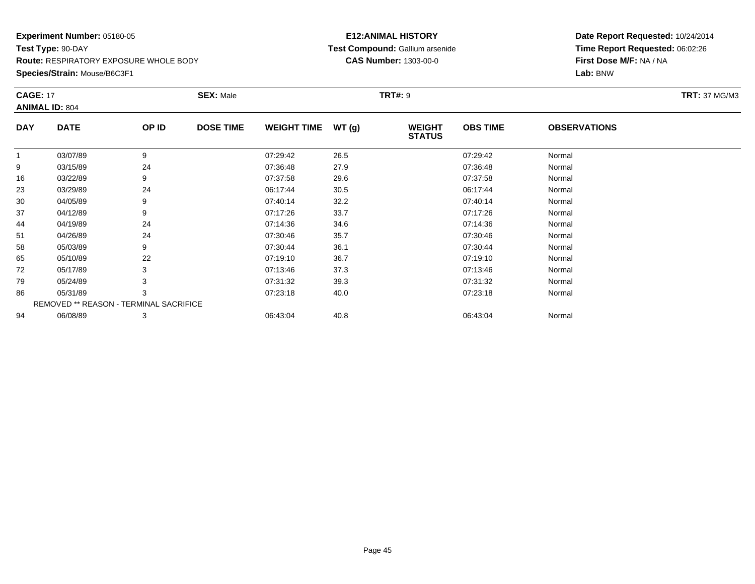**Species/Strain:** Mouse/B6C3F1

### **E12:ANIMAL HISTORY Test Compound:** Gallium arsenide**CAS Number:** 1303-00-0

| <b>CAGE: 17</b> |                                        |       | <b>SEX: Male</b> |                    |       | <b>TRT#: 9</b>                 |                 |                     | <b>TRT: 37 MG/M3</b> |
|-----------------|----------------------------------------|-------|------------------|--------------------|-------|--------------------------------|-----------------|---------------------|----------------------|
|                 | <b>ANIMAL ID: 804</b>                  |       |                  |                    |       |                                |                 |                     |                      |
| <b>DAY</b>      | <b>DATE</b>                            | OP ID | <b>DOSE TIME</b> | <b>WEIGHT TIME</b> | WT(g) | <b>WEIGHT</b><br><b>STATUS</b> | <b>OBS TIME</b> | <b>OBSERVATIONS</b> |                      |
| 1               | 03/07/89                               | 9     |                  | 07:29:42           | 26.5  |                                | 07:29:42        | Normal              |                      |
| 9               | 03/15/89                               | 24    |                  | 07:36:48           | 27.9  |                                | 07:36:48        | Normal              |                      |
| 16              | 03/22/89                               | 9     |                  | 07:37:58           | 29.6  |                                | 07:37:58        | Normal              |                      |
| 23              | 03/29/89                               | 24    |                  | 06:17:44           | 30.5  |                                | 06:17:44        | Normal              |                      |
| 30              | 04/05/89                               | 9     |                  | 07:40:14           | 32.2  |                                | 07:40:14        | Normal              |                      |
| 37              | 04/12/89                               | 9     |                  | 07:17:26           | 33.7  |                                | 07:17:26        | Normal              |                      |
| 44              | 04/19/89                               | 24    |                  | 07:14:36           | 34.6  |                                | 07:14:36        | Normal              |                      |
| 51              | 04/26/89                               | 24    |                  | 07:30:46           | 35.7  |                                | 07:30:46        | Normal              |                      |
| 58              | 05/03/89                               | 9     |                  | 07:30:44           | 36.1  |                                | 07:30:44        | Normal              |                      |
| 65              | 05/10/89                               | 22    |                  | 07:19:10           | 36.7  |                                | 07:19:10        | Normal              |                      |
| 72              | 05/17/89                               | 3     |                  | 07:13:46           | 37.3  |                                | 07:13:46        | Normal              |                      |
| 79              | 05/24/89                               | 3     |                  | 07:31:32           | 39.3  |                                | 07:31:32        | Normal              |                      |
| 86              | 05/31/89                               | 3     |                  | 07:23:18           | 40.0  |                                | 07:23:18        | Normal              |                      |
|                 | REMOVED ** REASON - TERMINAL SACRIFICE |       |                  |                    |       |                                |                 |                     |                      |
| 94              | 06/08/89                               | 3     |                  | 06:43:04           | 40.8  |                                | 06:43:04        | Normal              |                      |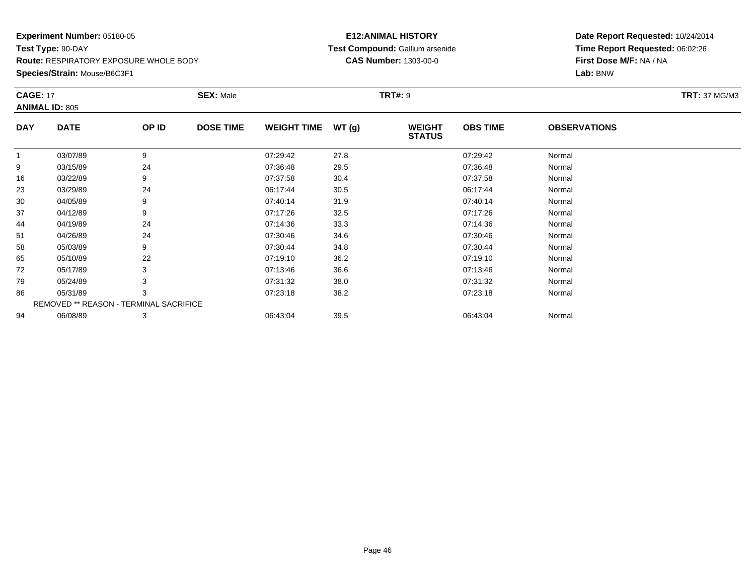**Species/Strain:** Mouse/B6C3F1

### **E12:ANIMAL HISTORY Test Compound:** Gallium arsenide**CAS Number:** 1303-00-0

| <b>CAGE: 17</b> | <b>ANIMAL ID: 805</b>                  |       | <b>SEX: Male</b> |                    |       | <b>TRT#: 9</b>                 |                 |                     | <b>TRT: 37 MG/M3</b> |
|-----------------|----------------------------------------|-------|------------------|--------------------|-------|--------------------------------|-----------------|---------------------|----------------------|
| <b>DAY</b>      | <b>DATE</b>                            | OP ID | <b>DOSE TIME</b> | <b>WEIGHT TIME</b> | WT(g) | <b>WEIGHT</b><br><b>STATUS</b> | <b>OBS TIME</b> | <b>OBSERVATIONS</b> |                      |
| $\mathbf{1}$    | 03/07/89                               | 9     |                  | 07:29:42           | 27.8  |                                | 07:29:42        | Normal              |                      |
| 9               | 03/15/89                               | 24    |                  | 07:36:48           | 29.5  |                                | 07:36:48        | Normal              |                      |
| 16              | 03/22/89                               | 9     |                  | 07:37:58           | 30.4  |                                | 07:37:58        | Normal              |                      |
| 23              | 03/29/89                               | 24    |                  | 06:17:44           | 30.5  |                                | 06:17:44        | Normal              |                      |
| 30              | 04/05/89                               | 9     |                  | 07:40:14           | 31.9  |                                | 07:40:14        | Normal              |                      |
| 37              | 04/12/89                               | 9     |                  | 07:17:26           | 32.5  |                                | 07:17:26        | Normal              |                      |
| 44              | 04/19/89                               | 24    |                  | 07:14:36           | 33.3  |                                | 07:14:36        | Normal              |                      |
| 51              | 04/26/89                               | 24    |                  | 07:30:46           | 34.6  |                                | 07:30:46        | Normal              |                      |
| 58              | 05/03/89                               | 9     |                  | 07:30:44           | 34.8  |                                | 07:30:44        | Normal              |                      |
| 65              | 05/10/89                               | 22    |                  | 07:19:10           | 36.2  |                                | 07:19:10        | Normal              |                      |
| 72              | 05/17/89                               | 3     |                  | 07:13:46           | 36.6  |                                | 07:13:46        | Normal              |                      |
| 79              | 05/24/89                               |       |                  | 07:31:32           | 38.0  |                                | 07:31:32        | Normal              |                      |
| 86              | 05/31/89                               | 3     |                  | 07:23:18           | 38.2  |                                | 07:23:18        | Normal              |                      |
|                 | REMOVED ** REASON - TERMINAL SACRIFICE |       |                  |                    |       |                                |                 |                     |                      |
| 94              | 06/08/89                               | 3     |                  | 06:43:04           | 39.5  |                                | 06:43:04        | Normal              |                      |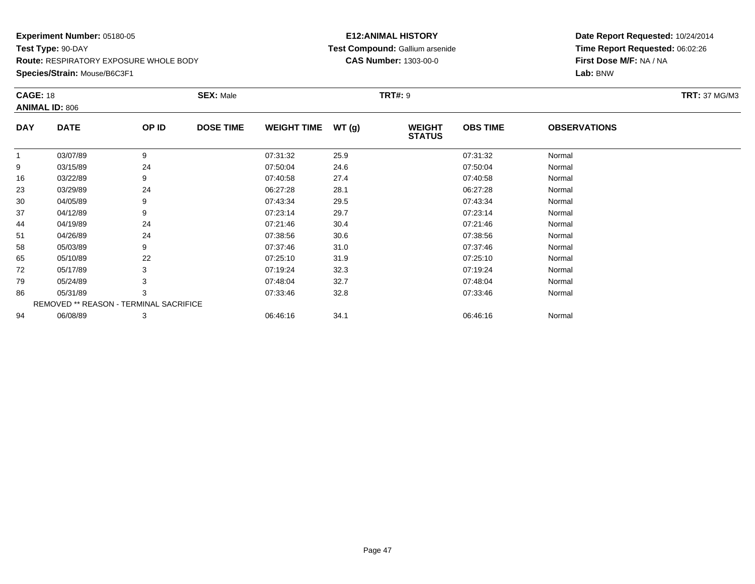**Species/Strain:** Mouse/B6C3F1

### **E12:ANIMAL HISTORY Test Compound:** Gallium arsenide**CAS Number:** 1303-00-0

| <b>CAGE: 18</b> | <b>ANIMAL ID: 806</b>                         |       | <b>SEX: Male</b> |                    |       | <b>TRT#:</b> 9                 |                 |                     | <b>TRT: 37 MG/M3</b> |
|-----------------|-----------------------------------------------|-------|------------------|--------------------|-------|--------------------------------|-----------------|---------------------|----------------------|
| <b>DAY</b>      | <b>DATE</b>                                   | OP ID | <b>DOSE TIME</b> | <b>WEIGHT TIME</b> | WT(g) | <b>WEIGHT</b><br><b>STATUS</b> | <b>OBS TIME</b> | <b>OBSERVATIONS</b> |                      |
|                 | 03/07/89                                      | 9     |                  | 07:31:32           | 25.9  |                                | 07:31:32        | Normal              |                      |
| 9               | 03/15/89                                      | 24    |                  | 07:50:04           | 24.6  |                                | 07:50:04        | Normal              |                      |
| 16              | 03/22/89                                      | 9     |                  | 07:40:58           | 27.4  |                                | 07:40:58        | Normal              |                      |
| 23              | 03/29/89                                      | 24    |                  | 06:27:28           | 28.1  |                                | 06:27:28        | Normal              |                      |
| 30              | 04/05/89                                      | 9     |                  | 07:43:34           | 29.5  |                                | 07:43:34        | Normal              |                      |
| 37              | 04/12/89                                      | 9     |                  | 07:23:14           | 29.7  |                                | 07:23:14        | Normal              |                      |
| 44              | 04/19/89                                      | 24    |                  | 07:21:46           | 30.4  |                                | 07:21:46        | Normal              |                      |
| 51              | 04/26/89                                      | 24    |                  | 07:38:56           | 30.6  |                                | 07:38:56        | Normal              |                      |
| 58              | 05/03/89                                      | 9     |                  | 07:37:46           | 31.0  |                                | 07:37:46        | Normal              |                      |
| 65              | 05/10/89                                      | 22    |                  | 07:25:10           | 31.9  |                                | 07:25:10        | Normal              |                      |
| 72              | 05/17/89                                      | 3     |                  | 07:19:24           | 32.3  |                                | 07:19:24        | Normal              |                      |
| 79              | 05/24/89                                      |       |                  | 07:48:04           | 32.7  |                                | 07:48:04        | Normal              |                      |
| 86              | 05/31/89                                      | 3     |                  | 07:33:46           | 32.8  |                                | 07:33:46        | Normal              |                      |
|                 | <b>REMOVED ** REASON - TERMINAL SACRIFICE</b> |       |                  |                    |       |                                |                 |                     |                      |
| 94              | 06/08/89                                      | 3     |                  | 06:46:16           | 34.1  |                                | 06:46:16        | Normal              |                      |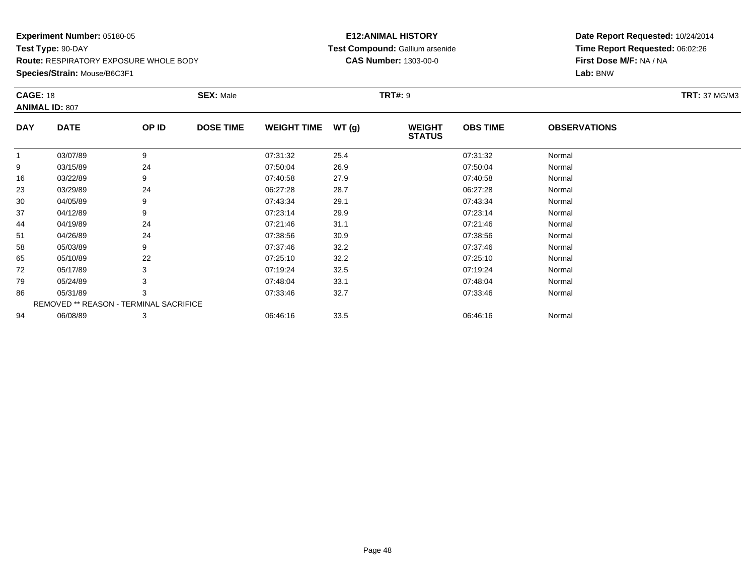**Species/Strain:** Mouse/B6C3F1

### **E12:ANIMAL HISTORY Test Compound:** Gallium arsenide**CAS Number:** 1303-00-0

| <b>CAGE: 18</b> |                                        |       | <b>SEX: Male</b> |                    |       | <b>TRT#: 9</b>                 |                 |                     | <b>TRT:</b> 37 MG/M3 |
|-----------------|----------------------------------------|-------|------------------|--------------------|-------|--------------------------------|-----------------|---------------------|----------------------|
|                 | <b>ANIMAL ID: 807</b>                  |       |                  |                    |       |                                |                 |                     |                      |
| <b>DAY</b>      | <b>DATE</b>                            | OP ID | <b>DOSE TIME</b> | <b>WEIGHT TIME</b> | WT(g) | <b>WEIGHT</b><br><b>STATUS</b> | <b>OBS TIME</b> | <b>OBSERVATIONS</b> |                      |
|                 | 03/07/89                               | 9     |                  | 07:31:32           | 25.4  |                                | 07:31:32        | Normal              |                      |
| 9               | 03/15/89                               | 24    |                  | 07:50:04           | 26.9  |                                | 07:50:04        | Normal              |                      |
| 16              | 03/22/89                               | 9     |                  | 07:40:58           | 27.9  |                                | 07:40:58        | Normal              |                      |
| 23              | 03/29/89                               | 24    |                  | 06:27:28           | 28.7  |                                | 06:27:28        | Normal              |                      |
| 30              | 04/05/89                               | 9     |                  | 07:43:34           | 29.1  |                                | 07:43:34        | Normal              |                      |
| 37              | 04/12/89                               | 9     |                  | 07:23:14           | 29.9  |                                | 07:23:14        | Normal              |                      |
| 44              | 04/19/89                               | 24    |                  | 07:21:46           | 31.1  |                                | 07:21:46        | Normal              |                      |
| 51              | 04/26/89                               | 24    |                  | 07:38:56           | 30.9  |                                | 07:38:56        | Normal              |                      |
| 58              | 05/03/89                               | 9     |                  | 07:37:46           | 32.2  |                                | 07:37:46        | Normal              |                      |
| 65              | 05/10/89                               | 22    |                  | 07:25:10           | 32.2  |                                | 07:25:10        | Normal              |                      |
| 72              | 05/17/89                               | 3     |                  | 07:19:24           | 32.5  |                                | 07:19:24        | Normal              |                      |
| 79              | 05/24/89                               |       |                  | 07:48:04           | 33.1  |                                | 07:48:04        | Normal              |                      |
| 86              | 05/31/89                               | 3     |                  | 07:33:46           | 32.7  |                                | 07:33:46        | Normal              |                      |
|                 | REMOVED ** REASON - TERMINAL SACRIFICE |       |                  |                    |       |                                |                 |                     |                      |
| 94              | 06/08/89                               | 3     |                  | 06:46:16           | 33.5  |                                | 06:46:16        | Normal              |                      |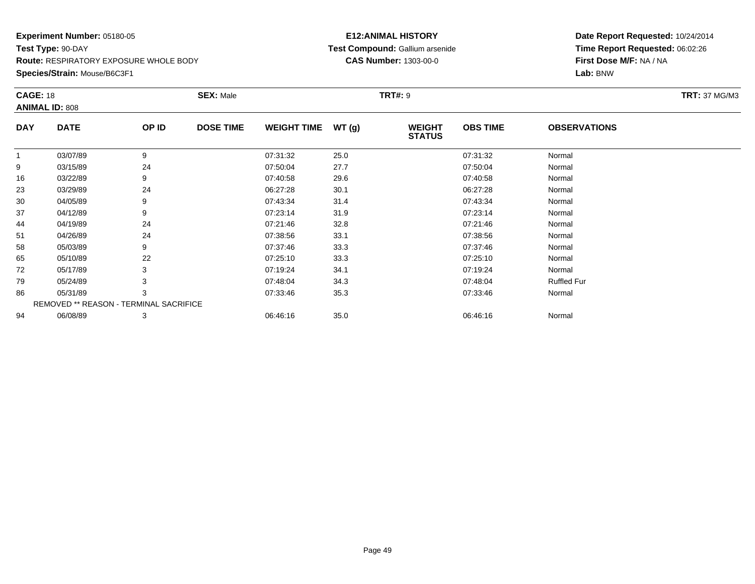**Species/Strain:** Mouse/B6C3F1

### **E12:ANIMAL HISTORY Test Compound:** Gallium arsenide**CAS Number:** 1303-00-0

| <b>CAGE: 18</b> | <b>ANIMAL ID: 808</b>                  |       | <b>SEX: Male</b> |                    |       | <b>TRT#:</b> 9                 |                 |                     | <b>TRT: 37 MG/M3</b> |
|-----------------|----------------------------------------|-------|------------------|--------------------|-------|--------------------------------|-----------------|---------------------|----------------------|
| <b>DAY</b>      | <b>DATE</b>                            | OP ID | <b>DOSE TIME</b> | <b>WEIGHT TIME</b> | WT(g) | <b>WEIGHT</b><br><b>STATUS</b> | <b>OBS TIME</b> | <b>OBSERVATIONS</b> |                      |
| 1               | 03/07/89                               | 9     |                  | 07:31:32           | 25.0  |                                | 07:31:32        | Normal              |                      |
| 9               | 03/15/89                               | 24    |                  | 07:50:04           | 27.7  |                                | 07:50:04        | Normal              |                      |
| 16              | 03/22/89                               | 9     |                  | 07:40:58           | 29.6  |                                | 07:40:58        | Normal              |                      |
| 23              | 03/29/89                               | 24    |                  | 06:27:28           | 30.1  |                                | 06:27:28        | Normal              |                      |
| 30              | 04/05/89                               | 9     |                  | 07:43:34           | 31.4  |                                | 07:43:34        | Normal              |                      |
| 37              | 04/12/89                               | 9     |                  | 07:23:14           | 31.9  |                                | 07:23:14        | Normal              |                      |
| 44              | 04/19/89                               | 24    |                  | 07:21:46           | 32.8  |                                | 07:21:46        | Normal              |                      |
| 51              | 04/26/89                               | 24    |                  | 07:38:56           | 33.1  |                                | 07:38:56        | Normal              |                      |
| 58              | 05/03/89                               | 9     |                  | 07:37:46           | 33.3  |                                | 07:37:46        | Normal              |                      |
| 65              | 05/10/89                               | 22    |                  | 07:25:10           | 33.3  |                                | 07:25:10        | Normal              |                      |
| 72              | 05/17/89                               | 3     |                  | 07:19:24           | 34.1  |                                | 07:19:24        | Normal              |                      |
| 79              | 05/24/89                               | 3     |                  | 07:48:04           | 34.3  |                                | 07:48:04        | <b>Ruffled Fur</b>  |                      |
| 86              | 05/31/89                               | 3     |                  | 07:33:46           | 35.3  |                                | 07:33:46        | Normal              |                      |
|                 | REMOVED ** REASON - TERMINAL SACRIFICE |       |                  |                    |       |                                |                 |                     |                      |
| 94              | 06/08/89                               | 3     |                  | 06:46:16           | 35.0  |                                | 06:46:16        | Normal              |                      |
|                 |                                        |       |                  |                    |       |                                |                 |                     |                      |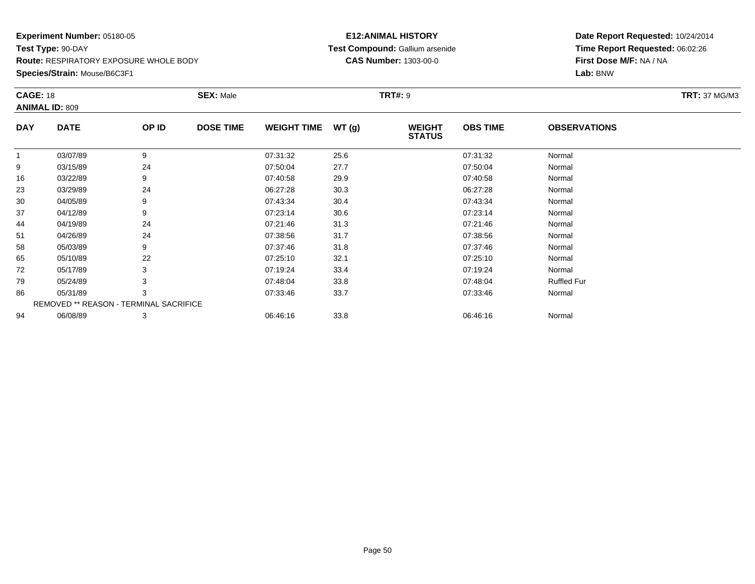**Species/Strain:** Mouse/B6C3F1

### **E12:ANIMAL HISTORY Test Compound:** Gallium arsenide**CAS Number:** 1303-00-0

| <b>CAGE: 18</b> | <b>ANIMAL ID: 809</b>                         |       | <b>SEX: Male</b> |                    |       | <b>TRT#:</b> 9                 |                 |                     | <b>TRT: 37 MG/M3</b> |
|-----------------|-----------------------------------------------|-------|------------------|--------------------|-------|--------------------------------|-----------------|---------------------|----------------------|
| <b>DAY</b>      | <b>DATE</b>                                   | OP ID | <b>DOSE TIME</b> | <b>WEIGHT TIME</b> | WT(g) | <b>WEIGHT</b><br><b>STATUS</b> | <b>OBS TIME</b> | <b>OBSERVATIONS</b> |                      |
|                 | 03/07/89                                      | 9     |                  | 07:31:32           | 25.6  |                                | 07:31:32        | Normal              |                      |
| 9               | 03/15/89                                      | 24    |                  | 07:50:04           | 27.7  |                                | 07:50:04        | Normal              |                      |
| 16              | 03/22/89                                      | 9     |                  | 07:40:58           | 29.9  |                                | 07:40:58        | Normal              |                      |
| 23              | 03/29/89                                      | 24    |                  | 06:27:28           | 30.3  |                                | 06:27:28        | Normal              |                      |
| 30              | 04/05/89                                      | 9     |                  | 07:43:34           | 30.4  |                                | 07:43:34        | Normal              |                      |
| 37              | 04/12/89                                      | 9     |                  | 07:23:14           | 30.6  |                                | 07:23:14        | Normal              |                      |
| 44              | 04/19/89                                      | 24    |                  | 07:21:46           | 31.3  |                                | 07:21:46        | Normal              |                      |
| 51              | 04/26/89                                      | 24    |                  | 07:38:56           | 31.7  |                                | 07:38:56        | Normal              |                      |
| 58              | 05/03/89                                      | 9     |                  | 07:37:46           | 31.8  |                                | 07:37:46        | Normal              |                      |
| 65              | 05/10/89                                      | 22    |                  | 07:25:10           | 32.1  |                                | 07:25:10        | Normal              |                      |
| 72              | 05/17/89                                      | 3     |                  | 07:19:24           | 33.4  |                                | 07:19:24        | Normal              |                      |
| 79              | 05/24/89                                      |       |                  | 07:48:04           | 33.8  |                                | 07:48:04        | <b>Ruffled Fur</b>  |                      |
| 86              | 05/31/89                                      | 3     |                  | 07:33:46           | 33.7  |                                | 07:33:46        | Normal              |                      |
|                 | <b>REMOVED ** REASON - TERMINAL SACRIFICE</b> |       |                  |                    |       |                                |                 |                     |                      |
| 94              | 06/08/89                                      | 3     |                  | 06:46:16           | 33.8  |                                | 06:46:16        | Normal              |                      |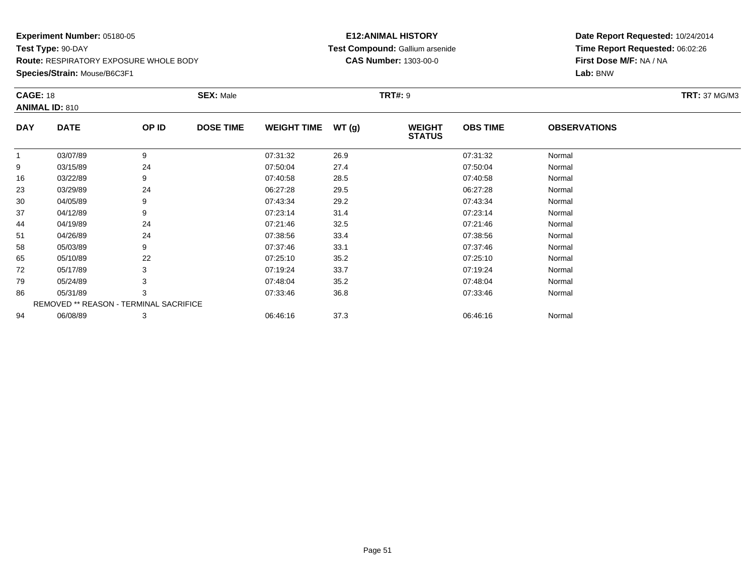**Species/Strain:** Mouse/B6C3F1

### **E12:ANIMAL HISTORY Test Compound:** Gallium arsenide**CAS Number:** 1303-00-0

|             |                                          | <b>SEX: Male</b> |                                        |       |                                |                 |                     | <b>TRT:</b> 37 MG/M3 |
|-------------|------------------------------------------|------------------|----------------------------------------|-------|--------------------------------|-----------------|---------------------|----------------------|
|             |                                          |                  |                                        |       |                                |                 |                     |                      |
| <b>DATE</b> | OP ID                                    | <b>DOSE TIME</b> | <b>WEIGHT TIME</b>                     | WT(g) | <b>WEIGHT</b><br><b>STATUS</b> | <b>OBS TIME</b> | <b>OBSERVATIONS</b> |                      |
| 03/07/89    | 9                                        |                  | 07:31:32                               | 26.9  |                                | 07:31:32        | Normal              |                      |
| 03/15/89    | 24                                       |                  | 07:50:04                               | 27.4  |                                | 07:50:04        | Normal              |                      |
| 03/22/89    | 9                                        |                  | 07:40:58                               | 28.5  |                                | 07:40:58        | Normal              |                      |
| 03/29/89    | 24                                       |                  | 06:27:28                               | 29.5  |                                | 06:27:28        | Normal              |                      |
| 04/05/89    | 9                                        |                  | 07:43:34                               | 29.2  |                                | 07:43:34        | Normal              |                      |
| 04/12/89    | 9                                        |                  | 07:23:14                               | 31.4  |                                | 07:23:14        | Normal              |                      |
| 04/19/89    | 24                                       |                  | 07:21:46                               | 32.5  |                                | 07:21:46        | Normal              |                      |
| 04/26/89    | 24                                       |                  | 07:38:56                               | 33.4  |                                | 07:38:56        | Normal              |                      |
| 05/03/89    | 9                                        |                  | 07:37:46                               | 33.1  |                                | 07:37:46        | Normal              |                      |
| 05/10/89    | 22                                       |                  | 07:25:10                               | 35.2  |                                | 07:25:10        | Normal              |                      |
| 05/17/89    | 3                                        |                  | 07:19:24                               | 33.7  |                                | 07:19:24        | Normal              |                      |
| 05/24/89    | 3                                        |                  | 07:48:04                               | 35.2  |                                | 07:48:04        | Normal              |                      |
| 05/31/89    | 3                                        |                  | 07:33:46                               | 36.8  |                                | 07:33:46        | Normal              |                      |
|             |                                          |                  |                                        |       |                                |                 |                     |                      |
| 06/08/89    | 3                                        |                  | 06:46:16                               | 37.3  |                                | 06:46:16        | Normal              |                      |
|             | <b>CAGE: 18</b><br><b>ANIMAL ID: 810</b> |                  | REMOVED ** REASON - TERMINAL SACRIFICE |       |                                | <b>TRT#: 9</b>  |                     |                      |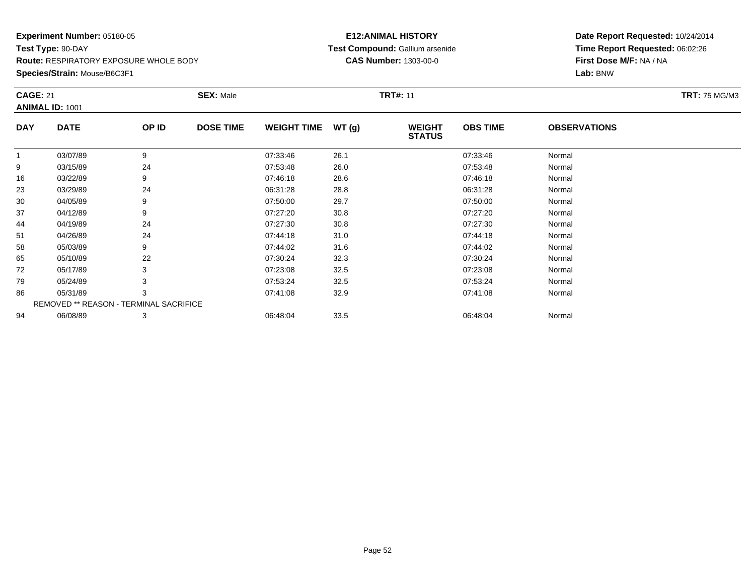**Species/Strain:** Mouse/B6C3F1

### **E12:ANIMAL HISTORY Test Compound:** Gallium arsenide**CAS Number:** 1303-00-0

| <b>CAGE: 21</b> | <b>ANIMAL ID: 1001</b>                 |       | <b>SEX: Male</b> |                    |       | <b>TRT#: 11</b>                |                 |                     | <b>TRT: 75 MG/M3</b> |
|-----------------|----------------------------------------|-------|------------------|--------------------|-------|--------------------------------|-----------------|---------------------|----------------------|
| <b>DAY</b>      | <b>DATE</b>                            | OP ID | <b>DOSE TIME</b> | <b>WEIGHT TIME</b> | WT(g) | <b>WEIGHT</b><br><b>STATUS</b> | <b>OBS TIME</b> | <b>OBSERVATIONS</b> |                      |
|                 | 03/07/89                               | 9     |                  | 07:33:46           | 26.1  |                                | 07:33:46        | Normal              |                      |
| 9               | 03/15/89                               | 24    |                  | 07:53:48           | 26.0  |                                | 07:53:48        | Normal              |                      |
| 16              | 03/22/89                               | 9     |                  | 07:46:18           | 28.6  |                                | 07:46:18        | Normal              |                      |
| 23              | 03/29/89                               | 24    |                  | 06:31:28           | 28.8  |                                | 06:31:28        | Normal              |                      |
| 30              | 04/05/89                               | 9     |                  | 07:50:00           | 29.7  |                                | 07:50:00        | Normal              |                      |
| 37              | 04/12/89                               | 9     |                  | 07:27:20           | 30.8  |                                | 07:27:20        | Normal              |                      |
| 44              | 04/19/89                               | 24    |                  | 07:27:30           | 30.8  |                                | 07:27:30        | Normal              |                      |
| 51              | 04/26/89                               | 24    |                  | 07:44:18           | 31.0  |                                | 07:44:18        | Normal              |                      |
| 58              | 05/03/89                               | 9     |                  | 07:44:02           | 31.6  |                                | 07:44:02        | Normal              |                      |
| 65              | 05/10/89                               | 22    |                  | 07:30:24           | 32.3  |                                | 07:30:24        | Normal              |                      |
| 72              | 05/17/89                               | 3     |                  | 07:23:08           | 32.5  |                                | 07:23:08        | Normal              |                      |
| 79              | 05/24/89                               | 3     |                  | 07:53:24           | 32.5  |                                | 07:53:24        | Normal              |                      |
| 86              | 05/31/89                               | 3     |                  | 07:41:08           | 32.9  |                                | 07:41:08        | Normal              |                      |
|                 | REMOVED ** REASON - TERMINAL SACRIFICE |       |                  |                    |       |                                |                 |                     |                      |
| 94              | 06/08/89                               | 3     |                  | 06:48:04           | 33.5  |                                | 06:48:04        | Normal              |                      |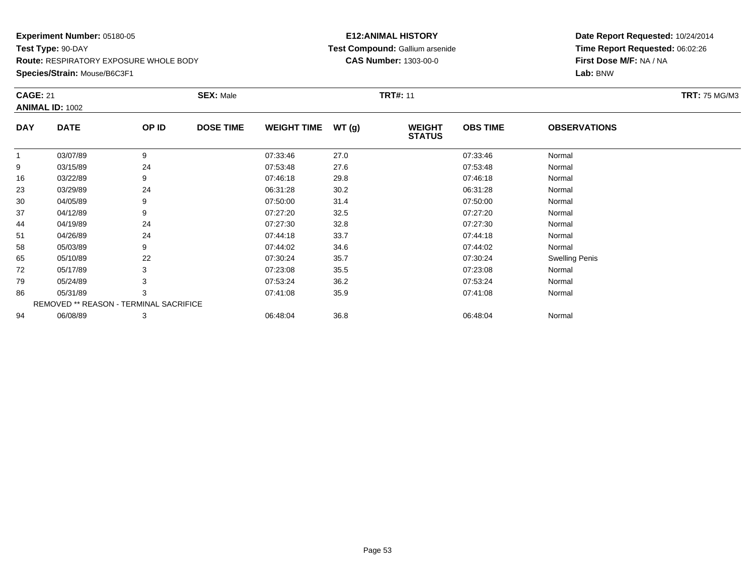**Species/Strain:** Mouse/B6C3F1

### **E12:ANIMAL HISTORY Test Compound:** Gallium arsenide**CAS Number:** 1303-00-0

| <b>CAGE: 21</b> |                                               |       | <b>SEX: Male</b> |                    |       | <b>TRT#: 11</b>                |                 |                       | <b>TRT: 75 MG/M3</b> |
|-----------------|-----------------------------------------------|-------|------------------|--------------------|-------|--------------------------------|-----------------|-----------------------|----------------------|
|                 | <b>ANIMAL ID: 1002</b>                        |       |                  |                    |       |                                |                 |                       |                      |
| <b>DAY</b>      | <b>DATE</b>                                   | OP ID | <b>DOSE TIME</b> | <b>WEIGHT TIME</b> | WT(g) | <b>WEIGHT</b><br><b>STATUS</b> | <b>OBS TIME</b> | <b>OBSERVATIONS</b>   |                      |
| 1               | 03/07/89                                      | 9     |                  | 07:33:46           | 27.0  |                                | 07:33:46        | Normal                |                      |
| 9               | 03/15/89                                      | 24    |                  | 07:53:48           | 27.6  |                                | 07:53:48        | Normal                |                      |
| 16              | 03/22/89                                      | 9     |                  | 07:46:18           | 29.8  |                                | 07:46:18        | Normal                |                      |
| 23              | 03/29/89                                      | 24    |                  | 06:31:28           | 30.2  |                                | 06:31:28        | Normal                |                      |
| 30              | 04/05/89                                      | 9     |                  | 07:50:00           | 31.4  |                                | 07:50:00        | Normal                |                      |
| 37              | 04/12/89                                      | 9     |                  | 07:27:20           | 32.5  |                                | 07:27:20        | Normal                |                      |
| 44              | 04/19/89                                      | 24    |                  | 07:27:30           | 32.8  |                                | 07:27:30        | Normal                |                      |
| 51              | 04/26/89                                      | 24    |                  | 07:44:18           | 33.7  |                                | 07:44:18        | Normal                |                      |
| 58              | 05/03/89                                      | 9     |                  | 07:44:02           | 34.6  |                                | 07:44:02        | Normal                |                      |
| 65              | 05/10/89                                      | 22    |                  | 07:30:24           | 35.7  |                                | 07:30:24        | <b>Swelling Penis</b> |                      |
| 72              | 05/17/89                                      | 3     |                  | 07:23:08           | 35.5  |                                | 07:23:08        | Normal                |                      |
| 79              | 05/24/89                                      | 3     |                  | 07:53:24           | 36.2  |                                | 07:53:24        | Normal                |                      |
| 86              | 05/31/89                                      | 3     |                  | 07:41:08           | 35.9  |                                | 07:41:08        | Normal                |                      |
|                 | <b>REMOVED ** REASON - TERMINAL SACRIFICE</b> |       |                  |                    |       |                                |                 |                       |                      |
| 94              | 06/08/89                                      | 3     |                  | 06:48:04           | 36.8  |                                | 06:48:04        | Normal                |                      |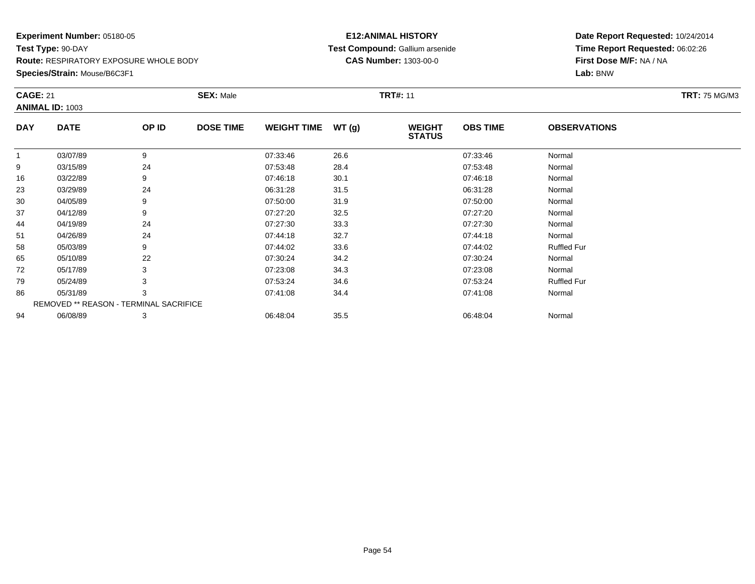**Species/Strain:** Mouse/B6C3F1

### **E12:ANIMAL HISTORY Test Compound:** Gallium arsenide**CAS Number:** 1303-00-0

| <b>CAGE: 21</b> |                                        |       | <b>SEX: Male</b> |                    |       | <b>TRT#: 11</b>                |                 |                     | <b>TRT: 75 MG/M3</b> |
|-----------------|----------------------------------------|-------|------------------|--------------------|-------|--------------------------------|-----------------|---------------------|----------------------|
|                 | <b>ANIMAL ID: 1003</b>                 |       |                  |                    |       |                                |                 |                     |                      |
| <b>DAY</b>      | <b>DATE</b>                            | OP ID | <b>DOSE TIME</b> | <b>WEIGHT TIME</b> | WT(g) | <b>WEIGHT</b><br><b>STATUS</b> | <b>OBS TIME</b> | <b>OBSERVATIONS</b> |                      |
| $\mathbf{1}$    | 03/07/89                               | 9     |                  | 07:33:46           | 26.6  |                                | 07:33:46        | Normal              |                      |
| 9               | 03/15/89                               | 24    |                  | 07:53:48           | 28.4  |                                | 07:53:48        | Normal              |                      |
| 16              | 03/22/89                               | 9     |                  | 07:46:18           | 30.1  |                                | 07:46:18        | Normal              |                      |
| 23              | 03/29/89                               | 24    |                  | 06:31:28           | 31.5  |                                | 06:31:28        | Normal              |                      |
| 30              | 04/05/89                               | 9     |                  | 07:50:00           | 31.9  |                                | 07:50:00        | Normal              |                      |
| 37              | 04/12/89                               | 9     |                  | 07:27:20           | 32.5  |                                | 07:27:20        | Normal              |                      |
| 44              | 04/19/89                               | 24    |                  | 07:27:30           | 33.3  |                                | 07:27:30        | Normal              |                      |
| 51              | 04/26/89                               | 24    |                  | 07:44:18           | 32.7  |                                | 07:44:18        | Normal              |                      |
| 58              | 05/03/89                               | 9     |                  | 07:44:02           | 33.6  |                                | 07:44:02        | <b>Ruffled Fur</b>  |                      |
| 65              | 05/10/89                               | 22    |                  | 07:30:24           | 34.2  |                                | 07:30:24        | Normal              |                      |
| 72              | 05/17/89                               | 3     |                  | 07:23:08           | 34.3  |                                | 07:23:08        | Normal              |                      |
| 79              | 05/24/89                               |       |                  | 07:53:24           | 34.6  |                                | 07:53:24        | <b>Ruffled Fur</b>  |                      |
| 86              | 05/31/89                               | 3     |                  | 07:41:08           | 34.4  |                                | 07:41:08        | Normal              |                      |
|                 | REMOVED ** REASON - TERMINAL SACRIFICE |       |                  |                    |       |                                |                 |                     |                      |
| 94              | 06/08/89                               | 3     |                  | 06:48:04           | 35.5  |                                | 06:48:04        | Normal              |                      |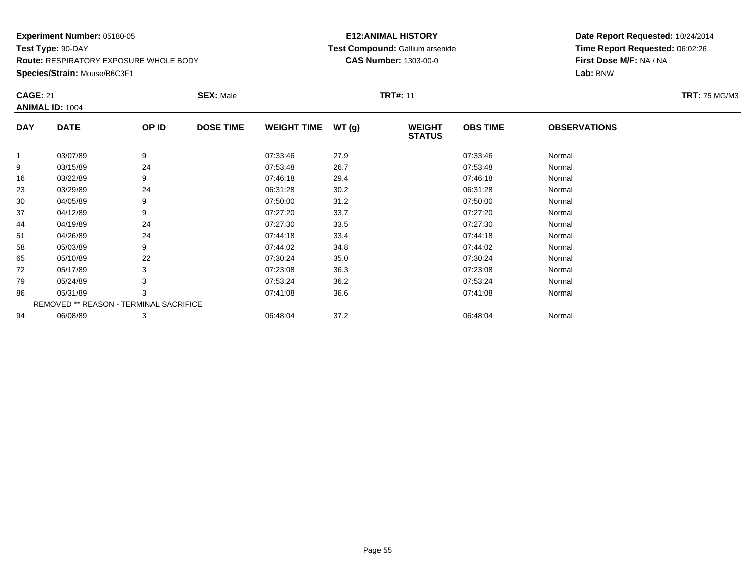**Species/Strain:** Mouse/B6C3F1

### **E12:ANIMAL HISTORY Test Compound:** Gallium arsenide**CAS Number:** 1303-00-0

| <b>CAGE: 21</b> |                                        |       | <b>SEX: Male</b> |                    |       | <b>TRT#: 11</b>                |                 |                     | <b>TRT: 75 MG/M3</b> |
|-----------------|----------------------------------------|-------|------------------|--------------------|-------|--------------------------------|-----------------|---------------------|----------------------|
|                 | <b>ANIMAL ID: 1004</b>                 |       |                  |                    |       |                                |                 |                     |                      |
| <b>DAY</b>      | <b>DATE</b>                            | OP ID | <b>DOSE TIME</b> | <b>WEIGHT TIME</b> | WT(g) | <b>WEIGHT</b><br><b>STATUS</b> | <b>OBS TIME</b> | <b>OBSERVATIONS</b> |                      |
| 1               | 03/07/89                               | 9     |                  | 07:33:46           | 27.9  |                                | 07:33:46        | Normal              |                      |
| 9               | 03/15/89                               | 24    |                  | 07:53:48           | 26.7  |                                | 07:53:48        | Normal              |                      |
| 16              | 03/22/89                               | 9     |                  | 07:46:18           | 29.4  |                                | 07:46:18        | Normal              |                      |
| 23              | 03/29/89                               | 24    |                  | 06:31:28           | 30.2  |                                | 06:31:28        | Normal              |                      |
| 30              | 04/05/89                               | 9     |                  | 07:50:00           | 31.2  |                                | 07:50:00        | Normal              |                      |
| 37              | 04/12/89                               | 9     |                  | 07:27:20           | 33.7  |                                | 07:27:20        | Normal              |                      |
| 44              | 04/19/89                               | 24    |                  | 07:27:30           | 33.5  |                                | 07:27:30        | Normal              |                      |
| 51              | 04/26/89                               | 24    |                  | 07:44:18           | 33.4  |                                | 07:44:18        | Normal              |                      |
| 58              | 05/03/89                               | 9     |                  | 07:44:02           | 34.8  |                                | 07:44:02        | Normal              |                      |
| 65              | 05/10/89                               | 22    |                  | 07:30:24           | 35.0  |                                | 07:30:24        | Normal              |                      |
| 72              | 05/17/89                               | 3     |                  | 07:23:08           | 36.3  |                                | 07:23:08        | Normal              |                      |
| 79              | 05/24/89                               |       |                  | 07:53:24           | 36.2  |                                | 07:53:24        | Normal              |                      |
| 86              | 05/31/89                               | 3     |                  | 07:41:08           | 36.6  |                                | 07:41:08        | Normal              |                      |
|                 | REMOVED ** REASON - TERMINAL SACRIFICE |       |                  |                    |       |                                |                 |                     |                      |
| 94              | 06/08/89                               | 3     |                  | 06:48:04           | 37.2  |                                | 06:48:04        | Normal              |                      |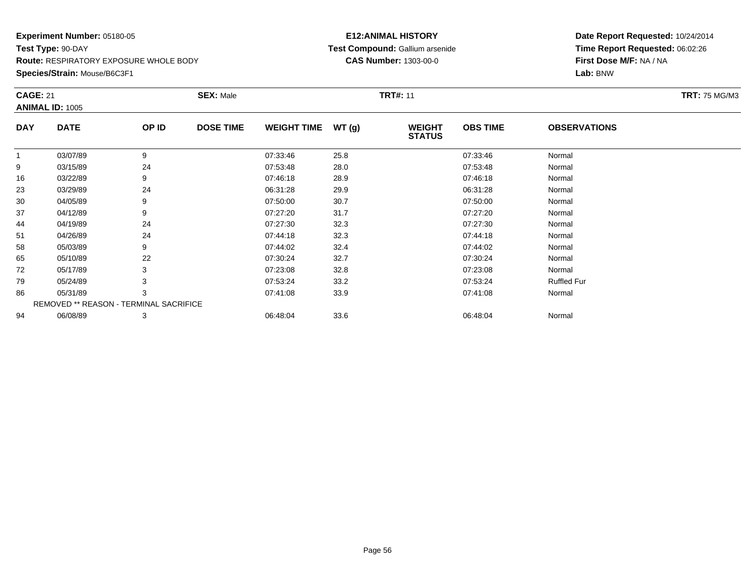**Species/Strain:** Mouse/B6C3F1

### **E12:ANIMAL HISTORY Test Compound:** Gallium arsenide**CAS Number:** 1303-00-0

| <b>CAGE: 21</b> | <b>ANIMAL ID: 1005</b>                 |       | <b>SEX: Male</b> |                    |       | <b>TRT#: 11</b>                |                 |                     | <b>TRT: 75 MG/M3</b> |
|-----------------|----------------------------------------|-------|------------------|--------------------|-------|--------------------------------|-----------------|---------------------|----------------------|
| <b>DAY</b>      | <b>DATE</b>                            | OP ID | <b>DOSE TIME</b> | <b>WEIGHT TIME</b> | WT(g) | <b>WEIGHT</b><br><b>STATUS</b> | <b>OBS TIME</b> | <b>OBSERVATIONS</b> |                      |
| $\mathbf{1}$    | 03/07/89                               | 9     |                  | 07:33:46           | 25.8  |                                | 07:33:46        | Normal              |                      |
| 9               | 03/15/89                               | 24    |                  | 07:53:48           | 28.0  |                                | 07:53:48        | Normal              |                      |
| 16              | 03/22/89                               | 9     |                  | 07:46:18           | 28.9  |                                | 07:46:18        | Normal              |                      |
| 23              | 03/29/89                               | 24    |                  | 06:31:28           | 29.9  |                                | 06:31:28        | Normal              |                      |
| 30              | 04/05/89                               | 9     |                  | 07:50:00           | 30.7  |                                | 07:50:00        | Normal              |                      |
| 37              | 04/12/89                               | 9     |                  | 07:27:20           | 31.7  |                                | 07:27:20        | Normal              |                      |
| 44              | 04/19/89                               | 24    |                  | 07:27:30           | 32.3  |                                | 07:27:30        | Normal              |                      |
| 51              | 04/26/89                               | 24    |                  | 07:44:18           | 32.3  |                                | 07:44:18        | Normal              |                      |
| 58              | 05/03/89                               | 9     |                  | 07:44:02           | 32.4  |                                | 07:44:02        | Normal              |                      |
| 65              | 05/10/89                               | 22    |                  | 07:30:24           | 32.7  |                                | 07:30:24        | Normal              |                      |
| 72              | 05/17/89                               | 3     |                  | 07:23:08           | 32.8  |                                | 07:23:08        | Normal              |                      |
| 79              | 05/24/89                               |       |                  | 07:53:24           | 33.2  |                                | 07:53:24        | <b>Ruffled Fur</b>  |                      |
| 86              | 05/31/89                               | 3     |                  | 07:41:08           | 33.9  |                                | 07:41:08        | Normal              |                      |
|                 | REMOVED ** REASON - TERMINAL SACRIFICE |       |                  |                    |       |                                |                 |                     |                      |
| 94              | 06/08/89                               | 3     |                  | 06:48:04           | 33.6  |                                | 06:48:04        | Normal              |                      |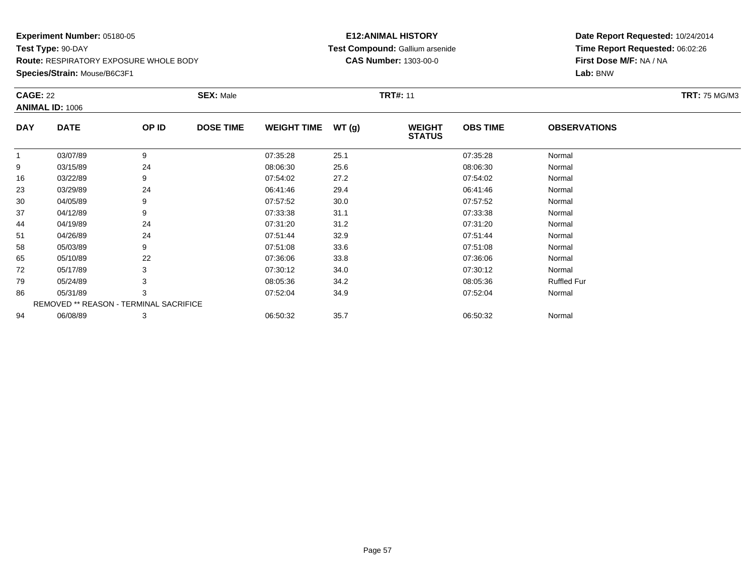**Species/Strain:** Mouse/B6C3F1

### **E12:ANIMAL HISTORY Test Compound:** Gallium arsenide**CAS Number:** 1303-00-0

| <b>CAGE: 22</b> | <b>ANIMAL ID: 1006</b>                 |       | <b>SEX: Male</b> |                    |       | <b>TRT#: 11</b>                |                 |                     | <b>TRT: 75 MG/M3</b> |
|-----------------|----------------------------------------|-------|------------------|--------------------|-------|--------------------------------|-----------------|---------------------|----------------------|
| <b>DAY</b>      | <b>DATE</b>                            | OP ID | <b>DOSE TIME</b> | <b>WEIGHT TIME</b> | WT(g) | <b>WEIGHT</b><br><b>STATUS</b> | <b>OBS TIME</b> | <b>OBSERVATIONS</b> |                      |
| 1               | 03/07/89                               | 9     |                  | 07:35:28           | 25.1  |                                | 07:35:28        | Normal              |                      |
| 9               | 03/15/89                               | 24    |                  | 08:06:30           | 25.6  |                                | 08:06:30        | Normal              |                      |
| 16              | 03/22/89                               | 9     |                  | 07:54:02           | 27.2  |                                | 07:54:02        | Normal              |                      |
| 23              | 03/29/89                               | 24    |                  | 06:41:46           | 29.4  |                                | 06:41:46        | Normal              |                      |
| 30              | 04/05/89                               | 9     |                  | 07:57:52           | 30.0  |                                | 07:57:52        | Normal              |                      |
| 37              | 04/12/89                               | 9     |                  | 07:33:38           | 31.1  |                                | 07:33:38        | Normal              |                      |
| 44              | 04/19/89                               | 24    |                  | 07:31:20           | 31.2  |                                | 07:31:20        | Normal              |                      |
| 51              | 04/26/89                               | 24    |                  | 07:51:44           | 32.9  |                                | 07:51:44        | Normal              |                      |
| 58              | 05/03/89                               | 9     |                  | 07:51:08           | 33.6  |                                | 07:51:08        | Normal              |                      |
| 65              | 05/10/89                               | 22    |                  | 07:36:06           | 33.8  |                                | 07:36:06        | Normal              |                      |
| 72              | 05/17/89                               | 3     |                  | 07:30:12           | 34.0  |                                | 07:30:12        | Normal              |                      |
| 79              | 05/24/89                               | 3     |                  | 08:05:36           | 34.2  |                                | 08:05:36        | <b>Ruffled Fur</b>  |                      |
| 86              | 05/31/89                               | 3     |                  | 07:52:04           | 34.9  |                                | 07:52:04        | Normal              |                      |
|                 | REMOVED ** REASON - TERMINAL SACRIFICE |       |                  |                    |       |                                |                 |                     |                      |
| 94              | 06/08/89                               | 3     |                  | 06:50:32           | 35.7  |                                | 06:50:32        | Normal              |                      |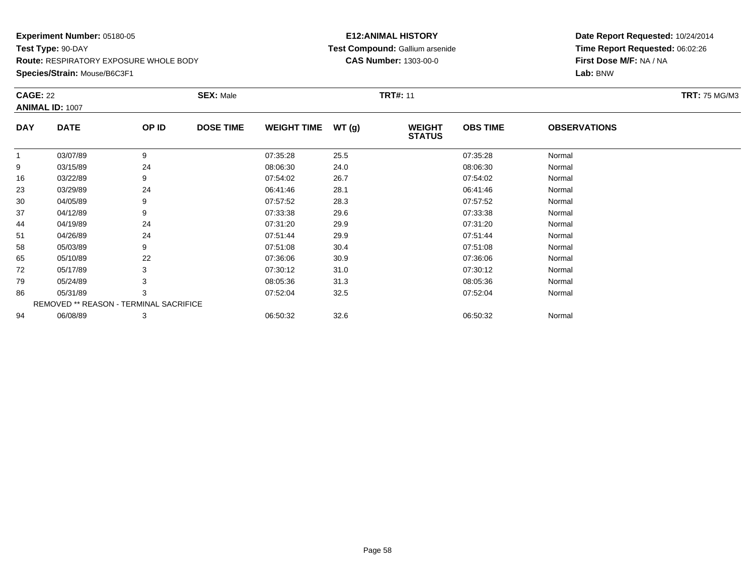**Species/Strain:** Mouse/B6C3F1

### **E12:ANIMAL HISTORY Test Compound:** Gallium arsenide**CAS Number:** 1303-00-0

| <b>CAGE: 22</b> |                                        |       | <b>SEX: Male</b> |                    |       | <b>TRT#: 11</b>                |                 |                     | <b>TRT: 75 MG/M3</b> |
|-----------------|----------------------------------------|-------|------------------|--------------------|-------|--------------------------------|-----------------|---------------------|----------------------|
|                 | <b>ANIMAL ID: 1007</b>                 |       |                  |                    |       |                                |                 |                     |                      |
| <b>DAY</b>      | <b>DATE</b>                            | OP ID | <b>DOSE TIME</b> | <b>WEIGHT TIME</b> | WT(g) | <b>WEIGHT</b><br><b>STATUS</b> | <b>OBS TIME</b> | <b>OBSERVATIONS</b> |                      |
| $\mathbf{1}$    | 03/07/89                               | 9     |                  | 07:35:28           | 25.5  |                                | 07:35:28        | Normal              |                      |
| 9               | 03/15/89                               | 24    |                  | 08:06:30           | 24.0  |                                | 08:06:30        | Normal              |                      |
| 16              | 03/22/89                               | 9     |                  | 07:54:02           | 26.7  |                                | 07:54:02        | Normal              |                      |
| 23              | 03/29/89                               | 24    |                  | 06:41:46           | 28.1  |                                | 06:41:46        | Normal              |                      |
| 30              | 04/05/89                               | 9     |                  | 07:57:52           | 28.3  |                                | 07:57:52        | Normal              |                      |
| 37              | 04/12/89                               | 9     |                  | 07:33:38           | 29.6  |                                | 07:33:38        | Normal              |                      |
| 44              | 04/19/89                               | 24    |                  | 07:31:20           | 29.9  |                                | 07:31:20        | Normal              |                      |
| 51              | 04/26/89                               | 24    |                  | 07:51:44           | 29.9  |                                | 07:51:44        | Normal              |                      |
| 58              | 05/03/89                               | 9     |                  | 07:51:08           | 30.4  |                                | 07:51:08        | Normal              |                      |
| 65              | 05/10/89                               | 22    |                  | 07:36:06           | 30.9  |                                | 07:36:06        | Normal              |                      |
| 72              | 05/17/89                               | 3     |                  | 07:30:12           | 31.0  |                                | 07:30:12        | Normal              |                      |
| 79              | 05/24/89                               |       |                  | 08:05:36           | 31.3  |                                | 08:05:36        | Normal              |                      |
| 86              | 05/31/89                               | 3     |                  | 07:52:04           | 32.5  |                                | 07:52:04        | Normal              |                      |
|                 | REMOVED ** REASON - TERMINAL SACRIFICE |       |                  |                    |       |                                |                 |                     |                      |
| 94              | 06/08/89                               | 3     |                  | 06:50:32           | 32.6  |                                | 06:50:32        | Normal              |                      |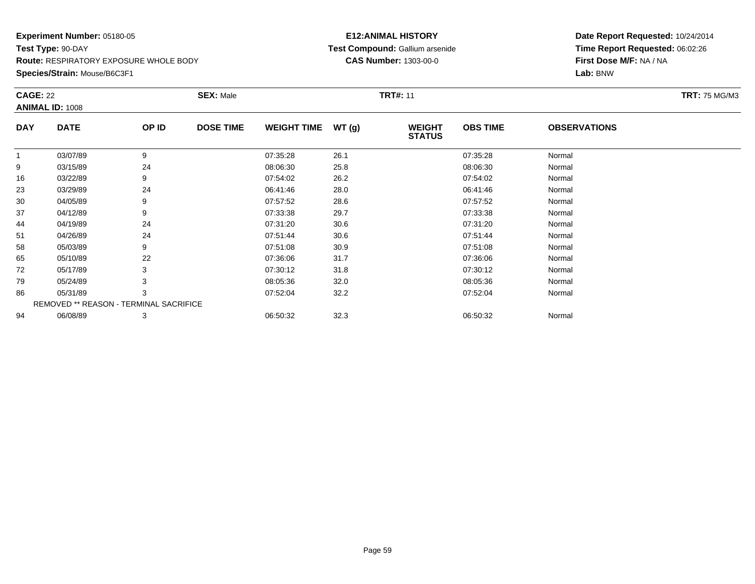**Species/Strain:** Mouse/B6C3F1

### **E12:ANIMAL HISTORY Test Compound:** Gallium arsenide**CAS Number:** 1303-00-0

| <b>CAGE: 22</b> |                                               |       | <b>SEX: Male</b> |                    |       | <b>TRT#: 11</b>                |                 |                     | <b>TRT: 75 MG/M3</b> |
|-----------------|-----------------------------------------------|-------|------------------|--------------------|-------|--------------------------------|-----------------|---------------------|----------------------|
|                 | <b>ANIMAL ID: 1008</b>                        |       |                  |                    |       |                                |                 |                     |                      |
| <b>DAY</b>      | <b>DATE</b>                                   | OP ID | <b>DOSE TIME</b> | <b>WEIGHT TIME</b> | WT(g) | <b>WEIGHT</b><br><b>STATUS</b> | <b>OBS TIME</b> | <b>OBSERVATIONS</b> |                      |
|                 | 03/07/89                                      | 9     |                  | 07:35:28           | 26.1  |                                | 07:35:28        | Normal              |                      |
| 9               | 03/15/89                                      | 24    |                  | 08:06:30           | 25.8  |                                | 08:06:30        | Normal              |                      |
| 16              | 03/22/89                                      | 9     |                  | 07:54:02           | 26.2  |                                | 07:54:02        | Normal              |                      |
| 23              | 03/29/89                                      | 24    |                  | 06:41:46           | 28.0  |                                | 06:41:46        | Normal              |                      |
| 30              | 04/05/89                                      | 9     |                  | 07:57:52           | 28.6  |                                | 07:57:52        | Normal              |                      |
| 37              | 04/12/89                                      | 9     |                  | 07:33:38           | 29.7  |                                | 07:33:38        | Normal              |                      |
| 44              | 04/19/89                                      | 24    |                  | 07:31:20           | 30.6  |                                | 07:31:20        | Normal              |                      |
| 51              | 04/26/89                                      | 24    |                  | 07:51:44           | 30.6  |                                | 07:51:44        | Normal              |                      |
| 58              | 05/03/89                                      | 9     |                  | 07:51:08           | 30.9  |                                | 07:51:08        | Normal              |                      |
| 65              | 05/10/89                                      | 22    |                  | 07:36:06           | 31.7  |                                | 07:36:06        | Normal              |                      |
| 72              | 05/17/89                                      | 3     |                  | 07:30:12           | 31.8  |                                | 07:30:12        | Normal              |                      |
| 79              | 05/24/89                                      |       |                  | 08:05:36           | 32.0  |                                | 08:05:36        | Normal              |                      |
| 86              | 05/31/89                                      | 3     |                  | 07:52:04           | 32.2  |                                | 07:52:04        | Normal              |                      |
|                 | <b>REMOVED ** REASON - TERMINAL SACRIFICE</b> |       |                  |                    |       |                                |                 |                     |                      |
| 94              | 06/08/89                                      | 3     |                  | 06:50:32           | 32.3  |                                | 06:50:32        | Normal              |                      |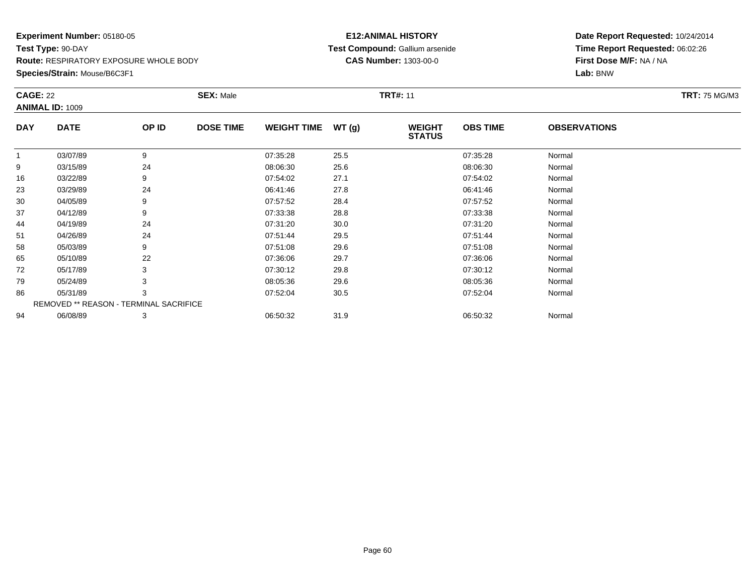**Species/Strain:** Mouse/B6C3F1

### **E12:ANIMAL HISTORY Test Compound:** Gallium arsenide**CAS Number:** 1303-00-0

|             |                                           |                  |                                                                   |       |                                |                 |                     | <b>TRT: 75 MG/M3</b> |
|-------------|-------------------------------------------|------------------|-------------------------------------------------------------------|-------|--------------------------------|-----------------|---------------------|----------------------|
|             |                                           |                  |                                                                   |       |                                |                 |                     |                      |
| <b>DATE</b> | OP ID                                     | <b>DOSE TIME</b> | <b>WEIGHT TIME</b>                                                | WT(g) | <b>WEIGHT</b><br><b>STATUS</b> | <b>OBS TIME</b> | <b>OBSERVATIONS</b> |                      |
| 03/07/89    | 9                                         |                  | 07:35:28                                                          | 25.5  |                                | 07:35:28        | Normal              |                      |
| 03/15/89    | 24                                        |                  | 08:06:30                                                          | 25.6  |                                | 08:06:30        | Normal              |                      |
| 03/22/89    | 9                                         |                  | 07:54:02                                                          | 27.1  |                                | 07:54:02        | Normal              |                      |
| 03/29/89    | 24                                        |                  | 06:41:46                                                          | 27.8  |                                | 06:41:46        | Normal              |                      |
| 04/05/89    | 9                                         |                  | 07:57:52                                                          | 28.4  |                                | 07:57:52        | Normal              |                      |
| 04/12/89    | 9                                         |                  | 07:33:38                                                          | 28.8  |                                | 07:33:38        | Normal              |                      |
| 04/19/89    | 24                                        |                  | 07:31:20                                                          | 30.0  |                                | 07:31:20        | Normal              |                      |
| 04/26/89    | 24                                        |                  | 07:51:44                                                          | 29.5  |                                | 07:51:44        | Normal              |                      |
| 05/03/89    | 9                                         |                  | 07:51:08                                                          | 29.6  |                                | 07:51:08        | Normal              |                      |
| 05/10/89    | 22                                        |                  | 07:36:06                                                          | 29.7  |                                | 07:36:06        | Normal              |                      |
| 05/17/89    | 3                                         |                  | 07:30:12                                                          | 29.8  |                                | 07:30:12        | Normal              |                      |
| 05/24/89    |                                           |                  | 08:05:36                                                          | 29.6  |                                | 08:05:36        | Normal              |                      |
| 05/31/89    | 3                                         |                  | 07:52:04                                                          | 30.5  |                                | 07:52:04        | Normal              |                      |
|             |                                           |                  |                                                                   |       |                                |                 |                     |                      |
| 06/08/89    | 3                                         |                  | 06:50:32                                                          | 31.9  |                                | 06:50:32        | Normal              |                      |
|             | <b>CAGE: 22</b><br><b>ANIMAL ID: 1009</b> |                  | <b>SEX: Male</b><br><b>REMOVED ** REASON - TERMINAL SACRIFICE</b> |       |                                | <b>TRT#: 11</b> |                     |                      |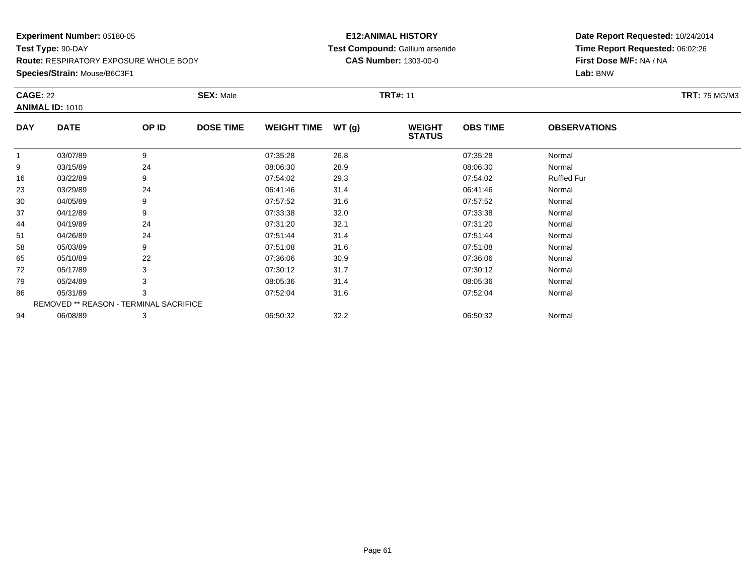**Species/Strain:** Mouse/B6C3F1

### **E12:ANIMAL HISTORY Test Compound:** Gallium arsenide**CAS Number:** 1303-00-0

| <b>CAGE: 22</b> |                                        |       | <b>SEX: Male</b> |                    |       | <b>TRT#: 11</b>                |                 |                     | <b>TRT: 75 MG/M3</b> |
|-----------------|----------------------------------------|-------|------------------|--------------------|-------|--------------------------------|-----------------|---------------------|----------------------|
|                 | <b>ANIMAL ID: 1010</b>                 |       |                  |                    |       |                                |                 |                     |                      |
| <b>DAY</b>      | <b>DATE</b>                            | OP ID | <b>DOSE TIME</b> | <b>WEIGHT TIME</b> | WT(g) | <b>WEIGHT</b><br><b>STATUS</b> | <b>OBS TIME</b> | <b>OBSERVATIONS</b> |                      |
|                 | 03/07/89                               | 9     |                  | 07:35:28           | 26.8  |                                | 07:35:28        | Normal              |                      |
| 9               | 03/15/89                               | 24    |                  | 08:06:30           | 28.9  |                                | 08:06:30        | Normal              |                      |
| 16              | 03/22/89                               | 9     |                  | 07:54:02           | 29.3  |                                | 07:54:02        | <b>Ruffled Fur</b>  |                      |
| 23              | 03/29/89                               | 24    |                  | 06:41:46           | 31.4  |                                | 06:41:46        | Normal              |                      |
| 30              | 04/05/89                               | 9     |                  | 07:57:52           | 31.6  |                                | 07:57:52        | Normal              |                      |
| 37              | 04/12/89                               | 9     |                  | 07:33:38           | 32.0  |                                | 07:33:38        | Normal              |                      |
| 44              | 04/19/89                               | 24    |                  | 07:31:20           | 32.1  |                                | 07:31:20        | Normal              |                      |
| 51              | 04/26/89                               | 24    |                  | 07:51:44           | 31.4  |                                | 07:51:44        | Normal              |                      |
| 58              | 05/03/89                               | 9     |                  | 07:51:08           | 31.6  |                                | 07:51:08        | Normal              |                      |
| 65              | 05/10/89                               | 22    |                  | 07:36:06           | 30.9  |                                | 07:36:06        | Normal              |                      |
| 72              | 05/17/89                               | 3     |                  | 07:30:12           | 31.7  |                                | 07:30:12        | Normal              |                      |
| 79              | 05/24/89                               | 3     |                  | 08:05:36           | 31.4  |                                | 08:05:36        | Normal              |                      |
| 86              | 05/31/89                               | 3     |                  | 07:52:04           | 31.6  |                                | 07:52:04        | Normal              |                      |
|                 | REMOVED ** REASON - TERMINAL SACRIFICE |       |                  |                    |       |                                |                 |                     |                      |
| 94              | 06/08/89                               | 3     |                  | 06:50:32           | 32.2  |                                | 06:50:32        | Normal              |                      |
|                 |                                        |       |                  |                    |       |                                |                 |                     |                      |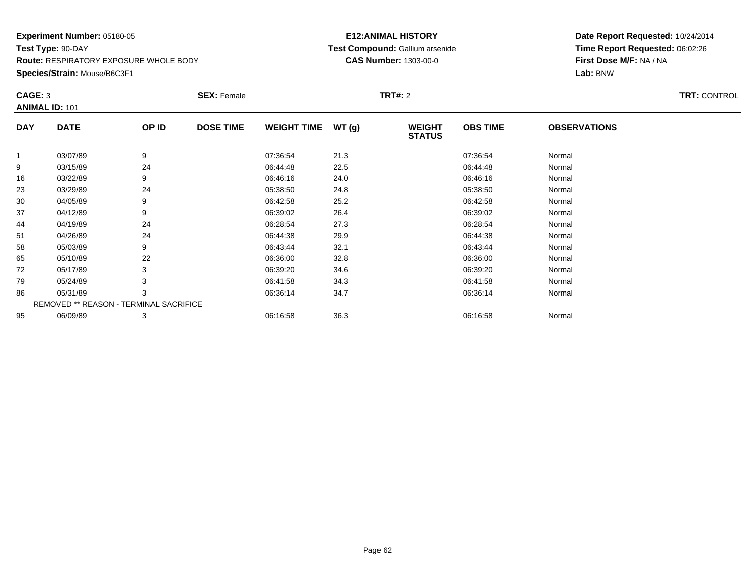#### **Species/Strain:** Mouse/B6C3F1

### **E12:ANIMAL HISTORY Test Compound:** Gallium arsenide**CAS Number:** 1303-00-0

| CAGE: 3    | <b>ANIMAL ID: 101</b>                         |       | <b>SEX: Female</b> |                    |       | <b>TRT#:</b> 2                 |                 |                     | <b>TRT: CONTROL</b> |
|------------|-----------------------------------------------|-------|--------------------|--------------------|-------|--------------------------------|-----------------|---------------------|---------------------|
| <b>DAY</b> | <b>DATE</b>                                   | OP ID | <b>DOSE TIME</b>   | <b>WEIGHT TIME</b> | WT(g) | <b>WEIGHT</b><br><b>STATUS</b> | <b>OBS TIME</b> | <b>OBSERVATIONS</b> |                     |
|            | 03/07/89                                      | 9     |                    | 07:36:54           | 21.3  |                                | 07:36:54        | Normal              |                     |
| 9          | 03/15/89                                      | 24    |                    | 06:44:48           | 22.5  |                                | 06:44:48        | Normal              |                     |
| 16         | 03/22/89                                      |       |                    | 06:46:16           | 24.0  |                                | 06:46:16        | Normal              |                     |
| 23         | 03/29/89                                      | 24    |                    | 05:38:50           | 24.8  |                                | 05:38:50        | Normal              |                     |
| 30         | 04/05/89                                      | 9     |                    | 06:42:58           | 25.2  |                                | 06:42:58        | Normal              |                     |
| 37         | 04/12/89                                      |       |                    | 06:39:02           | 26.4  |                                | 06:39:02        | Normal              |                     |
| 44         | 04/19/89                                      | 24    |                    | 06:28:54           | 27.3  |                                | 06:28:54        | Normal              |                     |
| 51         | 04/26/89                                      | 24    |                    | 06:44:38           | 29.9  |                                | 06:44:38        | Normal              |                     |
| 58         | 05/03/89                                      | 9     |                    | 06:43:44           | 32.1  |                                | 06:43:44        | Normal              |                     |
| 65         | 05/10/89                                      | 22    |                    | 06:36:00           | 32.8  |                                | 06:36:00        | Normal              |                     |
| 72         | 05/17/89                                      |       |                    | 06:39:20           | 34.6  |                                | 06:39:20        | Normal              |                     |
| 79         | 05/24/89                                      |       |                    | 06:41:58           | 34.3  |                                | 06:41:58        | Normal              |                     |
| 86         | 05/31/89                                      | 3     |                    | 06:36:14           | 34.7  |                                | 06:36:14        | Normal              |                     |
|            | <b>REMOVED ** REASON - TERMINAL SACRIFICE</b> |       |                    |                    |       |                                |                 |                     |                     |
| 95         | 06/09/89                                      | 3     |                    | 06:16:58           | 36.3  |                                | 06:16:58        | Normal              |                     |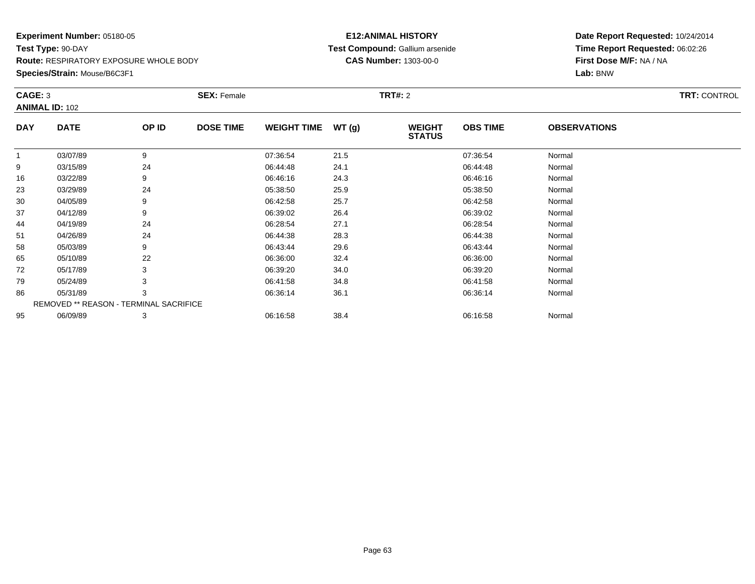#### **Species/Strain:** Mouse/B6C3F1

### **E12:ANIMAL HISTORY Test Compound:** Gallium arsenide**CAS Number:** 1303-00-0

| CAGE: 3    | <b>ANIMAL ID: 102</b>                         |       | <b>SEX: Female</b> |                    |       | <b>TRT#:</b> 2                 |                 |                     | <b>TRT: CONTROL</b> |
|------------|-----------------------------------------------|-------|--------------------|--------------------|-------|--------------------------------|-----------------|---------------------|---------------------|
| <b>DAY</b> | <b>DATE</b>                                   | OP ID | <b>DOSE TIME</b>   | <b>WEIGHT TIME</b> | WT(g) | <b>WEIGHT</b><br><b>STATUS</b> | <b>OBS TIME</b> | <b>OBSERVATIONS</b> |                     |
|            | 03/07/89                                      | 9     |                    | 07:36:54           | 21.5  |                                | 07:36:54        | Normal              |                     |
| 9          | 03/15/89                                      | 24    |                    | 06:44:48           | 24.1  |                                | 06:44:48        | Normal              |                     |
| 16         | 03/22/89                                      |       |                    | 06:46:16           | 24.3  |                                | 06:46:16        | Normal              |                     |
| 23         | 03/29/89                                      | 24    |                    | 05:38:50           | 25.9  |                                | 05:38:50        | Normal              |                     |
| 30         | 04/05/89                                      | 9     |                    | 06:42:58           | 25.7  |                                | 06:42:58        | Normal              |                     |
| 37         | 04/12/89                                      |       |                    | 06:39:02           | 26.4  |                                | 06:39:02        | Normal              |                     |
| 44         | 04/19/89                                      | 24    |                    | 06:28:54           | 27.1  |                                | 06:28:54        | Normal              |                     |
| 51         | 04/26/89                                      | 24    |                    | 06:44:38           | 28.3  |                                | 06:44:38        | Normal              |                     |
| 58         | 05/03/89                                      | 9     |                    | 06:43:44           | 29.6  |                                | 06:43:44        | Normal              |                     |
| 65         | 05/10/89                                      | 22    |                    | 06:36:00           | 32.4  |                                | 06:36:00        | Normal              |                     |
| 72         | 05/17/89                                      |       |                    | 06:39:20           | 34.0  |                                | 06:39:20        | Normal              |                     |
| 79         | 05/24/89                                      |       |                    | 06:41:58           | 34.8  |                                | 06:41:58        | Normal              |                     |
| 86         | 05/31/89                                      | 3     |                    | 06:36:14           | 36.1  |                                | 06:36:14        | Normal              |                     |
|            | <b>REMOVED ** REASON - TERMINAL SACRIFICE</b> |       |                    |                    |       |                                |                 |                     |                     |
| 95         | 06/09/89                                      | 3     |                    | 06:16:58           | 38.4  |                                | 06:16:58        | Normal              |                     |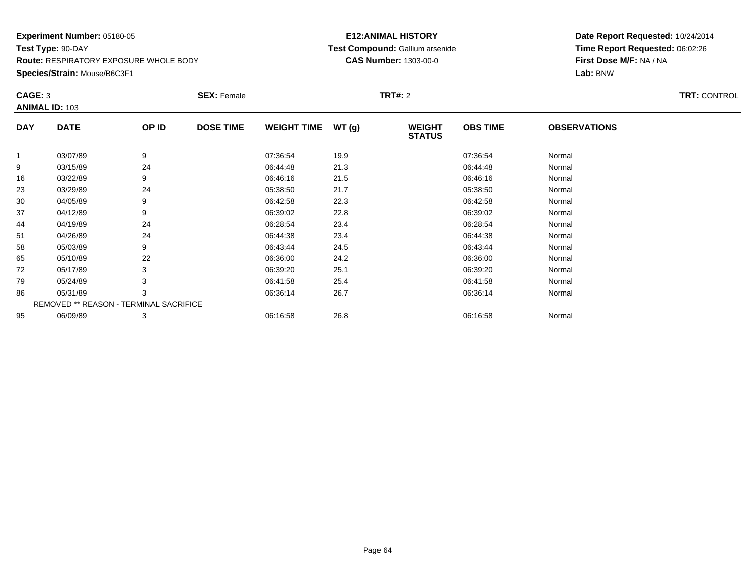#### **Species/Strain:** Mouse/B6C3F1

### **E12:ANIMAL HISTORY Test Compound:** Gallium arsenide**CAS Number:** 1303-00-0

| CAGE: 3    | <b>ANIMAL ID: 103</b>                  |       | <b>SEX: Female</b> |                    |       | <b>TRT#:</b> 2                 |                 |                     | <b>TRT: CONTROL</b> |
|------------|----------------------------------------|-------|--------------------|--------------------|-------|--------------------------------|-----------------|---------------------|---------------------|
| <b>DAY</b> | <b>DATE</b>                            | OP ID | <b>DOSE TIME</b>   | <b>WEIGHT TIME</b> | WT(g) | <b>WEIGHT</b><br><b>STATUS</b> | <b>OBS TIME</b> | <b>OBSERVATIONS</b> |                     |
|            | 03/07/89                               | 9     |                    | 07:36:54           | 19.9  |                                | 07:36:54        | Normal              |                     |
| 9          | 03/15/89                               | 24    |                    | 06:44:48           | 21.3  |                                | 06:44:48        | Normal              |                     |
| 16         | 03/22/89                               |       |                    | 06:46:16           | 21.5  |                                | 06:46:16        | Normal              |                     |
| 23         | 03/29/89                               | 24    |                    | 05:38:50           | 21.7  |                                | 05:38:50        | Normal              |                     |
| 30         | 04/05/89                               | 9     |                    | 06:42:58           | 22.3  |                                | 06:42:58        | Normal              |                     |
| 37         | 04/12/89                               | 9     |                    | 06:39:02           | 22.8  |                                | 06:39:02        | Normal              |                     |
| 44         | 04/19/89                               | 24    |                    | 06:28:54           | 23.4  |                                | 06:28:54        | Normal              |                     |
| 51         | 04/26/89                               | 24    |                    | 06:44:38           | 23.4  |                                | 06:44:38        | Normal              |                     |
| 58         | 05/03/89                               | 9     |                    | 06:43:44           | 24.5  |                                | 06:43:44        | Normal              |                     |
| 65         | 05/10/89                               | 22    |                    | 06:36:00           | 24.2  |                                | 06:36:00        | Normal              |                     |
| 72         | 05/17/89                               |       |                    | 06:39:20           | 25.1  |                                | 06:39:20        | Normal              |                     |
| 79         | 05/24/89                               |       |                    | 06:41:58           | 25.4  |                                | 06:41:58        | Normal              |                     |
| 86         | 05/31/89                               | 3     |                    | 06:36:14           | 26.7  |                                | 06:36:14        | Normal              |                     |
|            | REMOVED ** REASON - TERMINAL SACRIFICE |       |                    |                    |       |                                |                 |                     |                     |
| 95         | 06/09/89                               | 3     |                    | 06:16:58           | 26.8  |                                | 06:16:58        | Normal              |                     |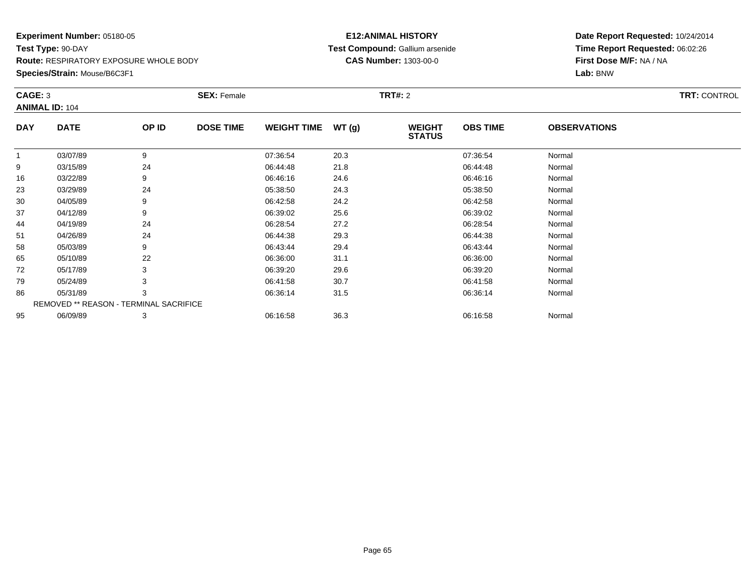#### **Species/Strain:** Mouse/B6C3F1

### **E12:ANIMAL HISTORY Test Compound:** Gallium arsenide**CAS Number:** 1303-00-0

| CAGE: 3    |                                        |       | <b>SEX: Female</b> |                    |       | <b>TRT#:</b> 2                 |                 |                     | <b>TRT: CONTROL</b> |
|------------|----------------------------------------|-------|--------------------|--------------------|-------|--------------------------------|-----------------|---------------------|---------------------|
|            | <b>ANIMAL ID: 104</b>                  |       |                    |                    |       |                                |                 |                     |                     |
| <b>DAY</b> | <b>DATE</b>                            | OP ID | <b>DOSE TIME</b>   | <b>WEIGHT TIME</b> | WT(g) | <b>WEIGHT</b><br><b>STATUS</b> | <b>OBS TIME</b> | <b>OBSERVATIONS</b> |                     |
| 1          | 03/07/89                               | 9     |                    | 07:36:54           | 20.3  |                                | 07:36:54        | Normal              |                     |
| 9          | 03/15/89                               | 24    |                    | 06:44:48           | 21.8  |                                | 06:44:48        | Normal              |                     |
| 16         | 03/22/89                               | 9     |                    | 06:46:16           | 24.6  |                                | 06:46:16        | Normal              |                     |
| 23         | 03/29/89                               | 24    |                    | 05:38:50           | 24.3  |                                | 05:38:50        | Normal              |                     |
| 30         | 04/05/89                               | 9     |                    | 06:42:58           | 24.2  |                                | 06:42:58        | Normal              |                     |
| 37         | 04/12/89                               | 9     |                    | 06:39:02           | 25.6  |                                | 06:39:02        | Normal              |                     |
| 44         | 04/19/89                               | 24    |                    | 06:28:54           | 27.2  |                                | 06:28:54        | Normal              |                     |
| 51         | 04/26/89                               | 24    |                    | 06:44:38           | 29.3  |                                | 06:44:38        | Normal              |                     |
| 58         | 05/03/89                               | 9     |                    | 06:43:44           | 29.4  |                                | 06:43:44        | Normal              |                     |
| 65         | 05/10/89                               | 22    |                    | 06:36:00           | 31.1  |                                | 06:36:00        | Normal              |                     |
| 72         | 05/17/89                               |       |                    | 06:39:20           | 29.6  |                                | 06:39:20        | Normal              |                     |
| 79         | 05/24/89                               |       |                    | 06:41:58           | 30.7  |                                | 06:41:58        | Normal              |                     |
| 86         | 05/31/89                               | 3     |                    | 06:36:14           | 31.5  |                                | 06:36:14        | Normal              |                     |
|            | REMOVED ** REASON - TERMINAL SACRIFICE |       |                    |                    |       |                                |                 |                     |                     |
| 95         | 06/09/89                               | 3     |                    | 06:16:58           | 36.3  |                                | 06:16:58        | Normal              |                     |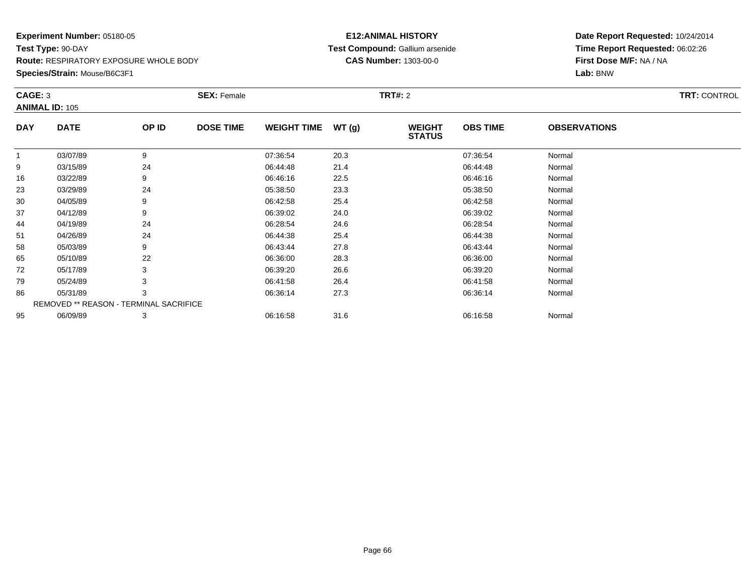#### **Species/Strain:** Mouse/B6C3F1

### **E12:ANIMAL HISTORY Test Compound:** Gallium arsenide**CAS Number:** 1303-00-0

| CAGE: 3    | <b>ANIMAL ID: 105</b>                         |       | <b>SEX: Female</b> |                    |       | <b>TRT#:</b> 2                 |                 |                     | <b>TRT: CONTROL</b> |
|------------|-----------------------------------------------|-------|--------------------|--------------------|-------|--------------------------------|-----------------|---------------------|---------------------|
| <b>DAY</b> | <b>DATE</b>                                   | OP ID | <b>DOSE TIME</b>   | <b>WEIGHT TIME</b> | WT(g) | <b>WEIGHT</b><br><b>STATUS</b> | <b>OBS TIME</b> | <b>OBSERVATIONS</b> |                     |
|            | 03/07/89                                      | 9     |                    | 07:36:54           | 20.3  |                                | 07:36:54        | Normal              |                     |
| 9          | 03/15/89                                      | 24    |                    | 06:44:48           | 21.4  |                                | 06:44:48        | Normal              |                     |
| 16         | 03/22/89                                      |       |                    | 06:46:16           | 22.5  |                                | 06:46:16        | Normal              |                     |
| 23         | 03/29/89                                      | 24    |                    | 05:38:50           | 23.3  |                                | 05:38:50        | Normal              |                     |
| 30         | 04/05/89                                      | 9     |                    | 06:42:58           | 25.4  |                                | 06:42:58        | Normal              |                     |
| 37         | 04/12/89                                      |       |                    | 06:39:02           | 24.0  |                                | 06:39:02        | Normal              |                     |
| 44         | 04/19/89                                      | 24    |                    | 06:28:54           | 24.6  |                                | 06:28:54        | Normal              |                     |
| 51         | 04/26/89                                      | 24    |                    | 06:44:38           | 25.4  |                                | 06:44:38        | Normal              |                     |
| 58         | 05/03/89                                      | 9     |                    | 06:43:44           | 27.8  |                                | 06:43:44        | Normal              |                     |
| 65         | 05/10/89                                      | 22    |                    | 06:36:00           | 28.3  |                                | 06:36:00        | Normal              |                     |
| 72         | 05/17/89                                      |       |                    | 06:39:20           | 26.6  |                                | 06:39:20        | Normal              |                     |
| 79         | 05/24/89                                      |       |                    | 06:41:58           | 26.4  |                                | 06:41:58        | Normal              |                     |
| 86         | 05/31/89                                      | 3     |                    | 06:36:14           | 27.3  |                                | 06:36:14        | Normal              |                     |
|            | <b>REMOVED ** REASON - TERMINAL SACRIFICE</b> |       |                    |                    |       |                                |                 |                     |                     |
| 95         | 06/09/89                                      | 3     |                    | 06:16:58           | 31.6  |                                | 06:16:58        | Normal              |                     |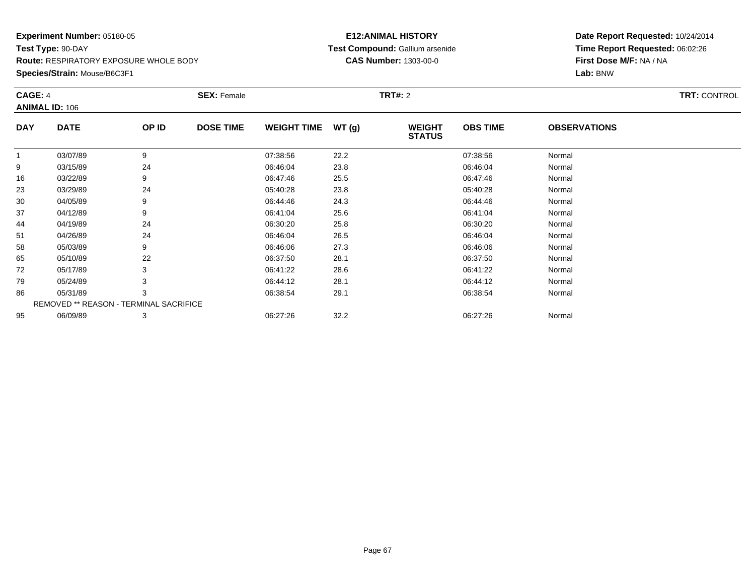#### **Species/Strain:** Mouse/B6C3F1

### **E12:ANIMAL HISTORY Test Compound:** Gallium arsenide**CAS Number:** 1303-00-0

| CAGE: 4    | <b>ANIMAL ID: 106</b>                         |       | <b>SEX: Female</b> |                    |       | <b>TRT#:</b> 2                 |                 |                     | <b>TRT: CONTROL</b> |
|------------|-----------------------------------------------|-------|--------------------|--------------------|-------|--------------------------------|-----------------|---------------------|---------------------|
| <b>DAY</b> | <b>DATE</b>                                   | OP ID | <b>DOSE TIME</b>   | <b>WEIGHT TIME</b> | WT(g) | <b>WEIGHT</b><br><b>STATUS</b> | <b>OBS TIME</b> | <b>OBSERVATIONS</b> |                     |
|            | 03/07/89                                      | 9     |                    | 07:38:56           | 22.2  |                                | 07:38:56        | Normal              |                     |
| 9          | 03/15/89                                      | 24    |                    | 06:46:04           | 23.8  |                                | 06:46:04        | Normal              |                     |
| 16         | 03/22/89                                      |       |                    | 06:47:46           | 25.5  |                                | 06:47:46        | Normal              |                     |
| 23         | 03/29/89                                      | 24    |                    | 05:40:28           | 23.8  |                                | 05:40:28        | Normal              |                     |
| 30         | 04/05/89                                      | 9     |                    | 06:44:46           | 24.3  |                                | 06:44:46        | Normal              |                     |
| 37         | 04/12/89                                      |       |                    | 06:41:04           | 25.6  |                                | 06:41:04        | Normal              |                     |
| 44         | 04/19/89                                      | 24    |                    | 06:30:20           | 25.8  |                                | 06:30:20        | Normal              |                     |
| 51         | 04/26/89                                      | 24    |                    | 06:46:04           | 26.5  |                                | 06:46:04        | Normal              |                     |
| 58         | 05/03/89                                      | 9     |                    | 06:46:06           | 27.3  |                                | 06:46:06        | Normal              |                     |
| 65         | 05/10/89                                      | 22    |                    | 06:37:50           | 28.1  |                                | 06:37:50        | Normal              |                     |
| 72         | 05/17/89                                      |       |                    | 06:41:22           | 28.6  |                                | 06:41:22        | Normal              |                     |
| 79         | 05/24/89                                      |       |                    | 06:44:12           | 28.1  |                                | 06:44:12        | Normal              |                     |
| 86         | 05/31/89                                      | 3     |                    | 06:38:54           | 29.1  |                                | 06:38:54        | Normal              |                     |
|            | <b>REMOVED ** REASON - TERMINAL SACRIFICE</b> |       |                    |                    |       |                                |                 |                     |                     |
| 95         | 06/09/89                                      | 3     |                    | 06:27:26           | 32.2  |                                | 06:27:26        | Normal              |                     |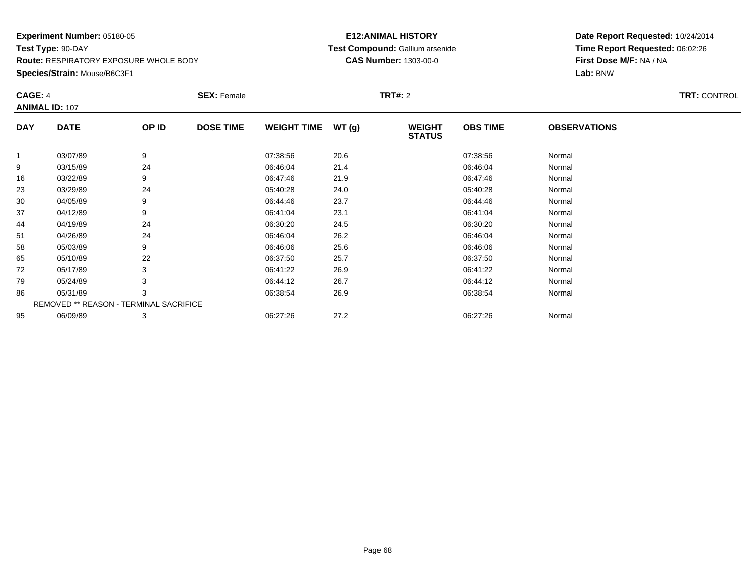#### **Species/Strain:** Mouse/B6C3F1

### **E12:ANIMAL HISTORY Test Compound:** Gallium arsenide**CAS Number:** 1303-00-0

| CAGE: 4    |                                        |       | <b>SEX: Female</b> |                    |       | <b>TRT#:</b> 2                 |                 |                     | <b>TRT: CONTROL</b> |
|------------|----------------------------------------|-------|--------------------|--------------------|-------|--------------------------------|-----------------|---------------------|---------------------|
|            | <b>ANIMAL ID: 107</b>                  |       |                    |                    |       |                                |                 |                     |                     |
| <b>DAY</b> | <b>DATE</b>                            | OP ID | <b>DOSE TIME</b>   | <b>WEIGHT TIME</b> | WT(g) | <b>WEIGHT</b><br><b>STATUS</b> | <b>OBS TIME</b> | <b>OBSERVATIONS</b> |                     |
|            | 03/07/89                               | 9     |                    | 07:38:56           | 20.6  |                                | 07:38:56        | Normal              |                     |
| 9          | 03/15/89                               | 24    |                    | 06:46:04           | 21.4  |                                | 06:46:04        | Normal              |                     |
| 16         | 03/22/89                               |       |                    | 06:47:46           | 21.9  |                                | 06:47:46        | Normal              |                     |
| 23         | 03/29/89                               | 24    |                    | 05:40:28           | 24.0  |                                | 05:40:28        | Normal              |                     |
| 30         | 04/05/89                               | 9     |                    | 06:44:46           | 23.7  |                                | 06:44:46        | Normal              |                     |
| 37         | 04/12/89                               |       |                    | 06:41:04           | 23.1  |                                | 06:41:04        | Normal              |                     |
| 44         | 04/19/89                               | 24    |                    | 06:30:20           | 24.5  |                                | 06:30:20        | Normal              |                     |
| 51         | 04/26/89                               | 24    |                    | 06:46:04           | 26.2  |                                | 06:46:04        | Normal              |                     |
| 58         | 05/03/89                               | 9     |                    | 06:46:06           | 25.6  |                                | 06:46:06        | Normal              |                     |
| 65         | 05/10/89                               | 22    |                    | 06:37:50           | 25.7  |                                | 06:37:50        | Normal              |                     |
| 72         | 05/17/89                               |       |                    | 06:41:22           | 26.9  |                                | 06:41:22        | Normal              |                     |
| 79         | 05/24/89                               |       |                    | 06:44:12           | 26.7  |                                | 06:44:12        | Normal              |                     |
| 86         | 05/31/89                               | 3     |                    | 06:38:54           | 26.9  |                                | 06:38:54        | Normal              |                     |
|            | REMOVED ** REASON - TERMINAL SACRIFICE |       |                    |                    |       |                                |                 |                     |                     |
| 95         | 06/09/89                               | 3     |                    | 06:27:26           | 27.2  |                                | 06:27:26        | Normal              |                     |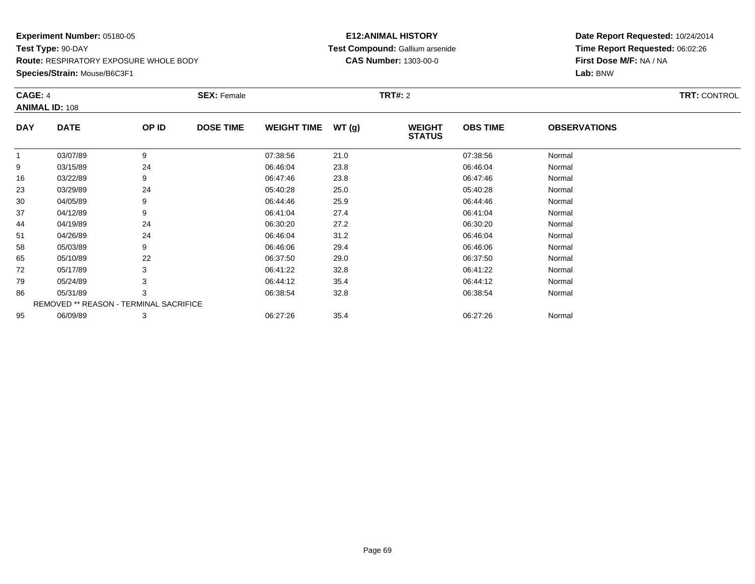**Species/Strain:** Mouse/B6C3F1

### **E12:ANIMAL HISTORY Test Compound:** Gallium arsenide**CAS Number:** 1303-00-0

| CAGE: 4      |                                        |       | <b>SEX: Female</b> |                    |       | <b>TRT#: 2</b>                 |                 |                     | <b>TRT: CONTROL</b> |
|--------------|----------------------------------------|-------|--------------------|--------------------|-------|--------------------------------|-----------------|---------------------|---------------------|
|              | <b>ANIMAL ID: 108</b>                  |       |                    |                    |       |                                |                 |                     |                     |
| <b>DAY</b>   | <b>DATE</b>                            | OP ID | <b>DOSE TIME</b>   | <b>WEIGHT TIME</b> | WT(g) | <b>WEIGHT</b><br><b>STATUS</b> | <b>OBS TIME</b> | <b>OBSERVATIONS</b> |                     |
| $\mathbf{1}$ | 03/07/89                               | 9     |                    | 07:38:56           | 21.0  |                                | 07:38:56        | Normal              |                     |
| 9            | 03/15/89                               | 24    |                    | 06:46:04           | 23.8  |                                | 06:46:04        | Normal              |                     |
| 16           | 03/22/89                               | 9     |                    | 06:47:46           | 23.8  |                                | 06:47:46        | Normal              |                     |
| 23           | 03/29/89                               | 24    |                    | 05:40:28           | 25.0  |                                | 05:40:28        | Normal              |                     |
| 30           | 04/05/89                               | 9     |                    | 06:44:46           | 25.9  |                                | 06:44:46        | Normal              |                     |
| 37           | 04/12/89                               | 9     |                    | 06:41:04           | 27.4  |                                | 06:41:04        | Normal              |                     |
| 44           | 04/19/89                               | 24    |                    | 06:30:20           | 27.2  |                                | 06:30:20        | Normal              |                     |
| 51           | 04/26/89                               | 24    |                    | 06:46:04           | 31.2  |                                | 06:46:04        | Normal              |                     |
| 58           | 05/03/89                               | 9     |                    | 06:46:06           | 29.4  |                                | 06:46:06        | Normal              |                     |
| 65           | 05/10/89                               | 22    |                    | 06:37:50           | 29.0  |                                | 06:37:50        | Normal              |                     |
| 72           | 05/17/89                               |       |                    | 06:41:22           | 32.8  |                                | 06:41:22        | Normal              |                     |
| 79           | 05/24/89                               |       |                    | 06:44:12           | 35.4  |                                | 06:44:12        | Normal              |                     |
| 86           | 05/31/89                               | 3     |                    | 06:38:54           | 32.8  |                                | 06:38:54        | Normal              |                     |
|              | REMOVED ** REASON - TERMINAL SACRIFICE |       |                    |                    |       |                                |                 |                     |                     |
| 95           | 06/09/89                               | 3     |                    | 06:27:26           | 35.4  |                                | 06:27:26        | Normal              |                     |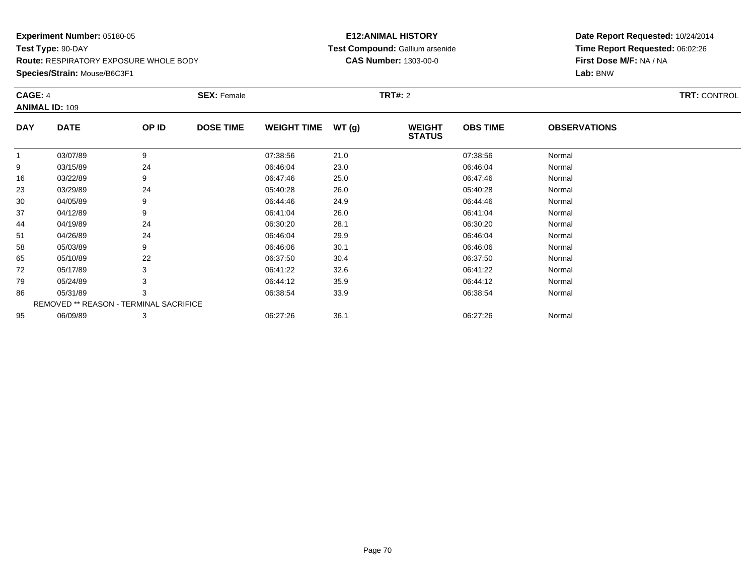#### **Species/Strain:** Mouse/B6C3F1

### **E12:ANIMAL HISTORY Test Compound:** Gallium arsenide**CAS Number:** 1303-00-0

| CAGE: 4        | <b>ANIMAL ID: 109</b>                  |       | <b>SEX: Female</b> |                    |       | <b>TRT#: 2</b>                 |                 |                     | <b>TRT: CONTROL</b> |
|----------------|----------------------------------------|-------|--------------------|--------------------|-------|--------------------------------|-----------------|---------------------|---------------------|
| <b>DAY</b>     | <b>DATE</b>                            | OP ID | <b>DOSE TIME</b>   | <b>WEIGHT TIME</b> | WT(g) | <b>WEIGHT</b><br><b>STATUS</b> | <b>OBS TIME</b> | <b>OBSERVATIONS</b> |                     |
| $\overline{1}$ | 03/07/89                               | 9     |                    | 07:38:56           | 21.0  |                                | 07:38:56        | Normal              |                     |
| 9              | 03/15/89                               | 24    |                    | 06:46:04           | 23.0  |                                | 06:46:04        | Normal              |                     |
| 16             | 03/22/89                               | 9     |                    | 06:47:46           | 25.0  |                                | 06:47:46        | Normal              |                     |
| 23             | 03/29/89                               | 24    |                    | 05:40:28           | 26.0  |                                | 05:40:28        | Normal              |                     |
| 30             | 04/05/89                               | 9     |                    | 06:44:46           | 24.9  |                                | 06:44:46        | Normal              |                     |
| 37             | 04/12/89                               | 9     |                    | 06:41:04           | 26.0  |                                | 06:41:04        | Normal              |                     |
| 44             | 04/19/89                               | 24    |                    | 06:30:20           | 28.1  |                                | 06:30:20        | Normal              |                     |
| 51             | 04/26/89                               | 24    |                    | 06:46:04           | 29.9  |                                | 06:46:04        | Normal              |                     |
| 58             | 05/03/89                               | 9     |                    | 06:46:06           | 30.1  |                                | 06:46:06        | Normal              |                     |
| 65             | 05/10/89                               | 22    |                    | 06:37:50           | 30.4  |                                | 06:37:50        | Normal              |                     |
| 72             | 05/17/89                               | 3     |                    | 06:41:22           | 32.6  |                                | 06:41:22        | Normal              |                     |
| 79             | 05/24/89                               | 3     |                    | 06:44:12           | 35.9  |                                | 06:44:12        | Normal              |                     |
| 86             | 05/31/89                               | 3     |                    | 06:38:54           | 33.9  |                                | 06:38:54        | Normal              |                     |
|                | REMOVED ** REASON - TERMINAL SACRIFICE |       |                    |                    |       |                                |                 |                     |                     |
| 95             | 06/09/89                               | 3     |                    | 06:27:26           | 36.1  |                                | 06:27:26        | Normal              |                     |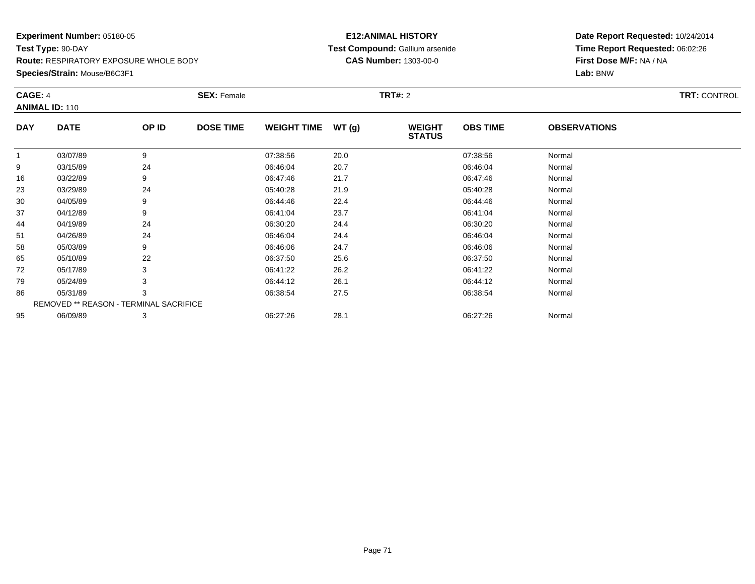### **Species/Strain:** Mouse/B6C3F1

### **E12:ANIMAL HISTORY Test Compound:** Gallium arsenide**CAS Number:** 1303-00-0

| CAGE: 4    | <b>ANIMAL ID: 110</b>                  |       | <b>SEX: Female</b> |                    |       | <b>TRT#:</b> 2                 |                 |                     | <b>TRT: CONTROL</b> |
|------------|----------------------------------------|-------|--------------------|--------------------|-------|--------------------------------|-----------------|---------------------|---------------------|
| <b>DAY</b> | <b>DATE</b>                            | OP ID | <b>DOSE TIME</b>   | <b>WEIGHT TIME</b> | WT(g) | <b>WEIGHT</b><br><b>STATUS</b> | <b>OBS TIME</b> | <b>OBSERVATIONS</b> |                     |
| 1          | 03/07/89                               | 9     |                    | 07:38:56           | 20.0  |                                | 07:38:56        | Normal              |                     |
| 9          | 03/15/89                               | 24    |                    | 06:46:04           | 20.7  |                                | 06:46:04        | Normal              |                     |
| 16         | 03/22/89                               | 9     |                    | 06:47:46           | 21.7  |                                | 06:47:46        | Normal              |                     |
| 23         | 03/29/89                               | 24    |                    | 05:40:28           | 21.9  |                                | 05:40:28        | Normal              |                     |
| 30         | 04/05/89                               | 9     |                    | 06:44:46           | 22.4  |                                | 06:44:46        | Normal              |                     |
| 37         | 04/12/89                               | 9     |                    | 06:41:04           | 23.7  |                                | 06:41:04        | Normal              |                     |
| 44         | 04/19/89                               | 24    |                    | 06:30:20           | 24.4  |                                | 06:30:20        | Normal              |                     |
| 51         | 04/26/89                               | 24    |                    | 06:46:04           | 24.4  |                                | 06:46:04        | Normal              |                     |
| 58         | 05/03/89                               | 9     |                    | 06:46:06           | 24.7  |                                | 06:46:06        | Normal              |                     |
| 65         | 05/10/89                               | 22    |                    | 06:37:50           | 25.6  |                                | 06:37:50        | Normal              |                     |
| 72         | 05/17/89                               | 3     |                    | 06:41:22           | 26.2  |                                | 06:41:22        | Normal              |                     |
| 79         | 05/24/89                               |       |                    | 06:44:12           | 26.1  |                                | 06:44:12        | Normal              |                     |
| 86         | 05/31/89                               | 3     |                    | 06:38:54           | 27.5  |                                | 06:38:54        | Normal              |                     |
|            | REMOVED ** REASON - TERMINAL SACRIFICE |       |                    |                    |       |                                |                 |                     |                     |
| 95         | 06/09/89                               | 3     |                    | 06:27:26           | 28.1  |                                | 06:27:26        | Normal              |                     |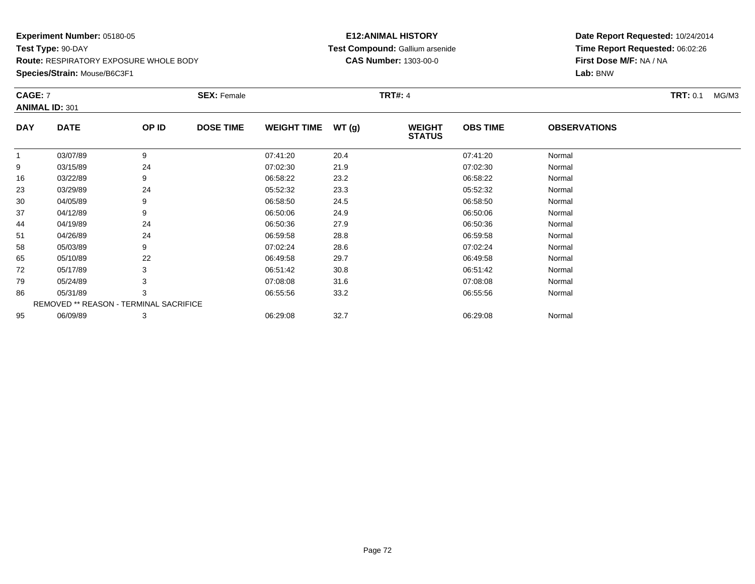#### **Species/Strain:** Mouse/B6C3F1

### **E12:ANIMAL HISTORY Test Compound:** Gallium arsenide**CAS Number:** 1303-00-0

| CAGE: 7    | <b>ANIMAL ID: 301</b>                  |       | <b>SEX: Female</b> |                    |       | <b>TRT#: 4</b>                 |                 |                     | <b>TRT: 0.1</b><br>MG/M3 |
|------------|----------------------------------------|-------|--------------------|--------------------|-------|--------------------------------|-----------------|---------------------|--------------------------|
| <b>DAY</b> | <b>DATE</b>                            | OP ID | <b>DOSE TIME</b>   | <b>WEIGHT TIME</b> | WT(g) | <b>WEIGHT</b><br><b>STATUS</b> | <b>OBS TIME</b> | <b>OBSERVATIONS</b> |                          |
| -1         | 03/07/89                               | 9     |                    | 07:41:20           | 20.4  |                                | 07:41:20        | Normal              |                          |
| 9          | 03/15/89                               | 24    |                    | 07:02:30           | 21.9  |                                | 07:02:30        | Normal              |                          |
| 16         | 03/22/89                               | 9     |                    | 06:58:22           | 23.2  |                                | 06:58:22        | Normal              |                          |
| 23         | 03/29/89                               | 24    |                    | 05:52:32           | 23.3  |                                | 05:52:32        | Normal              |                          |
| 30         | 04/05/89                               | 9     |                    | 06:58:50           | 24.5  |                                | 06:58:50        | Normal              |                          |
| 37         | 04/12/89                               | 9     |                    | 06:50:06           | 24.9  |                                | 06:50:06        | Normal              |                          |
| 44         | 04/19/89                               | 24    |                    | 06:50:36           | 27.9  |                                | 06:50:36        | Normal              |                          |
| 51         | 04/26/89                               | 24    |                    | 06:59:58           | 28.8  |                                | 06:59:58        | Normal              |                          |
| 58         | 05/03/89                               | 9     |                    | 07:02:24           | 28.6  |                                | 07:02:24        | Normal              |                          |
| 65         | 05/10/89                               | 22    |                    | 06:49:58           | 29.7  |                                | 06:49:58        | Normal              |                          |
| 72         | 05/17/89                               | 3     |                    | 06:51:42           | 30.8  |                                | 06:51:42        | Normal              |                          |
| 79         | 05/24/89                               | 3     |                    | 07:08:08           | 31.6  |                                | 07:08:08        | Normal              |                          |
| 86         | 05/31/89                               | 3     |                    | 06:55:56           | 33.2  |                                | 06:55:56        | Normal              |                          |
|            | REMOVED ** REASON - TERMINAL SACRIFICE |       |                    |                    |       |                                |                 |                     |                          |
| 95         | 06/09/89                               | 3     |                    | 06:29:08           | 32.7  |                                | 06:29:08        | Normal              |                          |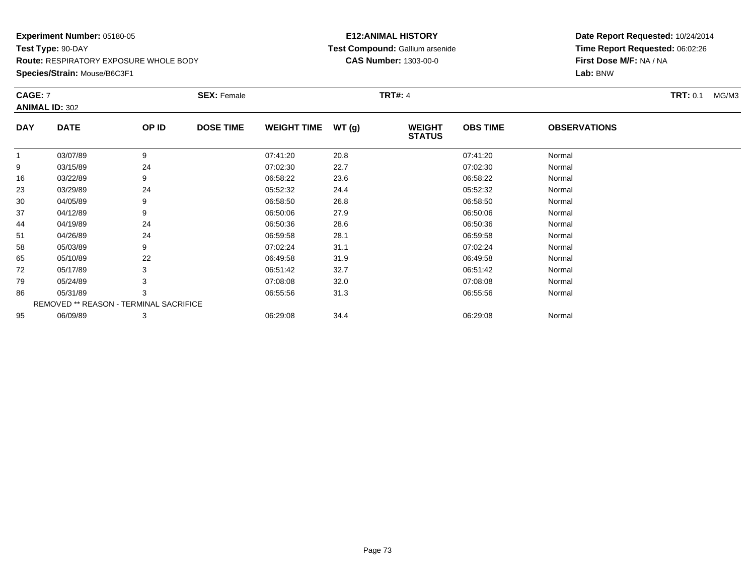**Species/Strain:** Mouse/B6C3F1

#### **E12:ANIMAL HISTORY Test Compound:** Gallium arsenide**CAS Number:** 1303-00-0

| CAGE: 7      |                                        |       | <b>SEX: Female</b> |                    |       | <b>TRT#: 4</b>                 |                 |                     | <b>TRT: 0.1</b><br>MG/M3 |
|--------------|----------------------------------------|-------|--------------------|--------------------|-------|--------------------------------|-----------------|---------------------|--------------------------|
|              | <b>ANIMAL ID: 302</b>                  |       |                    |                    |       |                                |                 |                     |                          |
| <b>DAY</b>   | <b>DATE</b>                            | OP ID | <b>DOSE TIME</b>   | <b>WEIGHT TIME</b> | WT(g) | <b>WEIGHT</b><br><b>STATUS</b> | <b>OBS TIME</b> | <b>OBSERVATIONS</b> |                          |
| $\mathbf{1}$ | 03/07/89                               | 9     |                    | 07:41:20           | 20.8  |                                | 07:41:20        | Normal              |                          |
| 9            | 03/15/89                               | 24    |                    | 07:02:30           | 22.7  |                                | 07:02:30        | Normal              |                          |
| 16           | 03/22/89                               | 9     |                    | 06:58:22           | 23.6  |                                | 06:58:22        | Normal              |                          |
| 23           | 03/29/89                               | 24    |                    | 05:52:32           | 24.4  |                                | 05:52:32        | Normal              |                          |
| 30           | 04/05/89                               | 9     |                    | 06:58:50           | 26.8  |                                | 06:58:50        | Normal              |                          |
| 37           | 04/12/89                               | 9     |                    | 06:50:06           | 27.9  |                                | 06:50:06        | Normal              |                          |
| 44           | 04/19/89                               | 24    |                    | 06:50:36           | 28.6  |                                | 06:50:36        | Normal              |                          |
| 51           | 04/26/89                               | 24    |                    | 06:59:58           | 28.1  |                                | 06:59:58        | Normal              |                          |
| 58           | 05/03/89                               | 9     |                    | 07:02:24           | 31.1  |                                | 07:02:24        | Normal              |                          |
| 65           | 05/10/89                               | 22    |                    | 06:49:58           | 31.9  |                                | 06:49:58        | Normal              |                          |
| 72           | 05/17/89                               |       |                    | 06:51:42           | 32.7  |                                | 06:51:42        | Normal              |                          |
| 79           | 05/24/89                               |       |                    | 07:08:08           | 32.0  |                                | 07:08:08        | Normal              |                          |
| 86           | 05/31/89                               | 3     |                    | 06:55:56           | 31.3  |                                | 06:55:56        | Normal              |                          |
|              | REMOVED ** REASON - TERMINAL SACRIFICE |       |                    |                    |       |                                |                 |                     |                          |
| 95           | 06/09/89                               | 3     |                    | 06:29:08           | 34.4  |                                | 06:29:08        | Normal              |                          |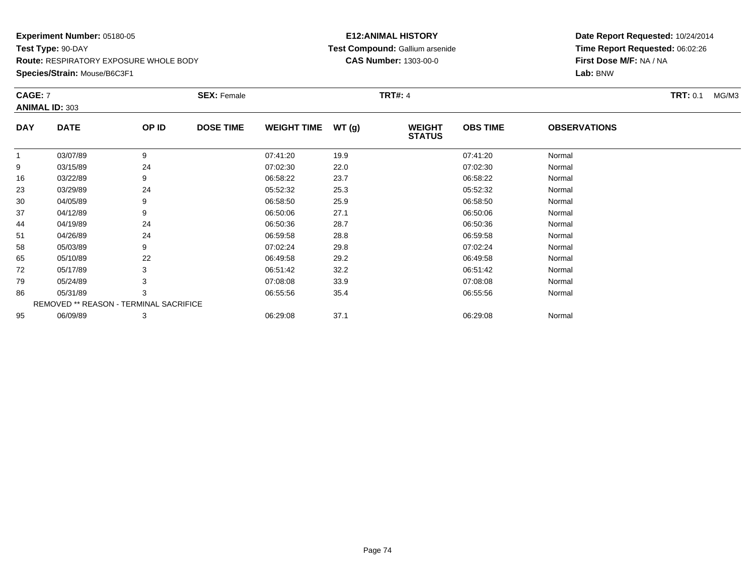#### **Species/Strain:** Mouse/B6C3F1

#### **E12:ANIMAL HISTORY Test Compound:** Gallium arsenide**CAS Number:** 1303-00-0

| <b>CAGE: 7</b> | <b>ANIMAL ID: 303</b>                  |       | <b>SEX: Female</b> |                    |       | <b>TRT#: 4</b>                 |                 |                     | <b>TRT: 0.1</b><br>MG/M3 |
|----------------|----------------------------------------|-------|--------------------|--------------------|-------|--------------------------------|-----------------|---------------------|--------------------------|
| <b>DAY</b>     | <b>DATE</b>                            | OP ID | <b>DOSE TIME</b>   | <b>WEIGHT TIME</b> | WT(g) | <b>WEIGHT</b><br><b>STATUS</b> | <b>OBS TIME</b> | <b>OBSERVATIONS</b> |                          |
| -1             | 03/07/89                               | 9     |                    | 07:41:20           | 19.9  |                                | 07:41:20        | Normal              |                          |
| 9              | 03/15/89                               | 24    |                    | 07:02:30           | 22.0  |                                | 07:02:30        | Normal              |                          |
| 16             | 03/22/89                               | 9     |                    | 06:58:22           | 23.7  |                                | 06:58:22        | Normal              |                          |
| 23             | 03/29/89                               | 24    |                    | 05:52:32           | 25.3  |                                | 05:52:32        | Normal              |                          |
| 30             | 04/05/89                               | 9     |                    | 06:58:50           | 25.9  |                                | 06:58:50        | Normal              |                          |
| 37             | 04/12/89                               | 9     |                    | 06:50:06           | 27.1  |                                | 06:50:06        | Normal              |                          |
| 44             | 04/19/89                               | 24    |                    | 06:50:36           | 28.7  |                                | 06:50:36        | Normal              |                          |
| 51             | 04/26/89                               | 24    |                    | 06:59:58           | 28.8  |                                | 06:59:58        | Normal              |                          |
| 58             | 05/03/89                               | 9     |                    | 07:02:24           | 29.8  |                                | 07:02:24        | Normal              |                          |
| 65             | 05/10/89                               | 22    |                    | 06:49:58           | 29.2  |                                | 06:49:58        | Normal              |                          |
| 72             | 05/17/89                               | 3     |                    | 06:51:42           | 32.2  |                                | 06:51:42        | Normal              |                          |
| 79             | 05/24/89                               | 3     |                    | 07:08:08           | 33.9  |                                | 07:08:08        | Normal              |                          |
| 86             | 05/31/89                               | 3     |                    | 06:55:56           | 35.4  |                                | 06:55:56        | Normal              |                          |
|                | REMOVED ** REASON - TERMINAL SACRIFICE |       |                    |                    |       |                                |                 |                     |                          |
| 95             | 06/09/89                               | 3     |                    | 06:29:08           | 37.1  |                                | 06:29:08        | Normal              |                          |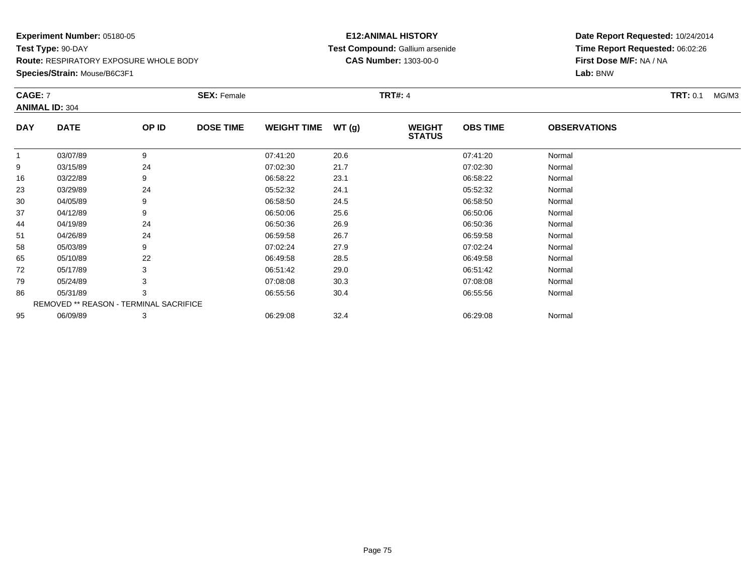#### **Species/Strain:** Mouse/B6C3F1

#### **E12:ANIMAL HISTORY Test Compound:** Gallium arsenide**CAS Number:** 1303-00-0

| <b>CAGE: 7</b> | <b>ANIMAL ID: 304</b>                  |       | <b>SEX: Female</b> |                    |       | <b>TRT#: 4</b>                 |                 |                     | <b>TRT: 0.1</b><br>MG/M3 |
|----------------|----------------------------------------|-------|--------------------|--------------------|-------|--------------------------------|-----------------|---------------------|--------------------------|
| <b>DAY</b>     | <b>DATE</b>                            | OP ID | <b>DOSE TIME</b>   | <b>WEIGHT TIME</b> | WT(g) | <b>WEIGHT</b><br><b>STATUS</b> | <b>OBS TIME</b> | <b>OBSERVATIONS</b> |                          |
| -1             | 03/07/89                               | 9     |                    | 07:41:20           | 20.6  |                                | 07:41:20        | Normal              |                          |
| 9              | 03/15/89                               | 24    |                    | 07:02:30           | 21.7  |                                | 07:02:30        | Normal              |                          |
| 16             | 03/22/89                               | 9     |                    | 06:58:22           | 23.1  |                                | 06:58:22        | Normal              |                          |
| 23             | 03/29/89                               | 24    |                    | 05:52:32           | 24.1  |                                | 05:52:32        | Normal              |                          |
| 30             | 04/05/89                               | 9     |                    | 06:58:50           | 24.5  |                                | 06:58:50        | Normal              |                          |
| 37             | 04/12/89                               | 9     |                    | 06:50:06           | 25.6  |                                | 06:50:06        | Normal              |                          |
| 44             | 04/19/89                               | 24    |                    | 06:50:36           | 26.9  |                                | 06:50:36        | Normal              |                          |
| 51             | 04/26/89                               | 24    |                    | 06:59:58           | 26.7  |                                | 06:59:58        | Normal              |                          |
| 58             | 05/03/89                               | 9     |                    | 07:02:24           | 27.9  |                                | 07:02:24        | Normal              |                          |
| 65             | 05/10/89                               | 22    |                    | 06:49:58           | 28.5  |                                | 06:49:58        | Normal              |                          |
| 72             | 05/17/89                               | 3     |                    | 06:51:42           | 29.0  |                                | 06:51:42        | Normal              |                          |
| 79             | 05/24/89                               | 3     |                    | 07:08:08           | 30.3  |                                | 07:08:08        | Normal              |                          |
| 86             | 05/31/89                               | 3     |                    | 06:55:56           | 30.4  |                                | 06:55:56        | Normal              |                          |
|                | REMOVED ** REASON - TERMINAL SACRIFICE |       |                    |                    |       |                                |                 |                     |                          |
| 95             | 06/09/89                               | 3     |                    | 06:29:08           | 32.4  |                                | 06:29:08        | Normal              |                          |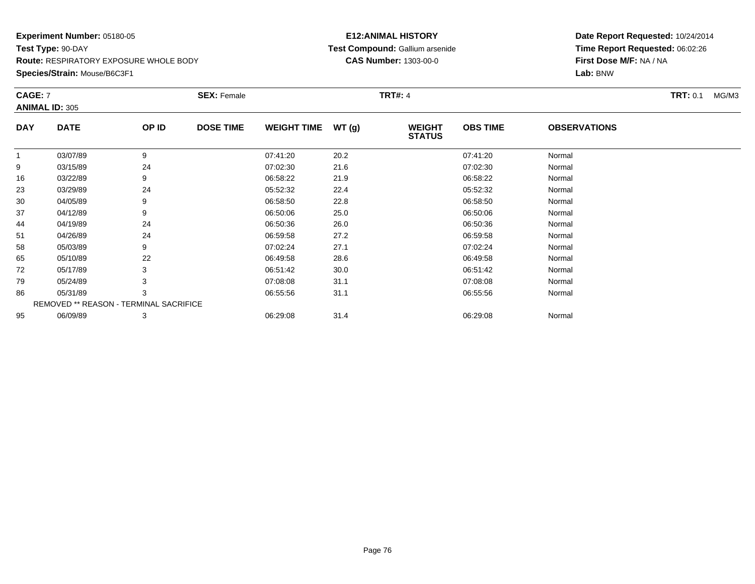#### **Species/Strain:** Mouse/B6C3F1

#### **E12:ANIMAL HISTORY Test Compound:** Gallium arsenide**CAS Number:** 1303-00-0

| CAGE: 7      | <b>ANIMAL ID: 305</b>                  |       | <b>SEX: Female</b> |                    |       | <b>TRT#: 4</b>                 |                 |                     | <b>TRT: 0.1</b><br>MG/M3 |
|--------------|----------------------------------------|-------|--------------------|--------------------|-------|--------------------------------|-----------------|---------------------|--------------------------|
| <b>DAY</b>   | <b>DATE</b>                            | OP ID | <b>DOSE TIME</b>   | <b>WEIGHT TIME</b> | WT(g) | <b>WEIGHT</b><br><b>STATUS</b> | <b>OBS TIME</b> | <b>OBSERVATIONS</b> |                          |
| $\mathbf{1}$ | 03/07/89                               | 9     |                    | 07:41:20           | 20.2  |                                | 07:41:20        | Normal              |                          |
| 9            | 03/15/89                               | 24    |                    | 07:02:30           | 21.6  |                                | 07:02:30        | Normal              |                          |
| 16           | 03/22/89                               | 9     |                    | 06:58:22           | 21.9  |                                | 06:58:22        | Normal              |                          |
| 23           | 03/29/89                               | 24    |                    | 05:52:32           | 22.4  |                                | 05:52:32        | Normal              |                          |
| 30           | 04/05/89                               | 9     |                    | 06:58:50           | 22.8  |                                | 06:58:50        | Normal              |                          |
| 37           | 04/12/89                               | 9     |                    | 06:50:06           | 25.0  |                                | 06:50:06        | Normal              |                          |
| 44           | 04/19/89                               | 24    |                    | 06:50:36           | 26.0  |                                | 06:50:36        | Normal              |                          |
| 51           | 04/26/89                               | 24    |                    | 06:59:58           | 27.2  |                                | 06:59:58        | Normal              |                          |
| 58           | 05/03/89                               | 9     |                    | 07:02:24           | 27.1  |                                | 07:02:24        | Normal              |                          |
| 65           | 05/10/89                               | 22    |                    | 06:49:58           | 28.6  |                                | 06:49:58        | Normal              |                          |
| 72           | 05/17/89                               | 3     |                    | 06:51:42           | 30.0  |                                | 06:51:42        | Normal              |                          |
| 79           | 05/24/89                               | 3     |                    | 07:08:08           | 31.1  |                                | 07:08:08        | Normal              |                          |
| 86           | 05/31/89                               | 3     |                    | 06:55:56           | 31.1  |                                | 06:55:56        | Normal              |                          |
|              | REMOVED ** REASON - TERMINAL SACRIFICE |       |                    |                    |       |                                |                 |                     |                          |
| 95           | 06/09/89                               | 3     |                    | 06:29:08           | 31.4  |                                | 06:29:08        | Normal              |                          |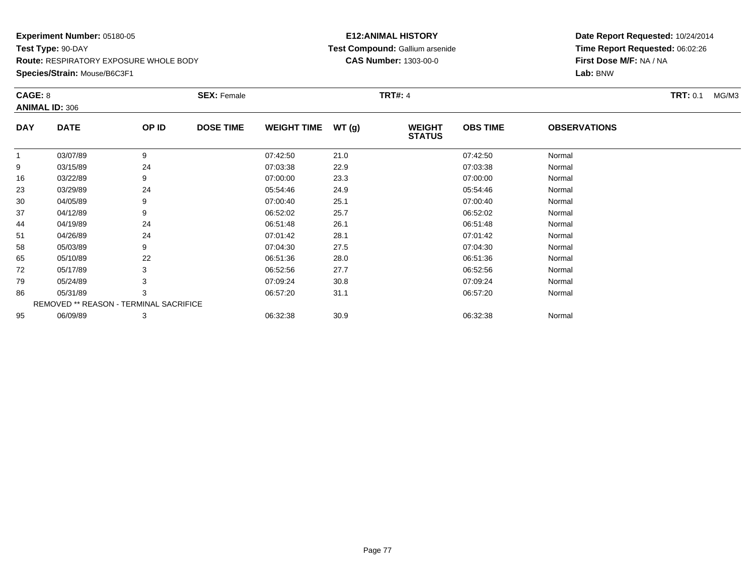#### **Species/Strain:** Mouse/B6C3F1

#### **E12:ANIMAL HISTORY Test Compound:** Gallium arsenide**CAS Number:** 1303-00-0

| CAGE: 8      | <b>ANIMAL ID: 306</b>                  |       | <b>SEX: Female</b> |                    |       | <b>TRT#: 4</b>                 |                 |                     | <b>TRT:</b> 0.1<br>MG/M3 |
|--------------|----------------------------------------|-------|--------------------|--------------------|-------|--------------------------------|-----------------|---------------------|--------------------------|
| <b>DAY</b>   | <b>DATE</b>                            | OP ID | <b>DOSE TIME</b>   | <b>WEIGHT TIME</b> | WT(g) | <b>WEIGHT</b><br><b>STATUS</b> | <b>OBS TIME</b> | <b>OBSERVATIONS</b> |                          |
| $\mathbf{1}$ | 03/07/89                               | 9     |                    | 07:42:50           | 21.0  |                                | 07:42:50        | Normal              |                          |
| 9            | 03/15/89                               | 24    |                    | 07:03:38           | 22.9  |                                | 07:03:38        | Normal              |                          |
| 16           | 03/22/89                               | 9     |                    | 07:00:00           | 23.3  |                                | 07:00:00        | Normal              |                          |
| 23           | 03/29/89                               | 24    |                    | 05:54:46           | 24.9  |                                | 05:54:46        | Normal              |                          |
| 30           | 04/05/89                               | 9     |                    | 07:00:40           | 25.1  |                                | 07:00:40        | Normal              |                          |
| 37           | 04/12/89                               | 9     |                    | 06:52:02           | 25.7  |                                | 06:52:02        | Normal              |                          |
| 44           | 04/19/89                               | 24    |                    | 06:51:48           | 26.1  |                                | 06:51:48        | Normal              |                          |
| 51           | 04/26/89                               | 24    |                    | 07:01:42           | 28.1  |                                | 07:01:42        | Normal              |                          |
| 58           | 05/03/89                               | 9     |                    | 07:04:30           | 27.5  |                                | 07:04:30        | Normal              |                          |
| 65           | 05/10/89                               | 22    |                    | 06:51:36           | 28.0  |                                | 06:51:36        | Normal              |                          |
| 72           | 05/17/89                               | 3     |                    | 06:52:56           | 27.7  |                                | 06:52:56        | Normal              |                          |
| 79           | 05/24/89                               | 3     |                    | 07:09:24           | 30.8  |                                | 07:09:24        | Normal              |                          |
| 86           | 05/31/89                               | 3     |                    | 06:57:20           | 31.1  |                                | 06:57:20        | Normal              |                          |
|              | REMOVED ** REASON - TERMINAL SACRIFICE |       |                    |                    |       |                                |                 |                     |                          |
| 95           | 06/09/89                               | 3     |                    | 06:32:38           | 30.9  |                                | 06:32:38        | Normal              |                          |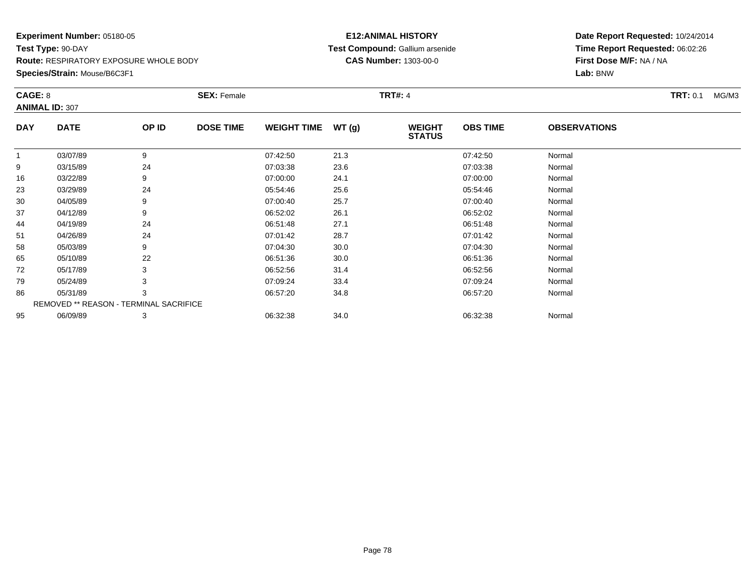#### **E12:ANIMAL HISTORY Test Compound:** Gallium arsenide**CAS Number:** 1303-00-0

| CAGE: 8      |                                        |       | <b>SEX: Female</b> |                    |       | <b>TRT#: 4</b>                 |                 |                     | <b>TRT:</b> 0.1<br>MG/M3 |
|--------------|----------------------------------------|-------|--------------------|--------------------|-------|--------------------------------|-----------------|---------------------|--------------------------|
|              | <b>ANIMAL ID: 307</b>                  |       |                    |                    |       |                                |                 |                     |                          |
| <b>DAY</b>   | <b>DATE</b>                            | OP ID | <b>DOSE TIME</b>   | <b>WEIGHT TIME</b> | WT(g) | <b>WEIGHT</b><br><b>STATUS</b> | <b>OBS TIME</b> | <b>OBSERVATIONS</b> |                          |
| $\mathbf{1}$ | 03/07/89                               | 9     |                    | 07:42:50           | 21.3  |                                | 07:42:50        | Normal              |                          |
| 9            | 03/15/89                               | 24    |                    | 07:03:38           | 23.6  |                                | 07:03:38        | Normal              |                          |
| 16           | 03/22/89                               | 9     |                    | 07:00:00           | 24.1  |                                | 07:00:00        | Normal              |                          |
| 23           | 03/29/89                               | 24    |                    | 05:54:46           | 25.6  |                                | 05:54:46        | Normal              |                          |
| 30           | 04/05/89                               | 9     |                    | 07:00:40           | 25.7  |                                | 07:00:40        | Normal              |                          |
| 37           | 04/12/89                               | 9     |                    | 06:52:02           | 26.1  |                                | 06:52:02        | Normal              |                          |
| 44           | 04/19/89                               | 24    |                    | 06:51:48           | 27.1  |                                | 06:51:48        | Normal              |                          |
| 51           | 04/26/89                               | 24    |                    | 07:01:42           | 28.7  |                                | 07:01:42        | Normal              |                          |
| 58           | 05/03/89                               | 9     |                    | 07:04:30           | 30.0  |                                | 07:04:30        | Normal              |                          |
| 65           | 05/10/89                               | 22    |                    | 06:51:36           | 30.0  |                                | 06:51:36        | Normal              |                          |
| 72           | 05/17/89                               |       |                    | 06:52:56           | 31.4  |                                | 06:52:56        | Normal              |                          |
| 79           | 05/24/89                               |       |                    | 07:09:24           | 33.4  |                                | 07:09:24        | Normal              |                          |
| 86           | 05/31/89                               | 3     |                    | 06:57:20           | 34.8  |                                | 06:57:20        | Normal              |                          |
|              | REMOVED ** REASON - TERMINAL SACRIFICE |       |                    |                    |       |                                |                 |                     |                          |
| 95           | 06/09/89                               | 3     |                    | 06:32:38           | 34.0  |                                | 06:32:38        | Normal              |                          |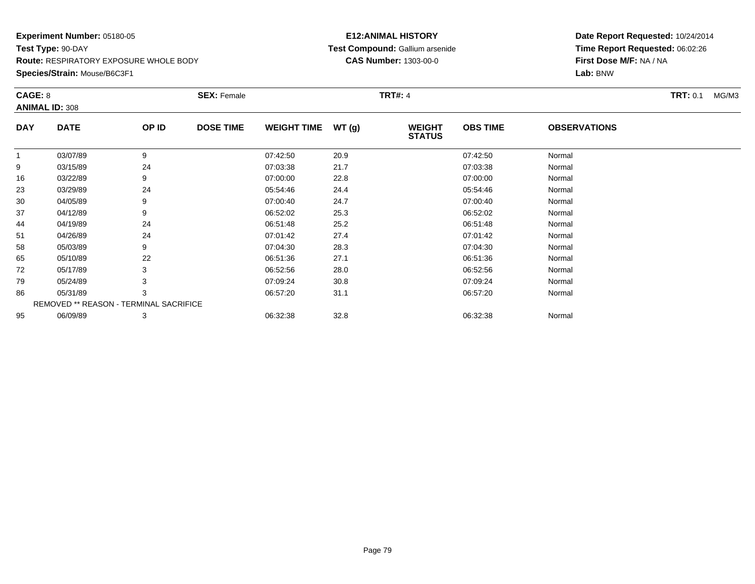#### **E12:ANIMAL HISTORY Test Compound:** Gallium arsenide**CAS Number:** 1303-00-0

| CAGE: 8      |                                        |       | <b>SEX: Female</b> |                    |       | <b>TRT#: 4</b>                 |                 |                     | <b>TRT: 0.1</b><br>MG/M3 |  |
|--------------|----------------------------------------|-------|--------------------|--------------------|-------|--------------------------------|-----------------|---------------------|--------------------------|--|
|              | <b>ANIMAL ID: 308</b>                  |       |                    |                    |       |                                |                 |                     |                          |  |
| <b>DAY</b>   | <b>DATE</b>                            | OP ID | <b>DOSE TIME</b>   | <b>WEIGHT TIME</b> | WT(g) | <b>WEIGHT</b><br><b>STATUS</b> | <b>OBS TIME</b> | <b>OBSERVATIONS</b> |                          |  |
| $\mathbf{1}$ | 03/07/89                               | 9     |                    | 07:42:50           | 20.9  |                                | 07:42:50        | Normal              |                          |  |
| 9            | 03/15/89                               | 24    |                    | 07:03:38           | 21.7  |                                | 07:03:38        | Normal              |                          |  |
| 16           | 03/22/89                               | 9     |                    | 07:00:00           | 22.8  |                                | 07:00:00        | Normal              |                          |  |
| 23           | 03/29/89                               | 24    |                    | 05:54:46           | 24.4  |                                | 05:54:46        | Normal              |                          |  |
| 30           | 04/05/89                               | 9     |                    | 07:00:40           | 24.7  |                                | 07:00:40        | Normal              |                          |  |
| 37           | 04/12/89                               | 9     |                    | 06:52:02           | 25.3  |                                | 06:52:02        | Normal              |                          |  |
| 44           | 04/19/89                               | 24    |                    | 06:51:48           | 25.2  |                                | 06:51:48        | Normal              |                          |  |
| 51           | 04/26/89                               | 24    |                    | 07:01:42           | 27.4  |                                | 07:01:42        | Normal              |                          |  |
| 58           | 05/03/89                               | 9     |                    | 07:04:30           | 28.3  |                                | 07:04:30        | Normal              |                          |  |
| 65           | 05/10/89                               | 22    |                    | 06:51:36           | 27.1  |                                | 06:51:36        | Normal              |                          |  |
| 72           | 05/17/89                               |       |                    | 06:52:56           | 28.0  |                                | 06:52:56        | Normal              |                          |  |
| 79           | 05/24/89                               |       |                    | 07:09:24           | 30.8  |                                | 07:09:24        | Normal              |                          |  |
| 86           | 05/31/89                               | 3     |                    | 06:57:20           | 31.1  |                                | 06:57:20        | Normal              |                          |  |
|              | REMOVED ** REASON - TERMINAL SACRIFICE |       |                    |                    |       |                                |                 |                     |                          |  |
| 95           | 06/09/89                               | 3     |                    | 06:32:38           | 32.8  |                                | 06:32:38        | Normal              |                          |  |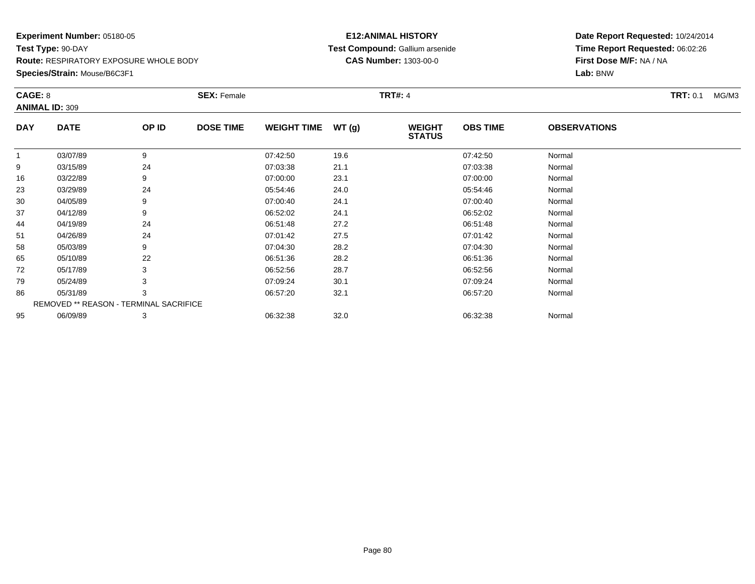#### **E12:ANIMAL HISTORY Test Compound:** Gallium arsenide**CAS Number:** 1303-00-0

|              | CAGE: 8<br><b>ANIMAL ID: 309</b>       |       | <b>SEX: Female</b> |                    |       | <b>TRT#: 4</b>                 | <b>TRT: 0.1</b><br>MG/M3 |                     |  |
|--------------|----------------------------------------|-------|--------------------|--------------------|-------|--------------------------------|--------------------------|---------------------|--|
| <b>DAY</b>   | <b>DATE</b>                            | OP ID | <b>DOSE TIME</b>   | <b>WEIGHT TIME</b> | WT(g) | <b>WEIGHT</b><br><b>STATUS</b> | <b>OBS TIME</b>          | <b>OBSERVATIONS</b> |  |
| $\mathbf{1}$ | 03/07/89                               | 9     |                    | 07:42:50           | 19.6  |                                | 07:42:50                 | Normal              |  |
| 9            | 03/15/89                               | 24    |                    | 07:03:38           | 21.1  |                                | 07:03:38                 | Normal              |  |
| 16           | 03/22/89                               | 9     |                    | 07:00:00           | 23.1  |                                | 07:00:00                 | Normal              |  |
| 23           | 03/29/89                               | 24    |                    | 05:54:46           | 24.0  |                                | 05:54:46                 | Normal              |  |
| 30           | 04/05/89                               | 9     |                    | 07:00:40           | 24.1  |                                | 07:00:40                 | Normal              |  |
| 37           | 04/12/89                               | 9     |                    | 06:52:02           | 24.1  |                                | 06:52:02                 | Normal              |  |
| 44           | 04/19/89                               | 24    |                    | 06:51:48           | 27.2  |                                | 06:51:48                 | Normal              |  |
| 51           | 04/26/89                               | 24    |                    | 07:01:42           | 27.5  |                                | 07:01:42                 | Normal              |  |
| 58           | 05/03/89                               | 9     |                    | 07:04:30           | 28.2  |                                | 07:04:30                 | Normal              |  |
| 65           | 05/10/89                               | 22    |                    | 06:51:36           | 28.2  |                                | 06:51:36                 | Normal              |  |
| 72           | 05/17/89                               | 3     |                    | 06:52:56           | 28.7  |                                | 06:52:56                 | Normal              |  |
| 79           | 05/24/89                               | 3     |                    | 07:09:24           | 30.1  |                                | 07:09:24                 | Normal              |  |
| 86           | 05/31/89                               | 3     |                    | 06:57:20           | 32.1  |                                | 06:57:20                 | Normal              |  |
|              | REMOVED ** REASON - TERMINAL SACRIFICE |       |                    |                    |       |                                |                          |                     |  |
| 95           | 06/09/89                               | 3     |                    | 06:32:38           | 32.0  |                                | 06:32:38                 | Normal              |  |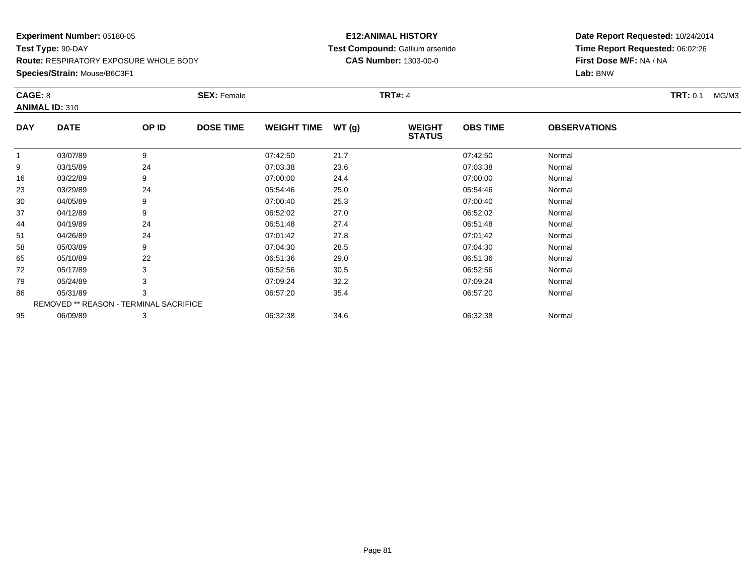#### **E12:ANIMAL HISTORY Test Compound:** Gallium arsenide**CAS Number:** 1303-00-0

| CAGE: 8      | <b>ANIMAL ID: 310</b>                  |       | <b>SEX: Female</b> |                    |       | <b>TRT#: 4</b>                 |                 |                     | <b>TRT: 0.1</b><br>MG/M3 |
|--------------|----------------------------------------|-------|--------------------|--------------------|-------|--------------------------------|-----------------|---------------------|--------------------------|
| <b>DAY</b>   | <b>DATE</b>                            | OP ID | <b>DOSE TIME</b>   | <b>WEIGHT TIME</b> | WT(g) | <b>WEIGHT</b><br><b>STATUS</b> | <b>OBS TIME</b> | <b>OBSERVATIONS</b> |                          |
| $\mathbf{1}$ | 03/07/89                               | 9     |                    | 07:42:50           | 21.7  |                                | 07:42:50        | Normal              |                          |
| 9            | 03/15/89                               | 24    |                    | 07:03:38           | 23.6  |                                | 07:03:38        | Normal              |                          |
| 16           | 03/22/89                               | 9     |                    | 07:00:00           | 24.4  |                                | 07:00:00        | Normal              |                          |
| 23           | 03/29/89                               | 24    |                    | 05:54:46           | 25.0  |                                | 05:54:46        | Normal              |                          |
| 30           | 04/05/89                               | 9     |                    | 07:00:40           | 25.3  |                                | 07:00:40        | Normal              |                          |
| 37           | 04/12/89                               | 9     |                    | 06:52:02           | 27.0  |                                | 06:52:02        | Normal              |                          |
| 44           | 04/19/89                               | 24    |                    | 06:51:48           | 27.4  |                                | 06:51:48        | Normal              |                          |
| 51           | 04/26/89                               | 24    |                    | 07:01:42           | 27.8  |                                | 07:01:42        | Normal              |                          |
| 58           | 05/03/89                               | 9     |                    | 07:04:30           | 28.5  |                                | 07:04:30        | Normal              |                          |
| 65           | 05/10/89                               | 22    |                    | 06:51:36           | 29.0  |                                | 06:51:36        | Normal              |                          |
| 72           | 05/17/89                               | 3     |                    | 06:52:56           | 30.5  |                                | 06:52:56        | Normal              |                          |
| 79           | 05/24/89                               |       |                    | 07:09:24           | 32.2  |                                | 07:09:24        | Normal              |                          |
| 86           | 05/31/89                               | 3     |                    | 06:57:20           | 35.4  |                                | 06:57:20        | Normal              |                          |
|              | REMOVED ** REASON - TERMINAL SACRIFICE |       |                    |                    |       |                                |                 |                     |                          |
| 95           | 06/09/89                               | 3     |                    | 06:32:38           | 34.6  |                                | 06:32:38        | Normal              |                          |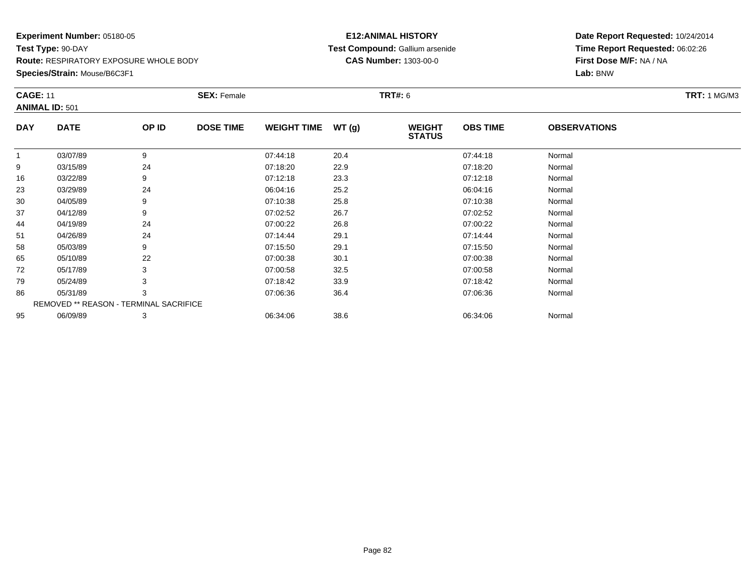**Species/Strain:** Mouse/B6C3F1

#### **E12:ANIMAL HISTORY Test Compound:** Gallium arsenide**CAS Number:** 1303-00-0

| <b>CAGE: 11</b> |                                        |       | <b>SEX: Female</b> |                    |       | <b>TRT#: 6</b>                 |                 |                     | <b>TRT: 1 MG/M3</b> |
|-----------------|----------------------------------------|-------|--------------------|--------------------|-------|--------------------------------|-----------------|---------------------|---------------------|
|                 | <b>ANIMAL ID: 501</b>                  |       |                    |                    |       |                                |                 |                     |                     |
| <b>DAY</b>      | <b>DATE</b>                            | OP ID | <b>DOSE TIME</b>   | <b>WEIGHT TIME</b> | WT(g) | <b>WEIGHT</b><br><b>STATUS</b> | <b>OBS TIME</b> | <b>OBSERVATIONS</b> |                     |
| 1               | 03/07/89                               | 9     |                    | 07:44:18           | 20.4  |                                | 07:44:18        | Normal              |                     |
| 9               | 03/15/89                               | 24    |                    | 07:18:20           | 22.9  |                                | 07:18:20        | Normal              |                     |
| 16              | 03/22/89                               | 9     |                    | 07:12:18           | 23.3  |                                | 07:12:18        | Normal              |                     |
| 23              | 03/29/89                               | 24    |                    | 06:04:16           | 25.2  |                                | 06:04:16        | Normal              |                     |
| 30              | 04/05/89                               | 9     |                    | 07:10:38           | 25.8  |                                | 07:10:38        | Normal              |                     |
| 37              | 04/12/89                               | 9     |                    | 07:02:52           | 26.7  |                                | 07:02:52        | Normal              |                     |
| 44              | 04/19/89                               | 24    |                    | 07:00:22           | 26.8  |                                | 07:00:22        | Normal              |                     |
| 51              | 04/26/89                               | 24    |                    | 07:14:44           | 29.1  |                                | 07:14:44        | Normal              |                     |
| 58              | 05/03/89                               | 9     |                    | 07:15:50           | 29.1  |                                | 07:15:50        | Normal              |                     |
| 65              | 05/10/89                               | 22    |                    | 07:00:38           | 30.1  |                                | 07:00:38        | Normal              |                     |
| 72              | 05/17/89                               | 3     |                    | 07:00:58           | 32.5  |                                | 07:00:58        | Normal              |                     |
| 79              | 05/24/89                               |       |                    | 07:18:42           | 33.9  |                                | 07:18:42        | Normal              |                     |
| 86              | 05/31/89                               | 3     |                    | 07:06:36           | 36.4  |                                | 07:06:36        | Normal              |                     |
|                 | REMOVED ** REASON - TERMINAL SACRIFICE |       |                    |                    |       |                                |                 |                     |                     |
| 95              | 06/09/89                               | 3     |                    | 06:34:06           | 38.6  |                                | 06:34:06        | Normal              |                     |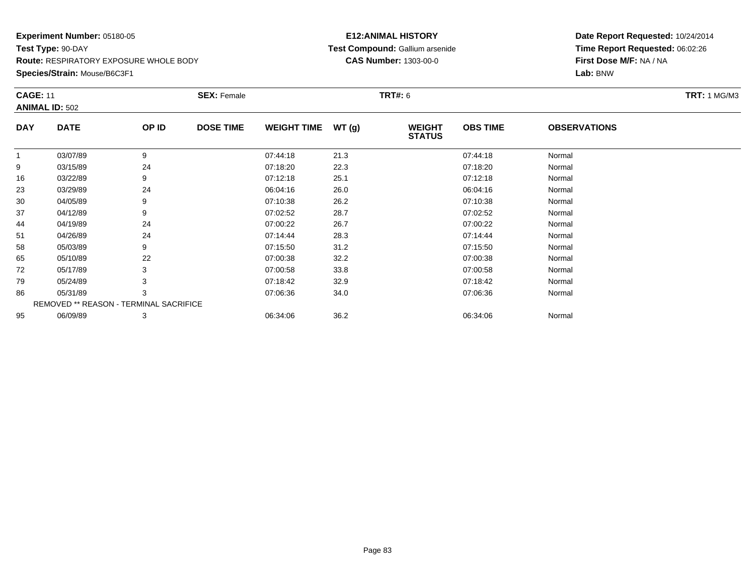**Species/Strain:** Mouse/B6C3F1

#### **E12:ANIMAL HISTORY Test Compound:** Gallium arsenide**CAS Number:** 1303-00-0

| <b>ANIMAL ID: 502</b><br><b>DATE</b> | OP ID |                  |                                               |       |                                |                 |                     |  |  |  |
|--------------------------------------|-------|------------------|-----------------------------------------------|-------|--------------------------------|-----------------|---------------------|--|--|--|
|                                      |       |                  |                                               |       |                                |                 |                     |  |  |  |
|                                      |       | <b>DOSE TIME</b> | <b>WEIGHT TIME</b>                            | WT(g) | <b>WEIGHT</b><br><b>STATUS</b> | <b>OBS TIME</b> | <b>OBSERVATIONS</b> |  |  |  |
| 03/07/89                             | 9     |                  | 07:44:18                                      | 21.3  |                                | 07:44:18        | Normal              |  |  |  |
| 03/15/89                             | 24    |                  | 07:18:20                                      | 22.3  |                                | 07:18:20        | Normal              |  |  |  |
| 03/22/89                             | 9     |                  | 07:12:18                                      | 25.1  |                                | 07:12:18        | Normal              |  |  |  |
| 03/29/89                             | 24    |                  | 06:04:16                                      | 26.0  |                                | 06:04:16        | Normal              |  |  |  |
| 04/05/89                             | 9     |                  | 07:10:38                                      | 26.2  |                                | 07:10:38        | Normal              |  |  |  |
| 04/12/89                             | 9     |                  | 07:02:52                                      | 28.7  |                                | 07:02:52        | Normal              |  |  |  |
| 04/19/89                             | 24    |                  | 07:00:22                                      | 26.7  |                                | 07:00:22        | Normal              |  |  |  |
| 04/26/89                             | 24    |                  | 07:14:44                                      | 28.3  |                                | 07:14:44        | Normal              |  |  |  |
| 05/03/89                             | 9     |                  | 07:15:50                                      | 31.2  |                                | 07:15:50        | Normal              |  |  |  |
| 05/10/89                             | 22    |                  | 07:00:38                                      | 32.2  |                                | 07:00:38        | Normal              |  |  |  |
| 05/17/89                             | 3     |                  | 07:00:58                                      | 33.8  |                                | 07:00:58        | Normal              |  |  |  |
| 05/24/89                             | 3     |                  | 07:18:42                                      | 32.9  |                                | 07:18:42        | Normal              |  |  |  |
| 05/31/89                             | 3     |                  | 07:06:36                                      | 34.0  |                                | 07:06:36        | Normal              |  |  |  |
|                                      |       |                  |                                               |       |                                |                 |                     |  |  |  |
| 06/09/89                             | 3     |                  | 06:34:06                                      | 36.2  |                                | 06:34:06        | Normal              |  |  |  |
|                                      |       |                  | <b>REMOVED ** REASON - TERMINAL SACRIFICE</b> |       |                                |                 |                     |  |  |  |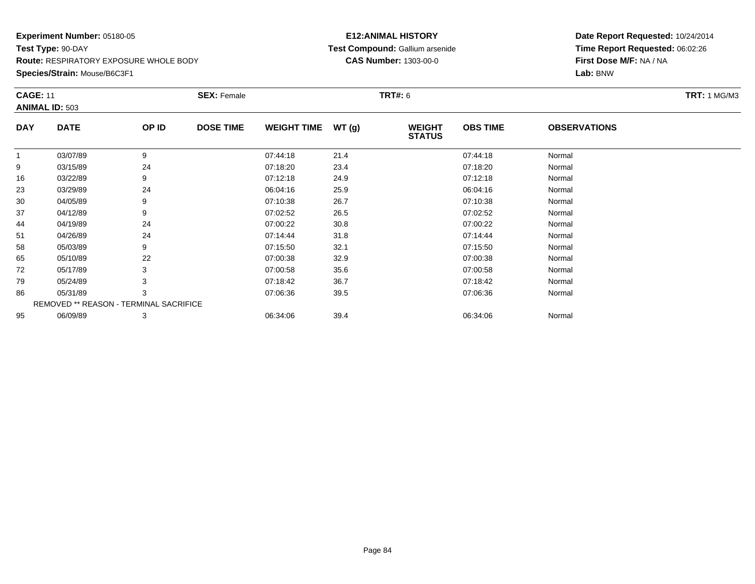**Species/Strain:** Mouse/B6C3F1

#### **E12:ANIMAL HISTORY Test Compound:** Gallium arsenide**CAS Number:** 1303-00-0

| <b>CAGE: 11</b> | <b>ANIMAL ID: 503</b>                  |       | <b>SEX: Female</b> |                    |       | <b>TRT#: 6</b>                 |                 |                     | <b>TRT: 1 MG/M3</b> |
|-----------------|----------------------------------------|-------|--------------------|--------------------|-------|--------------------------------|-----------------|---------------------|---------------------|
| <b>DAY</b>      | <b>DATE</b>                            | OP ID | <b>DOSE TIME</b>   | <b>WEIGHT TIME</b> | WT(g) | <b>WEIGHT</b><br><b>STATUS</b> | <b>OBS TIME</b> | <b>OBSERVATIONS</b> |                     |
| 1               | 03/07/89                               | 9     |                    | 07:44:18           | 21.4  |                                | 07:44:18        | Normal              |                     |
| 9               | 03/15/89                               | 24    |                    | 07:18:20           | 23.4  |                                | 07:18:20        | Normal              |                     |
| 16              | 03/22/89                               | 9     |                    | 07:12:18           | 24.9  |                                | 07:12:18        | Normal              |                     |
| 23              | 03/29/89                               | 24    |                    | 06:04:16           | 25.9  |                                | 06:04:16        | Normal              |                     |
| 30              | 04/05/89                               | 9     |                    | 07:10:38           | 26.7  |                                | 07:10:38        | Normal              |                     |
| 37              | 04/12/89                               | 9     |                    | 07:02:52           | 26.5  |                                | 07:02:52        | Normal              |                     |
| 44              | 04/19/89                               | 24    |                    | 07:00:22           | 30.8  |                                | 07:00:22        | Normal              |                     |
| 51              | 04/26/89                               | 24    |                    | 07:14:44           | 31.8  |                                | 07:14:44        | Normal              |                     |
| 58              | 05/03/89                               | 9     |                    | 07:15:50           | 32.1  |                                | 07:15:50        | Normal              |                     |
| 65              | 05/10/89                               | 22    |                    | 07:00:38           | 32.9  |                                | 07:00:38        | Normal              |                     |
| 72              | 05/17/89                               | 3     |                    | 07:00:58           | 35.6  |                                | 07:00:58        | Normal              |                     |
| 79              | 05/24/89                               | 3     |                    | 07:18:42           | 36.7  |                                | 07:18:42        | Normal              |                     |
| 86              | 05/31/89                               | 3     |                    | 07:06:36           | 39.5  |                                | 07:06:36        | Normal              |                     |
|                 | REMOVED ** REASON - TERMINAL SACRIFICE |       |                    |                    |       |                                |                 |                     |                     |
| 95              | 06/09/89                               | 3     |                    | 06:34:06           | 39.4  |                                | 06:34:06        | Normal              |                     |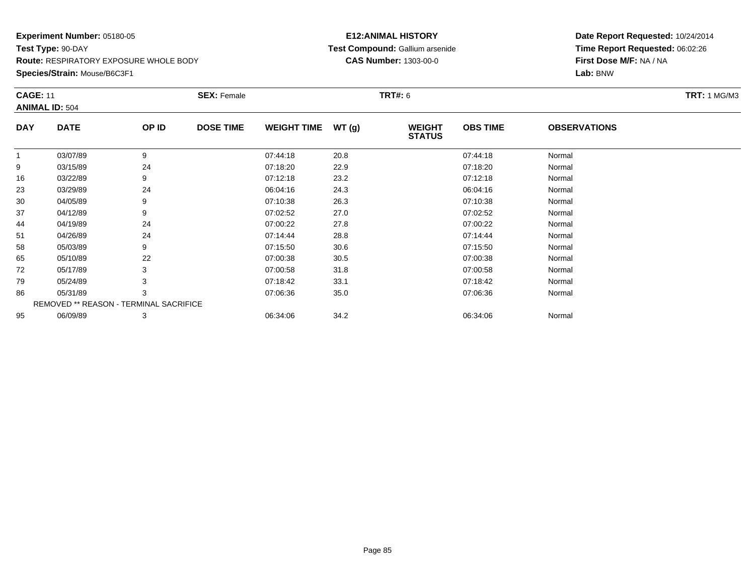**Species/Strain:** Mouse/B6C3F1

#### **E12:ANIMAL HISTORY Test Compound:** Gallium arsenide**CAS Number:** 1303-00-0

| <b>CAGE: 11</b> | <b>ANIMAL ID: 504</b>                  |       | <b>SEX: Female</b> |                    |       | <b>TRT#: 6</b>                 |                 |                     | <b>TRT: 1 MG/M3</b> |
|-----------------|----------------------------------------|-------|--------------------|--------------------|-------|--------------------------------|-----------------|---------------------|---------------------|
| <b>DAY</b>      | <b>DATE</b>                            | OP ID | <b>DOSE TIME</b>   | <b>WEIGHT TIME</b> | WT(g) | <b>WEIGHT</b><br><b>STATUS</b> | <b>OBS TIME</b> | <b>OBSERVATIONS</b> |                     |
|                 | 03/07/89                               | 9     |                    | 07:44:18           | 20.8  |                                | 07:44:18        | Normal              |                     |
| 9               | 03/15/89                               | 24    |                    | 07:18:20           | 22.9  |                                | 07:18:20        | Normal              |                     |
| 16              | 03/22/89                               | 9     |                    | 07:12:18           | 23.2  |                                | 07:12:18        | Normal              |                     |
| 23              | 03/29/89                               | 24    |                    | 06:04:16           | 24.3  |                                | 06:04:16        | Normal              |                     |
| 30              | 04/05/89                               | 9     |                    | 07:10:38           | 26.3  |                                | 07:10:38        | Normal              |                     |
| 37              | 04/12/89                               | 9     |                    | 07:02:52           | 27.0  |                                | 07:02:52        | Normal              |                     |
| 44              | 04/19/89                               | 24    |                    | 07:00:22           | 27.8  |                                | 07:00:22        | Normal              |                     |
| 51              | 04/26/89                               | 24    |                    | 07:14:44           | 28.8  |                                | 07:14:44        | Normal              |                     |
| 58              | 05/03/89                               | 9     |                    | 07:15:50           | 30.6  |                                | 07:15:50        | Normal              |                     |
| 65              | 05/10/89                               | 22    |                    | 07:00:38           | 30.5  |                                | 07:00:38        | Normal              |                     |
| 72              | 05/17/89                               | 3     |                    | 07:00:58           | 31.8  |                                | 07:00:58        | Normal              |                     |
| 79              | 05/24/89                               | 3     |                    | 07:18:42           | 33.1  |                                | 07:18:42        | Normal              |                     |
| 86              | 05/31/89                               | 3     |                    | 07:06:36           | 35.0  |                                | 07:06:36        | Normal              |                     |
|                 | REMOVED ** REASON - TERMINAL SACRIFICE |       |                    |                    |       |                                |                 |                     |                     |
| 95              | 06/09/89                               | 3     |                    | 06:34:06           | 34.2  |                                | 06:34:06        | Normal              |                     |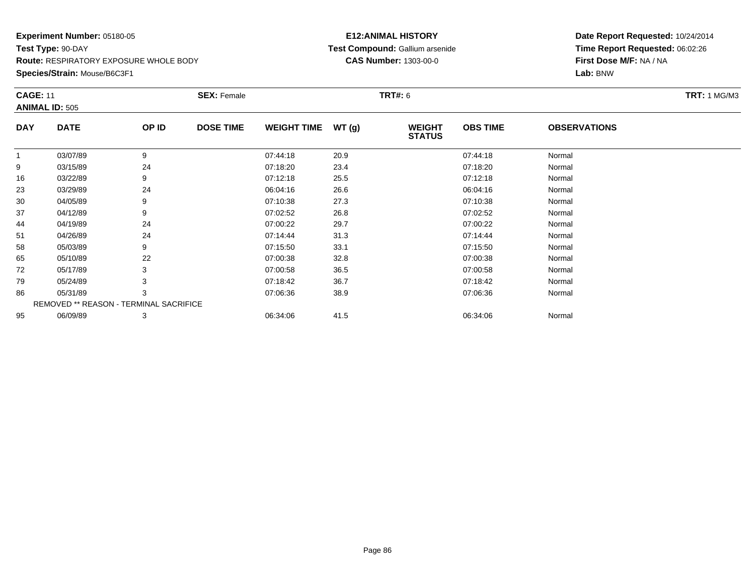**Species/Strain:** Mouse/B6C3F1

#### **E12:ANIMAL HISTORY Test Compound:** Gallium arsenide**CAS Number:** 1303-00-0

| <b>CAGE: 11</b> |                                        |       | <b>SEX: Female</b> |                    |       | <b>TRT#: 6</b>                 |                 |                     | <b>TRT: 1 MG/M3</b> |
|-----------------|----------------------------------------|-------|--------------------|--------------------|-------|--------------------------------|-----------------|---------------------|---------------------|
|                 | <b>ANIMAL ID: 505</b>                  |       |                    |                    |       |                                |                 |                     |                     |
| <b>DAY</b>      | <b>DATE</b>                            | OP ID | <b>DOSE TIME</b>   | <b>WEIGHT TIME</b> | WT(g) | <b>WEIGHT</b><br><b>STATUS</b> | <b>OBS TIME</b> | <b>OBSERVATIONS</b> |                     |
| 1               | 03/07/89                               | 9     |                    | 07:44:18           | 20.9  |                                | 07:44:18        | Normal              |                     |
| 9               | 03/15/89                               | 24    |                    | 07:18:20           | 23.4  |                                | 07:18:20        | Normal              |                     |
| 16              | 03/22/89                               | 9     |                    | 07:12:18           | 25.5  |                                | 07:12:18        | Normal              |                     |
| 23              | 03/29/89                               | 24    |                    | 06:04:16           | 26.6  |                                | 06:04:16        | Normal              |                     |
| 30              | 04/05/89                               | 9     |                    | 07:10:38           | 27.3  |                                | 07:10:38        | Normal              |                     |
| 37              | 04/12/89                               | 9     |                    | 07:02:52           | 26.8  |                                | 07:02:52        | Normal              |                     |
| 44              | 04/19/89                               | 24    |                    | 07:00:22           | 29.7  |                                | 07:00:22        | Normal              |                     |
| 51              | 04/26/89                               | 24    |                    | 07:14:44           | 31.3  |                                | 07:14:44        | Normal              |                     |
| 58              | 05/03/89                               | 9     |                    | 07:15:50           | 33.1  |                                | 07:15:50        | Normal              |                     |
| 65              | 05/10/89                               | 22    |                    | 07:00:38           | 32.8  |                                | 07:00:38        | Normal              |                     |
| 72              | 05/17/89                               | 3     |                    | 07:00:58           | 36.5  |                                | 07:00:58        | Normal              |                     |
| 79              | 05/24/89                               |       |                    | 07:18:42           | 36.7  |                                | 07:18:42        | Normal              |                     |
| 86              | 05/31/89                               | 3     |                    | 07:06:36           | 38.9  |                                | 07:06:36        | Normal              |                     |
|                 | REMOVED ** REASON - TERMINAL SACRIFICE |       |                    |                    |       |                                |                 |                     |                     |
| 95              | 06/09/89                               | 3     |                    | 06:34:06           | 41.5  |                                | 06:34:06        | Normal              |                     |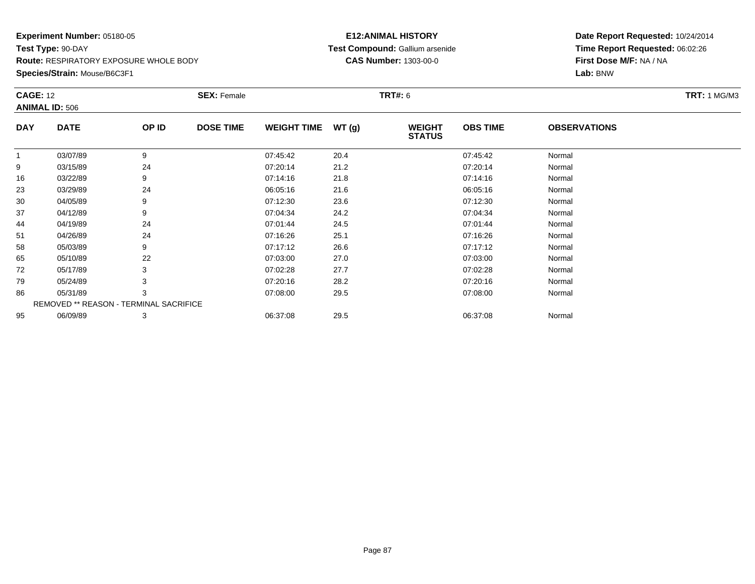**Species/Strain:** Mouse/B6C3F1

#### **E12:ANIMAL HISTORY Test Compound:** Gallium arsenide**CAS Number:** 1303-00-0

| <b>CAGE: 12</b> | <b>ANIMAL ID: 506</b>                  |       | <b>SEX: Female</b> |                    |       | <b>TRT#: 6</b>                 |                 |                     | <b>TRT: 1 MG/M3</b> |
|-----------------|----------------------------------------|-------|--------------------|--------------------|-------|--------------------------------|-----------------|---------------------|---------------------|
| <b>DAY</b>      | <b>DATE</b>                            | OP ID | <b>DOSE TIME</b>   | <b>WEIGHT TIME</b> | WT(g) | <b>WEIGHT</b><br><b>STATUS</b> | <b>OBS TIME</b> | <b>OBSERVATIONS</b> |                     |
| 1               | 03/07/89                               | 9     |                    | 07:45:42           | 20.4  |                                | 07:45:42        | Normal              |                     |
| 9               | 03/15/89                               | 24    |                    | 07:20:14           | 21.2  |                                | 07:20:14        | Normal              |                     |
| 16              | 03/22/89                               | 9     |                    | 07:14:16           | 21.8  |                                | 07:14:16        | Normal              |                     |
| 23              | 03/29/89                               | 24    |                    | 06:05:16           | 21.6  |                                | 06:05:16        | Normal              |                     |
| 30              | 04/05/89                               | 9     |                    | 07:12:30           | 23.6  |                                | 07:12:30        | Normal              |                     |
| 37              | 04/12/89                               | 9     |                    | 07:04:34           | 24.2  |                                | 07:04:34        | Normal              |                     |
| 44              | 04/19/89                               | 24    |                    | 07:01:44           | 24.5  |                                | 07:01:44        | Normal              |                     |
| 51              | 04/26/89                               | 24    |                    | 07:16:26           | 25.1  |                                | 07:16:26        | Normal              |                     |
| 58              | 05/03/89                               | 9     |                    | 07:17:12           | 26.6  |                                | 07:17:12        | Normal              |                     |
| 65              | 05/10/89                               | 22    |                    | 07:03:00           | 27.0  |                                | 07:03:00        | Normal              |                     |
| 72              | 05/17/89                               | 3     |                    | 07:02:28           | 27.7  |                                | 07:02:28        | Normal              |                     |
| 79              | 05/24/89                               |       |                    | 07:20:16           | 28.2  |                                | 07:20:16        | Normal              |                     |
| 86              | 05/31/89                               | 3     |                    | 07:08:00           | 29.5  |                                | 07:08:00        | Normal              |                     |
|                 | REMOVED ** REASON - TERMINAL SACRIFICE |       |                    |                    |       |                                |                 |                     |                     |
| 95              | 06/09/89                               | 3     |                    | 06:37:08           | 29.5  |                                | 06:37:08        | Normal              |                     |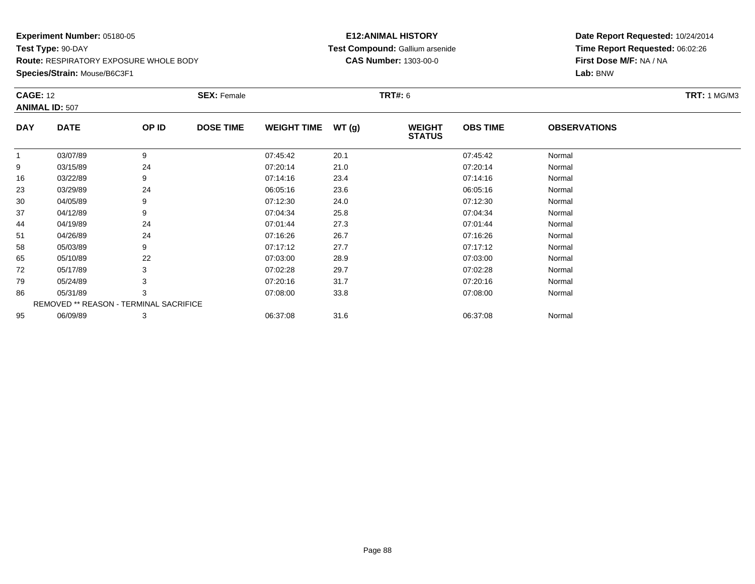**Species/Strain:** Mouse/B6C3F1

#### **E12:ANIMAL HISTORY Test Compound:** Gallium arsenide**CAS Number:** 1303-00-0

| <b>CAGE: 12</b> |                                        |       | <b>SEX: Female</b> |                    |       | <b>TRT#: 6</b>                 |                 |                     | <b>TRT: 1 MG/M3</b> |
|-----------------|----------------------------------------|-------|--------------------|--------------------|-------|--------------------------------|-----------------|---------------------|---------------------|
|                 | <b>ANIMAL ID: 507</b>                  |       |                    |                    |       |                                |                 |                     |                     |
| <b>DAY</b>      | <b>DATE</b>                            | OP ID | <b>DOSE TIME</b>   | <b>WEIGHT TIME</b> | WT(g) | <b>WEIGHT</b><br><b>STATUS</b> | <b>OBS TIME</b> | <b>OBSERVATIONS</b> |                     |
| 1               | 03/07/89                               | 9     |                    | 07:45:42           | 20.1  |                                | 07:45:42        | Normal              |                     |
| 9               | 03/15/89                               | 24    |                    | 07:20:14           | 21.0  |                                | 07:20:14        | Normal              |                     |
| 16              | 03/22/89                               | 9     |                    | 07:14:16           | 23.4  |                                | 07:14:16        | Normal              |                     |
| 23              | 03/29/89                               | 24    |                    | 06:05:16           | 23.6  |                                | 06:05:16        | Normal              |                     |
| 30              | 04/05/89                               | 9     |                    | 07:12:30           | 24.0  |                                | 07:12:30        | Normal              |                     |
| 37              | 04/12/89                               | 9     |                    | 07:04:34           | 25.8  |                                | 07:04:34        | Normal              |                     |
| 44              | 04/19/89                               | 24    |                    | 07:01:44           | 27.3  |                                | 07:01:44        | Normal              |                     |
| 51              | 04/26/89                               | 24    |                    | 07:16:26           | 26.7  |                                | 07:16:26        | Normal              |                     |
| 58              | 05/03/89                               | 9     |                    | 07:17:12           | 27.7  |                                | 07:17:12        | Normal              |                     |
| 65              | 05/10/89                               | 22    |                    | 07:03:00           | 28.9  |                                | 07:03:00        | Normal              |                     |
| 72              | 05/17/89                               | 3     |                    | 07:02:28           | 29.7  |                                | 07:02:28        | Normal              |                     |
| 79              | 05/24/89                               |       |                    | 07:20:16           | 31.7  |                                | 07:20:16        | Normal              |                     |
| 86              | 05/31/89                               | 3     |                    | 07:08:00           | 33.8  |                                | 07:08:00        | Normal              |                     |
|                 | REMOVED ** REASON - TERMINAL SACRIFICE |       |                    |                    |       |                                |                 |                     |                     |
| 95              | 06/09/89                               | 3     |                    | 06:37:08           | 31.6  |                                | 06:37:08        | Normal              |                     |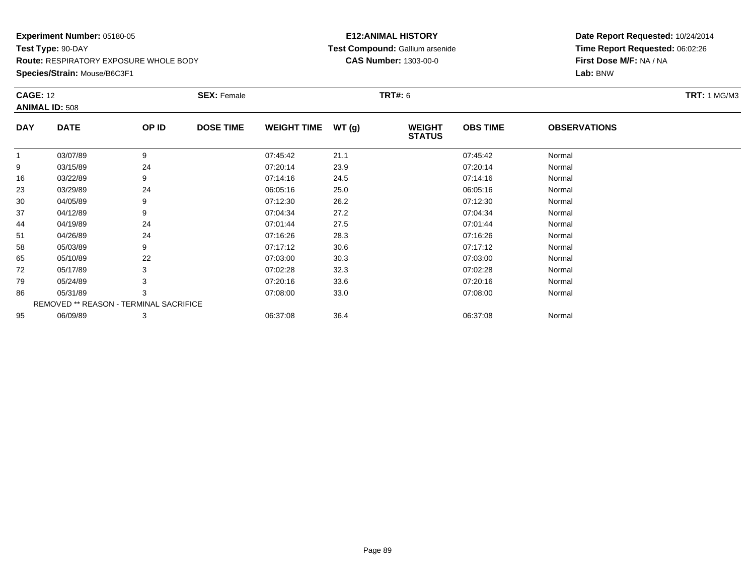**Species/Strain:** Mouse/B6C3F1

#### **E12:ANIMAL HISTORY Test Compound:** Gallium arsenide**CAS Number:** 1303-00-0

| <b>CAGE: 12</b> |                                        |       | <b>SEX: Female</b> |                    |       | <b>TRT#: 6</b>                 |                 |                     | <b>TRT: 1 MG/M3</b> |
|-----------------|----------------------------------------|-------|--------------------|--------------------|-------|--------------------------------|-----------------|---------------------|---------------------|
|                 | <b>ANIMAL ID: 508</b>                  |       |                    |                    |       |                                |                 |                     |                     |
| <b>DAY</b>      | <b>DATE</b>                            | OP ID | <b>DOSE TIME</b>   | <b>WEIGHT TIME</b> | WT(g) | <b>WEIGHT</b><br><b>STATUS</b> | <b>OBS TIME</b> | <b>OBSERVATIONS</b> |                     |
| 1               | 03/07/89                               | 9     |                    | 07:45:42           | 21.1  |                                | 07:45:42        | Normal              |                     |
| 9               | 03/15/89                               | 24    |                    | 07:20:14           | 23.9  |                                | 07:20:14        | Normal              |                     |
| 16              | 03/22/89                               | 9     |                    | 07:14:16           | 24.5  |                                | 07:14:16        | Normal              |                     |
| 23              | 03/29/89                               | 24    |                    | 06:05:16           | 25.0  |                                | 06:05:16        | Normal              |                     |
| 30              | 04/05/89                               | 9     |                    | 07:12:30           | 26.2  |                                | 07:12:30        | Normal              |                     |
| 37              | 04/12/89                               | 9     |                    | 07:04:34           | 27.2  |                                | 07:04:34        | Normal              |                     |
| 44              | 04/19/89                               | 24    |                    | 07:01:44           | 27.5  |                                | 07:01:44        | Normal              |                     |
| 51              | 04/26/89                               | 24    |                    | 07:16:26           | 28.3  |                                | 07:16:26        | Normal              |                     |
| 58              | 05/03/89                               | 9     |                    | 07:17:12           | 30.6  |                                | 07:17:12        | Normal              |                     |
| 65              | 05/10/89                               | 22    |                    | 07:03:00           | 30.3  |                                | 07:03:00        | Normal              |                     |
| 72              | 05/17/89                               | 3     |                    | 07:02:28           | 32.3  |                                | 07:02:28        | Normal              |                     |
| 79              | 05/24/89                               |       |                    | 07:20:16           | 33.6  |                                | 07:20:16        | Normal              |                     |
| 86              | 05/31/89                               | 3     |                    | 07:08:00           | 33.0  |                                | 07:08:00        | Normal              |                     |
|                 | REMOVED ** REASON - TERMINAL SACRIFICE |       |                    |                    |       |                                |                 |                     |                     |
| 95              | 06/09/89                               | 3     |                    | 06:37:08           | 36.4  |                                | 06:37:08        | Normal              |                     |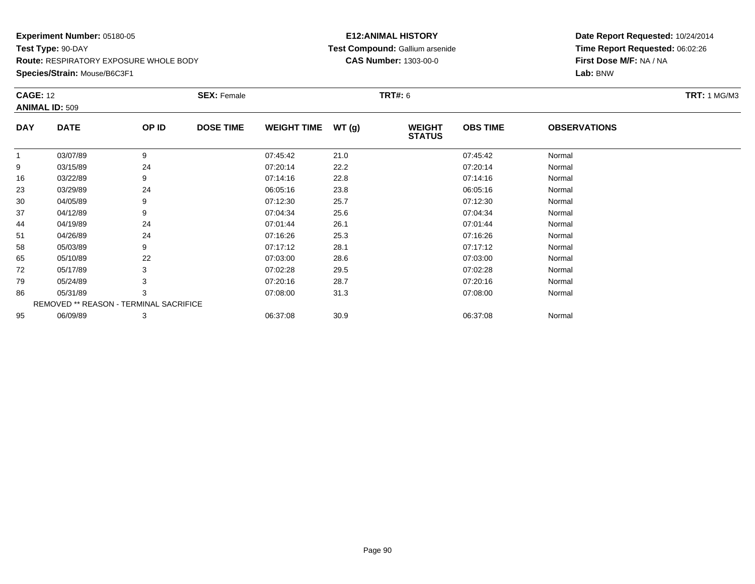**Species/Strain:** Mouse/B6C3F1

#### **E12:ANIMAL HISTORY Test Compound:** Gallium arsenide**CAS Number:** 1303-00-0

| <b>CAGE: 12</b> | <b>ANIMAL ID: 509</b>                  |       | <b>SEX: Female</b> |                    |       | <b>TRT#: 6</b>                 |                 |                     | <b>TRT: 1 MG/M3</b> |
|-----------------|----------------------------------------|-------|--------------------|--------------------|-------|--------------------------------|-----------------|---------------------|---------------------|
| <b>DAY</b>      | <b>DATE</b>                            | OP ID | <b>DOSE TIME</b>   | <b>WEIGHT TIME</b> | WT(g) | <b>WEIGHT</b><br><b>STATUS</b> | <b>OBS TIME</b> | <b>OBSERVATIONS</b> |                     |
| 1               | 03/07/89                               | 9     |                    | 07:45:42           | 21.0  |                                | 07:45:42        | Normal              |                     |
| 9               | 03/15/89                               | 24    |                    | 07:20:14           | 22.2  |                                | 07:20:14        | Normal              |                     |
| 16              | 03/22/89                               | 9     |                    | 07:14:16           | 22.8  |                                | 07:14:16        | Normal              |                     |
| 23              | 03/29/89                               | 24    |                    | 06:05:16           | 23.8  |                                | 06:05:16        | Normal              |                     |
| 30              | 04/05/89                               | 9     |                    | 07:12:30           | 25.7  |                                | 07:12:30        | Normal              |                     |
| 37              | 04/12/89                               | 9     |                    | 07:04:34           | 25.6  |                                | 07:04:34        | Normal              |                     |
| 44              | 04/19/89                               | 24    |                    | 07:01:44           | 26.1  |                                | 07:01:44        | Normal              |                     |
| 51              | 04/26/89                               | 24    |                    | 07:16:26           | 25.3  |                                | 07:16:26        | Normal              |                     |
| 58              | 05/03/89                               | 9     |                    | 07:17:12           | 28.1  |                                | 07:17:12        | Normal              |                     |
| 65              | 05/10/89                               | 22    |                    | 07:03:00           | 28.6  |                                | 07:03:00        | Normal              |                     |
| 72              | 05/17/89                               | 3     |                    | 07:02:28           | 29.5  |                                | 07:02:28        | Normal              |                     |
| 79              | 05/24/89                               |       |                    | 07:20:16           | 28.7  |                                | 07:20:16        | Normal              |                     |
| 86              | 05/31/89                               | 3     |                    | 07:08:00           | 31.3  |                                | 07:08:00        | Normal              |                     |
|                 | REMOVED ** REASON - TERMINAL SACRIFICE |       |                    |                    |       |                                |                 |                     |                     |
| 95              | 06/09/89                               | 3     |                    | 06:37:08           | 30.9  |                                | 06:37:08        | Normal              |                     |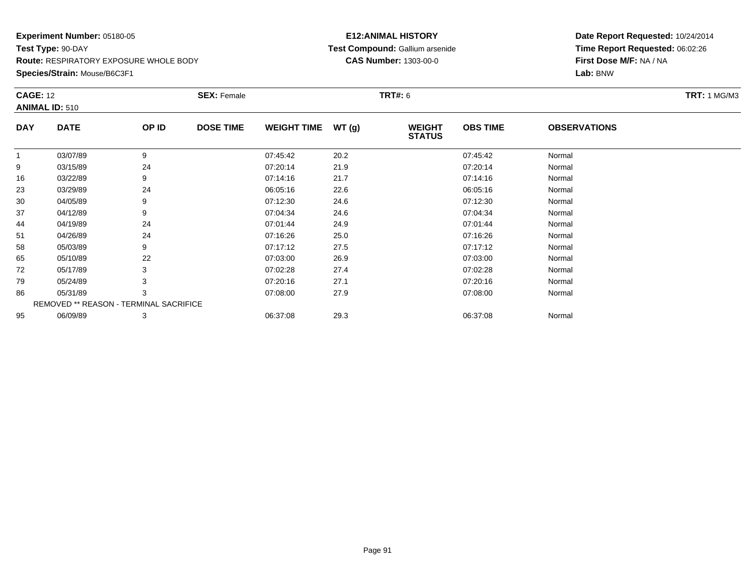**Species/Strain:** Mouse/B6C3F1

#### **E12:ANIMAL HISTORY Test Compound:** Gallium arsenide**CAS Number:** 1303-00-0

|            | <b>CAGE: 12</b><br><b>ANIMAL ID: 510</b> |       | <b>SEX: Female</b> |                    |       | <b>TRT#:</b> 6                 | <b>TRT:</b> 1 MG/M3 |                     |  |
|------------|------------------------------------------|-------|--------------------|--------------------|-------|--------------------------------|---------------------|---------------------|--|
| <b>DAY</b> | <b>DATE</b>                              | OP ID | <b>DOSE TIME</b>   | <b>WEIGHT TIME</b> | WT(g) | <b>WEIGHT</b><br><b>STATUS</b> | <b>OBS TIME</b>     | <b>OBSERVATIONS</b> |  |
| 1          | 03/07/89                                 | 9     |                    | 07:45:42           | 20.2  |                                | 07:45:42            | Normal              |  |
| 9          | 03/15/89                                 | 24    |                    | 07:20:14           | 21.9  |                                | 07:20:14            | Normal              |  |
| 16         | 03/22/89                                 | 9     |                    | 07:14:16           | 21.7  |                                | 07:14:16            | Normal              |  |
| 23         | 03/29/89                                 | 24    |                    | 06:05:16           | 22.6  |                                | 06:05:16            | Normal              |  |
| 30         | 04/05/89                                 | 9     |                    | 07:12:30           | 24.6  |                                | 07:12:30            | Normal              |  |
| 37         | 04/12/89                                 | 9     |                    | 07:04:34           | 24.6  |                                | 07:04:34            | Normal              |  |
| 44         | 04/19/89                                 | 24    |                    | 07:01:44           | 24.9  |                                | 07:01:44            | Normal              |  |
| 51         | 04/26/89                                 | 24    |                    | 07:16:26           | 25.0  |                                | 07:16:26            | Normal              |  |
| 58         | 05/03/89                                 | 9     |                    | 07:17:12           | 27.5  |                                | 07:17:12            | Normal              |  |
| 65         | 05/10/89                                 | 22    |                    | 07:03:00           | 26.9  |                                | 07:03:00            | Normal              |  |
| 72         | 05/17/89                                 | 3     |                    | 07:02:28           | 27.4  |                                | 07:02:28            | Normal              |  |
| 79         | 05/24/89                                 | 3     |                    | 07:20:16           | 27.1  |                                | 07:20:16            | Normal              |  |
| 86         | 05/31/89                                 | 3     |                    | 07:08:00           | 27.9  |                                | 07:08:00            | Normal              |  |
|            | REMOVED ** REASON - TERMINAL SACRIFICE   |       |                    |                    |       |                                |                     |                     |  |
| 95         | 06/09/89                                 | 3     |                    | 06:37:08           | 29.3  |                                | 06:37:08            | Normal              |  |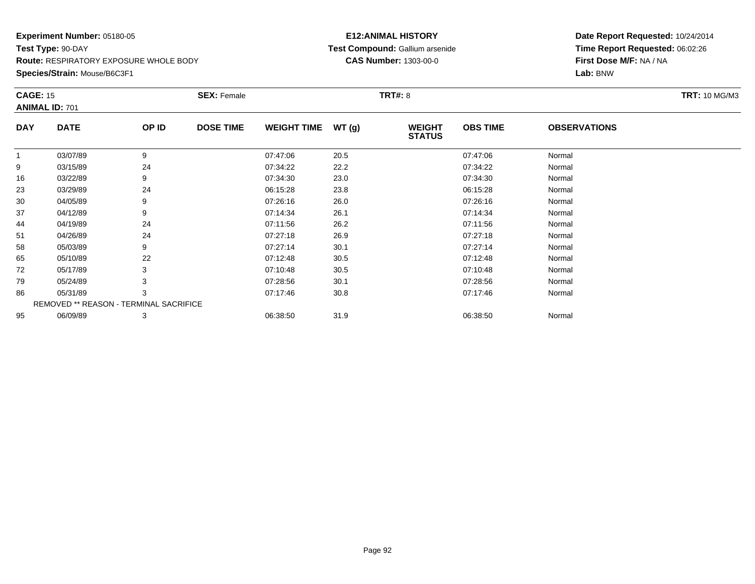**Species/Strain:** Mouse/B6C3F1

#### **E12:ANIMAL HISTORY Test Compound:** Gallium arsenide**CAS Number:** 1303-00-0

| <b>CAGE: 15</b> |                                        |       | <b>SEX: Female</b> |                    |       | <b>TRT#: 8</b>                 |                 |                     | <b>TRT: 10 MG/M3</b> |
|-----------------|----------------------------------------|-------|--------------------|--------------------|-------|--------------------------------|-----------------|---------------------|----------------------|
|                 | <b>ANIMAL ID: 701</b>                  |       |                    |                    |       |                                |                 |                     |                      |
| <b>DAY</b>      | <b>DATE</b>                            | OP ID | <b>DOSE TIME</b>   | <b>WEIGHT TIME</b> | WT(g) | <b>WEIGHT</b><br><b>STATUS</b> | <b>OBS TIME</b> | <b>OBSERVATIONS</b> |                      |
| 1               | 03/07/89                               | 9     |                    | 07:47:06           | 20.5  |                                | 07:47:06        | Normal              |                      |
| 9               | 03/15/89                               | 24    |                    | 07:34:22           | 22.2  |                                | 07:34:22        | Normal              |                      |
| 16              | 03/22/89                               | 9     |                    | 07:34:30           | 23.0  |                                | 07:34:30        | Normal              |                      |
| 23              | 03/29/89                               | 24    |                    | 06:15:28           | 23.8  |                                | 06:15:28        | Normal              |                      |
| 30              | 04/05/89                               | 9     |                    | 07:26:16           | 26.0  |                                | 07:26:16        | Normal              |                      |
| 37              | 04/12/89                               | 9     |                    | 07:14:34           | 26.1  |                                | 07:14:34        | Normal              |                      |
| 44              | 04/19/89                               | 24    |                    | 07:11:56           | 26.2  |                                | 07:11:56        | Normal              |                      |
| 51              | 04/26/89                               | 24    |                    | 07:27:18           | 26.9  |                                | 07:27:18        | Normal              |                      |
| 58              | 05/03/89                               | 9     |                    | 07:27:14           | 30.1  |                                | 07:27:14        | Normal              |                      |
| 65              | 05/10/89                               | 22    |                    | 07:12:48           | 30.5  |                                | 07:12:48        | Normal              |                      |
| 72              | 05/17/89                               | 3     |                    | 07:10:48           | 30.5  |                                | 07:10:48        | Normal              |                      |
| 79              | 05/24/89                               | 3     |                    | 07:28:56           | 30.1  |                                | 07:28:56        | Normal              |                      |
| 86              | 05/31/89                               | 3     |                    | 07:17:46           | 30.8  |                                | 07:17:46        | Normal              |                      |
|                 | REMOVED ** REASON - TERMINAL SACRIFICE |       |                    |                    |       |                                |                 |                     |                      |
| 95              | 06/09/89                               | 3     |                    | 06:38:50           | 31.9  |                                | 06:38:50        | Normal              |                      |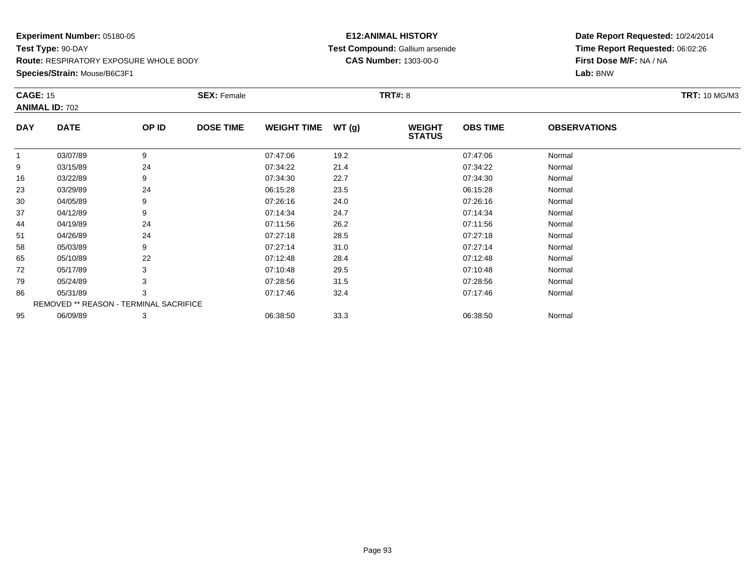**Species/Strain:** Mouse/B6C3F1

#### **E12:ANIMAL HISTORY Test Compound:** Gallium arsenide**CAS Number:** 1303-00-0

| <b>CAGE: 15</b> | <b>ANIMAL ID: 702</b>                  |       | <b>SEX: Female</b> |                    |       | <b>TRT#: 8</b>                 |                 |                     | <b>TRT: 10 MG/M3</b> |
|-----------------|----------------------------------------|-------|--------------------|--------------------|-------|--------------------------------|-----------------|---------------------|----------------------|
| <b>DAY</b>      | <b>DATE</b>                            | OP ID | <b>DOSE TIME</b>   | <b>WEIGHT TIME</b> | WT(g) | <b>WEIGHT</b><br><b>STATUS</b> | <b>OBS TIME</b> | <b>OBSERVATIONS</b> |                      |
| $\mathbf{1}$    | 03/07/89                               | 9     |                    | 07:47:06           | 19.2  |                                | 07:47:06        | Normal              |                      |
| 9               | 03/15/89                               | 24    |                    | 07:34:22           | 21.4  |                                | 07:34:22        | Normal              |                      |
| 16              | 03/22/89                               | 9     |                    | 07:34:30           | 22.7  |                                | 07:34:30        | Normal              |                      |
| 23              | 03/29/89                               | 24    |                    | 06:15:28           | 23.5  |                                | 06:15:28        | Normal              |                      |
| 30              | 04/05/89                               | 9     |                    | 07:26:16           | 24.0  |                                | 07:26:16        | Normal              |                      |
| 37              | 04/12/89                               | 9     |                    | 07:14:34           | 24.7  |                                | 07:14:34        | Normal              |                      |
| 44              | 04/19/89                               | 24    |                    | 07:11:56           | 26.2  |                                | 07:11:56        | Normal              |                      |
| 51              | 04/26/89                               | 24    |                    | 07:27:18           | 28.5  |                                | 07:27:18        | Normal              |                      |
| 58              | 05/03/89                               | 9     |                    | 07:27:14           | 31.0  |                                | 07:27:14        | Normal              |                      |
| 65              | 05/10/89                               | 22    |                    | 07:12:48           | 28.4  |                                | 07:12:48        | Normal              |                      |
| 72              | 05/17/89                               | 3     |                    | 07:10:48           | 29.5  |                                | 07:10:48        | Normal              |                      |
| 79              | 05/24/89                               |       |                    | 07:28:56           | 31.5  |                                | 07:28:56        | Normal              |                      |
| 86              | 05/31/89                               | 3     |                    | 07:17:46           | 32.4  |                                | 07:17:46        | Normal              |                      |
|                 | REMOVED ** REASON - TERMINAL SACRIFICE |       |                    |                    |       |                                |                 |                     |                      |
| 95              | 06/09/89                               | 3     |                    | 06:38:50           | 33.3  |                                | 06:38:50        | Normal              |                      |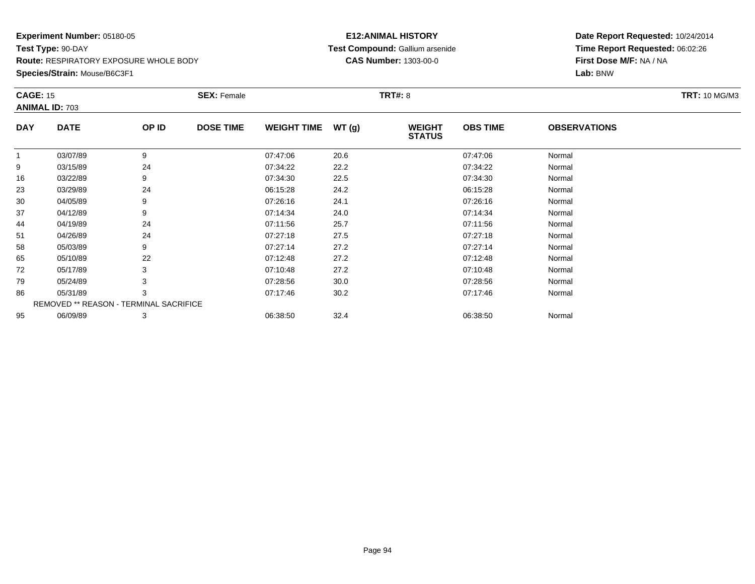**Species/Strain:** Mouse/B6C3F1

#### **E12:ANIMAL HISTORY Test Compound:** Gallium arsenide**CAS Number:** 1303-00-0

| <b>CAGE: 15</b> |                                        |       | <b>SEX: Female</b> |                    |       | <b>TRT#: 8</b>                 |                 |                     | <b>TRT: 10 MG/M3</b> |
|-----------------|----------------------------------------|-------|--------------------|--------------------|-------|--------------------------------|-----------------|---------------------|----------------------|
|                 | <b>ANIMAL ID: 703</b>                  |       |                    |                    |       |                                |                 |                     |                      |
| <b>DAY</b>      | <b>DATE</b>                            | OP ID | <b>DOSE TIME</b>   | <b>WEIGHT TIME</b> | WT(g) | <b>WEIGHT</b><br><b>STATUS</b> | <b>OBS TIME</b> | <b>OBSERVATIONS</b> |                      |
| 1               | 03/07/89                               | 9     |                    | 07:47:06           | 20.6  |                                | 07:47:06        | Normal              |                      |
| 9               | 03/15/89                               | 24    |                    | 07:34:22           | 22.2  |                                | 07:34:22        | Normal              |                      |
| 16              | 03/22/89                               | 9     |                    | 07:34:30           | 22.5  |                                | 07:34:30        | Normal              |                      |
| 23              | 03/29/89                               | 24    |                    | 06:15:28           | 24.2  |                                | 06:15:28        | Normal              |                      |
| 30              | 04/05/89                               | 9     |                    | 07:26:16           | 24.1  |                                | 07:26:16        | Normal              |                      |
| 37              | 04/12/89                               | 9     |                    | 07:14:34           | 24.0  |                                | 07:14:34        | Normal              |                      |
| 44              | 04/19/89                               | 24    |                    | 07:11:56           | 25.7  |                                | 07:11:56        | Normal              |                      |
| 51              | 04/26/89                               | 24    |                    | 07:27:18           | 27.5  |                                | 07:27:18        | Normal              |                      |
| 58              | 05/03/89                               | 9     |                    | 07:27:14           | 27.2  |                                | 07:27:14        | Normal              |                      |
| 65              | 05/10/89                               | 22    |                    | 07:12:48           | 27.2  |                                | 07:12:48        | Normal              |                      |
| 72              | 05/17/89                               | 3     |                    | 07:10:48           | 27.2  |                                | 07:10:48        | Normal              |                      |
| 79              | 05/24/89                               |       |                    | 07:28:56           | 30.0  |                                | 07:28:56        | Normal              |                      |
| 86              | 05/31/89                               | 3     |                    | 07:17:46           | 30.2  |                                | 07:17:46        | Normal              |                      |
|                 | REMOVED ** REASON - TERMINAL SACRIFICE |       |                    |                    |       |                                |                 |                     |                      |
| 95              | 06/09/89                               | 3     |                    | 06:38:50           | 32.4  |                                | 06:38:50        | Normal              |                      |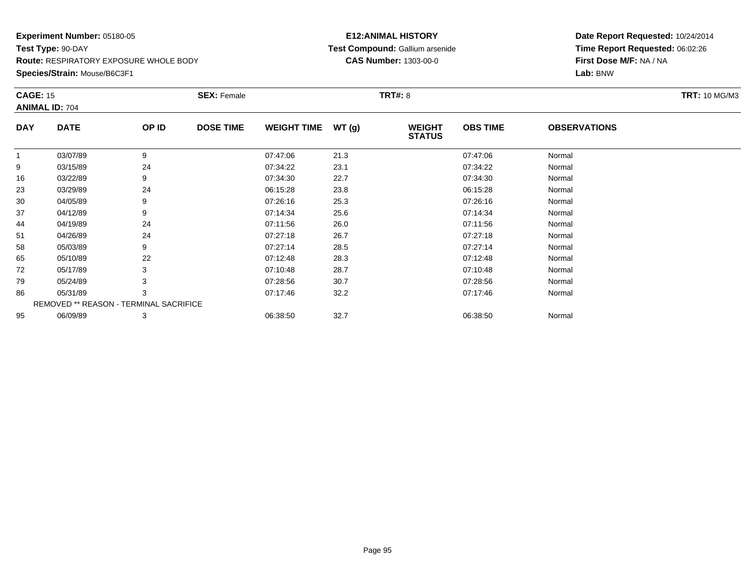**Species/Strain:** Mouse/B6C3F1

#### **E12:ANIMAL HISTORY Test Compound:** Gallium arsenide**CAS Number:** 1303-00-0

| <b>CAGE: 15</b> |                                        |       | <b>SEX: Female</b> |                    |       | <b>TRT#: 8</b>                 |                 |                     | <b>TRT: 10 MG/M3</b> |
|-----------------|----------------------------------------|-------|--------------------|--------------------|-------|--------------------------------|-----------------|---------------------|----------------------|
|                 | <b>ANIMAL ID: 704</b>                  |       |                    |                    |       |                                |                 |                     |                      |
| <b>DAY</b>      | <b>DATE</b>                            | OP ID | <b>DOSE TIME</b>   | <b>WEIGHT TIME</b> | WT(g) | <b>WEIGHT</b><br><b>STATUS</b> | <b>OBS TIME</b> | <b>OBSERVATIONS</b> |                      |
|                 | 03/07/89                               | 9     |                    | 07:47:06           | 21.3  |                                | 07:47:06        | Normal              |                      |
| 9               | 03/15/89                               | 24    |                    | 07:34:22           | 23.1  |                                | 07:34:22        | Normal              |                      |
| 16              | 03/22/89                               |       |                    | 07:34:30           | 22.7  |                                | 07:34:30        | Normal              |                      |
| 23              | 03/29/89                               | 24    |                    | 06:15:28           | 23.8  |                                | 06:15:28        | Normal              |                      |
| 30              | 04/05/89                               |       |                    | 07:26:16           | 25.3  |                                | 07:26:16        | Normal              |                      |
| 37              | 04/12/89                               | 9     |                    | 07:14:34           | 25.6  |                                | 07:14:34        | Normal              |                      |
| 44              | 04/19/89                               | 24    |                    | 07:11:56           | 26.0  |                                | 07:11:56        | Normal              |                      |
| 51              | 04/26/89                               | 24    |                    | 07:27:18           | 26.7  |                                | 07:27:18        | Normal              |                      |
| 58              | 05/03/89                               | 9     |                    | 07:27:14           | 28.5  |                                | 07:27:14        | Normal              |                      |
| 65              | 05/10/89                               | 22    |                    | 07:12:48           | 28.3  |                                | 07:12:48        | Normal              |                      |
| 72              | 05/17/89                               |       |                    | 07:10:48           | 28.7  |                                | 07:10:48        | Normal              |                      |
| 79              | 05/24/89                               |       |                    | 07:28:56           | 30.7  |                                | 07:28:56        | Normal              |                      |
| 86              | 05/31/89                               | 3     |                    | 07:17:46           | 32.2  |                                | 07:17:46        | Normal              |                      |
|                 | REMOVED ** REASON - TERMINAL SACRIFICE |       |                    |                    |       |                                |                 |                     |                      |
| 95              | 06/09/89                               | 3     |                    | 06:38:50           | 32.7  |                                | 06:38:50        | Normal              |                      |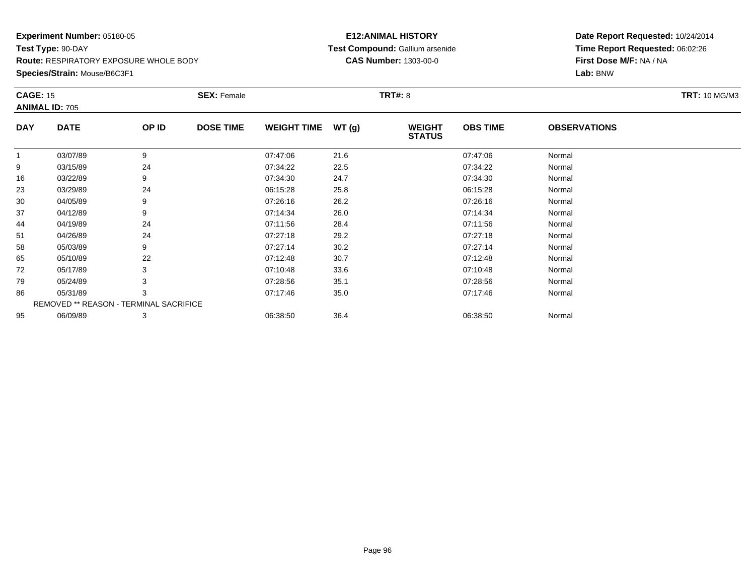**Species/Strain:** Mouse/B6C3F1

#### **E12:ANIMAL HISTORY Test Compound:** Gallium arsenide**CAS Number:** 1303-00-0

|             |                                          | <b>SEX: Female</b> |                                        |       |                                |                 |                     | <b>TRT: 10 MG/M3</b> |
|-------------|------------------------------------------|--------------------|----------------------------------------|-------|--------------------------------|-----------------|---------------------|----------------------|
|             |                                          |                    |                                        |       |                                |                 |                     |                      |
| <b>DATE</b> | OP ID                                    | <b>DOSE TIME</b>   | <b>WEIGHT TIME</b>                     | WT(g) | <b>WEIGHT</b><br><b>STATUS</b> | <b>OBS TIME</b> | <b>OBSERVATIONS</b> |                      |
| 03/07/89    | 9                                        |                    | 07:47:06                               | 21.6  |                                | 07:47:06        | Normal              |                      |
| 03/15/89    | 24                                       |                    | 07:34:22                               | 22.5  |                                | 07:34:22        | Normal              |                      |
| 03/22/89    | 9                                        |                    | 07:34:30                               | 24.7  |                                | 07:34:30        | Normal              |                      |
| 03/29/89    | 24                                       |                    | 06:15:28                               | 25.8  |                                | 06:15:28        | Normal              |                      |
| 04/05/89    | 9                                        |                    | 07:26:16                               | 26.2  |                                | 07:26:16        | Normal              |                      |
| 04/12/89    | 9                                        |                    | 07:14:34                               | 26.0  |                                | 07:14:34        | Normal              |                      |
| 04/19/89    | 24                                       |                    | 07:11:56                               | 28.4  |                                | 07:11:56        | Normal              |                      |
| 04/26/89    | 24                                       |                    | 07:27:18                               | 29.2  |                                | 07:27:18        | Normal              |                      |
| 05/03/89    | 9                                        |                    | 07:27:14                               | 30.2  |                                | 07:27:14        | Normal              |                      |
| 05/10/89    | 22                                       |                    | 07:12:48                               | 30.7  |                                | 07:12:48        | Normal              |                      |
| 05/17/89    | 3                                        |                    | 07:10:48                               | 33.6  |                                | 07:10:48        | Normal              |                      |
| 05/24/89    |                                          |                    | 07:28:56                               | 35.1  |                                | 07:28:56        | Normal              |                      |
| 05/31/89    | 3                                        |                    | 07:17:46                               | 35.0  |                                | 07:17:46        | Normal              |                      |
|             |                                          |                    |                                        |       |                                |                 |                     |                      |
| 06/09/89    | 3                                        |                    | 06:38:50                               | 36.4  |                                | 06:38:50        | Normal              |                      |
|             | <b>CAGE: 15</b><br><b>ANIMAL ID: 705</b> |                    | REMOVED ** REASON - TERMINAL SACRIFICE |       |                                | <b>TRT#: 8</b>  |                     |                      |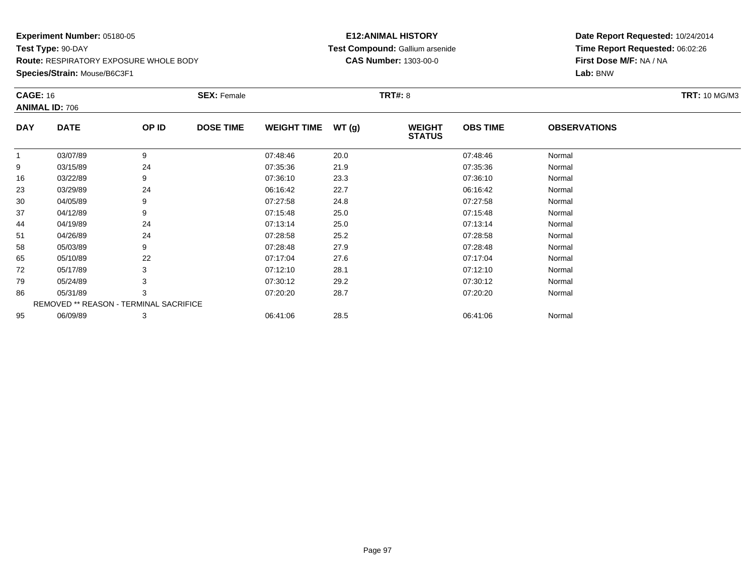**Species/Strain:** Mouse/B6C3F1

#### **E12:ANIMAL HISTORY Test Compound:** Gallium arsenide**CAS Number:** 1303-00-0

| <b>CAGE: 16</b> |                                        |       | <b>SEX: Female</b> |                    |       | <b>TRT#: 8</b>                 |                 |                     | <b>TRT: 10 MG/M3</b> |
|-----------------|----------------------------------------|-------|--------------------|--------------------|-------|--------------------------------|-----------------|---------------------|----------------------|
|                 | <b>ANIMAL ID: 706</b>                  |       |                    |                    |       |                                |                 |                     |                      |
| <b>DAY</b>      | <b>DATE</b>                            | OP ID | <b>DOSE TIME</b>   | <b>WEIGHT TIME</b> | WT(g) | <b>WEIGHT</b><br><b>STATUS</b> | <b>OBS TIME</b> | <b>OBSERVATIONS</b> |                      |
| 1               | 03/07/89                               | 9     |                    | 07:48:46           | 20.0  |                                | 07:48:46        | Normal              |                      |
| 9               | 03/15/89                               | 24    |                    | 07:35:36           | 21.9  |                                | 07:35:36        | Normal              |                      |
| 16              | 03/22/89                               | 9     |                    | 07:36:10           | 23.3  |                                | 07:36:10        | Normal              |                      |
| 23              | 03/29/89                               | 24    |                    | 06:16:42           | 22.7  |                                | 06:16:42        | Normal              |                      |
| 30              | 04/05/89                               | 9     |                    | 07:27:58           | 24.8  |                                | 07:27:58        | Normal              |                      |
| 37              | 04/12/89                               | 9     |                    | 07:15:48           | 25.0  |                                | 07:15:48        | Normal              |                      |
| 44              | 04/19/89                               | 24    |                    | 07:13:14           | 25.0  |                                | 07:13:14        | Normal              |                      |
| 51              | 04/26/89                               | 24    |                    | 07:28:58           | 25.2  |                                | 07:28:58        | Normal              |                      |
| 58              | 05/03/89                               | 9     |                    | 07:28:48           | 27.9  |                                | 07:28:48        | Normal              |                      |
| 65              | 05/10/89                               | 22    |                    | 07:17:04           | 27.6  |                                | 07:17:04        | Normal              |                      |
| 72              | 05/17/89                               | 3     |                    | 07:12:10           | 28.1  |                                | 07:12:10        | Normal              |                      |
| 79              | 05/24/89                               |       |                    | 07:30:12           | 29.2  |                                | 07:30:12        | Normal              |                      |
| 86              | 05/31/89                               | 3     |                    | 07:20:20           | 28.7  |                                | 07:20:20        | Normal              |                      |
|                 | REMOVED ** REASON - TERMINAL SACRIFICE |       |                    |                    |       |                                |                 |                     |                      |
| 95              | 06/09/89                               | 3     |                    | 06:41:06           | 28.5  |                                | 06:41:06        | Normal              |                      |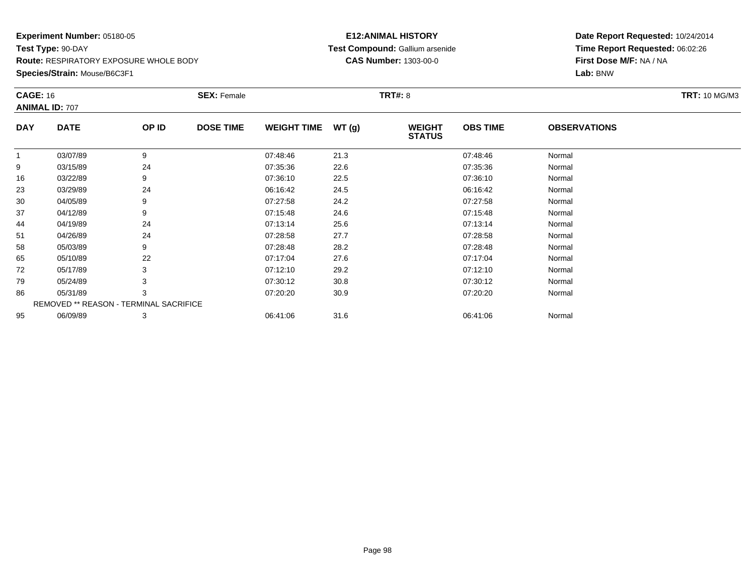**Species/Strain:** Mouse/B6C3F1

#### **E12:ANIMAL HISTORY Test Compound:** Gallium arsenide**CAS Number:** 1303-00-0

|            | <b>ANIMAL ID: 707</b>                  |       |                  |                    |       | <b>TRT#: 8</b>                 |                 |                     | <b>TRT: 10 MG/M3</b> |
|------------|----------------------------------------|-------|------------------|--------------------|-------|--------------------------------|-----------------|---------------------|----------------------|
| <b>DAY</b> | <b>DATE</b>                            | OP ID | <b>DOSE TIME</b> | <b>WEIGHT TIME</b> | WT(g) | <b>WEIGHT</b><br><b>STATUS</b> | <b>OBS TIME</b> | <b>OBSERVATIONS</b> |                      |
| 1          | 03/07/89                               | 9     |                  | 07:48:46           | 21.3  |                                | 07:48:46        | Normal              |                      |
| 9          | 03/15/89                               | 24    |                  | 07:35:36           | 22.6  |                                | 07:35:36        | Normal              |                      |
| 16         | 03/22/89                               | 9     |                  | 07:36:10           | 22.5  |                                | 07:36:10        | Normal              |                      |
| 23         | 03/29/89                               | 24    |                  | 06:16:42           | 24.5  |                                | 06:16:42        | Normal              |                      |
| 30         | 04/05/89                               | 9     |                  | 07:27:58           | 24.2  |                                | 07:27:58        | Normal              |                      |
| 37         | 04/12/89                               | 9     |                  | 07:15:48           | 24.6  |                                | 07:15:48        | Normal              |                      |
| 44         | 04/19/89                               | 24    |                  | 07:13:14           | 25.6  |                                | 07:13:14        | Normal              |                      |
| 51         | 04/26/89                               | 24    |                  | 07:28:58           | 27.7  |                                | 07:28:58        | Normal              |                      |
| 58         | 05/03/89                               | 9     |                  | 07:28:48           | 28.2  |                                | 07:28:48        | Normal              |                      |
| 65         | 05/10/89                               | 22    |                  | 07:17:04           | 27.6  |                                | 07:17:04        | Normal              |                      |
| 72         | 05/17/89                               | 3     |                  | 07:12:10           | 29.2  |                                | 07:12:10        | Normal              |                      |
| 79         | 05/24/89                               |       |                  | 07:30:12           | 30.8  |                                | 07:30:12        | Normal              |                      |
| 86         | 05/31/89                               | 3     |                  | 07:20:20           | 30.9  |                                | 07:20:20        | Normal              |                      |
|            | REMOVED ** REASON - TERMINAL SACRIFICE |       |                  |                    |       |                                |                 |                     |                      |
| 95         | 06/09/89                               | 3     |                  | 06:41:06           | 31.6  |                                | 06:41:06        | Normal              |                      |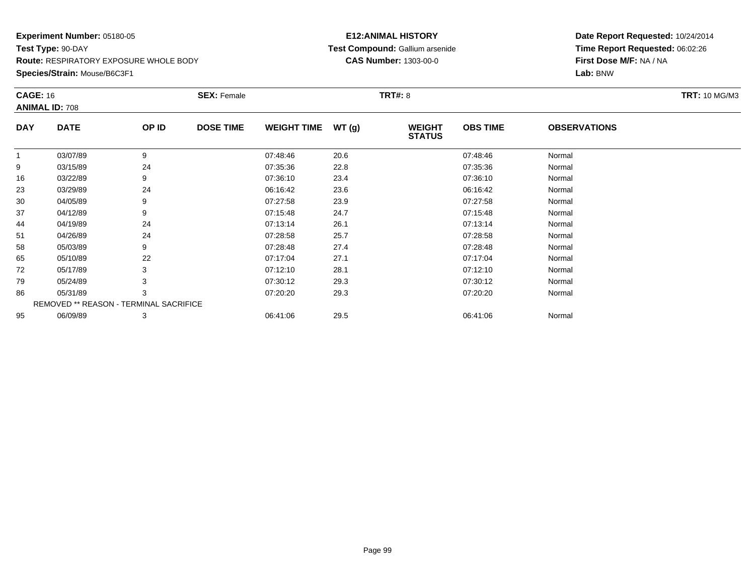**Species/Strain:** Mouse/B6C3F1

#### **E12:ANIMAL HISTORY Test Compound:** Gallium arsenide**CAS Number:** 1303-00-0

| <b>CAGE: 16</b> | <b>ANIMAL ID: 708</b>                  |       | <b>SEX: Female</b> |                    |       | <b>TRT#: 8</b>                 |                 |                     | <b>TRT: 10 MG/M3</b> |
|-----------------|----------------------------------------|-------|--------------------|--------------------|-------|--------------------------------|-----------------|---------------------|----------------------|
| <b>DAY</b>      | <b>DATE</b>                            | OP ID | <b>DOSE TIME</b>   | <b>WEIGHT TIME</b> | WT(g) | <b>WEIGHT</b><br><b>STATUS</b> | <b>OBS TIME</b> | <b>OBSERVATIONS</b> |                      |
| $\mathbf{1}$    | 03/07/89                               | 9     |                    | 07:48:46           | 20.6  |                                | 07:48:46        | Normal              |                      |
| 9               | 03/15/89                               | 24    |                    | 07:35:36           | 22.8  |                                | 07:35:36        | Normal              |                      |
| 16              | 03/22/89                               | 9     |                    | 07:36:10           | 23.4  |                                | 07:36:10        | Normal              |                      |
| 23              | 03/29/89                               | 24    |                    | 06:16:42           | 23.6  |                                | 06:16:42        | Normal              |                      |
| 30              | 04/05/89                               | 9     |                    | 07:27:58           | 23.9  |                                | 07:27:58        | Normal              |                      |
| 37              | 04/12/89                               | 9     |                    | 07:15:48           | 24.7  |                                | 07:15:48        | Normal              |                      |
| 44              | 04/19/89                               | 24    |                    | 07:13:14           | 26.1  |                                | 07:13:14        | Normal              |                      |
| 51              | 04/26/89                               | 24    |                    | 07:28:58           | 25.7  |                                | 07:28:58        | Normal              |                      |
| 58              | 05/03/89                               | 9     |                    | 07:28:48           | 27.4  |                                | 07:28:48        | Normal              |                      |
| 65              | 05/10/89                               | 22    |                    | 07:17:04           | 27.1  |                                | 07:17:04        | Normal              |                      |
| 72              | 05/17/89                               | 3     |                    | 07:12:10           | 28.1  |                                | 07:12:10        | Normal              |                      |
| 79              | 05/24/89                               |       |                    | 07:30:12           | 29.3  |                                | 07:30:12        | Normal              |                      |
| 86              | 05/31/89                               | 3     |                    | 07:20:20           | 29.3  |                                | 07:20:20        | Normal              |                      |
|                 | REMOVED ** REASON - TERMINAL SACRIFICE |       |                    |                    |       |                                |                 |                     |                      |
| 95              | 06/09/89                               | 3     |                    | 06:41:06           | 29.5  |                                | 06:41:06        | Normal              |                      |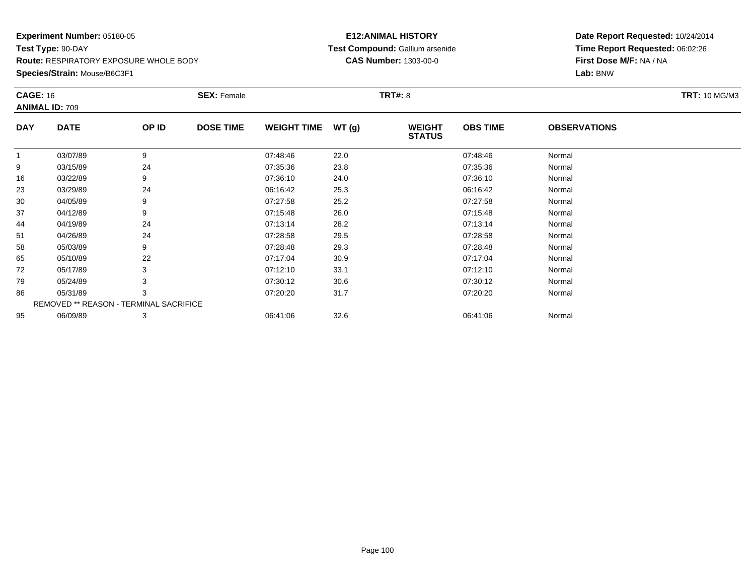**Species/Strain:** Mouse/B6C3F1

#### **E12:ANIMAL HISTORY Test Compound:** Gallium arsenide**CAS Number:** 1303-00-0

| <b>CAGE: 16</b> | <b>ANIMAL ID: 709</b>                  |       | <b>SEX: Female</b> |                    |       | <b>TRT#: 8</b>                 |                 |                     | <b>TRT: 10 MG/M3</b> |
|-----------------|----------------------------------------|-------|--------------------|--------------------|-------|--------------------------------|-----------------|---------------------|----------------------|
| <b>DAY</b>      | <b>DATE</b>                            | OP ID | <b>DOSE TIME</b>   | <b>WEIGHT TIME</b> | WT(g) | <b>WEIGHT</b><br><b>STATUS</b> | <b>OBS TIME</b> | <b>OBSERVATIONS</b> |                      |
| $\mathbf{1}$    | 03/07/89                               | 9     |                    | 07:48:46           | 22.0  |                                | 07:48:46        | Normal              |                      |
| 9               | 03/15/89                               | 24    |                    | 07:35:36           | 23.8  |                                | 07:35:36        | Normal              |                      |
| 16              | 03/22/89                               | 9     |                    | 07:36:10           | 24.0  |                                | 07:36:10        | Normal              |                      |
| 23              | 03/29/89                               | 24    |                    | 06:16:42           | 25.3  |                                | 06:16:42        | Normal              |                      |
| 30              | 04/05/89                               | 9     |                    | 07:27:58           | 25.2  |                                | 07:27:58        | Normal              |                      |
| 37              | 04/12/89                               | 9     |                    | 07:15:48           | 26.0  |                                | 07:15:48        | Normal              |                      |
| 44              | 04/19/89                               | 24    |                    | 07:13:14           | 28.2  |                                | 07:13:14        | Normal              |                      |
| 51              | 04/26/89                               | 24    |                    | 07:28:58           | 29.5  |                                | 07:28:58        | Normal              |                      |
| 58              | 05/03/89                               | 9     |                    | 07:28:48           | 29.3  |                                | 07:28:48        | Normal              |                      |
| 65              | 05/10/89                               | 22    |                    | 07:17:04           | 30.9  |                                | 07:17:04        | Normal              |                      |
| 72              | 05/17/89                               | 3     |                    | 07:12:10           | 33.1  |                                | 07:12:10        | Normal              |                      |
| 79              | 05/24/89                               |       |                    | 07:30:12           | 30.6  |                                | 07:30:12        | Normal              |                      |
| 86              | 05/31/89                               | 3     |                    | 07:20:20           | 31.7  |                                | 07:20:20        | Normal              |                      |
|                 | REMOVED ** REASON - TERMINAL SACRIFICE |       |                    |                    |       |                                |                 |                     |                      |
| 95              | 06/09/89                               | 3     |                    | 06:41:06           | 32.6  |                                | 06:41:06        | Normal              |                      |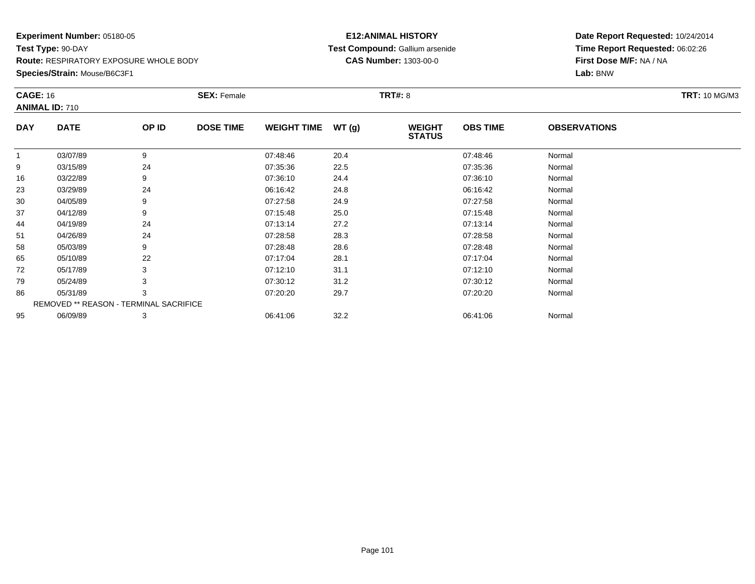**Species/Strain:** Mouse/B6C3F1

#### **E12:ANIMAL HISTORY Test Compound:** Gallium arsenide**CAS Number:** 1303-00-0

| <b>CAGE: 16</b> |                                        |       | <b>SEX: Female</b> |                    |       | <b>TRT#: 8</b>                 |                 |                     | <b>TRT: 10 MG/M3</b> |
|-----------------|----------------------------------------|-------|--------------------|--------------------|-------|--------------------------------|-----------------|---------------------|----------------------|
|                 | <b>ANIMAL ID: 710</b>                  |       |                    |                    |       |                                |                 |                     |                      |
| <b>DAY</b>      | <b>DATE</b>                            | OP ID | <b>DOSE TIME</b>   | <b>WEIGHT TIME</b> | WT(g) | <b>WEIGHT</b><br><b>STATUS</b> | <b>OBS TIME</b> | <b>OBSERVATIONS</b> |                      |
| 1               | 03/07/89                               | 9     |                    | 07:48:46           | 20.4  |                                | 07:48:46        | Normal              |                      |
| 9               | 03/15/89                               | 24    |                    | 07:35:36           | 22.5  |                                | 07:35:36        | Normal              |                      |
| 16              | 03/22/89                               | 9     |                    | 07:36:10           | 24.4  |                                | 07:36:10        | Normal              |                      |
| 23              | 03/29/89                               | 24    |                    | 06:16:42           | 24.8  |                                | 06:16:42        | Normal              |                      |
| 30              | 04/05/89                               | 9     |                    | 07:27:58           | 24.9  |                                | 07:27:58        | Normal              |                      |
| 37              | 04/12/89                               | 9     |                    | 07:15:48           | 25.0  |                                | 07:15:48        | Normal              |                      |
| 44              | 04/19/89                               | 24    |                    | 07:13:14           | 27.2  |                                | 07:13:14        | Normal              |                      |
| 51              | 04/26/89                               | 24    |                    | 07:28:58           | 28.3  |                                | 07:28:58        | Normal              |                      |
| 58              | 05/03/89                               | 9     |                    | 07:28:48           | 28.6  |                                | 07:28:48        | Normal              |                      |
| 65              | 05/10/89                               | 22    |                    | 07:17:04           | 28.1  |                                | 07:17:04        | Normal              |                      |
| 72              | 05/17/89                               | 3     |                    | 07:12:10           | 31.1  |                                | 07:12:10        | Normal              |                      |
| 79              | 05/24/89                               |       |                    | 07:30:12           | 31.2  |                                | 07:30:12        | Normal              |                      |
| 86              | 05/31/89                               | 3     |                    | 07:20:20           | 29.7  |                                | 07:20:20        | Normal              |                      |
|                 | REMOVED ** REASON - TERMINAL SACRIFICE |       |                    |                    |       |                                |                 |                     |                      |
| 95              | 06/09/89                               | 3     |                    | 06:41:06           | 32.2  |                                | 06:41:06        | Normal              |                      |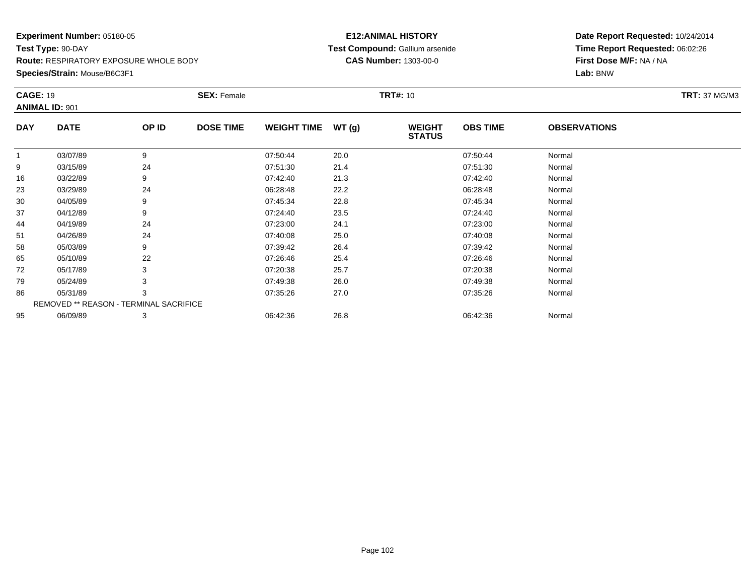**Species/Strain:** Mouse/B6C3F1

#### **E12:ANIMAL HISTORY Test Compound:** Gallium arsenide**CAS Number:** 1303-00-0

| <b>CAGE: 19</b> | <b>ANIMAL ID: 901</b>                  |       | <b>SEX: Female</b> |                    |       | <b>TRT#: 10</b>                |                 |                     | <b>TRT: 37 MG/M3</b> |
|-----------------|----------------------------------------|-------|--------------------|--------------------|-------|--------------------------------|-----------------|---------------------|----------------------|
| <b>DAY</b>      | <b>DATE</b>                            | OP ID | <b>DOSE TIME</b>   | <b>WEIGHT TIME</b> | WT(g) | <b>WEIGHT</b><br><b>STATUS</b> | <b>OBS TIME</b> | <b>OBSERVATIONS</b> |                      |
| 1               | 03/07/89                               | 9     |                    | 07:50:44           | 20.0  |                                | 07:50:44        | Normal              |                      |
| 9               | 03/15/89                               | 24    |                    | 07:51:30           | 21.4  |                                | 07:51:30        | Normal              |                      |
| 16              | 03/22/89                               | 9     |                    | 07:42:40           | 21.3  |                                | 07:42:40        | Normal              |                      |
| 23              | 03/29/89                               | 24    |                    | 06:28:48           | 22.2  |                                | 06:28:48        | Normal              |                      |
| 30              | 04/05/89                               | 9     |                    | 07:45:34           | 22.8  |                                | 07:45:34        | Normal              |                      |
| 37              | 04/12/89                               | 9     |                    | 07:24:40           | 23.5  |                                | 07:24:40        | Normal              |                      |
| 44              | 04/19/89                               | 24    |                    | 07:23:00           | 24.1  |                                | 07:23:00        | Normal              |                      |
| 51              | 04/26/89                               | 24    |                    | 07:40:08           | 25.0  |                                | 07:40:08        | Normal              |                      |
| 58              | 05/03/89                               | 9     |                    | 07:39:42           | 26.4  |                                | 07:39:42        | Normal              |                      |
| 65              | 05/10/89                               | 22    |                    | 07:26:46           | 25.4  |                                | 07:26:46        | Normal              |                      |
| 72              | 05/17/89                               | 3     |                    | 07:20:38           | 25.7  |                                | 07:20:38        | Normal              |                      |
| 79              | 05/24/89                               | 3     |                    | 07:49:38           | 26.0  |                                | 07:49:38        | Normal              |                      |
| 86              | 05/31/89                               | 3     |                    | 07:35:26           | 27.0  |                                | 07:35:26        | Normal              |                      |
|                 | REMOVED ** REASON - TERMINAL SACRIFICE |       |                    |                    |       |                                |                 |                     |                      |
| 95              | 06/09/89                               | 3     |                    | 06:42:36           | 26.8  |                                | 06:42:36        | Normal              |                      |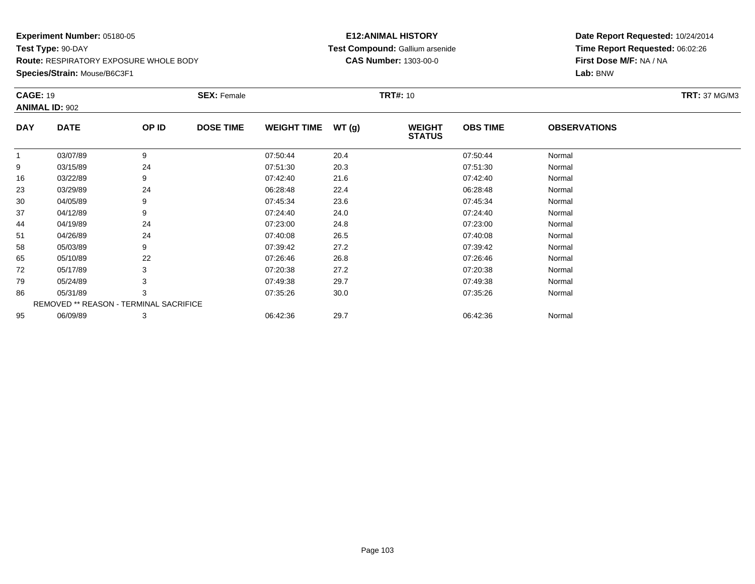**Species/Strain:** Mouse/B6C3F1

#### **E12:ANIMAL HISTORY Test Compound:** Gallium arsenide**CAS Number:** 1303-00-0

|             |                                          | <b>SEX: Female</b> |                                        |       |                                |                 |                     | <b>TRT: 37 MG/M3</b> |  |
|-------------|------------------------------------------|--------------------|----------------------------------------|-------|--------------------------------|-----------------|---------------------|----------------------|--|
|             |                                          |                    |                                        |       |                                |                 |                     |                      |  |
| <b>DATE</b> | OP ID                                    | <b>DOSE TIME</b>   | <b>WEIGHT TIME</b>                     | WT(g) | <b>WEIGHT</b><br><b>STATUS</b> | <b>OBS TIME</b> | <b>OBSERVATIONS</b> |                      |  |
| 03/07/89    | 9                                        |                    | 07:50:44                               | 20.4  |                                | 07:50:44        | Normal              |                      |  |
| 03/15/89    | 24                                       |                    | 07:51:30                               | 20.3  |                                | 07:51:30        | Normal              |                      |  |
| 03/22/89    | 9                                        |                    | 07:42:40                               | 21.6  |                                | 07:42:40        | Normal              |                      |  |
| 03/29/89    | 24                                       |                    | 06:28:48                               | 22.4  |                                | 06:28:48        | Normal              |                      |  |
| 04/05/89    | 9                                        |                    | 07:45:34                               | 23.6  |                                | 07:45:34        | Normal              |                      |  |
| 04/12/89    | 9                                        |                    | 07:24:40                               | 24.0  |                                | 07:24:40        | Normal              |                      |  |
| 04/19/89    | 24                                       |                    | 07:23:00                               | 24.8  |                                | 07:23:00        | Normal              |                      |  |
| 04/26/89    | 24                                       |                    | 07:40:08                               | 26.5  |                                | 07:40:08        | Normal              |                      |  |
| 05/03/89    | 9                                        |                    | 07:39:42                               | 27.2  |                                | 07:39:42        | Normal              |                      |  |
| 05/10/89    | 22                                       |                    | 07:26:46                               | 26.8  |                                | 07:26:46        | Normal              |                      |  |
| 05/17/89    | 3                                        |                    | 07:20:38                               | 27.2  |                                | 07:20:38        | Normal              |                      |  |
| 05/24/89    |                                          |                    | 07:49:38                               | 29.7  |                                | 07:49:38        | Normal              |                      |  |
| 05/31/89    | 3                                        |                    | 07:35:26                               | 30.0  |                                | 07:35:26        | Normal              |                      |  |
|             |                                          |                    |                                        |       |                                |                 |                     |                      |  |
| 06/09/89    | 3                                        |                    | 06:42:36                               | 29.7  |                                | 06:42:36        | Normal              |                      |  |
|             | <b>CAGE: 19</b><br><b>ANIMAL ID: 902</b> |                    | REMOVED ** REASON - TERMINAL SACRIFICE |       |                                | <b>TRT#: 10</b> |                     |                      |  |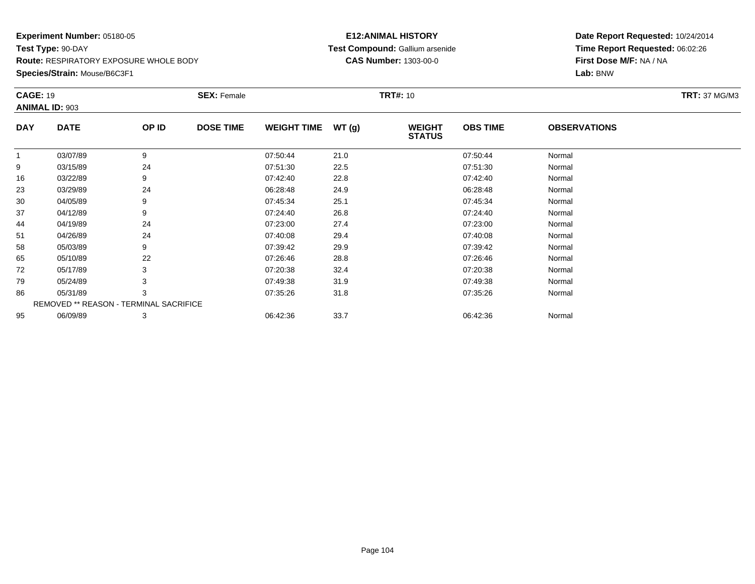**Species/Strain:** Mouse/B6C3F1

#### **E12:ANIMAL HISTORY Test Compound:** Gallium arsenide**CAS Number:** 1303-00-0

| <b>CAGE: 19</b> | <b>ANIMAL ID: 903</b>                  |       | <b>SEX: Female</b> |                    |       | <b>TRT#: 10</b>                |                 |                     | <b>TRT: 37 MG/M3</b> |
|-----------------|----------------------------------------|-------|--------------------|--------------------|-------|--------------------------------|-----------------|---------------------|----------------------|
| <b>DAY</b>      | <b>DATE</b>                            | OP ID | <b>DOSE TIME</b>   | <b>WEIGHT TIME</b> | WT(g) | <b>WEIGHT</b><br><b>STATUS</b> | <b>OBS TIME</b> | <b>OBSERVATIONS</b> |                      |
| $\mathbf{1}$    | 03/07/89                               | 9     |                    | 07:50:44           | 21.0  |                                | 07:50:44        | Normal              |                      |
| 9               | 03/15/89                               | 24    |                    | 07:51:30           | 22.5  |                                | 07:51:30        | Normal              |                      |
| 16              | 03/22/89                               | 9     |                    | 07:42:40           | 22.8  |                                | 07:42:40        | Normal              |                      |
| 23              | 03/29/89                               | 24    |                    | 06:28:48           | 24.9  |                                | 06:28:48        | Normal              |                      |
| 30              | 04/05/89                               | 9     |                    | 07:45:34           | 25.1  |                                | 07:45:34        | Normal              |                      |
| 37              | 04/12/89                               | 9     |                    | 07:24:40           | 26.8  |                                | 07:24:40        | Normal              |                      |
| 44              | 04/19/89                               | 24    |                    | 07:23:00           | 27.4  |                                | 07:23:00        | Normal              |                      |
| 51              | 04/26/89                               | 24    |                    | 07:40:08           | 29.4  |                                | 07:40:08        | Normal              |                      |
| 58              | 05/03/89                               | 9     |                    | 07:39:42           | 29.9  |                                | 07:39:42        | Normal              |                      |
| 65              | 05/10/89                               | 22    |                    | 07:26:46           | 28.8  |                                | 07:26:46        | Normal              |                      |
| 72              | 05/17/89                               | 3     |                    | 07:20:38           | 32.4  |                                | 07:20:38        | Normal              |                      |
| 79              | 05/24/89                               | 3     |                    | 07:49:38           | 31.9  |                                | 07:49:38        | Normal              |                      |
| 86              | 05/31/89                               | 3     |                    | 07:35:26           | 31.8  |                                | 07:35:26        | Normal              |                      |
|                 | REMOVED ** REASON - TERMINAL SACRIFICE |       |                    |                    |       |                                |                 |                     |                      |
| 95              | 06/09/89                               | 3     |                    | 06:42:36           | 33.7  |                                | 06:42:36        | Normal              |                      |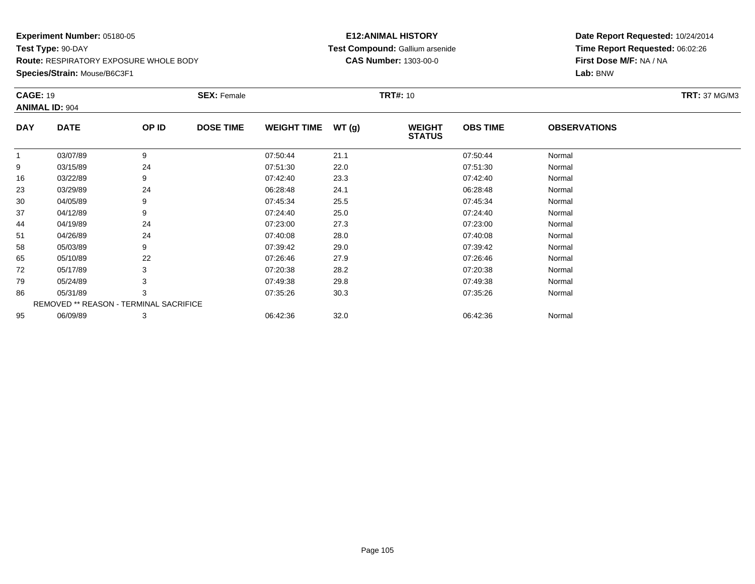**Species/Strain:** Mouse/B6C3F1

#### **E12:ANIMAL HISTORY Test Compound:** Gallium arsenide**CAS Number:** 1303-00-0

| <b>CAGE: 19</b> | <b>ANIMAL ID: 904</b>                  |       | <b>SEX: Female</b> |                    |       | <b>TRT#: 10</b>                |                 |                     | <b>TRT: 37 MG/M3</b> |
|-----------------|----------------------------------------|-------|--------------------|--------------------|-------|--------------------------------|-----------------|---------------------|----------------------|
| <b>DAY</b>      | <b>DATE</b>                            | OP ID | <b>DOSE TIME</b>   | <b>WEIGHT TIME</b> | WT(g) | <b>WEIGHT</b><br><b>STATUS</b> | <b>OBS TIME</b> | <b>OBSERVATIONS</b> |                      |
| $\mathbf{1}$    | 03/07/89                               | 9     |                    | 07:50:44           | 21.1  |                                | 07:50:44        | Normal              |                      |
| 9               | 03/15/89                               | 24    |                    | 07:51:30           | 22.0  |                                | 07:51:30        | Normal              |                      |
| 16              | 03/22/89                               | 9     |                    | 07:42:40           | 23.3  |                                | 07:42:40        | Normal              |                      |
| 23              | 03/29/89                               | 24    |                    | 06:28:48           | 24.1  |                                | 06:28:48        | Normal              |                      |
| 30              | 04/05/89                               | 9     |                    | 07:45:34           | 25.5  |                                | 07:45:34        | Normal              |                      |
| 37              | 04/12/89                               | 9     |                    | 07:24:40           | 25.0  |                                | 07:24:40        | Normal              |                      |
| 44              | 04/19/89                               | 24    |                    | 07:23:00           | 27.3  |                                | 07:23:00        | Normal              |                      |
| 51              | 04/26/89                               | 24    |                    | 07:40:08           | 28.0  |                                | 07:40:08        | Normal              |                      |
| 58              | 05/03/89                               | 9     |                    | 07:39:42           | 29.0  |                                | 07:39:42        | Normal              |                      |
| 65              | 05/10/89                               | 22    |                    | 07:26:46           | 27.9  |                                | 07:26:46        | Normal              |                      |
| 72              | 05/17/89                               | 3     |                    | 07:20:38           | 28.2  |                                | 07:20:38        | Normal              |                      |
| 79              | 05/24/89                               | 3     |                    | 07:49:38           | 29.8  |                                | 07:49:38        | Normal              |                      |
| 86              | 05/31/89                               | 3     |                    | 07:35:26           | 30.3  |                                | 07:35:26        | Normal              |                      |
|                 | REMOVED ** REASON - TERMINAL SACRIFICE |       |                    |                    |       |                                |                 |                     |                      |
| 95              | 06/09/89                               | 3     |                    | 06:42:36           | 32.0  |                                | 06:42:36        | Normal              |                      |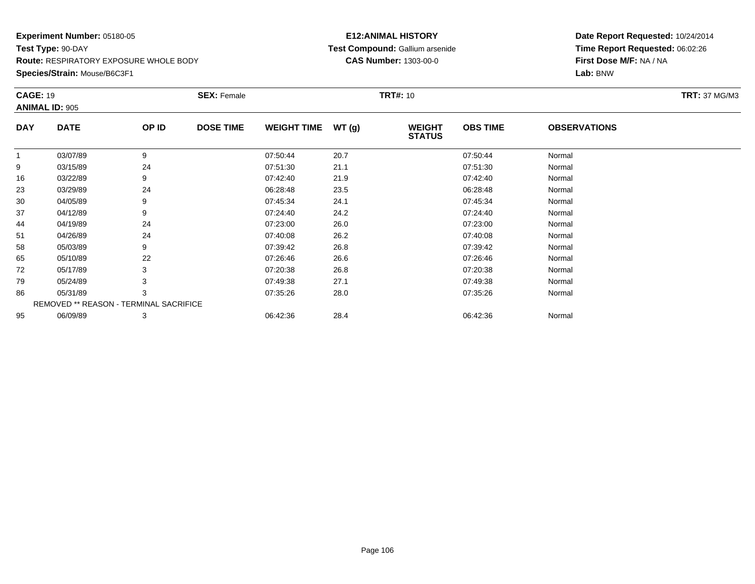**Species/Strain:** Mouse/B6C3F1

#### **E12:ANIMAL HISTORY Test Compound:** Gallium arsenide**CAS Number:** 1303-00-0

| <b>CAGE: 19</b> | <b>ANIMAL ID: 905</b>                  |       | <b>SEX: Female</b> |                    |       | <b>TRT#: 10</b>                |                 |                     | <b>TRT: 37 MG/M3</b> |
|-----------------|----------------------------------------|-------|--------------------|--------------------|-------|--------------------------------|-----------------|---------------------|----------------------|
| <b>DAY</b>      | <b>DATE</b>                            | OP ID | <b>DOSE TIME</b>   | <b>WEIGHT TIME</b> | WT(g) | <b>WEIGHT</b><br><b>STATUS</b> | <b>OBS TIME</b> | <b>OBSERVATIONS</b> |                      |
| 1               | 03/07/89                               | 9     |                    | 07:50:44           | 20.7  |                                | 07:50:44        | Normal              |                      |
| 9               | 03/15/89                               | 24    |                    | 07:51:30           | 21.1  |                                | 07:51:30        | Normal              |                      |
| 16              | 03/22/89                               | 9     |                    | 07:42:40           | 21.9  |                                | 07:42:40        | Normal              |                      |
| 23              | 03/29/89                               | 24    |                    | 06:28:48           | 23.5  |                                | 06:28:48        | Normal              |                      |
| 30              | 04/05/89                               | 9     |                    | 07:45:34           | 24.1  |                                | 07:45:34        | Normal              |                      |
| 37              | 04/12/89                               | 9     |                    | 07:24:40           | 24.2  |                                | 07:24:40        | Normal              |                      |
| 44              | 04/19/89                               | 24    |                    | 07:23:00           | 26.0  |                                | 07:23:00        | Normal              |                      |
| 51              | 04/26/89                               | 24    |                    | 07:40:08           | 26.2  |                                | 07:40:08        | Normal              |                      |
| 58              | 05/03/89                               | 9     |                    | 07:39:42           | 26.8  |                                | 07:39:42        | Normal              |                      |
| 65              | 05/10/89                               | 22    |                    | 07:26:46           | 26.6  |                                | 07:26:46        | Normal              |                      |
| 72              | 05/17/89                               | 3     |                    | 07:20:38           | 26.8  |                                | 07:20:38        | Normal              |                      |
| 79              | 05/24/89                               | 3     |                    | 07:49:38           | 27.1  |                                | 07:49:38        | Normal              |                      |
| 86              | 05/31/89                               | 3     |                    | 07:35:26           | 28.0  |                                | 07:35:26        | Normal              |                      |
|                 | REMOVED ** REASON - TERMINAL SACRIFICE |       |                    |                    |       |                                |                 |                     |                      |
| 95              | 06/09/89                               | 3     |                    | 06:42:36           | 28.4  |                                | 06:42:36        | Normal              |                      |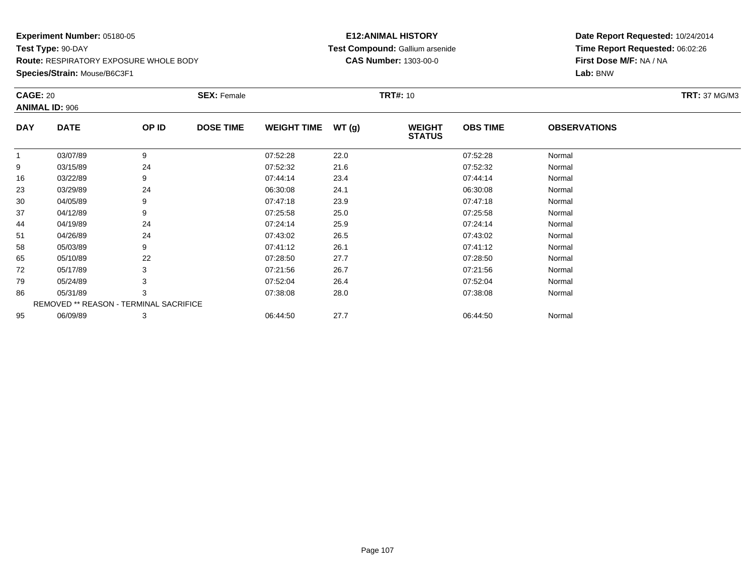**Species/Strain:** Mouse/B6C3F1

#### **E12:ANIMAL HISTORY Test Compound:** Gallium arsenide**CAS Number:** 1303-00-0

| <b>CAGE: 20</b> | <b>ANIMAL ID: 906</b>                  |       | <b>SEX: Female</b> |                    |       | <b>TRT#: 10</b>                |                 |                     | <b>TRT: 37 MG/M3</b> |
|-----------------|----------------------------------------|-------|--------------------|--------------------|-------|--------------------------------|-----------------|---------------------|----------------------|
| <b>DAY</b>      | <b>DATE</b>                            | OP ID | <b>DOSE TIME</b>   | <b>WEIGHT TIME</b> | WT(g) | <b>WEIGHT</b><br><b>STATUS</b> | <b>OBS TIME</b> | <b>OBSERVATIONS</b> |                      |
| $\mathbf{1}$    | 03/07/89                               | 9     |                    | 07:52:28           | 22.0  |                                | 07:52:28        | Normal              |                      |
| 9               | 03/15/89                               | 24    |                    | 07:52:32           | 21.6  |                                | 07:52:32        | Normal              |                      |
| 16              | 03/22/89                               | 9     |                    | 07:44:14           | 23.4  |                                | 07:44:14        | Normal              |                      |
| 23              | 03/29/89                               | 24    |                    | 06:30:08           | 24.1  |                                | 06:30:08        | Normal              |                      |
| 30              | 04/05/89                               | 9     |                    | 07:47:18           | 23.9  |                                | 07:47:18        | Normal              |                      |
| 37              | 04/12/89                               | 9     |                    | 07:25:58           | 25.0  |                                | 07:25:58        | Normal              |                      |
| 44              | 04/19/89                               | 24    |                    | 07:24:14           | 25.9  |                                | 07:24:14        | Normal              |                      |
| 51              | 04/26/89                               | 24    |                    | 07:43:02           | 26.5  |                                | 07:43:02        | Normal              |                      |
| 58              | 05/03/89                               | 9     |                    | 07:41:12           | 26.1  |                                | 07:41:12        | Normal              |                      |
| 65              | 05/10/89                               | 22    |                    | 07:28:50           | 27.7  |                                | 07:28:50        | Normal              |                      |
| 72              | 05/17/89                               | 3     |                    | 07:21:56           | 26.7  |                                | 07:21:56        | Normal              |                      |
| 79              | 05/24/89                               |       |                    | 07:52:04           | 26.4  |                                | 07:52:04        | Normal              |                      |
| 86              | 05/31/89                               | 3     |                    | 07:38:08           | 28.0  |                                | 07:38:08        | Normal              |                      |
|                 | REMOVED ** REASON - TERMINAL SACRIFICE |       |                    |                    |       |                                |                 |                     |                      |
| 95              | 06/09/89                               | 3     |                    | 06:44:50           | 27.7  |                                | 06:44:50        | Normal              |                      |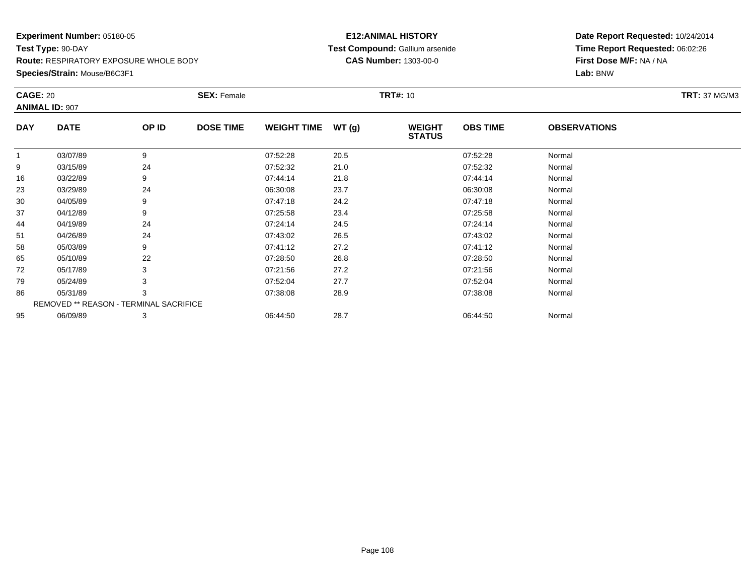**Species/Strain:** Mouse/B6C3F1

#### **E12:ANIMAL HISTORY Test Compound:** Gallium arsenide**CAS Number:** 1303-00-0

| <b>CAGE: 20</b> |                                        |       | <b>SEX: Female</b> |                    |       | <b>TRT#: 10</b>                |                 |                     | <b>TRT: 37 MG/M3</b> |
|-----------------|----------------------------------------|-------|--------------------|--------------------|-------|--------------------------------|-----------------|---------------------|----------------------|
|                 | <b>ANIMAL ID: 907</b>                  |       |                    |                    |       |                                |                 |                     |                      |
| <b>DAY</b>      | <b>DATE</b>                            | OP ID | <b>DOSE TIME</b>   | <b>WEIGHT TIME</b> | WT(g) | <b>WEIGHT</b><br><b>STATUS</b> | <b>OBS TIME</b> | <b>OBSERVATIONS</b> |                      |
| $\mathbf{1}$    | 03/07/89                               | 9     |                    | 07:52:28           | 20.5  |                                | 07:52:28        | Normal              |                      |
| 9               | 03/15/89                               | 24    |                    | 07:52:32           | 21.0  |                                | 07:52:32        | Normal              |                      |
| 16              | 03/22/89                               | 9     |                    | 07:44:14           | 21.8  |                                | 07:44:14        | Normal              |                      |
| 23              | 03/29/89                               | 24    |                    | 06:30:08           | 23.7  |                                | 06:30:08        | Normal              |                      |
| 30              | 04/05/89                               |       |                    | 07:47:18           | 24.2  |                                | 07:47:18        | Normal              |                      |
| 37              | 04/12/89                               | 9     |                    | 07:25:58           | 23.4  |                                | 07:25:58        | Normal              |                      |
| 44              | 04/19/89                               | 24    |                    | 07:24:14           | 24.5  |                                | 07:24:14        | Normal              |                      |
| 51              | 04/26/89                               | 24    |                    | 07:43:02           | 26.5  |                                | 07:43:02        | Normal              |                      |
| 58              | 05/03/89                               | 9     |                    | 07:41:12           | 27.2  |                                | 07:41:12        | Normal              |                      |
| 65              | 05/10/89                               | 22    |                    | 07:28:50           | 26.8  |                                | 07:28:50        | Normal              |                      |
| 72              | 05/17/89                               |       |                    | 07:21:56           | 27.2  |                                | 07:21:56        | Normal              |                      |
| 79              | 05/24/89                               |       |                    | 07:52:04           | 27.7  |                                | 07:52:04        | Normal              |                      |
| 86              | 05/31/89                               | 3     |                    | 07:38:08           | 28.9  |                                | 07:38:08        | Normal              |                      |
|                 | REMOVED ** REASON - TERMINAL SACRIFICE |       |                    |                    |       |                                |                 |                     |                      |
| 95              | 06/09/89                               | 3     |                    | 06:44:50           | 28.7  |                                | 06:44:50        | Normal              |                      |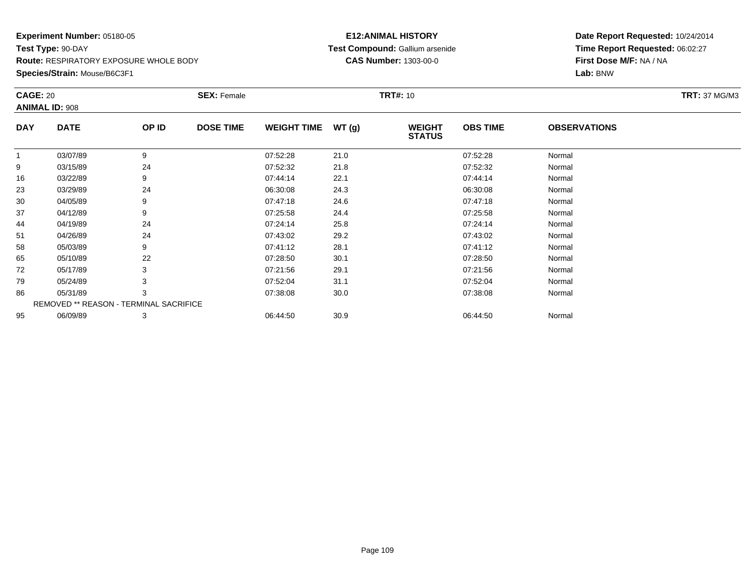**Species/Strain:** Mouse/B6C3F1

### **E12:ANIMAL HISTORY Test Compound:** Gallium arsenide**CAS Number:** 1303-00-0

| <b>CAGE: 20</b> | <b>ANIMAL ID: 908</b>                  |       | <b>SEX: Female</b> |                    |       | <b>TRT#: 10</b>                |                 |                     | <b>TRT: 37 MG/M3</b> |
|-----------------|----------------------------------------|-------|--------------------|--------------------|-------|--------------------------------|-----------------|---------------------|----------------------|
| <b>DAY</b>      | <b>DATE</b>                            | OP ID | <b>DOSE TIME</b>   | <b>WEIGHT TIME</b> | WT(g) | <b>WEIGHT</b><br><b>STATUS</b> | <b>OBS TIME</b> | <b>OBSERVATIONS</b> |                      |
| $\mathbf{1}$    | 03/07/89                               | 9     |                    | 07:52:28           | 21.0  |                                | 07:52:28        | Normal              |                      |
| 9               | 03/15/89                               | 24    |                    | 07:52:32           | 21.8  |                                | 07:52:32        | Normal              |                      |
| 16              | 03/22/89                               | 9     |                    | 07:44:14           | 22.1  |                                | 07:44:14        | Normal              |                      |
| 23              | 03/29/89                               | 24    |                    | 06:30:08           | 24.3  |                                | 06:30:08        | Normal              |                      |
| 30              | 04/05/89                               | 9     |                    | 07:47:18           | 24.6  |                                | 07:47:18        | Normal              |                      |
| 37              | 04/12/89                               | 9     |                    | 07:25:58           | 24.4  |                                | 07:25:58        | Normal              |                      |
| 44              | 04/19/89                               | 24    |                    | 07:24:14           | 25.8  |                                | 07:24:14        | Normal              |                      |
| 51              | 04/26/89                               | 24    |                    | 07:43:02           | 29.2  |                                | 07:43:02        | Normal              |                      |
| 58              | 05/03/89                               | 9     |                    | 07:41:12           | 28.1  |                                | 07:41:12        | Normal              |                      |
| 65              | 05/10/89                               | 22    |                    | 07:28:50           | 30.1  |                                | 07:28:50        | Normal              |                      |
| 72              | 05/17/89                               | 3     |                    | 07:21:56           | 29.1  |                                | 07:21:56        | Normal              |                      |
| 79              | 05/24/89                               | 3     |                    | 07:52:04           | 31.1  |                                | 07:52:04        | Normal              |                      |
| 86              | 05/31/89                               | 3     |                    | 07:38:08           | 30.0  |                                | 07:38:08        | Normal              |                      |
|                 | REMOVED ** REASON - TERMINAL SACRIFICE |       |                    |                    |       |                                |                 |                     |                      |
| 95              | 06/09/89                               | 3     |                    | 06:44:50           | 30.9  |                                | 06:44:50        | Normal              |                      |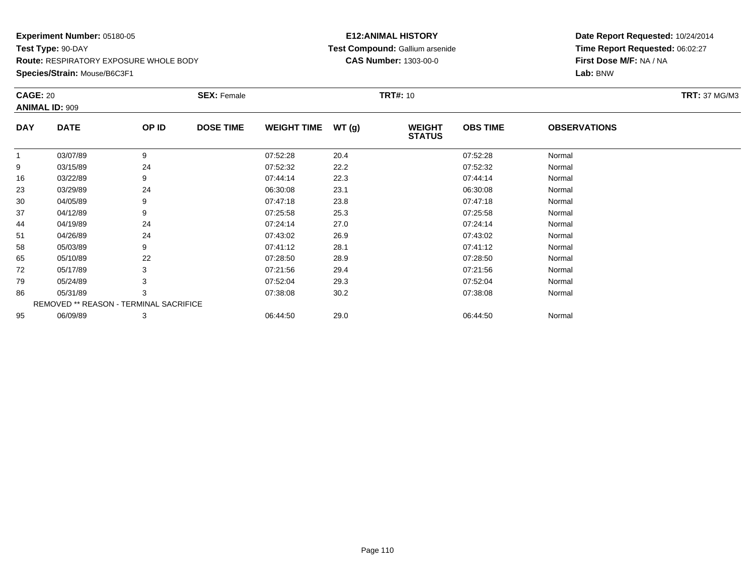**Species/Strain:** Mouse/B6C3F1

### **E12:ANIMAL HISTORY Test Compound:** Gallium arsenide**CAS Number:** 1303-00-0

| <b>CAGE: 20</b> | <b>ANIMAL ID: 909</b>                  |       | <b>SEX: Female</b> |                    |       | <b>TRT#: 10</b>                |                 |                     | <b>TRT: 37 MG/M3</b> |
|-----------------|----------------------------------------|-------|--------------------|--------------------|-------|--------------------------------|-----------------|---------------------|----------------------|
| <b>DAY</b>      | <b>DATE</b>                            | OP ID | <b>DOSE TIME</b>   | <b>WEIGHT TIME</b> | WT(g) | <b>WEIGHT</b><br><b>STATUS</b> | <b>OBS TIME</b> | <b>OBSERVATIONS</b> |                      |
| $\overline{1}$  | 03/07/89                               | 9     |                    | 07:52:28           | 20.4  |                                | 07:52:28        | Normal              |                      |
| 9               | 03/15/89                               | 24    |                    | 07:52:32           | 22.2  |                                | 07:52:32        | Normal              |                      |
| 16              | 03/22/89                               | 9     |                    | 07:44:14           | 22.3  |                                | 07:44:14        | Normal              |                      |
| 23              | 03/29/89                               | 24    |                    | 06:30:08           | 23.1  |                                | 06:30:08        | Normal              |                      |
| 30              | 04/05/89                               | 9     |                    | 07:47:18           | 23.8  |                                | 07:47:18        | Normal              |                      |
| 37              | 04/12/89                               | 9     |                    | 07:25:58           | 25.3  |                                | 07:25:58        | Normal              |                      |
| 44              | 04/19/89                               | 24    |                    | 07:24:14           | 27.0  |                                | 07:24:14        | Normal              |                      |
| 51              | 04/26/89                               | 24    |                    | 07:43:02           | 26.9  |                                | 07:43:02        | Normal              |                      |
| 58              | 05/03/89                               | 9     |                    | 07:41:12           | 28.1  |                                | 07:41:12        | Normal              |                      |
| 65              | 05/10/89                               | 22    |                    | 07:28:50           | 28.9  |                                | 07:28:50        | Normal              |                      |
| 72              | 05/17/89                               | 3     |                    | 07:21:56           | 29.4  |                                | 07:21:56        | Normal              |                      |
| 79              | 05/24/89                               |       |                    | 07:52:04           | 29.3  |                                | 07:52:04        | Normal              |                      |
| 86              | 05/31/89                               | 3     |                    | 07:38:08           | 30.2  |                                | 07:38:08        | Normal              |                      |
|                 | REMOVED ** REASON - TERMINAL SACRIFICE |       |                    |                    |       |                                |                 |                     |                      |
| 95              | 06/09/89                               | 3     |                    | 06:44:50           | 29.0  |                                | 06:44:50        | Normal              |                      |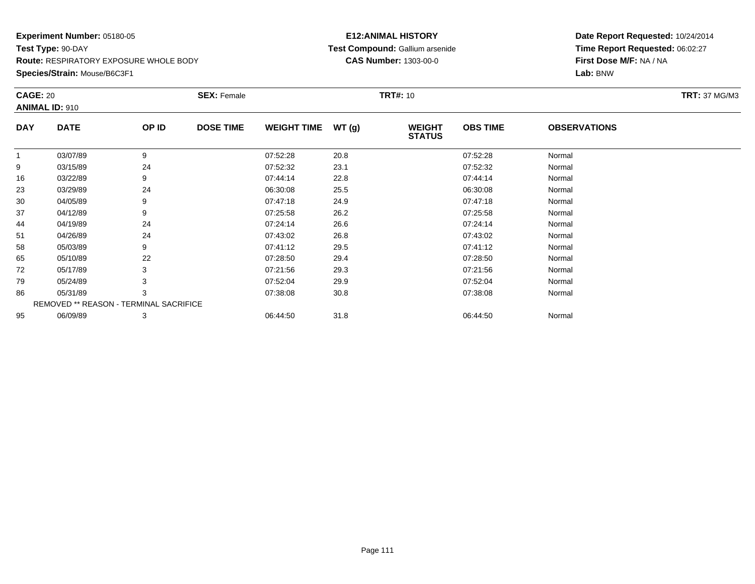**Species/Strain:** Mouse/B6C3F1

### **E12:ANIMAL HISTORY Test Compound:** Gallium arsenide**CAS Number:** 1303-00-0

| <b>CAGE: 20</b> | <b>ANIMAL ID: 910</b>                  |       | <b>SEX: Female</b> |                    |       | <b>TRT#: 10</b>                |                 |                     | <b>TRT: 37 MG/M3</b> |
|-----------------|----------------------------------------|-------|--------------------|--------------------|-------|--------------------------------|-----------------|---------------------|----------------------|
| <b>DAY</b>      | <b>DATE</b>                            | OP ID | <b>DOSE TIME</b>   | <b>WEIGHT TIME</b> | WT(g) | <b>WEIGHT</b><br><b>STATUS</b> | <b>OBS TIME</b> | <b>OBSERVATIONS</b> |                      |
| $\mathbf{1}$    | 03/07/89                               | 9     |                    | 07:52:28           | 20.8  |                                | 07:52:28        | Normal              |                      |
| 9               | 03/15/89                               | 24    |                    | 07:52:32           | 23.1  |                                | 07:52:32        | Normal              |                      |
| 16              | 03/22/89                               | 9     |                    | 07:44:14           | 22.8  |                                | 07:44:14        | Normal              |                      |
| 23              | 03/29/89                               | 24    |                    | 06:30:08           | 25.5  |                                | 06:30:08        | Normal              |                      |
| 30              | 04/05/89                               | 9     |                    | 07:47:18           | 24.9  |                                | 07:47:18        | Normal              |                      |
| 37              | 04/12/89                               | 9     |                    | 07:25:58           | 26.2  |                                | 07:25:58        | Normal              |                      |
| 44              | 04/19/89                               | 24    |                    | 07:24:14           | 26.6  |                                | 07:24:14        | Normal              |                      |
| 51              | 04/26/89                               | 24    |                    | 07:43:02           | 26.8  |                                | 07:43:02        | Normal              |                      |
| 58              | 05/03/89                               | 9     |                    | 07:41:12           | 29.5  |                                | 07:41:12        | Normal              |                      |
| 65              | 05/10/89                               | 22    |                    | 07:28:50           | 29.4  |                                | 07:28:50        | Normal              |                      |
| 72              | 05/17/89                               | 3     |                    | 07:21:56           | 29.3  |                                | 07:21:56        | Normal              |                      |
| 79              | 05/24/89                               | 3     |                    | 07:52:04           | 29.9  |                                | 07:52:04        | Normal              |                      |
| 86              | 05/31/89                               | 3     |                    | 07:38:08           | 30.8  |                                | 07:38:08        | Normal              |                      |
|                 | REMOVED ** REASON - TERMINAL SACRIFICE |       |                    |                    |       |                                |                 |                     |                      |
| 95              | 06/09/89                               | 3     |                    | 06:44:50           | 31.8  |                                | 06:44:50        | Normal              |                      |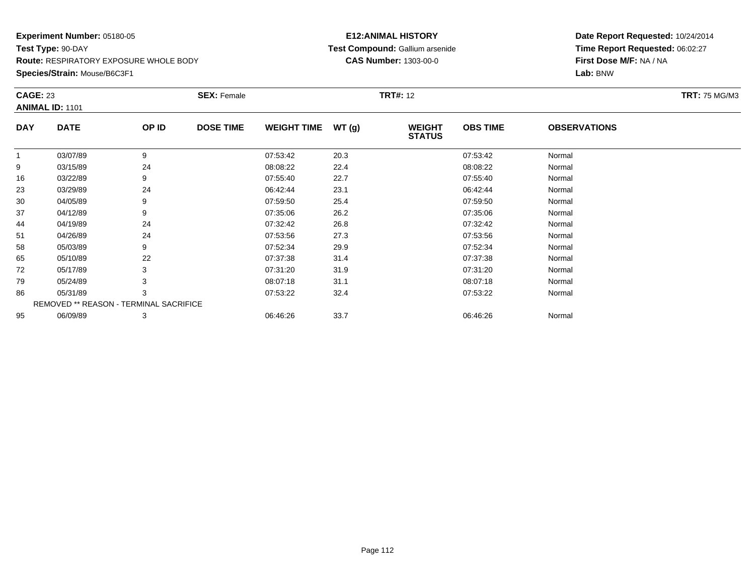**Species/Strain:** Mouse/B6C3F1

### **E12:ANIMAL HISTORY Test Compound:** Gallium arsenide**CAS Number:** 1303-00-0

| <b>CAGE: 23</b> | <b>ANIMAL ID: 1101</b>                 |       | <b>SEX: Female</b> |                    |       | <b>TRT#: 12</b>                |                 |                     | <b>TRT: 75 MG/M3</b> |
|-----------------|----------------------------------------|-------|--------------------|--------------------|-------|--------------------------------|-----------------|---------------------|----------------------|
| <b>DAY</b>      | <b>DATE</b>                            | OP ID | <b>DOSE TIME</b>   | <b>WEIGHT TIME</b> | WT(g) | <b>WEIGHT</b><br><b>STATUS</b> | <b>OBS TIME</b> | <b>OBSERVATIONS</b> |                      |
| 1               | 03/07/89                               | 9     |                    | 07:53:42           | 20.3  |                                | 07:53:42        | Normal              |                      |
| 9               | 03/15/89                               | 24    |                    | 08:08:22           | 22.4  |                                | 08:08:22        | Normal              |                      |
| 16              | 03/22/89                               | 9     |                    | 07:55:40           | 22.7  |                                | 07:55:40        | Normal              |                      |
| 23              | 03/29/89                               | 24    |                    | 06:42:44           | 23.1  |                                | 06:42:44        | Normal              |                      |
| 30              | 04/05/89                               | 9     |                    | 07:59:50           | 25.4  |                                | 07:59:50        | Normal              |                      |
| 37              | 04/12/89                               | 9     |                    | 07:35:06           | 26.2  |                                | 07:35:06        | Normal              |                      |
| 44              | 04/19/89                               | 24    |                    | 07:32:42           | 26.8  |                                | 07:32:42        | Normal              |                      |
| 51              | 04/26/89                               | 24    |                    | 07:53:56           | 27.3  |                                | 07:53:56        | Normal              |                      |
| 58              | 05/03/89                               | 9     |                    | 07:52:34           | 29.9  |                                | 07:52:34        | Normal              |                      |
| 65              | 05/10/89                               | 22    |                    | 07:37:38           | 31.4  |                                | 07:37:38        | Normal              |                      |
| 72              | 05/17/89                               | 3     |                    | 07:31:20           | 31.9  |                                | 07:31:20        | Normal              |                      |
| 79              | 05/24/89                               |       |                    | 08:07:18           | 31.1  |                                | 08:07:18        | Normal              |                      |
| 86              | 05/31/89                               | 3     |                    | 07:53:22           | 32.4  |                                | 07:53:22        | Normal              |                      |
|                 | REMOVED ** REASON - TERMINAL SACRIFICE |       |                    |                    |       |                                |                 |                     |                      |
| 95              | 06/09/89                               | 3     |                    | 06:46:26           | 33.7  |                                | 06:46:26        | Normal              |                      |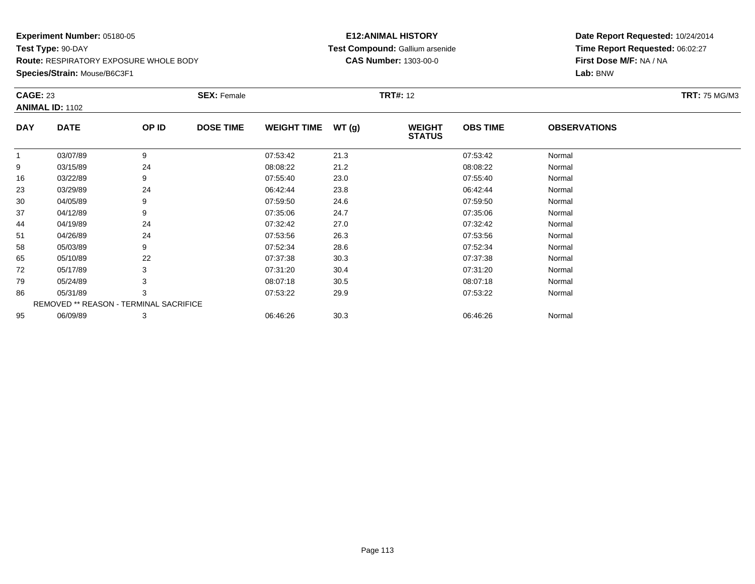**Species/Strain:** Mouse/B6C3F1

### **E12:ANIMAL HISTORY Test Compound:** Gallium arsenide**CAS Number:** 1303-00-0

| <b>CAGE: 23</b> |                                        |       | <b>SEX: Female</b> |                    |       | <b>TRT#: 12</b>                |                 |                     | <b>TRT: 75 MG/M3</b> |
|-----------------|----------------------------------------|-------|--------------------|--------------------|-------|--------------------------------|-----------------|---------------------|----------------------|
|                 | <b>ANIMAL ID: 1102</b>                 |       |                    |                    |       |                                |                 |                     |                      |
| <b>DAY</b>      | <b>DATE</b>                            | OP ID | <b>DOSE TIME</b>   | <b>WEIGHT TIME</b> | WT(g) | <b>WEIGHT</b><br><b>STATUS</b> | <b>OBS TIME</b> | <b>OBSERVATIONS</b> |                      |
| $\mathbf{1}$    | 03/07/89                               | 9     |                    | 07:53:42           | 21.3  |                                | 07:53:42        | Normal              |                      |
| 9               | 03/15/89                               | 24    |                    | 08:08:22           | 21.2  |                                | 08:08:22        | Normal              |                      |
| 16              | 03/22/89                               | 9     |                    | 07:55:40           | 23.0  |                                | 07:55:40        | Normal              |                      |
| 23              | 03/29/89                               | 24    |                    | 06:42:44           | 23.8  |                                | 06:42:44        | Normal              |                      |
| 30              | 04/05/89                               |       |                    | 07:59:50           | 24.6  |                                | 07:59:50        | Normal              |                      |
| 37              | 04/12/89                               | 9     |                    | 07:35:06           | 24.7  |                                | 07:35:06        | Normal              |                      |
| 44              | 04/19/89                               | 24    |                    | 07:32:42           | 27.0  |                                | 07:32:42        | Normal              |                      |
| 51              | 04/26/89                               | 24    |                    | 07:53:56           | 26.3  |                                | 07:53:56        | Normal              |                      |
| 58              | 05/03/89                               | 9     |                    | 07:52:34           | 28.6  |                                | 07:52:34        | Normal              |                      |
| 65              | 05/10/89                               | 22    |                    | 07:37:38           | 30.3  |                                | 07:37:38        | Normal              |                      |
| 72              | 05/17/89                               |       |                    | 07:31:20           | 30.4  |                                | 07:31:20        | Normal              |                      |
| 79              | 05/24/89                               |       |                    | 08:07:18           | 30.5  |                                | 08:07:18        | Normal              |                      |
| 86              | 05/31/89                               | 3     |                    | 07:53:22           | 29.9  |                                | 07:53:22        | Normal              |                      |
|                 | REMOVED ** REASON - TERMINAL SACRIFICE |       |                    |                    |       |                                |                 |                     |                      |
| 95              | 06/09/89                               | 3     |                    | 06:46:26           | 30.3  |                                | 06:46:26        | Normal              |                      |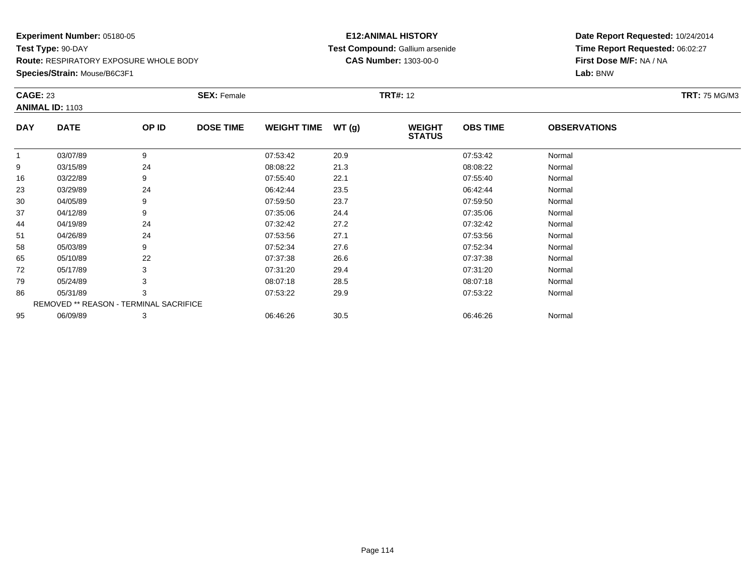**Species/Strain:** Mouse/B6C3F1

### **E12:ANIMAL HISTORY Test Compound:** Gallium arsenide**CAS Number:** 1303-00-0

| <b>CAGE: 23</b> |                                        |       | <b>SEX: Female</b> |                    |       | <b>TRT#: 12</b>                |                 |                     | <b>TRT: 75 MG/M3</b> |
|-----------------|----------------------------------------|-------|--------------------|--------------------|-------|--------------------------------|-----------------|---------------------|----------------------|
|                 | <b>ANIMAL ID: 1103</b>                 |       |                    |                    |       |                                |                 |                     |                      |
| <b>DAY</b>      | <b>DATE</b>                            | OP ID | <b>DOSE TIME</b>   | <b>WEIGHT TIME</b> | WT(g) | <b>WEIGHT</b><br><b>STATUS</b> | <b>OBS TIME</b> | <b>OBSERVATIONS</b> |                      |
| 1               | 03/07/89                               | 9     |                    | 07:53:42           | 20.9  |                                | 07:53:42        | Normal              |                      |
| 9               | 03/15/89                               | 24    |                    | 08:08:22           | 21.3  |                                | 08:08:22        | Normal              |                      |
| 16              | 03/22/89                               | 9     |                    | 07:55:40           | 22.1  |                                | 07:55:40        | Normal              |                      |
| 23              | 03/29/89                               | 24    |                    | 06:42:44           | 23.5  |                                | 06:42:44        | Normal              |                      |
| 30              | 04/05/89                               | 9     |                    | 07:59:50           | 23.7  |                                | 07:59:50        | Normal              |                      |
| 37              | 04/12/89                               | 9     |                    | 07:35:06           | 24.4  |                                | 07:35:06        | Normal              |                      |
| 44              | 04/19/89                               | 24    |                    | 07:32:42           | 27.2  |                                | 07:32:42        | Normal              |                      |
| 51              | 04/26/89                               | 24    |                    | 07:53:56           | 27.1  |                                | 07:53:56        | Normal              |                      |
| 58              | 05/03/89                               | 9     |                    | 07:52:34           | 27.6  |                                | 07:52:34        | Normal              |                      |
| 65              | 05/10/89                               | 22    |                    | 07:37:38           | 26.6  |                                | 07:37:38        | Normal              |                      |
| 72              | 05/17/89                               | 3     |                    | 07:31:20           | 29.4  |                                | 07:31:20        | Normal              |                      |
| 79              | 05/24/89                               |       |                    | 08:07:18           | 28.5  |                                | 08:07:18        | Normal              |                      |
| 86              | 05/31/89                               | 3     |                    | 07:53:22           | 29.9  |                                | 07:53:22        | Normal              |                      |
|                 | REMOVED ** REASON - TERMINAL SACRIFICE |       |                    |                    |       |                                |                 |                     |                      |
| 95              | 06/09/89                               | 3     |                    | 06:46:26           | 30.5  |                                | 06:46:26        | Normal              |                      |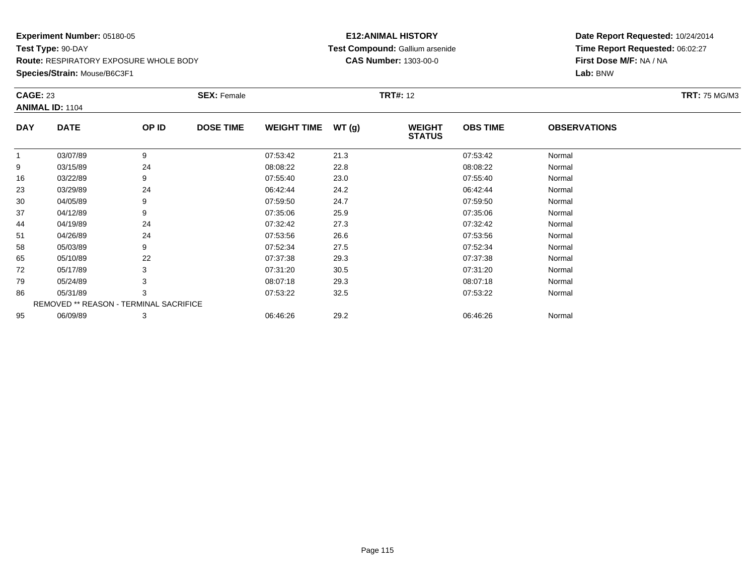**Species/Strain:** Mouse/B6C3F1

### **E12:ANIMAL HISTORY Test Compound:** Gallium arsenide**CAS Number:** 1303-00-0

| <b>CAGE: 23</b> | <b>ANIMAL ID: 1104</b>                 |       | <b>SEX: Female</b> |                    |       | <b>TRT#:</b> 12                |                 |                     | <b>TRT: 75 MG/M3</b> |
|-----------------|----------------------------------------|-------|--------------------|--------------------|-------|--------------------------------|-----------------|---------------------|----------------------|
|                 |                                        |       |                    |                    |       |                                |                 |                     |                      |
| <b>DAY</b>      | <b>DATE</b>                            | OP ID | <b>DOSE TIME</b>   | <b>WEIGHT TIME</b> | WT(g) | <b>WEIGHT</b><br><b>STATUS</b> | <b>OBS TIME</b> | <b>OBSERVATIONS</b> |                      |
| $\overline{1}$  | 03/07/89                               | 9     |                    | 07:53:42           | 21.3  |                                | 07:53:42        | Normal              |                      |
| 9               | 03/15/89                               | 24    |                    | 08:08:22           | 22.8  |                                | 08:08:22        | Normal              |                      |
| 16              | 03/22/89                               | 9     |                    | 07:55:40           | 23.0  |                                | 07:55:40        | Normal              |                      |
| 23              | 03/29/89                               | 24    |                    | 06:42:44           | 24.2  |                                | 06:42:44        | Normal              |                      |
| 30              | 04/05/89                               | 9     |                    | 07:59:50           | 24.7  |                                | 07:59:50        | Normal              |                      |
| 37              | 04/12/89                               | 9     |                    | 07:35:06           | 25.9  |                                | 07:35:06        | Normal              |                      |
| 44              | 04/19/89                               | 24    |                    | 07:32:42           | 27.3  |                                | 07:32:42        | Normal              |                      |
| 51              | 04/26/89                               | 24    |                    | 07:53:56           | 26.6  |                                | 07:53:56        | Normal              |                      |
| 58              | 05/03/89                               | 9     |                    | 07:52:34           | 27.5  |                                | 07:52:34        | Normal              |                      |
| 65              | 05/10/89                               | 22    |                    | 07:37:38           | 29.3  |                                | 07:37:38        | Normal              |                      |
| 72              | 05/17/89                               |       |                    | 07:31:20           | 30.5  |                                | 07:31:20        | Normal              |                      |
| 79              | 05/24/89                               | 3     |                    | 08:07:18           | 29.3  |                                | 08:07:18        | Normal              |                      |
| 86              | 05/31/89                               | 3     |                    | 07:53:22           | 32.5  |                                | 07:53:22        | Normal              |                      |
|                 | REMOVED ** REASON - TERMINAL SACRIFICE |       |                    |                    |       |                                |                 |                     |                      |
| 95              | 06/09/89                               | 3     |                    | 06:46:26           | 29.2  |                                | 06:46:26        | Normal              |                      |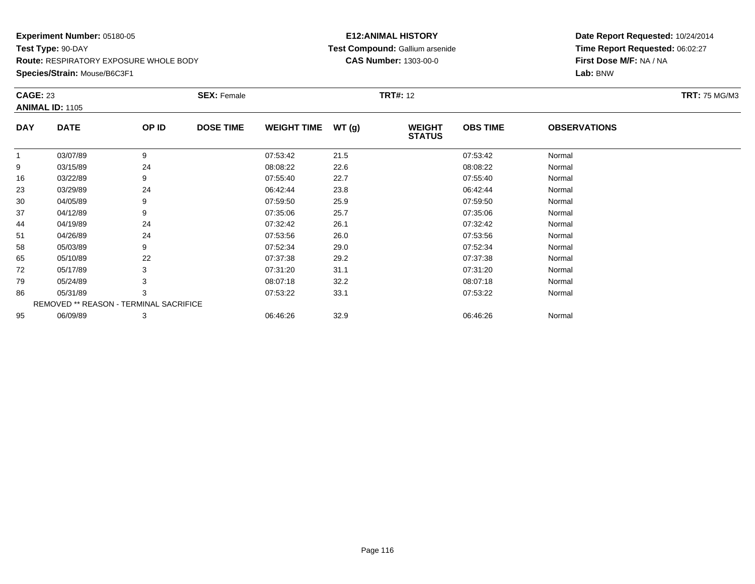**Species/Strain:** Mouse/B6C3F1

### **E12:ANIMAL HISTORY Test Compound:** Gallium arsenide**CAS Number:** 1303-00-0

| <b>CAGE: 23</b> |                                        |       | <b>SEX: Female</b> |                    |       | <b>TRT#: 12</b>                |                 |                     | <b>TRT: 75 MG/M3</b> |
|-----------------|----------------------------------------|-------|--------------------|--------------------|-------|--------------------------------|-----------------|---------------------|----------------------|
|                 | <b>ANIMAL ID: 1105</b>                 |       |                    |                    |       |                                |                 |                     |                      |
| <b>DAY</b>      | <b>DATE</b>                            | OP ID | <b>DOSE TIME</b>   | <b>WEIGHT TIME</b> | WT(g) | <b>WEIGHT</b><br><b>STATUS</b> | <b>OBS TIME</b> | <b>OBSERVATIONS</b> |                      |
|                 | 03/07/89                               | 9     |                    | 07:53:42           | 21.5  |                                | 07:53:42        | Normal              |                      |
| 9               | 03/15/89                               | 24    |                    | 08:08:22           | 22.6  |                                | 08:08:22        | Normal              |                      |
| 16              | 03/22/89                               | 9     |                    | 07:55:40           | 22.7  |                                | 07:55:40        | Normal              |                      |
| 23              | 03/29/89                               | 24    |                    | 06:42:44           | 23.8  |                                | 06:42:44        | Normal              |                      |
| 30              | 04/05/89                               | 9     |                    | 07:59:50           | 25.9  |                                | 07:59:50        | Normal              |                      |
| 37              | 04/12/89                               | 9     |                    | 07:35:06           | 25.7  |                                | 07:35:06        | Normal              |                      |
| 44              | 04/19/89                               | 24    |                    | 07:32:42           | 26.1  |                                | 07:32:42        | Normal              |                      |
| 51              | 04/26/89                               | 24    |                    | 07:53:56           | 26.0  |                                | 07:53:56        | Normal              |                      |
| 58              | 05/03/89                               | 9     |                    | 07:52:34           | 29.0  |                                | 07:52:34        | Normal              |                      |
| 65              | 05/10/89                               | 22    |                    | 07:37:38           | 29.2  |                                | 07:37:38        | Normal              |                      |
| 72              | 05/17/89                               |       |                    | 07:31:20           | 31.1  |                                | 07:31:20        | Normal              |                      |
| 79              | 05/24/89                               |       |                    | 08:07:18           | 32.2  |                                | 08:07:18        | Normal              |                      |
| 86              | 05/31/89                               | 3     |                    | 07:53:22           | 33.1  |                                | 07:53:22        | Normal              |                      |
|                 | REMOVED ** REASON - TERMINAL SACRIFICE |       |                    |                    |       |                                |                 |                     |                      |
| 95              | 06/09/89                               | 3     |                    | 06:46:26           | 32.9  |                                | 06:46:26        | Normal              |                      |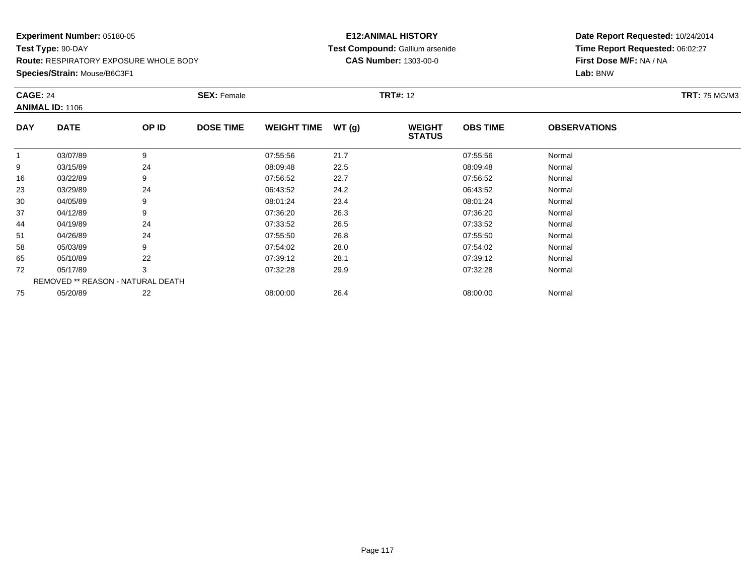**Species/Strain:** Mouse/B6C3F1

### **E12:ANIMAL HISTORY Test Compound:** Gallium arsenide**CAS Number:** 1303-00-0

|            | <b>CAGE: 24</b><br><b>ANIMAL ID: 1106</b> |       | <b>SEX: Female</b> |                    |       |                                | <b>TRT#: 12</b> |                     |  |  |
|------------|-------------------------------------------|-------|--------------------|--------------------|-------|--------------------------------|-----------------|---------------------|--|--|
| <b>DAY</b> | <b>DATE</b>                               | OP ID | <b>DOSE TIME</b>   | <b>WEIGHT TIME</b> | WT(g) | <b>WEIGHT</b><br><b>STATUS</b> | <b>OBS TIME</b> | <b>OBSERVATIONS</b> |  |  |
| 1          | 03/07/89                                  | 9     |                    | 07:55:56           | 21.7  |                                | 07:55:56        | Normal              |  |  |
| 9          | 03/15/89                                  | 24    |                    | 08:09:48           | 22.5  |                                | 08:09:48        | Normal              |  |  |
| 16         | 03/22/89                                  | 9     |                    | 07:56:52           | 22.7  |                                | 07:56:52        | Normal              |  |  |
| 23         | 03/29/89                                  | 24    |                    | 06:43:52           | 24.2  |                                | 06:43:52        | Normal              |  |  |
| 30         | 04/05/89                                  | 9     |                    | 08:01:24           | 23.4  |                                | 08:01:24        | Normal              |  |  |
| 37         | 04/12/89                                  | 9     |                    | 07:36:20           | 26.3  |                                | 07:36:20        | Normal              |  |  |
| 44         | 04/19/89                                  | 24    |                    | 07:33:52           | 26.5  |                                | 07:33:52        | Normal              |  |  |
| 51         | 04/26/89                                  | 24    |                    | 07:55:50           | 26.8  |                                | 07:55:50        | Normal              |  |  |
| 58         | 05/03/89                                  | 9     |                    | 07:54:02           | 28.0  |                                | 07:54:02        | Normal              |  |  |
| 65         | 05/10/89                                  | 22    |                    | 07:39:12           | 28.1  |                                | 07:39:12        | Normal              |  |  |
| 72         | 05/17/89                                  | 3     |                    | 07:32:28           | 29.9  |                                | 07:32:28        | Normal              |  |  |
|            | REMOVED ** REASON - NATURAL DEATH         |       |                    |                    |       |                                |                 |                     |  |  |
| 75         | 05/20/89                                  | 22    |                    | 08:00:00           | 26.4  |                                | 08:00:00        | Normal              |  |  |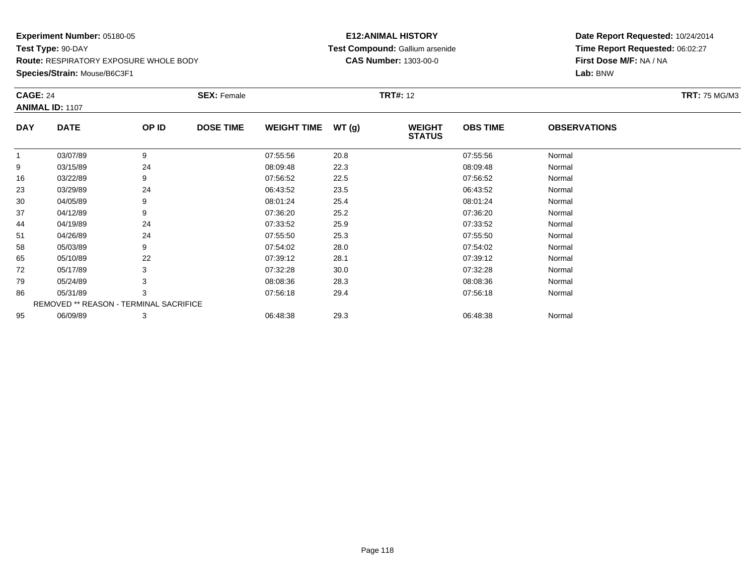**Species/Strain:** Mouse/B6C3F1

### **E12:ANIMAL HISTORY Test Compound:** Gallium arsenide**CAS Number:** 1303-00-0

| <b>CAGE: 24</b> |                                        |       | <b>SEX: Female</b> |                    |       | <b>TRT#: 12</b>                |                 |                     | <b>TRT: 75 MG/M3</b> |
|-----------------|----------------------------------------|-------|--------------------|--------------------|-------|--------------------------------|-----------------|---------------------|----------------------|
|                 | <b>ANIMAL ID: 1107</b>                 |       |                    |                    |       |                                |                 |                     |                      |
| <b>DAY</b>      | <b>DATE</b>                            | OP ID | <b>DOSE TIME</b>   | <b>WEIGHT TIME</b> | WT(g) | <b>WEIGHT</b><br><b>STATUS</b> | <b>OBS TIME</b> | <b>OBSERVATIONS</b> |                      |
|                 | 03/07/89                               | 9     |                    | 07:55:56           | 20.8  |                                | 07:55:56        | Normal              |                      |
| 9               | 03/15/89                               | 24    |                    | 08:09:48           | 22.3  |                                | 08:09:48        | Normal              |                      |
| 16              | 03/22/89                               | 9     |                    | 07:56:52           | 22.5  |                                | 07:56:52        | Normal              |                      |
| 23              | 03/29/89                               | 24    |                    | 06:43:52           | 23.5  |                                | 06:43:52        | Normal              |                      |
| 30              | 04/05/89                               |       |                    | 08:01:24           | 25.4  |                                | 08:01:24        | Normal              |                      |
| 37              | 04/12/89                               | 9     |                    | 07:36:20           | 25.2  |                                | 07:36:20        | Normal              |                      |
| 44              | 04/19/89                               | 24    |                    | 07:33:52           | 25.9  |                                | 07:33:52        | Normal              |                      |
| 51              | 04/26/89                               | 24    |                    | 07:55:50           | 25.3  |                                | 07:55:50        | Normal              |                      |
| 58              | 05/03/89                               | 9     |                    | 07:54:02           | 28.0  |                                | 07:54:02        | Normal              |                      |
| 65              | 05/10/89                               | 22    |                    | 07:39:12           | 28.1  |                                | 07:39:12        | Normal              |                      |
| 72              | 05/17/89                               |       |                    | 07:32:28           | 30.0  |                                | 07:32:28        | Normal              |                      |
| 79              | 05/24/89                               |       |                    | 08:08:36           | 28.3  |                                | 08:08:36        | Normal              |                      |
| 86              | 05/31/89                               | 3     |                    | 07:56:18           | 29.4  |                                | 07:56:18        | Normal              |                      |
|                 | REMOVED ** REASON - TERMINAL SACRIFICE |       |                    |                    |       |                                |                 |                     |                      |
| 95              | 06/09/89                               | 3     |                    | 06:48:38           | 29.3  |                                | 06:48:38        | Normal              |                      |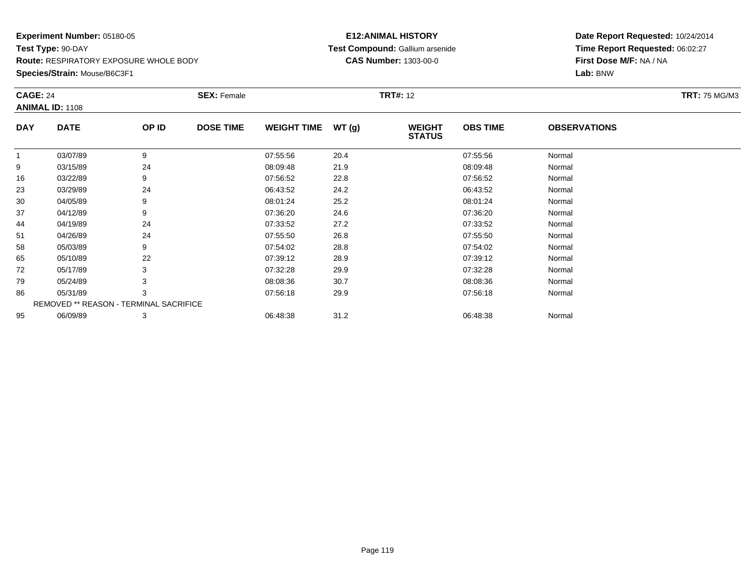**Species/Strain:** Mouse/B6C3F1

### **E12:ANIMAL HISTORY Test Compound:** Gallium arsenide**CAS Number:** 1303-00-0

| <b>CAGE: 24</b> |                                        |       | <b>SEX: Female</b> |                    |       | <b>TRT#:</b> 12                |                 |                     | <b>TRT: 75 MG/M3</b> |
|-----------------|----------------------------------------|-------|--------------------|--------------------|-------|--------------------------------|-----------------|---------------------|----------------------|
|                 | <b>ANIMAL ID: 1108</b>                 |       |                    |                    |       |                                |                 |                     |                      |
| <b>DAY</b>      | <b>DATE</b>                            | OP ID | <b>DOSE TIME</b>   | <b>WEIGHT TIME</b> | WT(g) | <b>WEIGHT</b><br><b>STATUS</b> | <b>OBS TIME</b> | <b>OBSERVATIONS</b> |                      |
| $\mathbf{1}$    | 03/07/89                               | 9     |                    | 07:55:56           | 20.4  |                                | 07:55:56        | Normal              |                      |
| 9               | 03/15/89                               | 24    |                    | 08:09:48           | 21.9  |                                | 08:09:48        | Normal              |                      |
| 16              | 03/22/89                               | 9     |                    | 07:56:52           | 22.8  |                                | 07:56:52        | Normal              |                      |
| 23              | 03/29/89                               | 24    |                    | 06:43:52           | 24.2  |                                | 06:43:52        | Normal              |                      |
| 30              | 04/05/89                               | 9     |                    | 08:01:24           | 25.2  |                                | 08:01:24        | Normal              |                      |
| 37              | 04/12/89                               | 9     |                    | 07:36:20           | 24.6  |                                | 07:36:20        | Normal              |                      |
| 44              | 04/19/89                               | 24    |                    | 07:33:52           | 27.2  |                                | 07:33:52        | Normal              |                      |
| 51              | 04/26/89                               | 24    |                    | 07:55:50           | 26.8  |                                | 07:55:50        | Normal              |                      |
| 58              | 05/03/89                               | 9     |                    | 07:54:02           | 28.8  |                                | 07:54:02        | Normal              |                      |
| 65              | 05/10/89                               | 22    |                    | 07:39:12           | 28.9  |                                | 07:39:12        | Normal              |                      |
| 72              | 05/17/89                               |       |                    | 07:32:28           | 29.9  |                                | 07:32:28        | Normal              |                      |
| 79              | 05/24/89                               |       |                    | 08:08:36           | 30.7  |                                | 08:08:36        | Normal              |                      |
| 86              | 05/31/89                               | 3     |                    | 07:56:18           | 29.9  |                                | 07:56:18        | Normal              |                      |
|                 | REMOVED ** REASON - TERMINAL SACRIFICE |       |                    |                    |       |                                |                 |                     |                      |
| 95              | 06/09/89                               | 3     |                    | 06:48:38           | 31.2  |                                | 06:48:38        | Normal              |                      |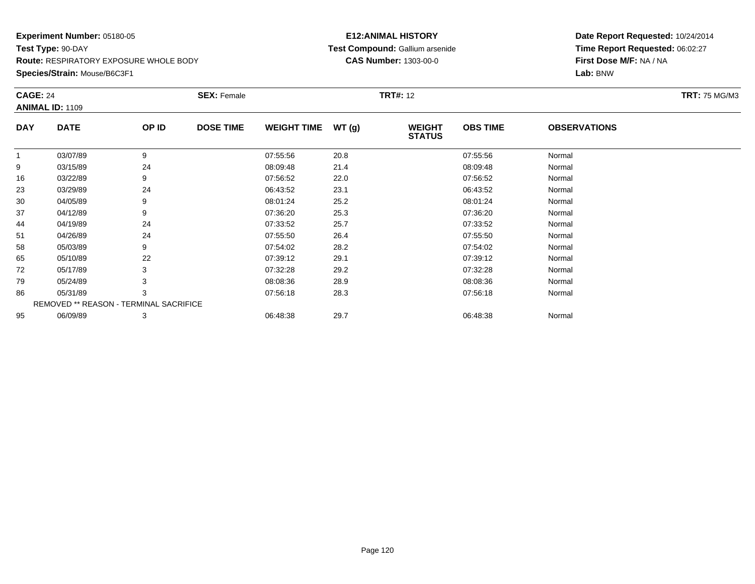**Species/Strain:** Mouse/B6C3F1

### **E12:ANIMAL HISTORY Test Compound:** Gallium arsenide**CAS Number:** 1303-00-0

| <b>CAGE: 24</b> |                                        |       | <b>SEX: Female</b> |                    |       | <b>TRT#: 12</b>                |                 |                     | <b>TRT: 75 MG/M3</b> |
|-----------------|----------------------------------------|-------|--------------------|--------------------|-------|--------------------------------|-----------------|---------------------|----------------------|
|                 | <b>ANIMAL ID: 1109</b>                 |       |                    |                    |       |                                |                 |                     |                      |
| <b>DAY</b>      | <b>DATE</b>                            | OP ID | <b>DOSE TIME</b>   | <b>WEIGHT TIME</b> | WT(g) | <b>WEIGHT</b><br><b>STATUS</b> | <b>OBS TIME</b> | <b>OBSERVATIONS</b> |                      |
|                 | 03/07/89                               | 9     |                    | 07:55:56           | 20.8  |                                | 07.55.56        | Normal              |                      |
| 9               | 03/15/89                               | 24    |                    | 08:09:48           | 21.4  |                                | 08:09:48        | Normal              |                      |
| 16              | 03/22/89                               | 9     |                    | 07:56:52           | 22.0  |                                | 07:56:52        | Normal              |                      |
| 23              | 03/29/89                               | 24    |                    | 06:43:52           | 23.1  |                                | 06:43:52        | Normal              |                      |
| 30              | 04/05/89                               | 9     |                    | 08:01:24           | 25.2  |                                | 08:01:24        | Normal              |                      |
| 37              | 04/12/89                               | 9     |                    | 07:36:20           | 25.3  |                                | 07:36:20        | Normal              |                      |
| 44              | 04/19/89                               | 24    |                    | 07:33:52           | 25.7  |                                | 07:33:52        | Normal              |                      |
| 51              | 04/26/89                               | 24    |                    | 07:55:50           | 26.4  |                                | 07:55:50        | Normal              |                      |
| 58              | 05/03/89                               | 9     |                    | 07:54:02           | 28.2  |                                | 07:54:02        | Normal              |                      |
| 65              | 05/10/89                               | 22    |                    | 07:39:12           | 29.1  |                                | 07:39:12        | Normal              |                      |
| 72              | 05/17/89                               |       |                    | 07:32:28           | 29.2  |                                | 07:32:28        | Normal              |                      |
| 79              | 05/24/89                               |       |                    | 08:08:36           | 28.9  |                                | 08:08:36        | Normal              |                      |
| 86              | 05/31/89                               | 3     |                    | 07:56:18           | 28.3  |                                | 07:56:18        | Normal              |                      |
|                 | REMOVED ** REASON - TERMINAL SACRIFICE |       |                    |                    |       |                                |                 |                     |                      |
| 95              | 06/09/89                               | 3     |                    | 06:48:38           | 29.7  |                                | 06:48:38        | Normal              |                      |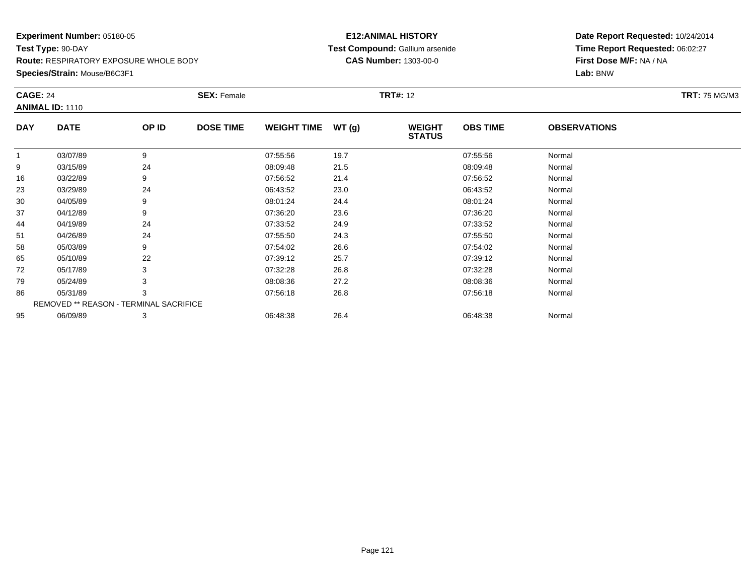**Species/Strain:** Mouse/B6C3F1

### **E12:ANIMAL HISTORY Test Compound:** Gallium arsenide**CAS Number:** 1303-00-0

| <b>CAGE: 24</b><br><b>ANIMAL ID: 1110</b> |                                        |       | <b>SEX: Female</b> |                    |       | <b>TRT#: 12</b>                |                 | <b>TRT: 75 MG/M3</b> |  |
|-------------------------------------------|----------------------------------------|-------|--------------------|--------------------|-------|--------------------------------|-----------------|----------------------|--|
| <b>DAY</b>                                | <b>DATE</b>                            | OP ID | <b>DOSE TIME</b>   | <b>WEIGHT TIME</b> | WT(g) | <b>WEIGHT</b><br><b>STATUS</b> | <b>OBS TIME</b> | <b>OBSERVATIONS</b>  |  |
|                                           | 03/07/89                               | 9     |                    | 07:55:56           | 19.7  |                                | 07:55:56        | Normal               |  |
| 9                                         | 03/15/89                               | 24    |                    | 08:09:48           | 21.5  |                                | 08:09:48        | Normal               |  |
| 16                                        | 03/22/89                               | 9     |                    | 07:56:52           | 21.4  |                                | 07:56:52        | Normal               |  |
| 23                                        | 03/29/89                               | 24    |                    | 06:43:52           | 23.0  |                                | 06:43:52        | Normal               |  |
| 30                                        | 04/05/89                               | 9     |                    | 08:01:24           | 24.4  |                                | 08:01:24        | Normal               |  |
| 37                                        | 04/12/89                               | 9     |                    | 07:36:20           | 23.6  |                                | 07:36:20        | Normal               |  |
| 44                                        | 04/19/89                               | 24    |                    | 07:33:52           | 24.9  |                                | 07:33:52        | Normal               |  |
| 51                                        | 04/26/89                               | 24    |                    | 07:55:50           | 24.3  |                                | 07:55:50        | Normal               |  |
| 58                                        | 05/03/89                               | 9     |                    | 07:54:02           | 26.6  |                                | 07:54:02        | Normal               |  |
| 65                                        | 05/10/89                               | 22    |                    | 07:39:12           | 25.7  |                                | 07:39:12        | Normal               |  |
| 72                                        | 05/17/89                               | 3     |                    | 07:32:28           | 26.8  |                                | 07:32:28        | Normal               |  |
| 79                                        | 05/24/89                               |       |                    | 08:08:36           | 27.2  |                                | 08:08:36        | Normal               |  |
| 86                                        | 05/31/89                               | 3     |                    | 07:56:18           | 26.8  |                                | 07:56:18        | Normal               |  |
|                                           | REMOVED ** REASON - TERMINAL SACRIFICE |       |                    |                    |       |                                |                 |                      |  |
| 95                                        | 06/09/89                               | 3     |                    | 06:48:38           | 26.4  |                                | 06:48:38        | Normal               |  |